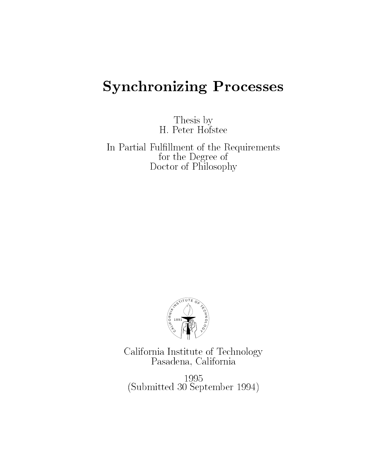# Synchronizing Processes

Thesis byH- Peter Hofstee

In Partial Fulllment of the Requirementsfor the Degree of Doctor of Philosophy



California Institute of TechnologyPasadena, California

 $$ submitted and the construction of the second of the second of the second of the second of the second of the se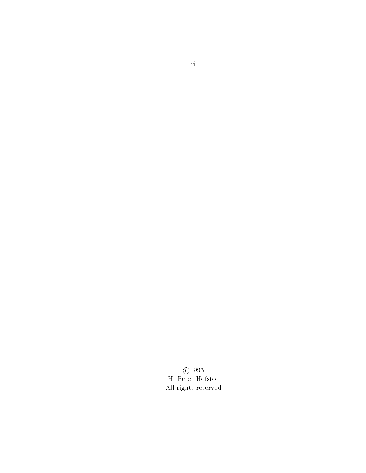$\odot$ 1995 H. Peter Hofstee All rights reserved

ii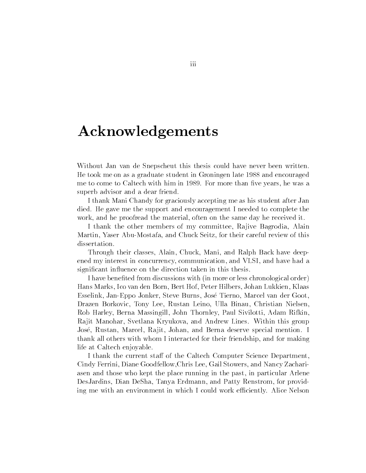## Acknowledgements

Without Jan van de Snepscheut this thesis could have never been written He took me on as a graduate student in Groningen late - and encouraged me to come to come to  $\Gamma$  me to  $\Gamma$  minimizes than vertex here than vertex here than vertex he was a set of  $\Gamma$ superb advisor and a dear friend

I thank Mani Chandy for graciously accepting me as his student after Jan died. He gave me the support and encouragement I needed to complete the work, and he proofread the material, often on the same day he received it.

I thank the other members of my committee, Rajive Bagrodia, Alain Martin, Yaser Abu-Mostafa, and Chuck Seitz, for their careful review of this dissertation.

Through their classes, Alain, Chuck, Mani, and Ralph Back have deepened my interest in concurrency, communication, and VLSI, and have had a us, and the direction taken in the direction the direction theories of the direction of the direction of the s

I have benefited from discussions with (in more or less chronological order) Hans Marks, Ico van den Born, Bert Hof, Peter Hilbers, Johan Lukkien, Klaas Esselink, Jan-Eppo Jonker, Steve Burns, José Tierno, Marcel van der Goot. Drazen Borkovic, Tony Lee, Rustan Leino, Ulla Binau, Christian Nielsen, Rob Harley, Berna Massingill, John Thornley, Paul Sivilotti, Adam Rifkin, Rajit Manohar, Svetlana Kryukova, and Andrew Lines. Within this group José, Rustan, Marcel, Rajit, Johan, and Berna deserve special mention. I thank all others with whom I interacted for their friendship and for making life at Caltech enjoyable

I thank the current staff of the Caltech Computer Science Department, Cindy Ferrini, Diane Goodfellow, Chris Lee, Gail Stowers, and Nancy Zachariasen and those who kept the place running in the past, in particular Arlene DesJardins, Dian DeSha, Tanya Erdmann, and Patty Renstrom, for providing me with an environment in which I could work efficiently. Alice Nelson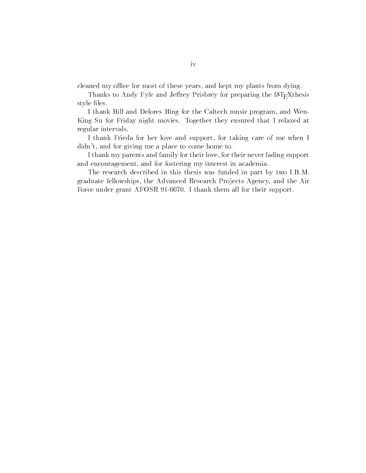cleaned my office for most of these years, and kept my plants from dying.

Thanks to Andy Fyfe and Jeffrey Prisbrey for preparing the LAT<sub>E</sub>Xthesis style files.

I thank Bill and Delores Bing for the Caltech music program, and Wen-King Su for Friday night movies. Together they ensured that I relaxed at regular intervals

I thank Frieda for her love and support, for taking care of me when I didn't, and for giving me a place to come home to.

I thank my parents and family for their love, for their never fading support and encouragement, and for fostering my interest in academia.

The research described in this thesis was funded in part by two IBM graduate fellowships, the Advanced Research Projects Agency, and the Air Force under grant AFOSR - I thank them all for their support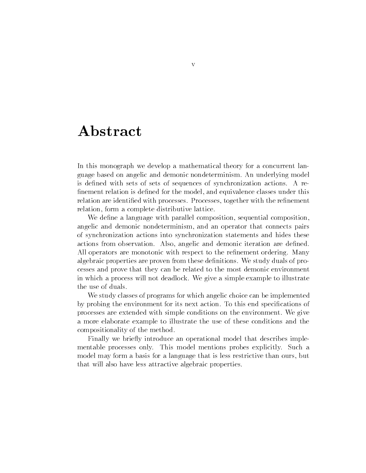## Abstract

In this monograph we develop a mathematical theory for a concurrent lan guage based on angelic and demonic nondeterminism An underlying model is defined with sets of sets of sequences of synchronization actions. A refinement relation is defined for the model, and equivalence classes under this relation are identified with processes. Processes, together with the refinement relation, form a complete distributive lattice.

We define a language with parallel composition, sequential composition, angelic and demonic nondeterminism and an operator that connects pairs of synchronization actions into synchronization statements and hides these actions from observation. Also, angelic and demonic iteration are defined. All operators are monotonic with respect to the refinement ordering. Many algebraic properties are proven from these definitions. We study duals of processes and prove that they can be related to the most demonic environment in which a process will not deadlock We give a simple example to illustrate the use of duals

We study classes of programs for which angelic choice can be implemented by probing the environment for its next action. To this end specifications of processes are extended with simple conditions on the environment. We give a more elaborate example to illustrate the use of these conditions and the compositionality of the method

Finally we brie y introduce an operational model that describes imple mentable processes only. This model mentions probes explicitly. Such a model may form a basis for a language that is less restrictive than ours, but that will also have less attractive algebraic properties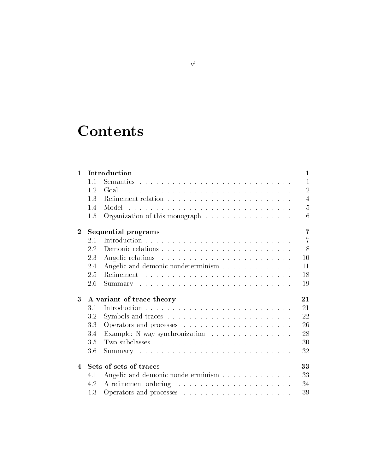# **Contents**

| $\mathbf{1}$     | Introduction                    |                                       |                |  |
|------------------|---------------------------------|---------------------------------------|----------------|--|
|                  | 1.1                             |                                       | 1              |  |
|                  | 1.2                             |                                       | $\overline{2}$ |  |
|                  | 13                              |                                       | $\overline{4}$ |  |
|                  | 1.4                             |                                       | $\frac{5}{2}$  |  |
|                  | 1.5                             |                                       | 6              |  |
| $\boldsymbol{2}$ | Sequential programs<br>7        |                                       |                |  |
|                  | 2.1                             |                                       | $\overline{7}$ |  |
|                  | 2.2                             |                                       | - 8            |  |
|                  | 2.3                             |                                       | 10             |  |
|                  | 2.4                             | Angelic and demonic nondeterminism    | 11             |  |
|                  | 2.5                             |                                       | -18            |  |
|                  | 2.6                             |                                       | 19             |  |
| 3                | A variant of trace theory<br>21 |                                       |                |  |
|                  | 3.1                             |                                       |                |  |
|                  | 3.2                             |                                       |                |  |
|                  | 3.3                             |                                       | 26             |  |
|                  | 3.4                             |                                       | 28             |  |
|                  | 3.5                             |                                       | 30             |  |
|                  | 3.6                             |                                       | 32             |  |
| $\overline{4}$   | Sets of sets of traces          |                                       |                |  |
|                  | 4.1                             | Angelic and demonic nondeterminism 33 |                |  |
|                  | 4.2                             |                                       | -34            |  |
|                  | 4.3                             |                                       | 39             |  |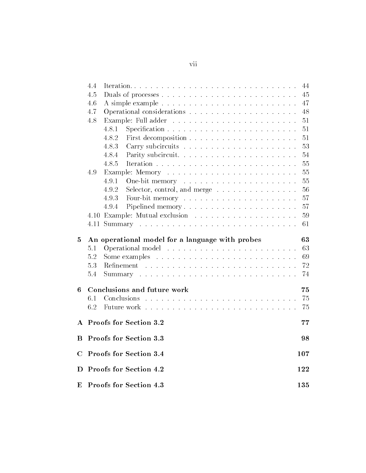|              | 4.4 | Iteration                                                             | 44  |
|--------------|-----|-----------------------------------------------------------------------|-----|
|              | 4.5 |                                                                       | 45  |
|              | 4.6 |                                                                       | 47  |
|              | 4.7 |                                                                       | 48  |
|              | 4.8 |                                                                       | 51  |
|              |     | 4.8.1                                                                 | 51  |
|              |     | 4.8.2                                                                 | 51  |
|              |     | 4.8.3                                                                 | 53  |
|              |     | 4.8.4                                                                 | 54  |
|              |     | 4.8.5                                                                 | 55  |
|              | 4.9 |                                                                       | 55  |
|              |     | 4.9.1                                                                 | 55  |
|              |     | 4.9.2<br>Selector, control, and merge $\dots \dots \dots \dots \dots$ | 56  |
|              |     | 4.9.3                                                                 | 57  |
|              |     | 4.9.4<br>Pipelined memory                                             | 57  |
|              |     |                                                                       | 59  |
|              |     |                                                                       | 61  |
| 5            |     | An operational model for a language with probes                       | 63  |
|              | 5.1 |                                                                       | 63  |
|              | 5.2 |                                                                       | 69  |
|              | 5.3 |                                                                       | 72  |
|              | 5.4 |                                                                       | 74  |
| 6            |     | Conclusions and future work                                           | 75  |
|              | 6.1 |                                                                       | 75  |
|              | 6.2 |                                                                       | 75  |
| $\mathbf{A}$ |     | Proofs for Section 3.2                                                | 77  |
| В            |     | Proofs for Section 3.3                                                | 98  |
| C            |     | Proofs for Section 3.4                                                | 107 |
| D            |     |                                                                       |     |
|              |     | Proofs for Section 4.2                                                | 122 |

### vii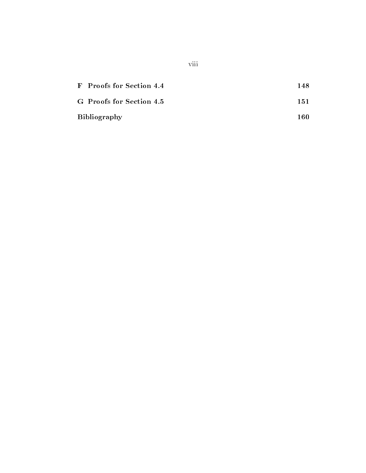| F Proofs for Section 4.4  | 148. |
|---------------------------|------|
| G. Proofs for Section 4.5 | 151  |
| <b>Bibliography</b>       | 160  |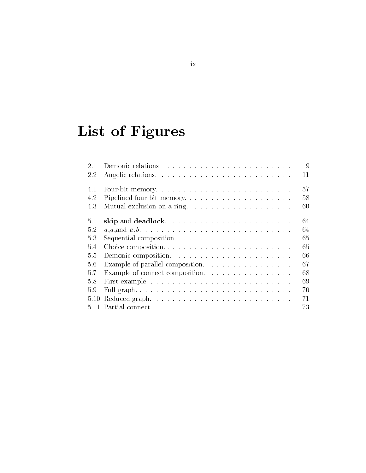# List of Figures

| Choice composition<br>- 65               |
|------------------------------------------|
| - 66                                     |
| Example of parallel composition.<br>- 67 |
| Example of connect composition.<br>- 68  |
| - 69                                     |
|                                          |
|                                          |
|                                          |
|                                          |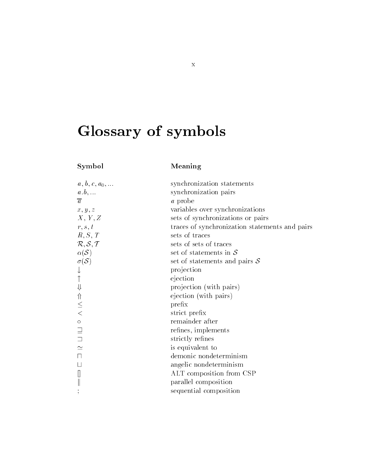# Glossary of symbols

## Symbol Meaning

| $a, b, c, a_0, \ldots$                                        | synchronization statements                     |
|---------------------------------------------------------------|------------------------------------------------|
| $a.b, \ldots$                                                 | synchronization pairs                          |
| $\overline{a}$                                                | <i>a</i> probe                                 |
| x, y, z                                                       | variables over synchronizations                |
| X, Y, Z                                                       | sets of synchronizations or pairs              |
| r, s, t                                                       | traces of synchronization statements and pairs |
| R, S, T                                                       | sets of traces                                 |
| $\mathcal{R}, \mathcal{S}, \mathcal{T}$                       | sets of sets of traces                         |
| $\alpha(\mathcal{S})$                                         | set of statements in $\mathcal S$              |
| $\sigma(S)$                                                   | set of statements and pairs $S$                |
|                                                               | projection                                     |
|                                                               | ejection                                       |
|                                                               | projection (with pairs)                        |
| ⇒ ← → →                                                       | ejection (with pairs)                          |
|                                                               | prefix                                         |
|                                                               | strict prefix                                  |
|                                                               | remainder after                                |
| $\begin{array}{c} \circ \\ \hline \circ \\ \circ \end{array}$ | refines, implements                            |
|                                                               | strictly refines                               |
|                                                               | is equivalent to                               |
| $\Box$                                                        | demonic nondeterminism                         |
|                                                               | angelic nondeterminism                         |
|                                                               | ALT composition from CSP                       |
|                                                               | parallel composition                           |
|                                                               | sequential composition                         |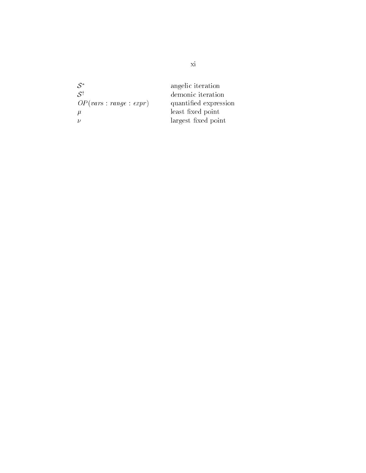| $S^*$                   | angelic iteration     |
|-------------------------|-----------------------|
| $S^{\dagger}$           | demonic iteration     |
| OP(vars : range : expr) | quantified expression |
| $\mu$                   | least fixed point     |
|                         | largest fixed point   |
|                         |                       |

xi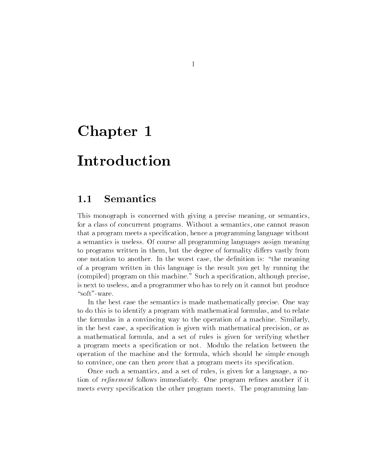# Chapter 1

# Introduction

## 1.1 Semantics

This monograph is concerned with giving a precise meaning, or semantics, for a class of concurrent programs Without a semantics one cannot reason that a program meets a specification, hence a programming language without a semantics is useless Of course all programming languages assign meaning to programs written in them, but the degree of formality differs vastly from one notation to another. In the worst case, the definition is: "the meaning of a program written in this language is the result you get by running the (compiled) program on this machine." Such a specification, although precise, is next to useless and a programmer who has to rely on it cannot but produce "soft" ware.

In the best case the semantics is made mathematically precise. One way to do this is to identify a program with mathematical formulas and to relate the formulas in a convincing way to the operation of a machine. Similarly, in the best case, a specification is given with mathematical precision, or as a mathematical formula and a set of rules is given for verifying whether a program meets a specification or not. Modulo the relation between the operation of the machine and the formula which should be simple enough to convince, one can then *prove* that a program meets its specification.

Once such a semantics, and a set of rules, is given for a language, a notion of re-renes and renes and renes and renes and renes and renes and renes and renes and renes another if  $\alpha$ meets every specification the other program meets. The programming lan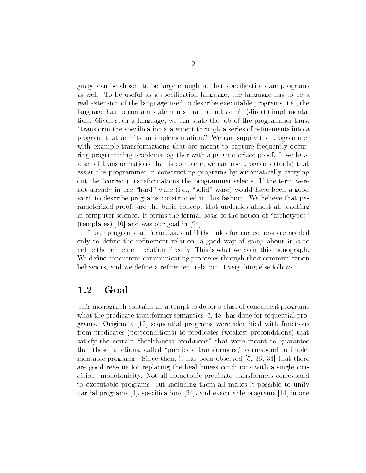guage can be chosen to be large enough so that specications are programs as well. To be useful as a specification language, the language has to be a real extension of the language used to describe executable programs, i.e., the language has to contain statements that do not admit (direct) implementation. Given such a language, we can state the job of the programmer thus: "transform the specification statement through a series of refinements into a program that admits an implementation." We can supply the programmer with example transformations that are meant to capture frequently occur ring programming problems together with a parameterized proof. If we have a set of transformations that is complete, we can use programs (tools) that assist the programmer in constructing programs by automatically carrying out the (correct) transformations the programmer selects. If the term were not already in use "hard"-ware (i.e., "solid"-ware) would have been a good word to describe programs constructed in this fashion. We believe that parameterized proofs are the basic concept that underlies almost all teaching in computer science. It forms the formal basis of the notion of "archetypes" te and was our goal in the contract of the second contract of the second second and the second second second s

If our programs are formulas, and if the rules for correctness are needed only to define the refinement relation, a good way of going about it is to define the refinement relation directly. This is what we do in this monograph. We define concurrent communicating processes through their communication behaviors, and we define a refinement relation. Everything else follows.

#### 1.2 Goal

This monograph contains an attempt to do for a class of concurrent programs what the predicate-transformer semantics  $[5, 48]$  has done for sequential pro- $\alpha$  second original programs were identical programs with functions  $\alpha$  is seen and  $\alpha$ from predicates (postconditions) to predicates (weakest preconditions) that satisfy the certain "healthiness conditions" that were meant to guarantee that these functions, called "predicate transformers," correspond to implementable programs. Since then, it has been observed  $[5, 36, 34]$  that there are good reasons for replacing the healthiness conditions with a single con dition: monotonicity. Not all monotonic predicate transformers correspond to executable programs but including them all makes it possible to unify particle programs programs processes in the programs - in one of the programs - programs - programs - in one o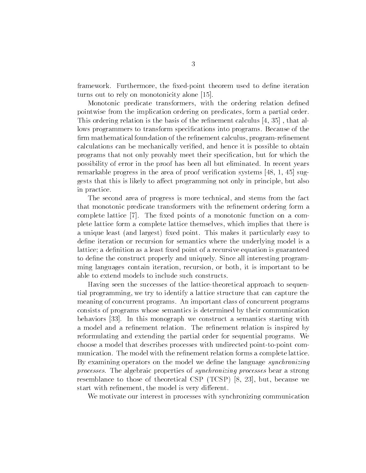framework. Furthermore, the fixed-point theorem used to define iteration turns out to rely on monotonicity alone -

Monotonic predicate transformers, with the ordering relation defined pointwise from the implication ordering on predicates form a partial order This ordering relation is the basis of the refinement calculus  $\left[4, 35\right]$ , that allows programmers to transform specifications into programs. Because of the firm mathematical foundation of the refinement calculus, program-refinement calculations can be mechanically verified, and hence it is possible to obtain programs that not only provably meet their specification, but for which the possibility of error in the proof has been all but eliminated In recent years remarkable progress in the area of progress in the area of progress in the area of proof verified and the area of proof verified and the area of proof verified and the area of problem in the area of proof verified and the gests that this is likely to affect programming not only in principle, but also in practice

The second area of progress is more technical, and stems from the fact that monotonic predicate transformers with the refinement ordering form a complete lattice  $\begin{bmatrix} 7 \end{bmatrix}$ . The fixed points of a monotonic function on a complete lattice form a complete lattice themselves which implies that there is a unique least (and largest) fixed point. This makes it particularly easy to define iteration or recursion for semantics where the underlying model is a lattice; a definition as a least fixed point of a recursive equation is guaranteed to define the construct properly and uniquely. Since all interesting programming languages contain iteration, recursion, or both, it is important to be able to extend models to include such constructs

Having seen the successes of the lattice-theoretical approach to sequential programming we try to identify a lattice structure that can capture the meaning of concurrent programs An important class of concurrent programs consists of programs whose semantics is determined by their communication behaviors In this monograph we construct a semantics starting with a model and a refinement relation. The refinement relation is inspired by reformulating and extending the partial order for sequential programs. We choose a model that describes processes with undirected point-to-point communication. The model with the refinement relation forms a complete lattice. By examining operators on the model we define the language synchronizing processes The algebraic properties of synchronizing processes bear a strong resemblance to those of theoretical CSP  $(TCSP)$  [8, 23], but, because we start with refinement, the model is very different.

We motivate our interest in processes with synchronizing communication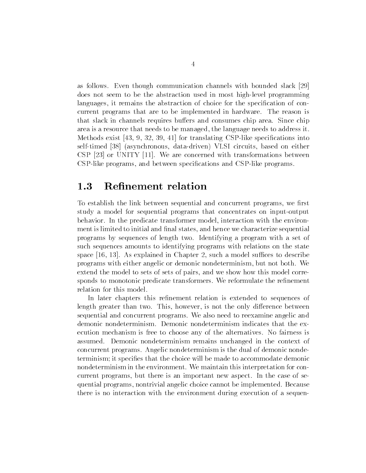as follows. Even though communication channels with bounded slack [29] does not seem to be the abstraction used in most high-level programming languages, it remains the abstraction of choice for the specification of concurrent programs that are to be implemented in hardware The reason is that slack in channels requires buffers and consumes chip area. Since chip area is a resource that needs to be managed, the language needs to address it  $\mathbf{M}$  , and the translations into the translations into  $\mathbf{M}$  , and the contributions into the contributions into  $\mathbf{M}$ self-timed [38] (asynchronous, data-driven) VLSI circuits, based on either CSP or UNITY -- We are concerned with transformations between CSP-like programs, and between specifications and CSP-like programs.

#### $1.3$ Refinement relation

To establish the link between sequential and concurrent programs, we first study a model for sequential programs that concentrates on input-output behavior. In the predicate transformer model, interaction with the environment is limited to initial and final states, and hence we characterize sequential programs by sequences of length two. Identifying a program with a set of such sequences amounts to identifying programs with relations on the state space - As explained in Chapter - As explained in Chapter 1, we are the successive of the successive of the successive of the successive of the successive of the successive of the successive of the successive of the succes programs with either angelic or demonic nondeterminism but not both We extend the model to sets of sets of pairs, and we show how this model corresponds to monotonic predicate transformers. We reformulate the refinement relation for this model

In later chapters this refinement relation is extended to sequences of length greater than two. This, however, is not the only difference between sequential and concurrent programs We also need to reexamine angelic and demonic nondeterminism Demonic nondeterminism indicates that the ex ecution mechanism is free to choose any of the alternatives. No fairness is assumed. Demonic nondeterminism remains unchanged in the context of concurrent programs Angelic nondeterminism is the dual of demonic nonde terminism; it specifies that the choice will be made to accommodate demonic nondeterminism in the environment. We maintain this interpretation for concurrent programs, but there is an important new aspect. In the case of sequential programs, nontrivial angelic choice cannot be implemented. Because there is no interaction with the environment during execution of a sequen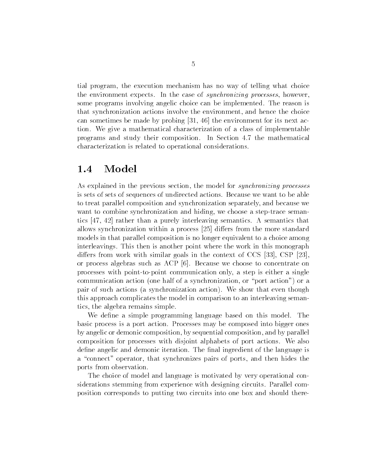tial program the execution mechanism has no way of telling what choice the environment expects. In the case of *synchronizing processes*, however, some programs involving angelic choice can be implemented. The reason is that synchronization actions involve the environment and hence the choice can sometimes by made by probing - it, it is next accounted for its next activities tion We give a mathematical characterization of a class of implementable programs and study their composition. In Section 4.7 the mathematical characterization is related to operational considerations

#### 1.4 Model

As explained in the previous section, the model for *synchronizing processes* is sets of sets of sequences of undirected actions. Because we want to be able to treat parallel composition and synchronization separately and because we want to combine synchronization and hiding, we choose a step-trace semantics  $[47, 42]$  rather than a purely interleaving semantics. A semantics that allows synchronization within a process  $[25]$  differs from the more standard models in that parallel composition is no longer equivalent to a choice among interleavings. This then is another point where the work in this monograph differs from work with similar goals in the context of CCS  $[33]$ , CSP  $[23]$ . or process algebras such as ACP  $[6]$ . Because we choose to concentrate on processes with point-to-point communication only, a step is either a single communication action (one half of a synchronization, or "port action") or a pair of such actions (a synchronization action). We show that even though this approach complicates the model in comparison to an interleaving seman tics, the algebra remains simple.

We define a simple programming language based on this model. The basic process is a port action Processes may be composed into bigger ones by angelic or demonic composition by sequential composition and by parallel composition for processes with disjoint alphabets of port actions We also define angelic and demonic iteration. The final ingredient of the language is a "connect" operator, that synchronizes pairs of ports, and then hides the ports from observation

The choice of model and language is motivated by very operational con siderations stemming from experience with designing circuits. Parallel composition corresponds to putting two circuits into one box and should there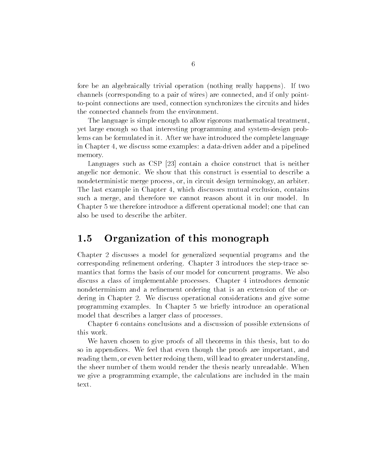fore be an algebraically trivial operation (nothing really happens). If two channels (corresponding to a pair of wires) are connected, and if only pointto-point connections are used, connection synchronizes the circuits and hides the connected channels from the environment

The language is simple enough to allow rigorous mathematical treatment yet large enough so that interesting programming and system-design problems can be formulated in it After we have introduced the complete language in Chapter 4, we discuss some examples: a data-driven adder and a pipelined memory

Languages such as CSP  $[23]$  contain a choice construct that is neither angelic nor demonic We show that this construct is essential to describe a nondeterministic merge process, or, in circuit design terminology, an arbiter. The last example in Chapter 4, which discusses mutual exclusion, contains such a merge, and therefore we cannot reason about it in our model. In Chapter 5 we therefore introduce a different operational model; one that can also be used to describe the arbiter

#### 1.5 Organization of this monograph

Chapter discusses a model for generalized sequential programs and the corresponding refinement ordering. Chapter 3 introduces the step-trace semantics that forms the basis of our model for concurrent programs. We also discuss a class of implementable processes. Chapter 4 introduces demonic nondeterminism and a refinement ordering that is an extension of the ordering in Chapter 2. We discuss operational considerations and give some programming examples In Chapter we brie y introduce an operational model that describes a larger class of processes

Chapter 6 contains conclusions and a discussion of possible extensions of this work

We haven chosen to give proofs of all theorems in this thesis, but to do so in appendices. We feel that even though the proofs are important, and reading them, or even better redoing them, will lead to greater understanding, the sheer number of them would render the thesis nearly unreadable When we give a programming example, the calculations are included in the main text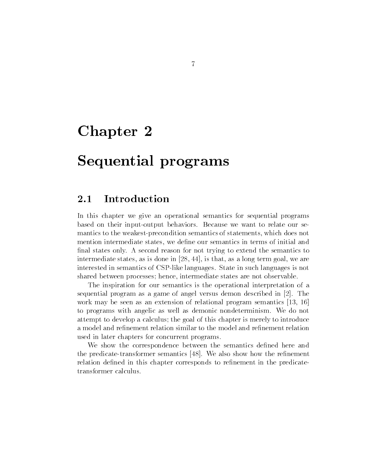# Chapter 2

# Sequential programs

### 2.1 Introduction

In this chapter we give an operational semantics for sequential programs based on their input-output behaviors. Because we want to relate our semantics to the weakest-precondition semantics of statements, which does not mention intermediate states we dene our semantics in terms of initial and final states only. A second reason for not trying to extend the semantics to intermediate states, as is done in  $[28, 44]$ , is that, as a long term goal, we are interested in semantics of CSP-like languages. State in such languages is not shared between processes; hence, intermediate states are not observable.

The inspiration for our semantics is the operational interpretation of a sequential program as a game of angel versus demon described in  $[2]$ . The work may be seen as an extension of relation of  $\mathcal{A}$  . The semantic semantics  $\mathcal{A}$ to programs with angelic as well as demonic nondeterminism We do not attempt to develop a calculus; the goal of this chapter is merely to introduce a model and refinement relation similar to the model and refinement relation used in later chapters for concurrent programs

We show the correspondence between the semantics defined here and the predicate-transformer semantics  $[48]$ . We also show how the refinement relation defined in this chapter corresponds to refinement in the predicatetransformer calculus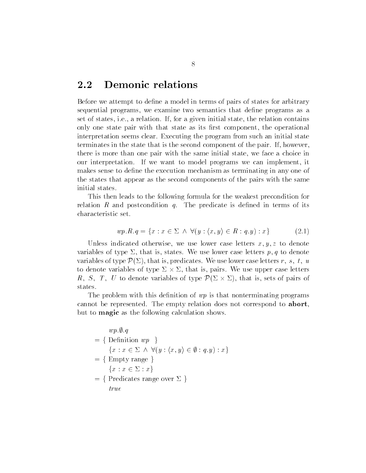### 2.2 Demonic relations

Before we attempt to define a model in terms of pairs of states for arbitrary sequential programs, we examine two semantics that define programs as a set of states, i.e., a relation. If, for a given initial state, the relation contains only one state pair with that state as its first component, the operational interpretation seems clear. Executing the program from such an initial state terminates in the state that is the second component of the pair. If, however, there is more than one pair with the same initial state we face a choice in our interpretation. If we want to model programs we can implement, it makes sense to define the execution mechanism as terminating in any one of the states that appear as the second components of the pairs with the same initial states

This then leads to the following formula for the weakest precondition for relation R and postcondition  $q$ . The predicate is defined in terms of its characteristic set  $\forall (y : \langle x, y \rangle)$  $y \rangle \in R : q, y : x$  (2.1)

$$
wp.R.q = \{x : x \in \Sigma \land \forall (y : \langle x, y \rangle \in R : q.y) : x\}
$$
\n
$$
(2.1)
$$

, we also in the second other wise we use and the second with the second case of the second case of the second variables of type  $\equiv$  that is stated we use that is stated and the p-type denotes the contract of variables of type  $\mathcal{P}(\Sigma)$ , that is, predicates. We use lower case letters r, s, t, u to denote variables of type  $\Sigma \times \Sigma$ , that is, pairs. We use upper case letters R, S, T, U to denote variables of type  $\mathcal{P}(\Sigma \times \Sigma)$ , that is, sets of pairs of states.

The problem with this definition of  $wp$  is that nonterminating programs cannot be represented. The empty relation does not correspond to **abort**, but to magic as the following calculation shows.

 $wp.\emptyset. q$  $= \{$  Definition  $wp \}$ wp.y.q<br>Definition wp }<br> $\{x : x \in \Sigma \land \forall (y : \langle x, y \rangle \in \emptyset : q.y) : x\}$  $=$  { Empty range }  ${x : x \in \Sigma : x}$  $=$  { Predicates range over  $\Sigma$  } true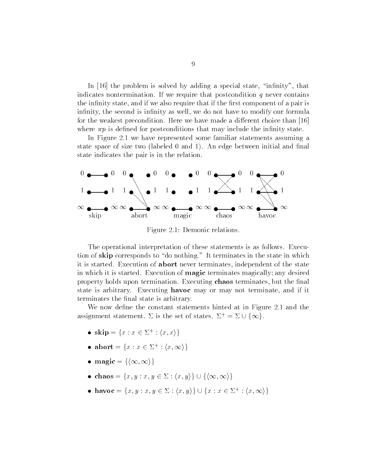In [16] the problem is solved by adding a special state, "infinity", that indicates nontermination. If we require that postcondition  $q$  never contains the infinity state, and if we also require that if the first component of a pair is infinity, the second is infinity as well, we do not have to modify our formula for the weakest precondition Here we have made a dierent choice than where  $wp$  is defined for postconditions that may include the infinity state.

In Figure - we have represented some familiar statements assuming a state space is the two labeled to make space that we consider more more complete. state indicates the pair is in the relation



Figure - Demonic relations

The operational interpretation of these statements is as follows Execu tion of skip corresponds to "do nothing." It terminates in the state in which it is started. Execution of **abort** never terminates, independent of the state in which it is started. Execution of **magic** terminates magically; any desired property holds upon termination. Executing **chaos** terminates, but the final state is arbitrary. Executing **havoc** may or may not terminate, and if it terminates the final state is arbitrary.

We now denote the constant statements hinted at in Figure - and the state  $\sim$ assignment statement.  $\Sigma$  is the set of states.  $\Sigma^+ = \Sigma$ d at in Figure 2<br>=  $\Sigma \cup {\infty}$ .

- skip =  $\{x : x \in \Sigma^+ : \langle x, x \rangle\}$
- abort =  $\{x : x \in \Sigma^+ : (x, \infty)\}\$
- magic =  $\{\langle \infty, \infty \rangle\}$
- magic = { $\{\infty, \infty\}$ }<br>• chaos = { $x, y : x, y \in \Sigma : \langle x, y \rangle$ }  $\cup$  { $\langle \infty, \infty \rangle$ } ight and in the contract of the contract of the contract of the contract of the contract of the contract of the
- chaos =  $\{x, y : x, y \in \Sigma : \langle x, y \rangle\} \cup \{\langle \infty, \infty \rangle\}$ <br>• havoc =  $\{x, y : x, y \in \Sigma : \langle x, y \rangle\} \cup \{x : x \in \Sigma^+ : \langle x, \infty \rangle\}$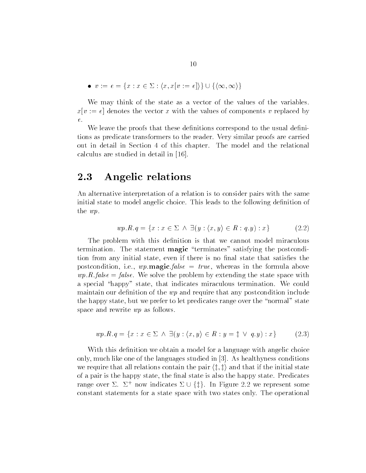•  $v := e = \{x : x \in \Sigma : \langle x, x | v := e \rangle\} \cup \{\langle \infty, \infty \rangle\}$ ight and in the contract of the contract of the contract of the contract of the contract of the contract of the

We may think of the state as a vector of the values of the variables.  $x[v := e]$  denotes the vector x with the values of components v replaced by  $e.$ 

We leave the proofs that these definitions correspond to the usual definitions as predicate transformers to the reader Very similar proofs are carried out in detail in Section 4 of this chapter. The model and the relational calculus are studied in detail in the studied in a studied in the studied in  $\mathbb{R}^n$ 

#### 2.3 Angelic relations

An alternative interpretation of a relation is to consider pairs with the same initial state to model angelic choice. This leads to the following definition of the wp  $\exists (y : (x, y))$  $y \rangle \in R : q, y : x$  (2.2)

$$
wp.R.q = \{x : x \in \Sigma \land \exists (y : \langle x, y \rangle \in R : q.y) : x\}
$$
\n
$$
(2.2)
$$

The problem with this definition is that we cannot model miraculous termination. The statement magic "terminates" satisfying the postcondition from any initial state, even if there is no final state that satisfies the postcondition, i.e.,  $wp.\textbf{magic}.false = true$ , whereas in the formula above  $wp.R.false = false$ . We solve the problem by extending the state space with a special "happy" state, that indicates miraculous termination. We could maintain our definition of the  $wp$  and require that any postcondition include the happy state, but we prefer to let predicates range over the "normal" state space and rewrite  $wp$  as follows.

$$
wp.R.q = \{x : x \in \Sigma \land \exists (y : \langle x, y \rangle \in R : y = \ddagger \lor q.y) : x\}
$$
(2.3)

With this definition we obtain a model for a language with angelic choice only, much like one of the languages studied in  $[3]$ . As healthyness conditions we require that all relations contain the pair  $\langle \ddagger, \ddagger \rangle$  and that if the initial state of a pairs is the fingle state the nale state is also the name of the name  $\mathbb{P}^1$  states  $\mathbb{P}^1$ range over  $\varDelta$ .  $\varDelta$  - nov relations contain the pair  $\langle \ddagger, \ddagger \rangle$  and that if the initial state<br>by state, the final state is also the happy state. Predicates<br>now indicates  $\Sigma \cup \{\ddagger\}$ . In Figure 2.2 we represent some constant statements for a state space with two states only The operational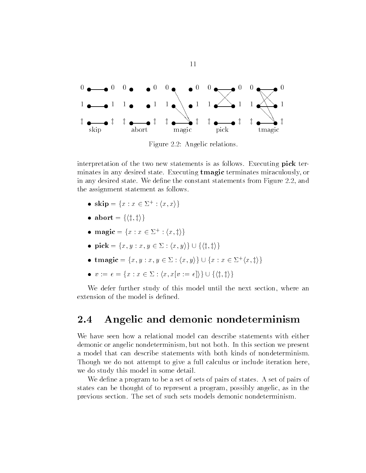

Figure 2.2: Angelic relations.

interpretation of the two new statements is as follows. Executing pick terminates in any desired state Executing tmagic terminates miraculously or in any desired state. We define the constant statements from Figure  $2.2$ , and the assignment statement as follows

- skip =  $\{x : x \in \Sigma^+ : \langle x, x \rangle\}$
- abort  $= \{ \langle \text{t}, \text{t} \rangle \}$
- magic =  $\{x : x \in \Sigma^+ : \langle x, \ddagger \rangle\}$
- magic =  $\{x : x \in \Sigma^+ : \langle x, \ddagger \rangle\}$ <br>• pick =  $\{x, y : x, y \in \Sigma : \langle x, y \rangle\} \cup \{\langle \ddagger, \ddagger \rangle\}$
- pick =  $\{x, y : x, y \in \Sigma : \langle x, y \rangle\} \cup \{\langle \sharp, \sharp \rangle\}$ <br>
 tmagic =  $\{x, y : x, y \in \Sigma : \langle x, y \rangle\} \cup \{x : x \in \Sigma^+ \langle x, \sharp \rangle\}$ <br>
  $v := e = \{x : x \in \Sigma : \langle x, x[v := e] \rangle\} \cup \{\langle \sharp, \sharp \rangle\}$
- $v := e = \{x : x \in \Sigma : \langle x, x[v := e] \rangle\} \cup \{\langle \sharp, \sharp \rangle\}$

We defer further study of this model until the next section, where an extension of the model is defined.

#### $\bf 2.4$ Angelic and demonic nondeterminism

We have seen how a relational model can describe statements with either demonic or angelic nondeterminism, but not both. In this section we present a model that can describe statements with both kinds of nondeterminism Though we do not attempt to give a full calculus or include iteration here we do study this model in some detail

We define a program to be a set of sets of pairs of states. A set of pairs of states can be thought of to represent a program possibly angelic as in the previous section The set of such sets models demonic nondeterminism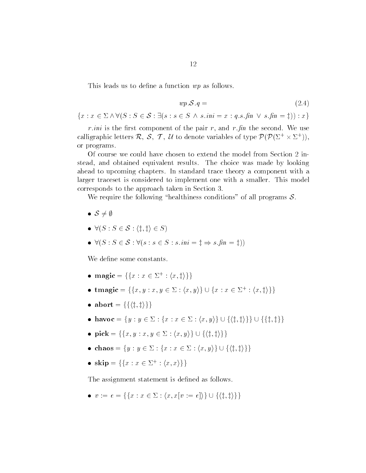This leads us to define a function  $wp$  as follows.

$$
wp.\mathcal{S}.q = (2.4)
$$

 $wp.S.q =$ <br> $\{x : x \in \Sigma \wedge \forall (S : S \in \mathcal{S} : \exists (s : s \in S \wedge s.ini = x : q.s.\text{fin} \vee s.\text{fin} = \ddagger)) : x\}$ 

r ini is the rate of the pairs of the pair r pair r pair rate well and we use calligraphic letters R, S, T, U to denote variables of type  $\mathcal{P}(\mathcal{P}(\Sigma^+\times \Sigma^+))$ , or programs

Of course we could have chosen to extend the model from Section 2 instead, and obtained equivalent results. The choice was made by looking ahead to upcoming chapters In standard trace theory a component with a larger traceset is considered to implement one with a smaller. This model corresponds to the approach taken in Section

We require the following "healthiness conditions" of all programs  $S$ .

- $\bullet$   $S \neq \emptyset$
- $S \neq \emptyset$ <br>•  $\forall (S : S \in \mathcal{S} : \langle \mathbf{t}, \mathbf{t} \rangle \in S)$
- $\bullet \ \forall (S : S \in \mathcal{S} : \langle \ddagger, \ddagger \rangle \in S)$ <br>  $\bullet \ \forall (S : S \in \mathcal{S} : \forall (s : s \in S : s.ini = \ddagger \Rightarrow s.in = \ddagger))$

We define some constants.

- magic =  $\{\{x : x \in \Sigma^+ : \langle x, \ddagger \rangle\}\}\$
- magic = { $\{x : x \in \Sigma^+ : \langle x, \ddagger \rangle\}$ }<br>• tmagic =  $\{\{x, y : x, y \in \Sigma : \langle x, y \rangle\} \cup \{x : x \in \Sigma^+ : \langle x, \ddagger \rangle\}\}$
- abort  $= \{ \{ \langle \pm, \pm \rangle \} \}$
- abort = {{ $\{\{\{\,\,\,\,\ddot{\ddot{x}},\,\}\}\$ <br>
 havoc = { $y : y \in \Sigma : \{x : x \in \Sigma : \langle x, y \rangle\} \cup \{\langle \,\,\ddot{\ddot{x}}, \,\,\ddot{\ddot{x}}\rangle\}\}\cup \{\{\,\,\ddot{\ddot{x}},\,\ddot{\ddot{x}}\}\}$ <br>
 pick = { $\{x, y : x, y \in \Sigma : \langle x, y \rangle\} \cup \{\langle \,\,\ddot{\ddot{x}}, \,\,\ddot{\ddot{x}}\,\rangle\}\}\$
- pick =  $\{\{x, y : x, y \in \Sigma : \langle x, y \rangle\} \cup \{\langle \sharp, \sharp \rangle\}\}\$ • pick = { $\{x, y : x, y \in \Sigma : \langle x, y \rangle\} \cup \{\langle \ddagger, \ddagger \rangle\} \}$ <br>
• chaos =  $\{y : y \in \Sigma : \{x : x \in \Sigma : \langle x, y \rangle\} \cup \{\langle \ddagger, \ddagger \rangle\} \}$
- 
- skip =  $\{ \{x : x \in \Sigma^+ : \langle x, x \rangle \} \}$

The assignment statement is defined as follows. The assignment statement is defined as follows.<br>
•  $v := e = \{\{x : x \in \Sigma : \langle x, x[v := e] \rangle\} \cup \{\langle \ddagger, \ddagger \rangle\}\}\$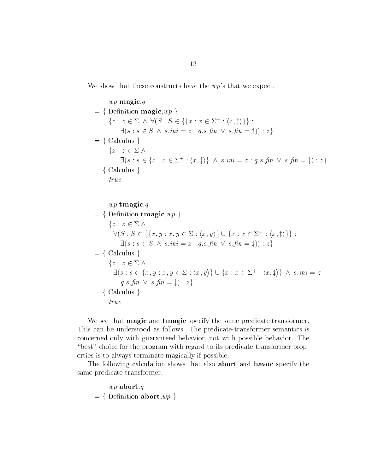We show that these constructs have the  $wp's$  that we expect.

$$
wp\text{-}\mathbf{magic}.q
$$
\n
$$
= \{ \text{Definition } \mathbf{magic}, wp \}
$$
\n
$$
\{z : z \in \Sigma \land \forall (S : S \in \{\{x : x \in \Sigma^+ : \langle x, \sharp \rangle\}\} : \exists (s : s \in S \land s \cdot \mathit{ini} = z : q \cdot s \cdot \mathit{fin} \lor s \cdot \mathit{fin} = \sharp)) : z \}
$$
\n
$$
= \{ \text{Calculus } \}
$$
\n
$$
\{z : z \in \Sigma \land \exists (s : s \in \{x : x \in \Sigma^+ : \langle x, \sharp \rangle\} \land s \cdot \mathit{ini} = z : q \cdot s \cdot \mathit{fin} \lor s \cdot \mathit{fin} = \sharp) : z \}
$$
\n
$$
= \{ \text{Calculus } \}
$$
\n
$$
true
$$

 $wp.\mathbf{t}$ magic.q  $= \{$  Definition tmagic,  $wp \}$  ${z : z \in \Sigma \wedge$ efinition  $\mathbf{tmapc}, mp \nbrace$ <br>  $z: z \in \Sigma \land$ <br>  $\forall (S: S \in \{\{x, y : x, y \in \Sigma : \langle x, y \rangle\} \cup \{x : x \in \Sigma^+ : \langle x, \ddagger \rangle\}\}$ :  $\exists (s : s \in S \land s \cdot ini = z : q \cdot s \cdot fin \lor s \cdot fin = \ddagger)) : z$  $= \{Calculus \}$  ${z : z \in \Sigma \wedge$ alculus }<br> $z : z \in \Sigma \wedge$ <br> $\exists (s : s \in \{x, y : x, y \in \Sigma : \langle x, y \rangle\} \cup \{x : x \in \Sigma^+ : \langle x, \ddagger \rangle\} \wedge s. \textit{ini} = z :$  $q.s.\hat{fn} \vee s.\hat{fn} = \ddagger): z$  $= \{$  Calculus  $\}$  $true$ 

We see that **magic** and **tmagic** specify the same predicate transformer. This can be understood as follows. The predicate-transformer semantics is concerned only with guaranteed behavior, not with possible behavior. The "best" choice for the program with regard to its predicate-transformer properties is to always terminate magically if possible

The following calculation shows that also abort and havoc specify the same predicate transformer

 $wp$ .abort.q  $= \{$  Definition abort,  $wp \}$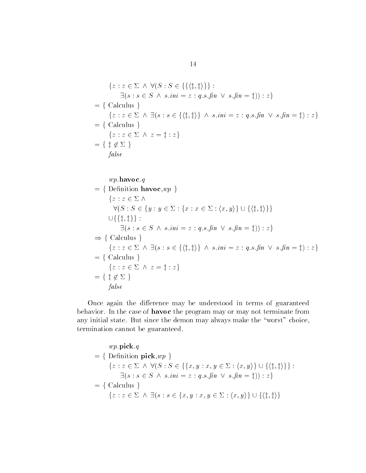$$
\{z : z \in \Sigma \land \forall (S : S \in \{\{\langle \ddagger, \ddagger \rangle\}\} :
$$
  
\n
$$
\exists (s : s \in S \land s.ini = z : q.s.fn \lor s.fn = \ddagger)) : z\}
$$
  
\n
$$
= \{ \text{ Calculus } \}
$$
  
\n
$$
\{z : z \in \Sigma \land \exists (s : s \in \{\langle \ddagger, \ddagger \rangle\} \land s.ini = z : q.s.fn \lor s.fn = \ddagger) : z\}
$$
  
\n
$$
= \{ \text{ Calculus } \}
$$
  
\n
$$
\{z : z \in \Sigma \land z = \ddagger : z\}
$$
  
\n
$$
= \{ \ddagger \notin \Sigma \}
$$
  
\n
$$
false
$$

$$
wp.havoc.q
$$
\n
$$
= \{ \text{ Definition } \text{havoc}, wp \}
$$
\n
$$
\{z : z \in \Sigma \land
$$
\n
$$
\forall (S : S \in \{y : y \in \Sigma : \{x : x \in \Sigma : \langle x, y \rangle\} \cup \{\langle \sharp, \sharp \rangle\} \}
$$
\n
$$
\cup \{\{\sharp, \sharp\} \} :
$$
\n
$$
\exists (s : s \in S \land s.ini = z : q.s.fin \lor s.fin = \sharp)) : z \}
$$
\n
$$
\Rightarrow \{ \text{ Calculus } \}
$$
\n
$$
\{z : z \in \Sigma \land \exists (s : s \in \{\langle \sharp, \sharp \rangle\} \land s.ini = z : q.s.fin \lor s.fin = \sharp) : z \}
$$
\n
$$
= \{ \text{ Calculus } \}
$$
\n
$$
\{z : z \in \Sigma \land z = \sharp : z \}
$$
\n
$$
= \{ \sharp \notin \Sigma \}
$$
\n
$$
false
$$

Once again the difference may be understood in terms of guaranteed behavior. In the case of havoc the program may or may not terminate from any initial state. But since the demon may always make the "worst" choice, termination cannot be guaranteed

 $wp$ .pick.q  $= \{$  Definition pick,  $wp \}$ wp.pick.q $\{z: z \in \Sigma \ \land \ \forall (S: S \in \{\{x, y : x, y \in \Sigma : \langle x, y \rangle\} \cup \{\langle \ddagger, \ddagger \rangle\}\}$ :  $\exists (s : s \in S \land s \cdot ini = z : q \cdot s \cdot fin \lor s \cdot fin = \ddagger)) : z$  $= \{Calculus \}$  $\exists \{s : s \in S \land s.in = z : q.s. pn \lor s.in = \ddagger\}) : z\}$ <br>Calculus  $\{z : z \in \Sigma \land \exists (s : s \in \{x, y : x, y \in \Sigma : \langle x, y \rangle\} \cup \{\langle \ddagger, \ddagger \rangle\})\}$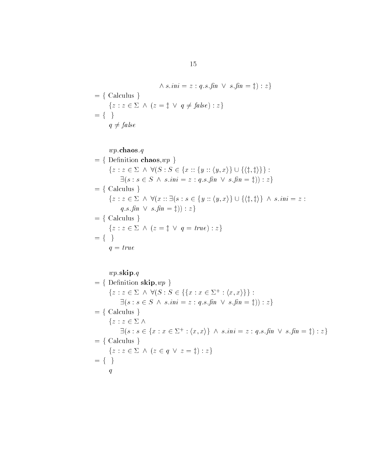$$
\wedge s.ini = z : q.s.fin \vee s.fin = \ddagger) : z \}
$$
  
= { Calculus }  
{ $z : z \in \Sigma \wedge (z = \ddagger \vee q \neq false) : z$ }  
= { }  
 $q \neq false$ 

 $wp$ chaos.q  $= \{$  Definition chaos,  $wp \}$  $w p.$ cnaos. $q$ <br>Definition chaos, $wp \}$ <br> $\{z: z \in \Sigma \ \land \ \forall (S: S \in \{x: : \{y: : \langle y, x \rangle\} \cup \{\langle \pm, \pm \rangle\}\}$  :  $\exists (s : s \in S \land s \cdot ini = z : q \cdot s \cdot fin \lor s \cdot fin = \ddagger)) : z$  $= \{$  Calculus  $\}$  $\exists (s : s \in S \land s.nn = z : q.s.nn \lor s.nn = \nexists s \in S \land \forall (x :: \exists (s : s \in \{y :: \langle y, x \rangle\} \cup \{\langle \sharp, \sharp \rangle\} \land s.ini = z : s \in S \land \forall (x :: \exists (s : s \in \{y :: \langle y, x \rangle\} \cup \{\langle \sharp, \sharp \rangle\} \land s.ini = z : s \in S \land \forall (x :: \exists (s : s \in \{y :: \langle y, x \rangle\} \cup \{\langle \sharp, \sharp \rangle\} \land s.ini = z : s \in S \land \forall (x :: \exists (s : s \in \{y :: \langle y, x$  $q.s.\hat{nn} \vee s.\hat{nn} = \pm) : z$  $= \{$  Calculus  $\}$ q.s.fin  $\vee$  s.fin =  $\exists$ j) : z }<br>Calculus }<br>{z : z  $\in \Sigma \wedge (z = \mathbf{i} \vee q = true)$  : z }  $= \{ \}$  $q = true$  $wp$ .skip.q  $= \{$  Definition skip,  $wp \}$  $w p$ .skip.q<br>Definition skip, $w p$ }<br>{z : z  $\in$   $\Sigma$   $\wedge$   $\forall$ (S : S  $\in$  {{x : x  $\in$   $\Sigma^+$  : (x, x)}} :  $\exists (s : s \in S \land s \cdot ini = z : q \cdot s \cdot fin \lor s \cdot fin = \ddagger)) : z$  $= \{$  Calculus  $\}$  ${z : z \in \Sigma \wedge$ strums  $\begin{aligned} z \in \Sigma \wedge \\ \exists (s : s \in \{x : x \in \Sigma^+ : \langle x, x \rangle\} \wedge s \ldotp ini = z : q \ldotp s \ldotp fin \ \vee \ s \ldotp fin = \ddag) : z \} \end{aligned}$  $= \{$  Calculus  $\}$  $\{z: z \in \Sigma \land (z \in q \lor z = \ddagger) : z\}$  $= \{ \}$  $\overline{q}$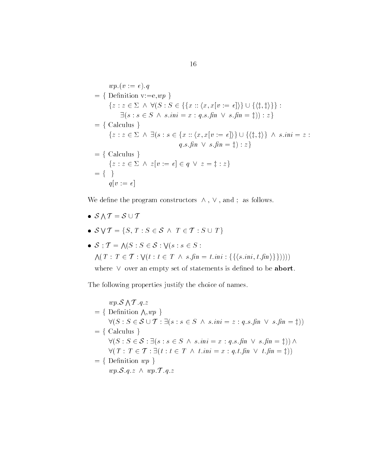$$
wp.(v := e).q
$$
  
\n
$$
= \{ \text{Definition } v := e, wp \}
$$
  
\n
$$
\{ z : z \in \Sigma \land \forall (S : S \in \{ \{ x :: \langle x, x[v := e] \rangle \} \cup \{ \langle \ddagger, \ddagger \rangle \} \} :
$$
  
\n
$$
\exists (s : s \in S \land s.in = x : q.s.fn \lor s.fn = \ddagger) ): z \}
$$
  
\n
$$
= \{ \text{ Calculus } \}
$$
  
\n
$$
\{ z : z \in \Sigma \land \exists (s : s \in \{ x :: \langle x, x[v := e] \rangle \} \cup \{ \langle \ddagger, \ddagger \rangle \} \land s.in = z :
$$
  
\n
$$
q.s.fn \lor s.fn = \ddagger) : z \}
$$
  
\n
$$
= \{ \text{ Calculus } \}
$$
  
\n
$$
\{ z : z \in \Sigma \land z[v := e] \in q \lor z = \ddagger : z \}
$$
  
\n
$$
= \{ \}
$$
  
\n
$$
q[v := e]
$$

We define the program constructors  $\wedge$ ,  $\vee$ , and; as follows. We define the<br>

- $\mathcal{S} \wedge \mathcal{T} = \mathcal{S} \cup \mathcal{T}$
- $\Lambda \mathcal{T} = \mathcal{S} \cup \mathcal{T}$ <br>  $\forall \mathcal{T} = \{S, T : S \in \mathcal{S} \land T \in \mathcal{T} : S \cup T\}$ •  $S \vee T = \{$
- $\begin{aligned} \n\sqrt{T} &= \{S, T : S \in \mathcal{S} \ \land \ T \in \mathcal{T} : S \in \mathcal{S} \}, \\ \n\therefore \mathcal{T} &= \Lambda(S : S \in \mathcal{S} : \forall (s : s \in S : \mathcal{S} \times \mathcal{S}) \} \n\end{aligned}$  $\wedge (T : T \in \mathcal{T} : \vee (t : t \in T \wedge s \cdot \mathit{fin} = t \cdot \mathit{ini} : \{\{\langle s \cdot \mathit{ini}, t \cdot \mathit{fin}\rangle\}\}))$ ;  $\mathcal{T} = \bigwedge (S : S \in \mathcal{S} :$ <br>( $T : T \in \mathcal{T} : \bigvee (t : t]$

where  $\vee$  over an empty set of statements is defined to be abort.

The following properties justify the choice of names

 $wp.S \wedge T.g.$  $\sim$   $\sim$   $\sim$   $\sim$  $= \{$  Definition  $\wedge$  we  $\}$  $\forall (S : S \in \mathcal{S} \cup \mathcal{T} : \exists (s : s \in S \land s \cdot ini = z : q \cdot s \cdot fin \lor s \cdot fin = \ddagger))$  $= \{Calculus \}$  $\forall (S : S \in S \cup T : \exists (s : s \in S \land s.in = z : q.s. jnn \lor s.jnn = \bot)$ <br>Calculus }<br> $\forall (S : S \in S : \exists (s : s \in S \land s.in = x : q.s. jnn \lor s.fnn = \bot)) \land$ Ualculus }<br> $\forall (S: S \in \mathcal{S}: \exists (s: s \in S \ \land \ s.i \ \forall (T: T \in \mathcal{T}: \exists (t: t \in T \ \land \ t.i))$  $t \cdot ini = x : q \cdot t \cdot fin \ \lor \ t \cdot fin = \pm))$  $= \{$  Definition  $wp \}$  $wp.S.a.z \wedge wp.T.a.z$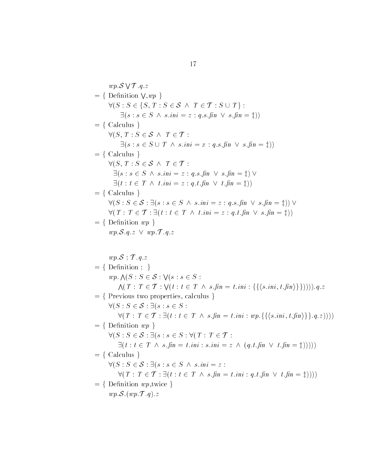$wp.S \vee T.g.$  q z  $= \{$  Definition V.wp  $\}$ wp.S  $\forall$   $T. q. z$ <br>Definition  $\forall$ ,wp  $\}$ <br> $\forall$ (S : S  $\in$  {S, T : S  $\in$  S  $\land$  T  $\in$  T : S  $\cup$  T } :  $\exists (s : s \in S \land s.ini = z : q.s.fin \lor s.fin = \ddagger))$ <br>culus }<br>.  $T : S \in S \land T \in T$ :  $= \{$  Calculus  $\}$  $\begin{aligned} &\exists (s : s \in S \ \land \ s.nn = \ \text{Calculus } \} \ &\forall (S, T : S \in \mathcal{S} \ \land \ T \in \mathcal{T} \end{aligned}$  $\exists (s : s \in S \cup T \land s.ini = x : q.s.fin \lor s.fin = \ddagger))$ <br>culus }<br>.  $T : S \in S \land T \in T$ :  $= \{$  Calculus  $\}$  $\exists (s : s \in S \cup T \land s.n)$ <br>Calculus }<br> $\forall (S, T : S \in S \land T \in T)$  $\exists (s : s \in S \land s \cdot ini = z : q \cdot s \cdot fin \lor s \cdot fin = \pm) \lor$  $\exists (t : t \in T \land t \cdot ini = z : q \cdot t \cdot fin \lor t \cdot fin = \ddagger))$  $= \{$  Calculus  $\}$  $\exists (t : t \in I \land t.in = z : q.t. jnn \lor t.jnn = i))$ <br>Calculus }<br> $\forall (S : S \in S : \exists (s : s \in S \land s.in = z : q.s.fin \lor s.fin = i)) \lor$  $\forall (S: S \in \mathcal{S}: \exists (s: s \in S \ \land \ s.i \ \forall (T: T \in \mathcal{T}: \exists (t: t \in T \ \land \ t.i))$  $t \cdot ini = z : q \cdot t \cdot fin \ \lor \ s \cdot fin = \pm))$  $= \{$  Definition  $wp \}$  $wp.S.q.z \lor wp.T.q.z$  $wp.S$ ;  $\mathcal{T}.q.z$  $= \{$  Definition  $; \}$ wp.s ; 1.q.z<br>Definition ; }<br>wp.  $\Lambda(S : S \in S : \forall (s : s \in S :$ nnition;}<br>.  $\bigwedge (S : S \in \mathcal{S} : \bigvee (s : s \in S : \ \bigwedge (T : T \in \mathcal{T} : \bigvee (t : t \in T \ \wedge \ s.\mathit{fin} = t.\mathit{ini} : \{\{\langle s.\mathit{ini}, t.\mathit{fin} \rangle\}\})) )\big) .q.z$  $=$  { Previous two properties, calculus }  $\bigwedge(I : I \in T : \forall (t : t \in T)$ <br>Previous two properties, calculated  $\forall (S : S \in S : \exists (s : s \in S) :$ For the set of the set of the set of the set of the set of the set of  $S: S \in \mathcal{S}: \exists (s: s \in S: \exists (s: s \in S: \forall (T: T \in \mathcal{T}: \exists (t: t \in T \land s.\textit{fin} = t.\textit{ini}: wp.\{\{(s.\textit{ini}, t.\textit{fin})\}\}.\textit{q}.z))))$  $= \{$  Definition  $wp \}$  $\forall (S: S \in \mathcal{S} : \exists (s : s \in S : \forall (T: T \in \mathcal{T} :$  $\exists (t : t \in T \land s \cdot \hat{nn} = t \cdot \hat{nn} : s \cdot \hat{nn} = z \land (q \cdot t \cdot \hat{nn} \lor t \cdot \hat{nn} = \ddagger))))$  $= \{$  Calculus  $\}$  $\exists (t : t \in I \land s . j n = t . i n : s . i n = z$ <br>Calculus }<br> $\forall (S : S \in S : \exists (s : s \in S \land s . i n = z :$ The set of  $S: S \in \mathcal{S}: \exists (s: s \in S \ \land \ s.\ \textit{ini}) \ \forall (T: T \in \mathcal{T}: \exists (t: t \in \mathcal{T} \ \land \ s))$ s  $\hat{f}_n = t \cdot \hat{m} : q \cdot t \cdot \hat{f}_n \vee t \cdot \hat{f}_n = \underline{f}$ ))  $= \{$  Definition  $wp,$ twice  $\}$  $wp.\mathcal{S}.(wp.\mathcal{T}.q).z$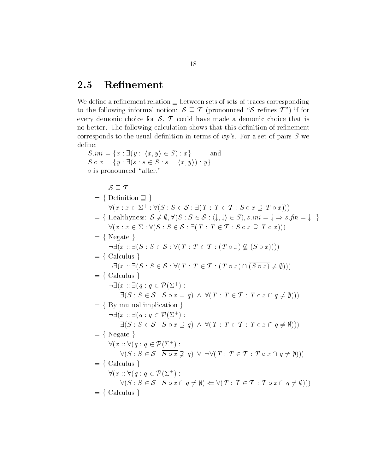### 2.5 Refinement

We define a refinement relation  $\supseteq$  between sets of sets of traces corresponding to the following informal notion:  $S \supseteq T$  (pronounced "S refines T") if for every demonic choice for  $S, T$  could have made a demonic choice that is no better. The following calculation shows that this definition of refinement corresponds to the usual denition in terms of wps For a set of pairs S west of pairs S west of pairs S west of define: definition in terms of  $wp's$ <br> $y \rangle \in S$  :  $x$  and

 $S \cdot ini = \{x : \exists (y :: \langle x, y \rangle \in S) : x\}$  $S \circ x = \{y : \exists (s : s \in S : s = \langle x, y \rangle) : y\}.$  is pronounced after  $S \sqsupseteq T$  $= \{$  Definition  $\Box$  $\begin{aligned} &\mathcal{S} \supseteq T \\ &\text{Definition} \supseteq \left. \right\} \\ &\forall (x: x \in \Sigma^+ : \forall (S: S \in \mathcal{S} : \exists (T: T \in \mathcal{T} : S \circ x \supseteq T \circ x))) \end{aligned}$ = { Definition  $\exists$  }<br>  $\forall (x : x \in \Sigma^+ : \forall (S : S \in S : \exists (T : T \in \mathcal{T} : S \circ x \supseteq T \circ x)))$ <br>
= { Healthyness:  $S \neq \emptyset$ ,  $\forall (S : S \in S : \langle \mathbf{i}, \mathbf{i} \rangle \in S)$ ,  $s.in = \mathbf{i} \Rightarrow s.in = \mathbf{i}$  }  $S \in \mathcal{S} : \exists (T : T \in \mathcal{T} : S \circ x \in \forall (S : S \in \mathcal{S} : \langle \mathbf{t}, \mathbf{t} \rangle \in S), s.in$  $\forall (x : x \in \Sigma^+ : \forall (S : S \in S : \exists (I : I \in T : S \circ x \supseteq I \circ x)))$ <br>
Healthyness:  $S \neq \emptyset$ ,  $\forall (S : S \in S : \langle \ddagger, \ddagger \rangle \in S)$ ,  $s.in = \ddagger \Rightarrow s.f$ ,<br>  $\forall (x : x \in \Sigma : \forall (S : S \in S : \exists (T : T \in T : S \circ x \supseteq T \circ x)))$  $= \{ Negate\}$  $\forall (x : x \in \Sigma : \forall (S : S \in \mathcal{S} : \exists (T : T \in \mathcal{T} : S \circ x \supseteq T \circ x)))$ <br>
Negate }<br>  $\neg \exists (x :: \exists (S : S \in \mathcal{S} : \forall (T : T \in \mathcal{T} : (T \circ x) \nsubseteq (S \circ x))))$  $= \{Calculus \}$  $\neg\exists(x::\exists(S:S\in\mathcal{S}:\forall(T:T\in\mathcal{T}:(T\circ x)\cap\overline{(S\circ x)}\neq\emptyset)))$  $= \{Calculus \}$  $\neg \exists (x :: \exists (q : q \in \mathcal{P}(\Sigma^+)) :$  culus }<br>  $x : \exists (q : q \in \mathcal{P}(\Sigma^+)) :$ <br>  $\exists (S : S \in \mathcal{S} : \overline{S \circ x} = q) \land \forall (T : T \in \mathcal{T} : T \circ x \cap q \neq \emptyset)) )$  $= \{ By mutual implication \}$  $\exists (S : S \in S : S \circ x = q)$ <br>By mutual implication }<br> $\neg \exists (x :: \exists (q : q \in \mathcal{P}(\Sigma^+)) :$ mutual implication  $\{x : \exists (q : q \in \mathcal{P}(\Sigma^+): \ \exists (S : S \in \mathcal{S} : \overline{S \circ x} \supset q) \land \forall (T : T \in \mathcal{T} : T \circ x \cap q \neq \emptyset)))\}$  $= \{ Negate\}$  $\forall (x : \forall (q : q \in \mathcal{P}(\Sigma^+)) :$  $\mathbf{r}$  and  $\mathbf{r}$ ate  $\beta$ <br>
::  $\forall (q : q \in \mathcal{P}(\Sigma^+))$ :<br>  $\forall (S : S \in \mathcal{S} : \overline{S \circ x} \not\supseteq q) \lor \neg \forall (T : T \in \mathcal{T} : T \circ x \cap q \neq \emptyset))$  $= \{$  Calculus  $\}$  $\forall (S : S \in S : S \circ x \not\supseteq \text{Calculus }$ <br>  $\forall (x :: \forall (q : q \in \mathcal{P}(\Sigma^+)) :$  $\forall (S: S \in \mathcal{S}: S \circ x \cap q \neq \emptyset) \Leftarrow \forall (T: T \in \mathcal{T}: T \circ x \cap q \neq \emptyset))$  $= \{$  Calculus  $\}$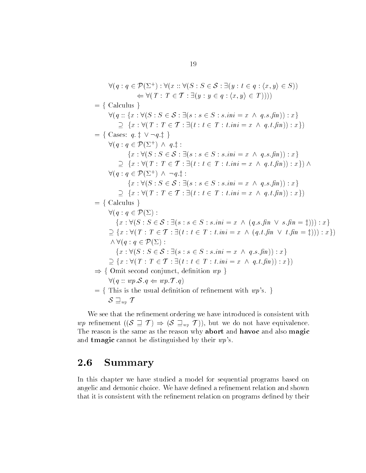$\forall (q: q \in \mathcal{P}(\Sigma^+): \forall (x: \forall (S: S \in \mathcal{S}: \exists (y: t \in q: \langle x, y \rangle \in S))$  $\mathcal{P}(\Sigma^+) : \forall (x :: \forall (S : S \in \mathcal{S} : \exists (y : t \in q : \langle x, y \rangle \Leftrightarrow \forall (T : T \in \mathcal{T} : \exists (y : y \in q : \langle x, y \rangle \in T))))$  $= \{Calculus \}$  $\Leftarrow \forall (I : I \in I : \exists (y : y \in q : (x, y) \in I))))$ <br>Calculus }<br> $\forall (q :: \{x : \forall (S : S \in S : \exists (s : s \in S : s.ini = x \land q.s.fin)) : x\})$ for the set of  $f: \{x : \forall (S : S \in \mathcal{S} : \exists (s : s \in S : s.ini = x \land q) \ \supset \ \{x : \forall (T : T \in \mathcal{T} : \exists (t : t \in T : t.ini = x \land q) \} \}$  $q \cdot t \cdot \hat{n}(n)$  :  $x\}$ )  $\begin{array}{rcl} \triangledown(q::\{x:\forall(\mathcal{S}:\mathcal{S}\in\mathcal{S}:\exists(\mathcal{S}:\mathcal{S}))\}\ \supseteq\ \big\{x:\forall(T:T\in\mathcal{T}:\exists(t))\ \big\}= \big\{\text{ Cases: }a:\texttt{1}\vee \neg a.\texttt{1}\big\}\ \end{array}$  $= \{ \text{ Cases: } q, \ddagger \lor \neg q, \ddagger \}$  $\big) \wedge q \ddot{z}$ :  $q \cdot \vdash \vee \neg q \cdot \vdash$ <br>  $q \in \mathcal{P}(\Sigma^+) \land q \cdot \vdash :$ <br>  $\{x : \forall (S : S \in \mathcal{S} : \exists (s : s \in S : s.ini = x \land q.s.fin)) : x\}$  $g: q \in \mathcal{P}(\Sigma^+) \land q.$ ; :<br>  $\{x : \forall (S : S \in \mathcal{S} : \exists (s : s \in S : s.in = x \land q))\}$ <br>  $\supset \{x : \forall (T : T \in \mathcal{T} : \exists (t : t \in T : t.in = x \land q))\}$  $q \cdot t \cdot \hat{h} \cdot n$ ) :  $x$ })  $\wedge$  $\{x : \forall (S : S \in \mathbb{R})\}$ <br>  $\supseteq \{x : \forall (T : T \in \mathbb{R})\}$  q z  $\{x : \forall (I : I \in T : \exists (t : t \in I : t.in = x \land q.t. jnn)) : x\}) \land$ <br>  $\{x : \forall (S : S \in S : \exists (s : s \in S : s.in = x \land q.s.fn)) : x\}$  $f: q \in \mathcal{P}(\Sigma^+) \land \neg q_{\cdot \frac{1}{\tau}}:$ <br>  $\{x : \forall (S : S \in \mathcal{S} : \exists (s : s \in S : s.in = x \land q) \}$ <br>  $\supset \{x : \forall (T : T \in \mathcal{T} : \exists (t : t \in T : t.in = x \land q) \}$  $q.t.$  fin  $(x) : x$ }  $= \{$  Calculus  $\}$  $\forall (q : q \in \mathcal{P}(\Sigma) :$ it<br>culus }<br> $q: q \in \mathcal{P}(\Sigma) :$ <br> $\{x: \forall (S: S \in \mathcal{S}: \exists (s: s \in S: s.ini = x \land (q.s.\text{fin} \lor s.\text{fin} = \ddagger))) : x\}$  $\forall (q : q \in P(\Sigma)) :$ <br>  $\{x : \forall (S : S \in S : \exists (s : s \in S : s.ini = x \land (\Sigma \cup \{x : \forall (T : T \in T : \exists (t : t \in T : t.ini = x \land \Sigma \cup \{x : \forall (T : T \in T : \exists (t : t \in T : t.ini = x \land \Sigma \cup \{x : \forall (T : T \in T : \exists x \land \Sigma \cup \{x : \forall (T : T \in T : t.ini = x \land \Sigma \cup \{x : \forall (T : T \in T : t.ini = x \land \Sigma \cup \{x : \forall (T : T \in T : t.ini = x \land \Sigma \cup$  $(g.t.\nfin \vee t.\nfin = \ddagger))) : x$  $\wedge \forall (q:q\in \mathcal{P}(\Sigma))$ :  $\{x : \forall (S : S \in S : \exists \ \{x : \forall (T : T \in T : S \ \forall (q : q \in \mathcal{P}(\Sigma))\} \}$ { $x : \forall (I : I \in I : \exists (t : t \in I : t.in = x \land (q.t. jnn \lor t.jnn \lor q \cdot q \in \mathcal{P}(\Sigma))$  :<br>
{ $x : \forall (S : S \in \mathcal{S} : \exists (s : s \in S : s.in = x \land q.s.fin)) : x$ }  $\land \forall (q: q \in P(\Sigma)) :$ <br>  $\{x: \forall (S: S \in S : \exists (s: s \in S : s.ini = x \land q))\}$ <br>  $\supset \{x: \forall (T: T \in T : \exists (t: t \in T : t.ini = x \land q))\}$  $\{x : \forall (S : S \in S : \exists (s : s \in S : s.in = x \land q.s. \textit{pn})): x\}$ <br>  $\supseteq \{x : \forall (T : T \in T : \exists (t : t \in T : t.in = x \land q.t. \textit{fn})) : x\})$  $\Rightarrow$  { Omit second conjunct, definition  $wp \}$  $\forall (q::wp.\mathcal{S}.q \Leftarrow wp.\mathcal{T}.q)$  $f$  = { This is the usual definition of refinement with wp's. }  $\forall (q::wp.\mathcal{S}.d) \ \text{This is the u} \ \mathcal{S} \sqsupseteq_{wp} T$ 

We see that the refinement ordering we have introduced is consistent with  $S \sqsupseteq_{wp} T$ <br>We see that the refinement ordering we have introduced is consistent with<br> $wp$  refinement  $((S \sqsupseteq T) \Rightarrow (S \sqsupseteq_{wp} T))$ , but we do not have equivalence. The reason is the same as the reason why abort and havoc and also magic and **tmagic** cannot be distinguished by their  $wp's$ .

#### 2.6 Summary

In this chapter we have studied a model for sequential programs based on angelic and demonic choice. We have defined a refinement relation and shown that it is consistent with the refinement relation on programs defined by their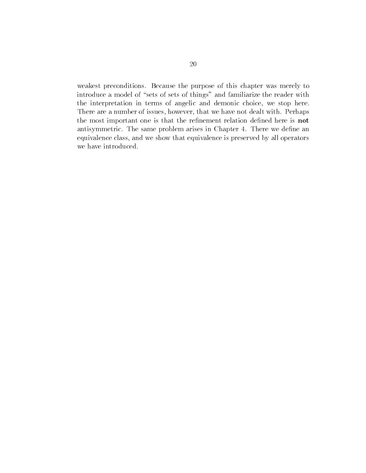weakest preconditions. Because the purpose of this chapter was merely to introduce a model of "sets of sets of things" and familiarize the reader with the interpretation in terms of angelic and demonic choice, we stop here. There are a number of issues, however, that we have not dealt with. Perhaps the most important one is that the refinement relation defined here is not antisymmetric. The same problem arises in Chapter 4. There we define an equivalence class, and we show that equivalence is preserved by all operators we have introduced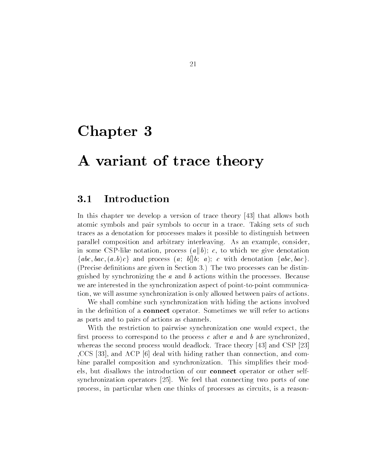## Chapter 3

## A variant of trace theory

### 3.1 Introduction

In this chapter we develop a version of trace theory  $\left[43\right]$  that allows both atomic symbols and pair symbols to occur in a trace Taking sets of such traces as a denotation for processes makes it possible to distinguish between parallel composition and arbitrary interleaving. As an example, consider, in some CSP-like notation, process  $(a||b)$ ; c, to which we give denotation  $\{abc, bac, (a.b)c\}$  and process  $(a; b||b; a); c$  with denotation  $\{abc, bac\}$ . (Precise definitions are given in Section 3.) The two processes can be distinguished by synchronizing the  $a$  and  $b$  actions within the processes. Because we are interested in the synchronization aspect of point-to-point communication, we will assume synchronization is only allowed between pairs of actions.

We shall combine such synchronization with hiding the actions involved in the definition of a **connect** operator. Sometimes we will refer to actions as ports and to pairs of actions as channels

With the restriction to pairwise synchronization one would expect, the first process to correspond to the process c after a and b are synchronized. whereas the second process would deadlock. Trace theory  $\left[43\right]$  and CSP  $\left[23\right]$ CCS [33], and ACP [6] deal with hiding rather than connection, and combine parallel composition and synchronization. This simplifies their models, but disallows the introduction of our connect operator or other selfsynchronization operators  $[25]$ . We feel that connecting two ports of one process in particular when one thinks of processes as circuits is a reason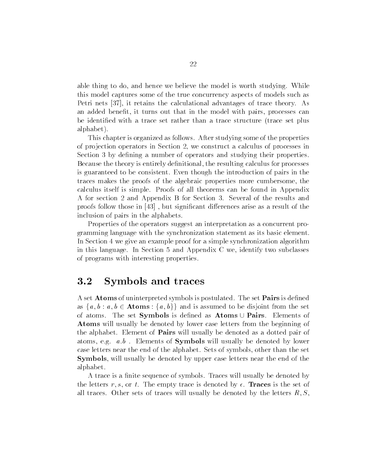able thing to do, and hence we believe the model is worth studying. While this model captures some of the true concurrency aspects of models such as Petri nets  $[37]$ , it retains the calculational advantages of trace theory. As an added benefit, it turns out that in the model with pairs, processes can be identified with a trace set rather than a trace structure (trace set plus alphabet

This chapter is organized as follows After studying some of the properties of projection operators in Section 2, we construct a calculus of processes in Section 3 by defining a number of operators and studying their properties. Because the theory is entirely definitional, the resulting calculus for processes is guaranteed to be consistent Even though the introduction of pairs in the traces makes the proofs of the algebraic properties more cumbersome the calculus itself is simple. Proofs of all theorems can be found in Appendix A for section 2 and Appendix B for Section 3. Several of the results and proofs follow those in  $[43]$ , but significant differences arise as a result of the inclusion of pairs in the alphabets

Properties of the operators suggest an interpretation as a concurrent pro gramming language with the synchronization statement as its basic element In Section 4 we give an example proof for a simple synchronization algorithm in this language. In Section 5 and Appendix C we, identify two subclasses of programs with interesting properties

#### 3.2 Symbols and traces

A set **Atoms** of uninterpreted symbols is postulated. The set **Pairs** is defined as  $\{a, b : a, b \in \mathbf{Atoms} : \{a, b\}\}\$  and is assumed to be disjoint from the set of atoms. The set Symbols is defined as Atoms  $\cup$  Pairs. Elements of Atoms will usually be denoted by lower case letters from the beginning of the alphabet. Element of **Pairs** will usually be denoted as a dotted pair of atoms, e.g.  $a.b$ . Elements of **Symbols** will usually be denoted by lower case letters near the end of the alphabet. Sets of symbols, other than the set **Symbols**, will usually be denoted by upper case letters near the end of the alphabet

A trace is a finite sequence of symbols. Traces will usually be denoted by the section r - t r - t - t - the set  $\{r_{i}\}$  traces is the set of  $\{r_{i}\}$  is the set of  $\{r_{i}\}$ all traces of the sets of traces will usually be denoted by the letters R-time and the letters  $\mathcal{S}$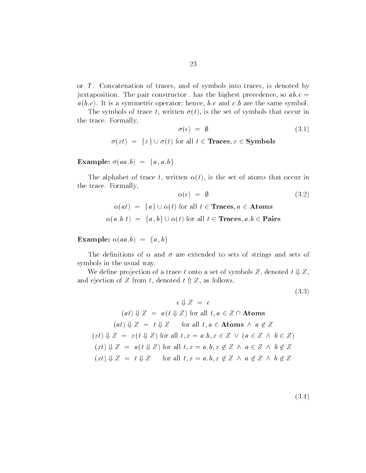or  $T$ . Concatenation of traces, and of symbols into traces, is denoted by juxtaposition. The pair constructor has the highest precedence, so  $ab.c =$  $a(b.c)$ . It is a symmetric operator; hence, b.c and c.b are the same symbol.

The symbols of trace t, written  $\sigma(t)$ , is the set of symbols that occur in the trace. Formally,

$$
\sigma(\epsilon) = \emptyset \tag{3.1}
$$

Formany,<br>  $\sigma(\epsilon) = \emptyset$ <br>  $\sigma(xt) = \{x\} \cup \sigma(t) \text{ for all } t \in \mathbf{Traces}, x \in \mathbf{Symbols}$ 

Example:  $\sigma(aa, b) = \{a, a, b\}$ 

The alphabet of trace t, written  $\alpha(t)$ , is the set of atoms that occur in the trace. Formally,

$$
\alpha(\epsilon) = \emptyset
$$
\n
$$
\alpha(at) = \{a\} \cup \alpha(t) \text{ for all } t \in \text{Traces, } a \in \text{Atoms}
$$
\n(3.2)

$$
\alpha(at) = \{a\} \cup \alpha(t) \text{ for all } t \in \text{Traces}, a \in \text{Atoms}
$$

$$
\alpha(a.b \ t) = \{a, b\} \cup \alpha(t) \text{ for all } t \in \text{Traces}, a.b \in \text{Pairs}
$$

Example:  $\alpha(aa, b) = \{a, b\}$ 

The definitions of  $\alpha$  and  $\sigma$  are extended to sets of strings and sets of symbols in the usual way

We define projection of a trace t onto a set of symbols Z, denoted  $t \Downarrow Z$ , and ejection of Z from t, denoted  $t \nightharpoonup Z$ , as follows.

 $(3.3)$ 

$$
\epsilon \Downarrow Z = \epsilon
$$
  
\n
$$
(at) \Downarrow Z = a(t \Downarrow Z) \text{ for all } t, a \in Z \cap \text{Atoms}
$$
  
\n
$$
(at) \Downarrow Z = t \Downarrow Z \quad \text{ for all } t, a \in \text{Atoms} \land a \notin Z
$$
  
\n
$$
(xt) \Downarrow Z = x(t \Downarrow Z) \text{ for all } t, x = a.b, x \in Z \lor (a \in Z \land b \in Z)
$$
  
\n
$$
(xt) \Downarrow Z = a(t \Downarrow Z) \text{ for all } t, x = a.b, x \notin Z \land a \in Z \land b \notin Z
$$
  
\n
$$
(xt) \Downarrow Z = t \Downarrow Z \quad \text{ for all } t, x = a.b, x \notin Z \land a \notin Z \land b \notin Z
$$

 $(3.4)$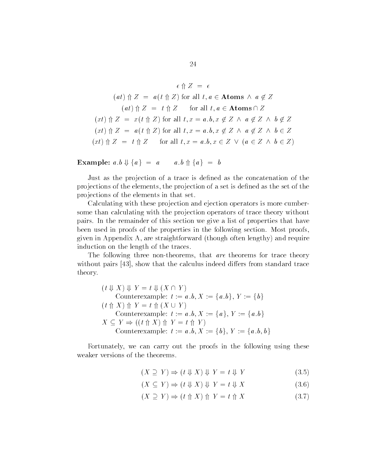$$
\epsilon \Uparrow Z = \epsilon
$$
\n
$$
(at) \Uparrow Z = a(t \Uparrow Z) \text{ for all } t, a \in \text{Atoms } \wedge a \notin Z
$$
\n
$$
(at) \Uparrow Z = t \Uparrow Z \quad \text{for all } t, a \in \text{Atoms } \cap Z
$$
\n
$$
(xt) \Uparrow Z = x(t \Uparrow Z) \text{ for all } t, x = a.b, x \notin Z \wedge a \notin Z \wedge b \notin Z
$$
\n
$$
(xt) \Uparrow Z = a(t \Uparrow Z) \text{ for all } t, x = a.b, x \notin Z \wedge a \notin Z \wedge b \in Z
$$
\n
$$
(xt) \Uparrow Z = t \Uparrow Z \quad \text{for all } t, x = a.b, x \in Z \vee (a \in Z \wedge b \in Z)
$$

Example:  $a.b \Downarrow \{a\} = a$   $a.b \uparrow \{a\} = b$ 

Just as the projection of a trace is defined as the concatenation of the projections of the elements, the projection of a set is defined as the set of the pro jections of the elements in that set

Calculating with these pro jection and ejection operators is more cumber some than calculating with the projection operators of trace theory without pairs In the remainder of this section we give a list of properties that have been used in proofs of the properties in the following section. Most proofs, given in Appendix A, are straightforward (though often lengthy) and require induction on the length of the traces

The following three non-theorems, that are theorems for trace theory without pairs  $\left[43\right]$ , show that the calculus indeed differs from standard trace theory

 $(t \Downarrow X) \Downarrow Y = t \Downarrow (X \cap Y)$ Counterexample:  $t := a.b$ ,  $X := \{a,b\}$ ,  $Y := \{b\}$  $(t \text{ } \Uparrow X) \text{ } \Uparrow Y = t \text{ } \Uparrow (X \cup Y)$ Counterexample:  $t := a.b, X := \{a\}, Y := \{a.b\}$  $X \subseteq Y \Rightarrow ((t \uparrow \uparrow X) \uparrow Y = t \uparrow Y)$ Counterexample:  $t := a.b$ ,  $X := \{b\}$ ,  $Y := \{a, b, b\}$ 

Fortunately, we can carry out the proofs in the following using these weaker versions of the theorems

$$
(X \supseteq Y) \Rightarrow (t \Downarrow X) \Downarrow Y = t \Downarrow Y \tag{3.5}
$$

- $(X \subseteq Y) \Rightarrow (t \Downarrow X) \Downarrow Y = t \Downarrow X$  (3.6)
- $(X \supseteq Y) \Rightarrow (t \uparrow \uparrow X) \uparrow Y = t \uparrow X$  (3.7)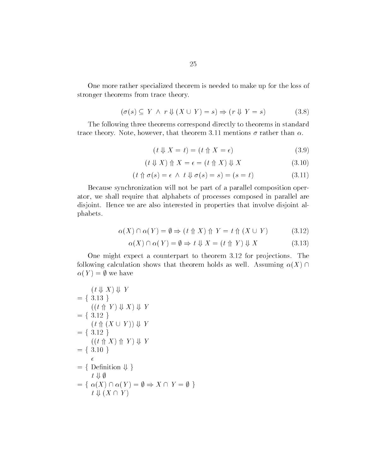One more rather specialized theorem is needed to make up for the loss of stronger theorems from trace theory

$$
(\sigma(s) \subseteq Y \land r \Downarrow (X \cup Y) = s) \Rightarrow (r \Downarrow Y = s) \tag{3.8}
$$

The following three theorems correspond directly to theorems in standard trace theory Note however that theorem -- mentions rather than

$$
(t \Downarrow X = t) = (t \Uparrow X = \epsilon) \tag{3.9}
$$

$$
(t \Downarrow X) \Uparrow X = \epsilon = (t \Uparrow X) \Downarrow X \tag{3.10}
$$

$$
(t \uparrow \sigma(s) = \epsilon \land t \Downarrow \sigma(s) = s) = (s = t)
$$
\n(3.11)

Because synchronization will not be part of a parallel composition oper ator, we shall require that alphabets of processes composed in parallel are disjoint. Hence we are also interested in properties that involve disjoint alphabets

$$
\alpha(X) \cap \alpha(Y) = \emptyset \Rightarrow (t \uparrow X) \uparrow Y = t \uparrow (X \cup Y) \tag{3.12}
$$
  
 
$$
\alpha(X) \cap \alpha(Y) = \emptyset \Rightarrow t \Downarrow X = (t \uparrow Y) \Downarrow X \tag{3.13}
$$

$$
\alpha(X) \cap \alpha(Y) = \emptyset \Rightarrow t \Downarrow X = (t \Uparrow Y) \Downarrow X \tag{3.13}
$$

One might expect a counterpart to theorem - for pro jections The following calculation shows that theorem holds as well. Assuming  $\alpha(X) \cap$  $\alpha(Y) = \emptyset$  we have

$$
\begin{aligned}\n(t \Downarrow X) \Downarrow Y \\
&= \{ 3.13 \} \\
((t \Uparrow Y) \Downarrow X) \Downarrow Y \\
&= \{ 3.12 \} \\
(t \Uparrow (X \cup Y)) \Downarrow Y \\
&= \{ 3.12 \} \\
((t \Uparrow X) \Uparrow Y) \Downarrow Y \\
&= \{ 3.10 \} \\
\epsilon \\
&= \{ \text{Definition } \Downarrow \} \\
t \Downarrow \emptyset \\
&= \{ \alpha(X) \cap \alpha(Y) = \emptyset \Rightarrow X \cap Y = \emptyset \} \\
t \Downarrow (X \cap Y)\n\end{aligned}
$$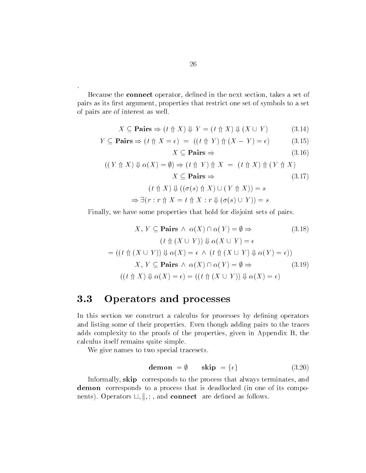Because the **connect** operator, defined in the next section, takes a set of pairs as its first argument, properties that restrict one set of symbols to a set of pairs are of interest as well

$$
X \subseteq \mathbf{Pairs} \Rightarrow (t \uparrow X) \Downarrow Y = (t \uparrow X) \Downarrow (X \cup Y) \tag{3.14}
$$

$$
Y \subseteq \mathbf{Pairs} \Rightarrow (t \uparrow X = \epsilon) = ((t \uparrow Y) \uparrow (X - Y) = \epsilon) \tag{3.15}
$$

$$
X \subseteq \mathbf{Pairs} \Rightarrow \tag{3.16}
$$

$$
((Y \uparrow X) \Downarrow \alpha(X) = \emptyset) \Rightarrow (t \uparrow Y) \uparrow X = (t \uparrow X) \uparrow (Y \uparrow X)
$$
  

$$
X \subseteq \text{Pairs} \Rightarrow \qquad (3.17)
$$
  

$$
(t \uparrow X) \Downarrow ((\sigma(s) \uparrow X) \cup (Y \uparrow X)) = s
$$
  

$$
\Rightarrow \exists (r : r \uparrow X = t \uparrow X : r \Downarrow (\sigma(s) \cup Y)) = s
$$

Finally we have some properties that hold for disjoint sets of pairs

$$
X, \text{ we have some properties that hold for disjoint sets of pairs.}
$$
\n
$$
X, Y \subseteq \text{Pairs} \land \alpha(X) \cap \alpha(Y) = \emptyset \Rightarrow \qquad (3.18)
$$
\n
$$
(t \Uparrow (X \cup Y)) \Downarrow \alpha(X \cup Y) = \epsilon
$$
\n
$$
= ((t \Uparrow (X \cup Y)) \Downarrow \alpha(X) = \epsilon \land (t \Uparrow (X \cup Y) \Downarrow \alpha(Y) = \epsilon))
$$
\n
$$
X, Y \subseteq \text{Pairs} \land \alpha(X) \cap \alpha(Y) = \emptyset \Rightarrow \qquad (3.19)
$$
\n
$$
((t \Uparrow X) \Downarrow \alpha(X) = \epsilon) = ((t \Uparrow (X \cup Y)) \Downarrow \alpha(X) = \epsilon)
$$

# 3.3 Operators and processes

In this section we construct a calculus for processes by defining operators and listing some of their properties Even though adding pairs to the traces adds complexity to the proofs of the properties, given in Appendix B, the calculus itself remains quite simple

We give names to two special tracesets.

$$
\mathbf{demon} = \emptyset \qquad \mathbf{skip} = \{\epsilon\} \tag{3.20}
$$

Informally, skip corresponds to the process that always terminates, and demon corresponds to a process that is deadlocked (in one of its components). Operators  $\Box$ ,  $\Vert$ ,;, and **connect** are defined as follows.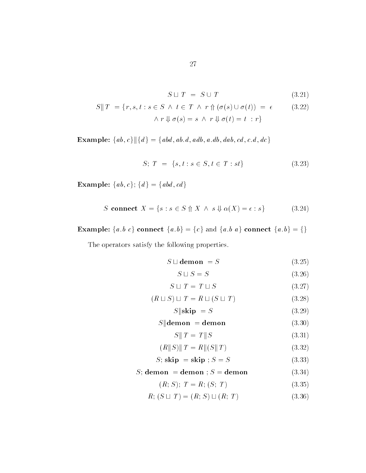$$
S \sqcup T = S \cup T \tag{3.21}
$$

$$
S||T = \{r, s, t : s \in S \land t \in T \land r \uparrow (\sigma(s) \cup \sigma(t)) = \epsilon \qquad (3.22)
$$
  
 
$$
\land r \Downarrow \sigma(s) = s \land r \Downarrow \sigma(t) = t : r \}
$$

Example:  $\{ab, c\}$   $\vert \{d\} = \{abd, ab, d, add, a, db, dab, cd, c, d, dc\}$ 

$$
S; T = \{s, t : s \in S, t \in T : st\}
$$
\n
$$
(3.23)
$$

Example:  $\{ab, c\}$ :  $\{d\} = \{abd, cd\}$ 

$$
S \text{ connect } X = \{ s : s \in S \text{ } \Uparrow X \text{ } \wedge \text{ } s \Downarrow \alpha(X) = \epsilon : s \} \tag{3.24}
$$

**Example:**  $\{a,b\ c\}$  connect  $\{a,b\} = \{c\}$  and  $\{a,b\ a\}$  connect  $\{a,b\} = \{\}$ 

The operators satisfy the following properties

$$
S \sqcup \text{demo } = S \tag{3.25}
$$

$$
S \sqcup S = S \tag{3.26}
$$

$$
S \sqcup T = T \sqcup S \tag{3.27}
$$

$$
(R \sqcup S) \sqcup T = R \sqcup (S \sqcup T) \tag{3.28}
$$

$$
S \parallel \textbf{skip} = S \tag{3.29}
$$

# $S$ ||demon = demon (3.30)

$$
S||T = T||S \tag{3.31}
$$

$$
(R||S)||T = R||(S||T)
$$
\n(3.32)

$$
S; \text{skip } = \text{skip}; S = S \tag{3.33}
$$

# $S$ ; demon = demon ;  $S$  = demon (3.34)

$$
(R; S); T = R; (S; T)
$$
\n<sup>(3.35)</sup>

$$
R; (S \sqcup T) = (R; S) \sqcup (R; T) \tag{3.36}
$$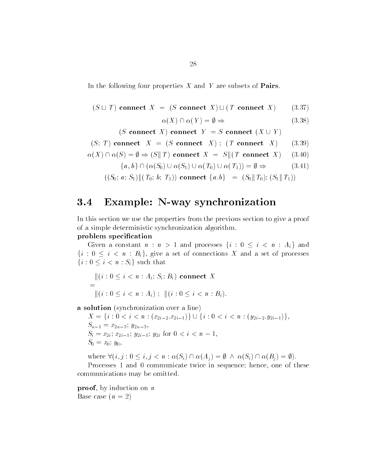In the following four properties  $X$  and  $Y$  are subsets of **Pairs**.

$$
(S \sqcup T) \text{ connect } X = (S \text{ connect } X) \sqcup (T \text{ connect } X) \qquad (3.37)
$$

$$
\alpha(X) \cap \alpha(Y) = \emptyset \Rightarrow \qquad (3.38)
$$

$$
\alpha(X) \cap \alpha(Y) = \emptyset \Rightarrow \tag{3.38}
$$

 $(S \text{ connect } X)$  connect  $Y = S \text{ connect } (X \cup Y)$ 

$$
(S; T) \text{ connect } X = (S \text{ connect } X); (T \text{ connect } X) \tag{3.39}
$$
  

$$
\alpha(X) \cap \alpha(S) = \emptyset \Rightarrow (S \parallel T) \text{ connect } X = S \parallel (T \text{ connect } X) \tag{3.40}
$$

$$
\alpha(X) \cap \alpha(S) = \emptyset \Rightarrow (S \parallel T) \text{ connect } X = S \parallel (T \text{ connect } X) \quad (3.40)
$$

$$
S) = \emptyset \Rightarrow (S \parallel T) \text{ connect } X = S \parallel (T \text{ connect } X) \quad (3.40)
$$
  

$$
\{a, b\} \cap (\alpha(S_0) \cup \alpha(S_1) \cup \alpha(T_0) \cup \alpha(T_1)) = \emptyset \Rightarrow \quad (3.41)
$$

 $((S_0; a; S_1)$ || $(T_0; b; T_1)$  connect  $\{a, b\} = (S_0 || T_0); (S_1 || T_1)$ 

# examples in the synchronization of the system of the synchronization of the synchronization of the synchronization of the synchronization of the synchronization of the synchronization of the synchronization of the synchron

In this section we use the properties from the previous section to give a proof of a simple deterministic synchronization algorithm

# problem specification

Given a constant  $n : n > 1$  and processes  $\{i : 0 \le i < n : A_i\}$  and  $\{i : 0 \leq i < n : B_i\}$ , give a set of connections X and a set of processes  $\{i : 0 \leq i < n : S_i\}$  such that

$$
\| (i : 0 \le i < n : A_i; S_i; B_i) \text{ connect } X
$$
\n
$$
= \|(i : 0 \le i < n : A_i) ; \| (i : 0 \le i < n : B_i).
$$

a solution (synchronization over a line)

 $X = \{i : 0 < i < n : (x_{2i-2}.x_{2i-1})\} \cup \{i : 0 < i < n : (y_{2i-2}.y_{2i-1})\},\$  $\sim$  10  $\sim$  10  $\sim$  10  $\sim$  10  $\sim$  11  $S_i = x_{2i}; x_{2i-1}; y_{2i-1}; y_{2i}$  for  $0 < i < n-1$ ,  $S_0 = x_0$ ;  $y_0$ ,  $S_0 = x_0; y_0,$ <br>where  $\forall (i, j : 0 \leq i, j < n : \alpha(S_i) \cap \alpha(A_j) = \emptyset \ \land \ \alpha(S_i) \cap \alpha(B_j) = \emptyset).$ 

Processes - and communicate twice in sequence hence one of these communications may be omitted

**proof**, by induction on  $n$ Base case  $(n=2)$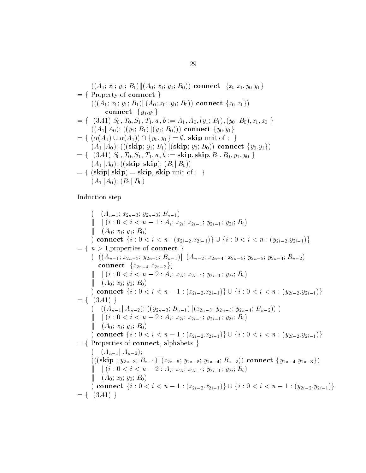$((A_1; x_1; y_1; B_1)$ || $(A_0; x_0; y_0; B_0)$ ) connect  $\{x_0, x_1, y_0, y_1\}$  $= \{$  Property of connect  $\}$  $((A_1; x_1; y_1; B_1)$   $\|(A_0; x_0; y_0; B_0))$  connect  $\{x_0, x_1\})$ connect  $\{y_0,y_1\}$  $= \{ (3.41) S_0, T_0, S_1, T_1, a, b := A_1, A_0, (y_1; B_1), (y_0; B_0), x_1, x_0 \}$  $((A_1 \| A_0); ((y_1; B_1) \| (y_0; B_0)))$  connect  $\{y_0, y_1\}$ = {  $(3.41) S_0$ ,  $T_0$ ,  $S_1$ ,  $T_1$ ,  $a$ ,  $b := A_1$ ,  $A_0$ ,  $(y_1; B_1)$ ,  $(y_0; B_0)$ <br> $((A_1 \| A_0); ((y_1; B_1) \| (y_0; B_0)))$  connect  $\{y_0, y_1\}$ <br>= {  $(\alpha(A_0) \cup \alpha(A_1)) \cap \{y_0, y_1\} = \emptyset$ , skip unit of ; }  $(A_1 \| A_0)$ ; (((skip;  $y_1$ ;  $B_1)$ )((skip;  $y_0$ ;  $B_0$ )) connect  $\{y_0, y_1\}$ )  $= \{ (3.41) S_0, T_0, S_1, T_1, a, b := \textbf{skip}, \textbf{skip}, B_1, B_0, y_1, y_0 \}$  $(A_1 \| A_0)$ ; ((skip||skip);  $(B_1 \| B_0)$ )  $f = \{ (skip||skip)$  (skip $||skip)$  = skip, skip unit of ; }  $(A_1 \| A_0); (B_1 \| B_0)$ 

Induction step

 $\lambda = \lambda - \mu - 1$   $\lambda = \mu - \mu - \mu - \mu$  $\Vert \quad \Vert (i: 0 < i < n-1: A_i; x_{2i}; x_{2i-1}; y_{2i-1}; y_{2i}; B_i)$ k $\lambda$   $\alpha$   $\mu$   $\alpha$   $\beta$   $\alpha$   $\beta$   $\alpha$   $\beta$   $\alpha$   $\beta$   $\alpha$   $\beta$   $\alpha$   $\beta$   $\alpha$   $\beta$   $\alpha$   $\beta$   $\alpha$   $\beta$   $\alpha$   $\beta$   $\alpha$   $\beta$   $\alpha$   $\beta$   $\alpha$   $\beta$   $\alpha$   $\beta$   $\alpha$  ) connect  $\{i: 0 < i < n : (x_{2i-2}.x_{2i-1})\} \cup \{i: 0 < i < n : (y_{2i-2}.y_{2i-1})\}$  $= \{ n > 1$ , properties of **connect**  $\}$  $(A_{n-1}; x_{2n-3}; y_{2n-3}; B_{n-1})$ ||  $(A_{n-2}; x_{2n-4}; x_{2n-5}; y_{2n-5}; y_{2n-4}; B_{n-2})$  $\text{\bf connect}\;\; \{x_{2\,n-4}.x_{2\,n-3}\})$  $\Vert \quad \Vert (i: 0 < i < n-2: A_i; x_{2i}; x_{2i-1}; y_{2i-1}; y_{2i}; B_i)$ k $\lambda$   $\alpha$   $\mu$   $\alpha$   $\beta$   $\alpha$   $\beta$   $\alpha$   $\beta$   $\alpha$   $\beta$   $\alpha$   $\beta$   $\alpha$   $\beta$   $\alpha$   $\beta$   $\alpha$   $\beta$   $\alpha$   $\beta$   $\alpha$   $\beta$   $\alpha$   $\beta$   $\alpha$   $\beta$   $\alpha$   $\beta$   $\alpha$   $\beta$   $\alpha$  ) connect  $\{i: 0 < i < n-1: (x_{2i-2}.x_{2i-1})\} \cup \{i: 0 < i < n: (y_{2i-2}.y_{2i-1})\}$  $= \{ (3.41) \}$  $( (A_{n-1}||A_{n-2}); ((y_{2n-3};B_{n-1})|| (x_{2n-5};y_{2n-5};y_{2n-4};B_{n-2})) )$ k $\|(i: 0 < i < n-2: A_i; x_{2i}; x_{2i-1}; y_{2i-1}; y_{2i}; B_i)\|$ ka ka A x y B connect  $\{i: 0 < i < n-1: (x_{2i-2}.x_{2i-1})\} \cup \{i: 0 < i < n: (y_{2i-2}.y_{2i-1})\}$  $= \{$  Properties of connect, alphabets  $\}$  $(A_{n-1}||A_{n-2});$  $(((\text{skip}; y_{2n-3}; B_{n-1})||(x_{2n-5}; y_{2n-5}; y_{2n-4}; B_{n-2})) \text{ connect } \{y_{2n-4}, y_{2n-3}\})$  $\Vert \quad \Vert (i: 0 < i < n-2: A_i; x_{2i}; x_{2i-1}; y_{2i-1}; y_{2i}; B_i)$ k $\mathbf{v}$  and  $\mathbf{v}$  and  $\mathbf{v}$ connect  $\{i: 0 < i < n-1: (x_{2i-2}.x_{2i-1})\} \cup \{i: 0 < i < n-1: (y_{2i-2}.y_{2i-1})\}$  $= \{ (3.41) \}$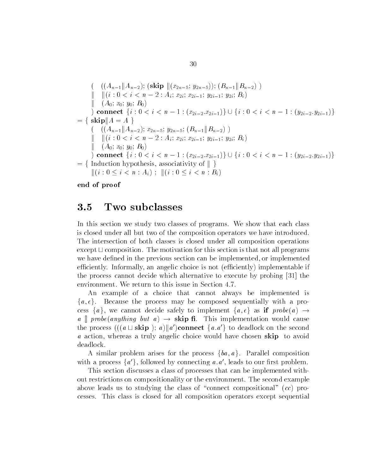$$
\begin{array}{ll}\n&\left(\n\begin{array}{c}\n\left((A_{n-1}\|A_{n-2});\,\left(\text{skip}\,\| (x_{2n-5};\,y_{2n-5})\right);\,(B_{n-1}\|B_{n-2})\,\right) \\
\|\n\|\left(\n\begin{array}{c}\n\text{i}\cdot 0 < i < n-2: A_i;\, x_{2i};\, x_{2i-1};\, y_{2i-1};\, y_{2i};\, B_i\n\end{array}\n\right) \\
&\left(\n\begin{array}{c}\n\text{connect }\n\{i: 0 < i < n-1: (x_{2i-2}.x_{2i-1})\}\n\end{array}\n\right) \cup \{i: 0 < i < n-1: (y_{2i-2}.y_{2i-1})\} \\
&\left(\n\begin{array}{c}\n\text{skip}\|A = A\n\end{array}\n\right) \\
&\left(\n\begin{array}{c}\n\text{(A_{n-1}\|A_{n-2})};\, x_{2n-5};\, y_{2n-5};\, (B_{n-1}\|B_{n-2})\n\end{array}\n\right) \\
\|\n\|\left(\n\begin{array}{c}\n\text{i}\cdot 0 < i < n-2: A_i;\, x_{2i};\, x_{2i-1};\, y_{2i-1};\, y_{2i};\, B_i\n\end{array}\n\right) \\
&\left(\n\begin{array}{c}\n\text{connect }\n\{i: 0 < i < n-1: (x_{2i-2}.x_{2i-1})\}\n\end{array}\n\right) \cup \{i: 0 < i < n-1: (y_{2i-2}.y_{2i-1})\} \\
&\left(\n\begin{array}{c}\n\text{function hypothesis, associativity of }\n\end{array}\n\right) \\
\|\n\|\left(\n\begin{array}{c}\n\text{i}\cdot 0 < i < n: A_i\n\end{array}\n\right); \|\left(\n\begin{array}{c}\n\text{i}\cdot 0 < i < n: B_i\n\end{array}\n\right)\n\end{array}
$$

end of proof

#### $3.5$ Two subclasses

In this section we study two classes of programs. We show that each class is closed under all but two of the composition operators we have introduced The intersection of both classes is closed under all composition operations except  $\sqcup$  composition. The motivation for this section is that not all programs we have defined in the previous section can be implemented, or implemented efficiently. Informally, an angelic choice is not (efficiently) implementable if the process cannot decide which alternative to execute by probing - the environment. We return to this issue in Section 4.7.

An example of a choice that cannot always be implemented is  $\{a,\epsilon\}.$ Because the process may be composed sequentially with a process  $\{a\}$ , we cannot decide safely to implement  $\{a, \epsilon\}$  as if  $probe(a) \rightarrow$ a probe (anything but a)  $\rightarrow$  skip fi. This implementation would cause the process  $(((a \cup skip) ; a) || a')$ connect  $\{a.a'\}$  to deadlock on the second a action, whereas a truly angelic choice would have chosen skip to avoid deadlock

A similar problem arises for the process  $\{ba, a\}$ . Parallel composition with a process  $\{a'\}$ , followed by connecting a.a', leads to our first problem.

This section discusses a class of processes that can be implemented with out restrictions on compositionality or the environment The second example above leads us to studying the class of "connect compositional"  $(cc)$  processes This class is closed for all composition operators except sequential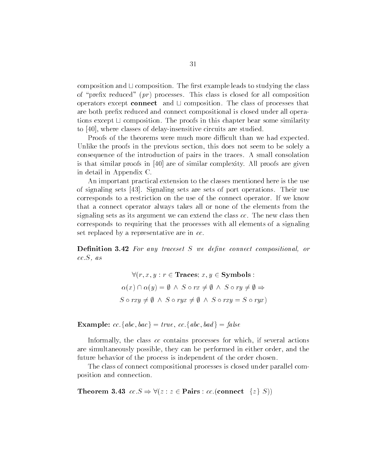composition and  $\sqcup$  composition. The first example leads to studying the class of "prefix reduced"  $(pr)$  processes. This class is closed for all composition operators except connect and  $\sqcup$  composition. The class of processes that are both prefix reduced and connect compositional is closed under all operations except  $\sqcup$  composition. The proofs in this chapter bear some similarity to  $[40]$ , where classes of delay-insensitive circuits are studied.

Proofs of the theorems were much more difficult than we had expected. Unlike the proofs in the previous section, this does not seem to be solely a consequence of the introduction of pairs in the traces A small consolation is that similar proofs in  $[40]$  are of similar complexity. All proofs are given in detail in Appendix C

An important practical extension to the classes mentioned here is the use of signaling sets  $\vert 43 \vert$ . Signaling sets are sets of port operations. Their use corresponds to a restriction on the use of the connect operator If we know that a connect operator always takes all or none of the elements from the signaling sets as its argument we can extend the class  $cc$ . The new class then corresponds to requiring that the processes with all elements of a signaling set replaced by a representative are in cc.

nition - For any traceset S we define the composition of the connect composition of the connect composition or  $cc.S, as$ 

> $\forall (r, x, y : r \in \textbf{Traces}; x, y \in \textbf{Symbols}:$  $\forall (r, x, y : r \in \mathbf{Traces}; x, y \in \mathbf{Symbols} :$ <br>  $\alpha(x) \cap \alpha(y) = \emptyset \land S \circ rx \neq \emptyset \land S \circ ry \neq \emptyset \Rightarrow$  $\alpha(x) \cap \alpha(y) = \emptyset \land S \circ rx \neq \emptyset \land S \circ ry \neq \emptyset \Rightarrow$ <br>  $S \circ rxy \neq \emptyset \land S \circ rxx \neq \emptyset \land S \circ rxy = S \circ ryx$  $\emptyset \wedge S \circ rx \neq \emptyset \wedge S \circ S$ <br> $S \circ rvx \neq \emptyset \wedge S \circ rxv$

**Example:**  $cc \cdot \{abc, bac\} = true, cc \cdot \{abc, bad\} = false$ 

Informally, the class cc contains processes for which, if several actions are simultaneously possible, they can be performed in either order, and the future behavior of the process is independent of the order chosen

The class of connect compositional processes is closed under parallel com position and connection

Theorem 3.43  $cc.S \Rightarrow \forall (z:z \in \text{Pairs}: cc.(\text{connect } \{z\} \ S))$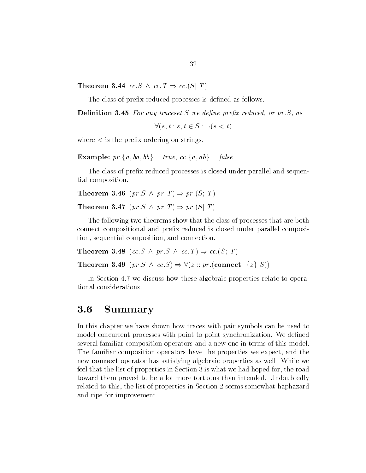Theorem 3.44  $cc$  S  $\wedge$   $cc$  T  $\Rightarrow$   $cc$  (S||T)

The class of prefix reduced processes is defined as follows.

— concerted and any traceset S we depend the property states of the state of the state of the state of the state of the state of the state of the state of the state of the state of the state of the state of the state of th

 $\forall (s,t:s,t \in S : \neg(s < t))$ . . . . .

where  $\lt$  is the prefix ordering on strings.

**Example:**  $pr \{a, ba, bb\} = true, cc.\{a, ab\} = false$ 

The class of prefix reduced processes is closed under parallel and sequential composition

**Theorem 3.46**  $(pr.S \wedge pr.T) \Rightarrow pr.(S; T)$ 

**Theorem 3.47** (pr.  $S \wedge pr \cdot T$ )  $\Rightarrow pr \cdot (S \Vert T)$ 

The following two theorems show that the class of processes that are both connect compositional and prefix reduced is closed under parallel composition, sequential composition, and connection.

**Theorem 3.48** (cc. S  $\land$  pr. S  $\land$  cc. T)  $\Rightarrow$  cc. (S; T)

Theorem 3.48  $(cc.S \land pr.S \land cc.T) \Rightarrow cc.(S; T)$ <br>Theorem 3.49  $(pr.S \land cc.S) \Rightarrow \forall (z:: pr.(\text{connect} \{z\} S))$ 

In Section 4.7 we discuss how these algebraic properties relate to operational considerations

#### 3.6 Summary

In this chapter we have shown how traces with pair symbols can be used to model concurrent processes with point-to-point synchronization. We defined several familiar composition operators and a new one in terms of this model The familiar composition operators have the properties we expect, and the new connect operator has satisfying algebraic properties as well While we feel that the list of properties in Section 3 is what we had hoped for, the road toward them proved to be a lot more tortuous than intended. Undoubtedly related to this, the list of properties in Section 2 seems somewhat haphazard and ripe for improvement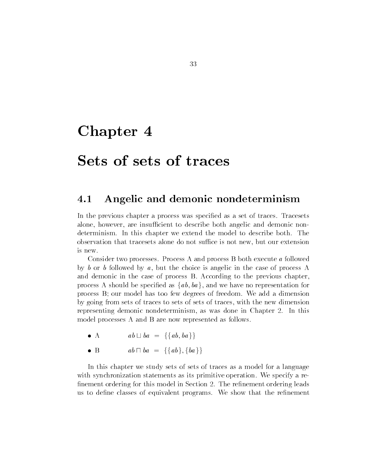# Chapter 4

# Sets of sets of traces

#### 4.1 Angelic and demonic nondeterminism

In the previous chapter a process was specified as a set of traces. Tracesets alone, however, are insufficient to describe both angelic and demonic nondeterminism. In this chapter we extend the model to describe both. The observation that tracesets alone do not suffice is not new, but our extension is new.

Consider two processes. Process A and process B both execute a followed by b or b followed by a, but the choice is angelic in the case of process A and demonic in the case of process B. According to the previous chapter. process A should be specified as  $\{ab, ba\}$ , and we have no representation for process B; our model has too few degrees of freedom. We add a dimension by going from sets of traces to sets of sets of traces with the new dimension representing demonic nondeterminism, as was done in Chapter 2. In this model processes A and B are now represented as follows

- $\bullet$  A A  $ab \sqcup ba = \{\{ab, ba\}\}\$
- $\bullet$  B B  $ab \sqcap ba = \{\{ab\}, \{ba\}\}\$

In this chapter we study sets of sets of traces as a model for a language with synchronization statements as its primitive operation. We specify a refinement ordering for this model in Section 2. The refinement ordering leads us to define classes of equivalent programs. We show that the refinement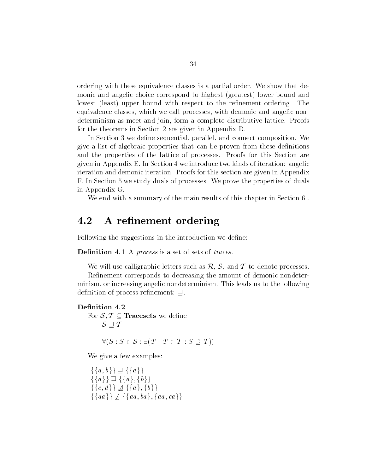ordering with these equivalence classes is a partial order. We show that demonic and angelic choice correspond to highest (greatest) lower bound and lowest (least) upper bound with respect to the refinement ordering. The equivalence classes, which we call processes, with demonic and angelic nondeterminism as meet and join, form a complete distributive lattice. Proofs for the theorems in Section 2 are given in Appendix  $D$ .

In Section 3 we define sequential, parallel, and connect composition. We give a list of algebraic properties that can be proven from these denitions and the properties of the lattice of processes Proofs for this Section are given in Appendix E. In Section  $4$  we introduce two kinds of iteration: angelic iteration and demonic iteration Proofs for this section are given in Appendix F. In Section 5 we study duals of processes. We prove the properties of duals in Appendix G

We end with a summary of the main results of this chapter in Section 6.

#### $4.2$ A refinement ordering

Following the suggestions in the introduction we define:

Definition 4.1 A *process* is a set of sets of *traces*.

We will use calligraphic letters such as  $\mathcal{R}, \mathcal{S}$ , and  $\mathcal{T}$  to denote processes.

Refinement corresponds to decreasing the amount of demonic nondeterminism, or increasing angelic nondeterminism. This leads us to the following definition of process refinement:  $\supseteq$ .

# Definition 4.2

finition 4.2<br>For  $\mathcal{S}, \mathcal{T} \subseteq \texttt{Tracesets}$  we define  $S \sqsupset T$  $\forall (S: S \in \mathcal{S} : \exists (T: T \in \mathcal{T} : S \supseteq T))$ 

 $\mathcal{L}$  is a few examples of  $\mathcal{L}$ ve a few example<br> $b \}$   $\supset$  {{a}}

 $\{\{a,b\}\}\sqsupseteq \{\{a\}\}\$  $\{\{a, b\}\}\sqsupseteq \{\{a\}\}\$ <br> $\{\{a\}\}\sqsupseteq \{\{a\}, \{b\}\}\$  $\{\{c,d\}\}\not\supseteq \{\{a\},\{b\}\}\$  $\{b\}\}\sqsupseteq \{\{a\}\}\ \cdot \;\vdots$ <br>  $d\}\sqsupseteq \{\{a\},\{b\}\}\ \cdot \;\;d\}\sqsupseteq \{\{a\},\{b\}\}\ \cdot$  $\{ \{a\} \} \sqsupseteq \{ \{a\}, \{b\} \}$ <br> $\{ \{c,d\} \} \sqsupseteq \{ \{a\}, \{b\}$ <br> $\{ \{aa\} \} \sqsupseteq \{ \{aa, ba\} \}$  $ba$ , {aa, ca}}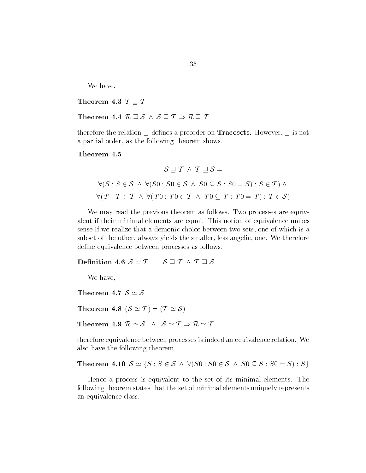We have

Theorem 4.3  $\mathcal{T} \sqsupseteq \mathcal{T}$ 

Theorem 4.3  $\mathcal{T} \sqsupseteq \mathcal{T}$ <br>Theorem 4.4  $\mathcal{R} \sqsupseteq \mathcal{S} \ \wedge \ \mathcal{S} \sqsupseteq \mathcal{T} \Rightarrow \mathcal{R} \sqsupseteq \mathcal{T}$ 

therefore the relation  $\supseteq$  defines a preorder on **Tracesets**. However,  $\supseteq$  is not a partial order, as the following theorem shows.

Theorem 4.5

$$
\mathcal{S} \sqsupseteq \mathcal{T} \land \mathcal{T} \sqsupseteq \mathcal{S} =
$$
  
\n
$$
\forall (S : S \in \mathcal{S} \land \forall (S0 : S0 \in \mathcal{S} \land S0 \subseteq S : S0 = S) : S \in \mathcal{T}) \land
$$
  
\n
$$
\forall (T : T \in \mathcal{T} \land \forall (T0 : T0 \in \mathcal{T} \land T0 \subseteq T : T0 = T) : T \in \mathcal{S})
$$

We may read the previous theorem as follows. Two processes are equivalent if their minimal elements are equal. This notion of equivalence makes sense if we realize that a demonic choice between two sets, one of which is a subset of the other, always yields the smaller, less angelic, one. We therefore dene equivalence between processes as follows s follows.

Definition 4.6  $S \simeq T = S \sqsupseteq T \wedge T \sqsupseteq S$ 

We have

Theorem 4.7  $S \simeq S$ 

Theorem 4.7  $\mathcal{S}\simeq \mathcal{S}$ <br>Theorem 4.8  $(\mathcal{S}\simeq \mathcal{T})=(\mathcal{T}\simeq \mathcal{S})$ 

Theorem 4.8  $(\mathcal{S} \simeq \mathcal{T}) = (\mathcal{T} \simeq \mathcal{S})$ <br>Theorem 4.9  $\mathcal{R} \simeq \mathcal{S}$   $\wedge$   $\mathcal{S} \simeq \mathcal{T} \Rightarrow \mathcal{R} \simeq \mathcal{T}$ 

therefore equivalence between processes is indeed an equivalence relation We also have the following theorem also have the following theorem.<br>
Theorem 4.10  $S \simeq \{ S : S \in S \ \land \ \forall (S0: S0 \in S \ \land \ S0 \subseteq S : S0 = S) : S \}$ 

Hence a process is equivalent to the set of its minimal elements. The following theorem states that the set of minimal elements uniquely represents an equivalence class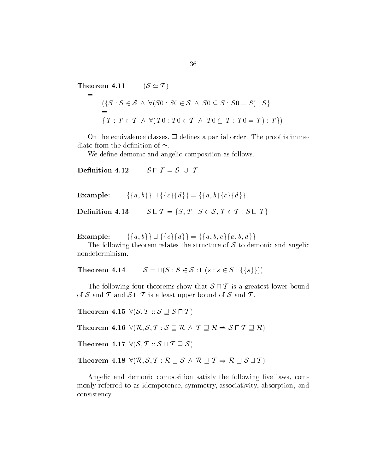Theorem  $4.11$  $(\mathcal{S} \simeq \mathcal{T})$ 

 $=$ 

$$
\begin{array}{ll}\n\text{orem 4.11} & (\mathcal{S} \simeq \mathcal{T}) \\
\vdots \\
\quad (\{S : S \in \mathcal{S} \land \forall (S0 : S0 \in \mathcal{S} \land S0 \subseteq S : S0 = S) : S\} \\
&= \{T : T \in \mathcal{T} \land \forall (T0 : T0 \in \mathcal{T} \land T0 \subseteq T : T0 = T) : T\})\n\end{array}
$$

On the equivalence classes,  $\exists$  defines a partial order. The proof is immediate from the definition of  $\simeq$ .

We define demonic and angelic composition as follows.

Definition 4.12  $S \sqcap T = S \cup T$ 

 $Example:$  $b$ }} $\sqcap$ {{c}{d}} = {{a, b}{c}{d}} Definition 4.13  $S = \{\{a, b\}\{c\}\{d\}\}\$ <br>  $T : S \in \mathcal{S}, T \in \mathcal{T} : S \sqcup T\}$ 

 $Example:$  $b$ }  $\bigcup$  {{c}{d}} = {{a, b, c}{a, b, d}}

The following theorem relates the structure of  $S$  to demonic and angelic nondeterminism

**Theorem 4.14**  $S = \Pi(S : S \in S : \sqcup (s : s \in S : \{\{s\}\}))$ 

The following four theorems show that  $S \sqcap T$  is a greatest lower bound of S and T and  $S \sqcup T$  is a least upper bound of S and T.<br>Theorem 4.15  $\forall (S, T : : S \sqsupseteq S \sqcap T)$ 

Theorem 4.15  $\forall (\mathcal{S}, \mathcal{T} :: \mathcal{S} \sqsupseteq \mathcal{S} \sqcap \mathcal{T})$ 

Theorem 4.15  $\forall (\mathcal{S}, \mathcal{T}::\mathcal{S} \sqsupseteq \mathcal{S} \sqcap \mathcal{T})$ <br>Theorem 4.16  $\forall (\mathcal{R}, \mathcal{S}, \mathcal{T}:\mathcal{S} \sqsupseteq \mathcal{R} ~\land~ \mathcal{T} \sqsupseteq \mathcal{R} \Rightarrow \mathcal{S} \sqcap \mathcal{T} \sqsupseteq \mathcal{R})$  $S, T : S \sqsupseteq R \wedge T \sqsupseteq$ <br> $T :: S \sqcup T \sqsupseteq S)$ 

Theorem 4.17  $\forall (\mathcal{S}, \mathcal{T} :: \mathcal{S} \sqcup \mathcal{T} \sqsupseteq \mathcal{S})$ 

Theorem 4.17  $\forall (\mathcal{S}, \mathcal{T}::\mathcal{S} \sqcup \mathcal{T} \sqsupseteq \mathcal{S})$ <br>Theorem 4.18  $\forall (\mathcal{R}, \mathcal{S}, \mathcal{T}:\mathcal{R} \sqsupseteq \mathcal{S} \ \wedge \ \mathcal{R} \sqsupseteq \mathcal{T} \Rightarrow \mathcal{R} \sqsupseteq \mathcal{S} \sqcup \mathcal{T})$ 

Angelic and demonic composition satisfy the following five laws, commonly referred to as idempotence, symmetry, associativity, absorption, and consistency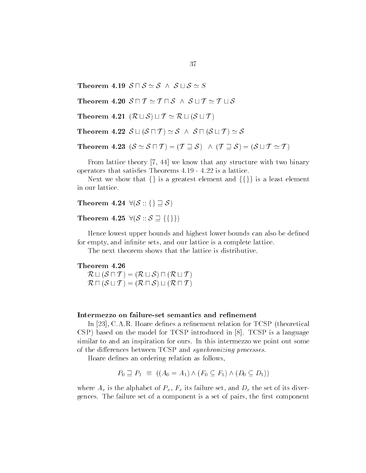Theorem 4.19  $S \sqcap S \simeq S$   $\land$   $S \sqcup S \simeq S$  $\frac{31}{2}$ 

 $\begin{aligned} \mathbf{\textit{9}}\ \ \mathcal{S}\ \sqcap \ \mathcal{S}\simeq \mathcal{S}\ \land\ \ \mathcal{S}\sqcup \mathcal{S}\simeq \mathcal{S}\ \ \mathbf{\textit{0}}\ \ \mathcal{S}\ \sqcap \ \mathcal{T}\simeq \mathcal{T}\ \sqcap \mathcal{S}\ \land\ \ \mathcal{S}\sqcup \mathcal{T}\simeq \mathcal{T}\sqcup \mathcal{S} \end{aligned}$  $0 \text{ } S \sqcap T \simeq T \sqcap S \text{ } \wedge \text{ } S \sqcup T \simeq T$ <br>1  $(R \sqcup S) \sqcup T \simeq R \sqcup (S \sqcup T)$ 

 $(\mathcal{R} \sqcup \mathcal{S}) \sqcup \mathcal{T} \simeq \mathcal{R} \sqcup (\mathcal{S} \sqcup \mathcal{T})$ <br> $\mathcal{S} \sqcup (\mathcal{S} \sqcap \mathcal{T}) \simeq \mathcal{S} \wedge \mathcal{S} \sqcap (\mathcal{S} \sqcup \mathcal{T})$ 

Theorem 4.21  $(\mathcal{R} \sqcup \mathcal{S}) \sqcup \mathcal{T} \simeq \mathcal{R} \sqcup (\mathcal{S} \sqcup \mathcal{T})$ <br>Theorem 4.22  $\mathcal{S} \sqcup (\mathcal{S} \sqcap \mathcal{T}) \simeq \mathcal{S}$   $\wedge$   $\mathcal{S} \sqcap (\mathcal{S} \sqcup \mathcal{T}) \simeq \mathcal{S}$ 2  $S \sqcup (S \sqcap T) \simeq S \wedge S \sqcap (S \sqcup$ <br>3  $(S \simeq S \sqcap T) = (T \sqsupseteq S) \wedge (S \sqcap T)$ 

Theorem 4.22 
$$
\mathcal{S} \sqcup (\mathcal{S} \sqcap \mathcal{T}) \simeq \mathcal{S} \wedge \mathcal{S} \sqcap (\mathcal{S} \sqcup \mathcal{T}) \simeq \mathcal{S}
$$
  
Theorem 4.23  $(\mathcal{S} \simeq \mathcal{S} \sqcap \mathcal{T}) = (\mathcal{T} \sqsupseteq \mathcal{S}) \wedge (\mathcal{T} \sqsupseteq \mathcal{S}) = (\mathcal{S} \sqcup \mathcal{T} \simeq \mathcal{T})$ 

From lattice theory  $[7, 44]$  we know that any structure with two binary operators that satisfacts - and the same - alter - alter - and it and it and it and it and it and it and it an

Next we show that  $\{\}\$ is a greatest element and  $\{\{\}\}\$ is a least element in our lattice in our lattice.<br>
Theorem 4.24  $\forall (\mathcal{S}::\{\} \sqsupset \mathcal{S})$ 

4  $\forall (\mathcal{S} :: \{\} \sqsupseteq \mathcal{S})$ <br>5  $\forall (\mathcal{S} :: \mathcal{S} \sqsupseteq \{\{\}\})$ 

Theorem 4.25  $\forall (\mathcal{S} :: \mathcal{S} \sqsupseteq {\{\}\})$ 

Hence lowest upper bounds and highest lower bounds can also be defined for empty, and infinite sets, and our lattice is a complete lattice.

The next theorem shows that the lattice is distributive

# Theorem  $4.26\,$

 $\mathcal{R} \sqcup (\mathcal{S} \sqcap \mathcal{T}) = (\mathcal{R} \sqcup \mathcal{S}) \sqcap (\mathcal{R} \sqcup \mathcal{T})$ eorem  $4.26 \times \mathbb{R} \sqcup (\mathcal{S} \sqcap \mathcal{T})$  $\mathcal{R} \sqcap (\mathcal{S} \sqcup \mathcal{T}) = (\mathcal{R} \sqcap \mathcal{S}) \sqcup (\mathcal{R} \sqcap \mathcal{T})$ 

### Intermezzo on failure-set semantics and refinement

In  $[23]$ , C.A.R. Hoare defines a refinement relation for TCSP (theoretical CSP) based on the model for TCSP introduced in [8]. TCSP is a language similar to and an inspiration for ours. In this intermezzo we point out some of the differences between TCSP and *synchronizing processes*.

Hoare defines an ordering relation as follows,

$$
P_0 \supseteq P_1 \equiv ((A_0 = A_1) \wedge (F_0 \subseteq F_1) \wedge (D_0 \subseteq D_1))
$$

where  $A_x$  is the alphabet of  $P_x$ ,  $F_x$  its failure set, and  $D_x$  the set of its divergences. The failure set of a component is a set of pairs, the first component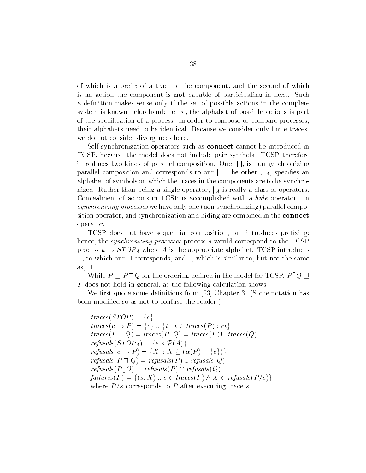of which is a prefix of a trace of the component, and the second of which is an action the component is **not** capable of participating in next. Such a definition makes sense only if the set of possible actions in the complete system is known beforehand; hence, the alphabet of possible actions is part of the specification of a process. In order to compose or compare processes, their alphabets need to be identical. Because we consider only finite traces. we do not consider divergences here

Self-synchronization operators such as **connect** cannot be introduced in TCSP because the model does not include pair symbols TCSP therefore introduces two kinds of parallel composition. One,  $\vert\vert$ , is non-synchronizing parallel composition and corresponds to our  $\|$ . The other  $\|$ <sub>A</sub>, specifies an alphabet of symbols on which the traces in the components are to be synchro nized. Rather than being a single operator,  $\parallel_A$  is really a class of operators. Concealment of actions in TCSP is accomplished with a *hide* operator. In synchronizing processes we have only one (non-synchronizing) parallel composition operator, and synchronization and hiding are combined in the **connect** operator

TCSP does not have sequential composition, but introduces prefixing; hence, the *synchronizing processes* process a would correspond to the  $TCSP$ process  $a \rightarrow STOP_A$  where A is the appropriate alphabet. TCSP introduces  $\Box$ , to which our  $\Box$  corresponds, and  $\parallel$ , which is similar to, but not the same as,  $\sqcup$ .

While  $P \supseteq P \sqcap Q$  for the ordering defined in the model for TCSP,  $P||Q \supseteq$  $P$  does not hold in general, as the following calculation shows.

We first quote some definitions from  $[23]$  Chapter 3. (Some notation has been modified so as not to confuse the reader.)

 $traces(TOP) = {\epsilon}$  $traces(c \rightarrow P) = \{\epsilon\} \cup \{t : t \in traces(P) : ct\}$  $traces(P \sqcap Q) = trace(P \sqcap Q) = trace(P) \cup trace(Q)$  $traces(c \to P) = \{\epsilon\} \cup \{t : t \in trace$ <br>  $traces(P \sqcap Q) = trace(P \sqcap Q) = trace$ <br>  $refusals(STOP_A) = \{\epsilon \times P(A)\}$  $traces(P \sqcap Q) = traces(P \sqcap Q) = traces(P) \cup trac$ <br>  $refusals(STOP_A) = \{ \epsilon \times P(A) \}$ <br>  $refusals(c \rightarrow P) = \{ X : X \subseteq (\alpha(P) - \{c\}) \}$  $refusals(P \sqcap Q) = \text{refusals}(P) \cup \text{refusals}(Q)$  $refusals(P||Q) = refusals(P) \cap refusals(Q)$  $failures(P) = \{(s, X) : s \in traces(P) \land X \in refusals(P/s)\}\$ where P  $\mu$  corresponds to P after the corresponds trace such that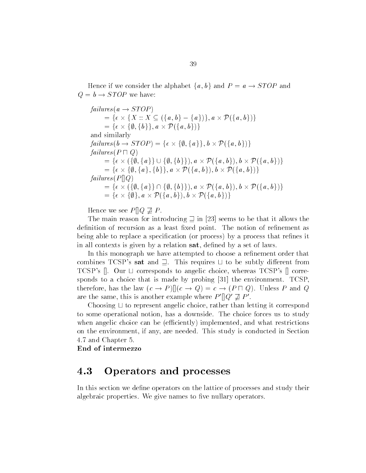Hence if we consider the alphabet  $\{a, b\}$  and  $P = a \rightarrow STOP$  and  $Q = b \rightarrow STOP$  we have:

 $failures(a \rightarrow STOP)$  $res(a \rightarrow STOP)$ <br>=  $\{\epsilon \times \{X :: X \subseteq (\{a, b\} - \{a\})\}, a \times P(\{a, b\})\}$  $\begin{array}{l} res(a \rightarrow STOP) \ = \{ \epsilon \times \{ X \, : \, : X \subseteq (\{a,b\} - \{a \} \neq \epsilon \times \{\emptyset, \{b\}\}, a \times \mathcal{P}(\{a,b\}) \} ) \end{array}$  $\{b\}\}\, a \times \mathcal{P}(\{a, b\})\}$ and similarly  $=\{\epsilon \times \{\emptyset, \{b\}\}, a \times \mathcal{P}(\{a, b\})\}$ <br>
and similarly<br>  $\mathit{failures}(b \rightarrow STOP) = \{\epsilon \times \{\emptyset, \{a\}\}, b \times \mathcal{P}(\{a, b\})\}$ <br>  $\mathit{failures}(P \sqcap Q)$ <br>  $=\{\epsilon \times (\{\emptyset, \{a\}\} \cup \{\emptyset, \{b\}\}), a \times \mathcal{P}(\{a, b\}), b \times \mathcal{P}(\{a, b\})\}$  $failures(P \sqcap Q)$  $\begin{array}{l} res(b \rightarrow STOP) = \{ \epsilon \times \{ \emptyset, \{ a \} \}, b \times \mathcal{P}(\{ a,b \}) \} \ res(P \sqcap Q) \ = \{ \epsilon \times (\{ \emptyset, \{ a \} \} \cup \{ \emptyset, \{ b \} \}), a \times \mathcal{P}(\{ a,b \}), b \times \mathcal{P}(\{ a,b \}) \} \end{array}$  $\begin{array}{l} \mathit{res}(P \sqcap Q) \ = \{ \epsilon \times (\{\emptyset, \{a\}\} \cup \{\emptyset, \{b\}\}), a \times \mathcal{P}(\{a,b\}), b \times \mathcal{P} \} \ = \{ \epsilon \times \{\emptyset, \{a\}, \{b\}\}, a \times \mathcal{P}(\{a,b\}), b \times \mathcal{P}(\{a,b\}) \} \end{array}$  $\{a\}, \{b\}\}, a \times \mathcal{P}(\{a, b\}), b \times \mathcal{P}(\{a, b\})\}$ <br>  $\{a\}\cap \{\emptyset, \{b\}\}\}, a \times \mathcal{P}(\{a, b\}), b \times \mathcal{P}(\{a, b\})$  $failures(P||Q)$  $=\{\epsilon\times\{\emptyset,\{a\},\{b\}\},a\times\mathcal{P}(\{a,b\}),b\times\mathcal{P}(\{a,b\})\} \nonumber\ =\{\epsilon\times(\{\emptyset,\{a\}\}\cap\{\emptyset,\{b\}\}),a\times\mathcal{P}(\{a,b\}),b\times\mathcal{P}(\{a,b\})\}$  $\begin{array}{l} \mathit{res}(P[\hspace{0.02cm}[ Q])\ =\ \{\epsilon\times (\{\emptyset, \{a\}\}\cap \{\emptyset, \{b\}\}), a\times \mathcal{P}(\{a,b\})\ =\ \{\epsilon\times \{\emptyset\}, a\times \mathcal{P}(\{a,b\}), b\times \mathcal{P}(\{a,b\})\} \end{array}$ b}),  $b \times \mathcal{P}(\{a, b\})$ }

Hence we see  $P[]Q \not\supseteq P$ .

The main reason for introducing  $\supseteq$  in  $|23|$  seems to be that it allows the definition of recursion as a least fixed point. The notion of refinement as being able to replace a specification (or process) by a process that refines it in all contexts is given by a relation sat, defined by a set of laws.

In this monograph we have attempted to choose a refinement order that combines TCSP's sat and  $\supseteq$ . This requires  $\sqcup$  to be subtly different from TCSP's  $\parallel$ . Our  $\sqcup$  corresponds to angelic choice, whereas TCSP's  $\parallel$  corresponds to a choice that is made by probing - the environment TCSP therefore, has the law  $(c \to P) || (c \to Q) = c \to (P \sqcap Q)$ . Unless P and Q are the same, this is another example where  $P' \parallel Q' \not\supseteq P'$ .

Choosing  $\sqcup$  to represent angelic choice, rather than letting it correspond to some operational notion has a downside The choice forces us to study when angelic choice can be (efficiently) implemented, and what restrictions on the environment, if any, are needed. This study is conducted in Section 4.7 and Chapter 5.

End of intermezzo

#### 4.3 Operators and processes

In this section we define operators on the lattice of processes and study their algebraic properties. We give names to five nullary operators.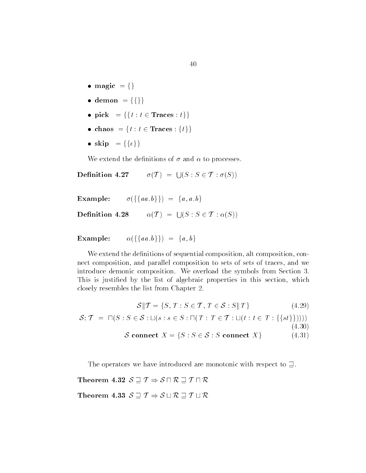- $\bullet$  magic  $= \{\}$
- $\bullet$  demon = {{}}
- pick  $f = \{ \{ t : t \in \text{Traces} : t \} \}$
- chaos  $= \{t : t \in \text{Traces} : \{t\}\}\$
- $\bullet$  skip = {{ $\{\epsilon\}$ }

We extend the definitions of  $\sigma$  and  $\alpha$  to processes. he definitions of  $\sigma$  and  $\alpha$  to processes.<br>
7  $\sigma(T) = \bigcup (S : S \in T : \sigma(S))$ 

Definition 4.27

Example:  $\sigma({\{\{aa,b\}\}) = \{a,a,b\}}$  $\{a, b\}\}) = \{a, a, b\}$ <br>  $\alpha(\mathcal{T}) = \bigcup (S : S \in \mathcal{T} : \alpha(S))$ 

Example:  $\alpha(\{\{aa, b\}\}) = \{a, b\}$ 

We extend the definitions of sequential composition, alt composition, connect composition, and parallel composition to sets of sets of traces, and we introduce demonic composition. We overload the symbols from Section 3. This is justified by the list of algebraic properties in this section, which closely resembles the list from Chapter the list from Chapter the list from Chapter the list from Chapter the Chapter 2.<br>  $T : S \in \mathcal{T}$  ,  $T \in \mathcal{S}$  $T \in \mathcal{S} : S \parallel T$  (4.29)

$$
\mathcal{S} \| \mathcal{T} = \{ S, T : S \in \mathcal{T}, T \in \mathcal{S} : S \| T \}
$$
\n
$$
(4.29)
$$

$$
\mathcal{S}||\mathcal{T} = \{S, T : S \in \mathcal{T}, T \in \mathcal{S} : S||T\}
$$
(4.29)  

$$
\mathcal{S}; \mathcal{T} = \Pi(S : S \in \mathcal{S} : \Box(s : s \in S : \Pi(T : T \in \mathcal{T} : \Box(t : t \in T : \{\{st\}\}))))
$$
(4.30)  

$$
\mathcal{S} \text{connect } X = \{S : S \in \mathcal{S} : S \text{ connect } X\}
$$
(4.31)

The operators we have introduced are monotonic with respect to  $\sqsupseteq$ .<br> **eorem 4.32**  $S \sqsupseteq T \Rightarrow S \sqcap R \sqsupseteq T \sqcap R$ 

Theorem 4.32  $\mathcal{S} \sqsupseteq \mathcal{T} \Rightarrow \mathcal{S} \sqcap \mathcal{R} \sqsupseteq \mathcal{T} \sqcap \mathcal{R}$ <br>Theorem 4.33  $\mathcal{S} \sqsupseteq \mathcal{T} \Rightarrow \mathcal{S} \sqcup \mathcal{R} \sqsupseteq \mathcal{T} \sqcup \mathcal{R}$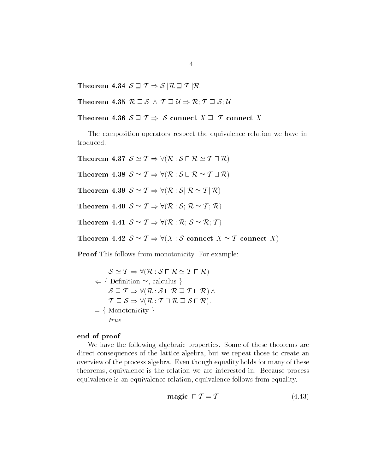Theorem 4.34  $\mathcal{S} \sqsupset \mathcal{T} \Rightarrow \mathcal{S} \Vert \mathcal{R} \sqsupset \mathcal{T} \Vert \mathcal{R}$ Theorem 4.34  $\mathcal{S} \sqsupseteq \mathcal{T} \Rightarrow \mathcal{S} \Vert \mathcal{R} \sqsupseteq \mathcal{S}$ <br>Theorem 4.35  $\mathcal{R} \sqsupseteq \mathcal{S} \, \wedge \, \mathcal{T} \sqsupseteq \mathcal{U}$ 

Theorem 4.35  $\mathcal{R} \sqsupseteq \mathcal{S} \wedge \mathcal{T} \sqsupseteq \mathcal{U} \Rightarrow \mathcal{R}; \mathcal{T} \sqsupseteq \mathcal{S}; \mathcal{U}$ 

Theorem 4.36  $S \supseteq T \Rightarrow S$  connect  $X \supseteq T$  connect X

The composition operators respect the equivalence relation we have in troduced troduced.<br>Theorem 4.37  $\mathcal{S}\simeq\mathcal{T}\Rightarrow\forall(\mathcal{R}:\mathcal{S}\sqcap\mathcal{R}\simeq\mathcal{T}\sqcap\mathcal{R})$ 

 $\begin{split} \mathcal{S}\simeq\mathcal{T}\Rightarrow\forall(\mathcal{R}:\mathcal{S}\sqcap\mathcal{R}\simeq\mathcal{T}\sqcap\mathcal{R})\ \mathcal{S}\simeq\mathcal{T}\Rightarrow\forall(\mathcal{R}:\mathcal{S}\sqcup\mathcal{R}\simeq\mathcal{T}\sqcup\mathcal{R}) \end{split}$ 

Theorem 4.38  $\mathcal{S} \simeq \mathcal{T} \Rightarrow \forall (\mathcal{R}:\mathcal{S} \sqcup \mathcal{R} \simeq \mathcal{T} \sqcup \mathcal{R})$ <br>Theorem 4.39  $\mathcal{S} \simeq \mathcal{T} \Rightarrow \forall (\mathcal{R}:\mathcal{S} \|\mathcal{R} \simeq \mathcal{T} \|\mathcal{R})$ 

Theorem 4.39  $S \simeq T \Rightarrow \forall (\mathcal{R} : S \Vert \mathcal{R} \simeq T \Vert \mathcal{R})$ 

Theorem 4.40  $S \simeq T \Rightarrow \forall (\mathcal{R} : S; \mathcal{R} \simeq T; \mathcal{R})$ <br>Theorem 4.41  $S \simeq T \Rightarrow \forall (\mathcal{R} : \mathcal{R}; S \simeq \mathcal{R}; T)$ 

Theorem 4.41  $\mathcal{S} \simeq \mathcal{T} \Rightarrow \forall (\mathcal{R}:\mathcal{R};\,\mathcal{S}\simeq \mathcal{R};\,\mathcal{T})$ <br>Theorem 4.42  $\mathcal{S}\simeq \mathcal{T} \Rightarrow \forall (X:\mathcal{S} \text{ connect } X \simeq \mathcal{T} \text{ connect } X)$ 

Proof This follows from monotonicity For example is follows from monotonicity. For exar<br>  $S \simeq \mathcal{T} \Rightarrow \forall (\mathcal{R} : \mathcal{S} \sqcap \mathcal{R} \simeq \mathcal{T} \sqcap \mathcal{R})$ 

 $\mathcal{S} \simeq \mathcal{T} \Rightarrow \forall (\mathcal{R} : \mathcal{S} \sqcap \mathcal{R} \simeq \mathcal{T} \sqcap \mathcal{R})$  $S \simeq T \Rightarrow \forall (K : S \sqcup K \simeq T \sqcup K)$ <br>Definition  $\simeq$ , calculus }<br> $S \sqsupseteq T \Rightarrow \forall (R : S \sqcap R \sqsupseteq T \sqcap R) \wedge$  $\Leftarrow \{$  Definition  $\simeq$ , calculus } Definition  $\simeq$ , calculus  $\{S \sqsupseteq} T \Rightarrow \forall (\mathcal{R}: \mathcal{S} \sqcap \mathcal{R} \sqsupseteq} T \sqcap \mathcal{R}) \land$ <br> $\mathcal{T} \sqsupseteq} S \Rightarrow \forall (\mathcal{R}: \mathcal{T} \sqcap \mathcal{R} \sqsupseteq} S \sqcap \mathcal{R}).$  $= \{$  Monotonicity  $\}$  $true$ 

## end of proof

We have the following algebraic properties. Some of these theorems are direct consequences of the lattice algebra, but we repeat those to create an overview of the process algebra Even though equality holds for many of these theorems, equivalence is the relation we are interested in. Because process equivalence is an equivalence relation equivalence follows from equality relation, equivalence follows from equality.<br> **magic**  $\Box T = T$  (4.43)

$$
magic \ \sqcap \mathcal{T} = \mathcal{T} \tag{4.43}
$$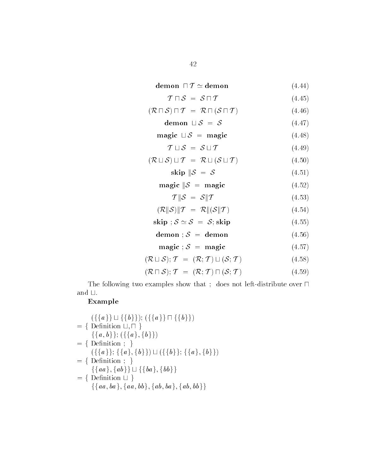$$
\begin{aligned}\n &\text{demon} \quad \Box \quad \Box \\
 &\text{demon} \quad \Box \quad \mathcal{T} \simeq \text{demon}\n \end{aligned}\n \tag{4.44}
$$

$$
\mathcal{T} \sqcap \mathcal{S} = \mathcal{S} \sqcap \mathcal{T} \tag{4.45}
$$
\n
$$
(\mathcal{R} \sqcap \mathcal{S}) \sqcap \mathcal{T} = \mathcal{R} \sqcap (\mathcal{S} \sqcap \mathcal{T}) \tag{4.46}
$$

$$
(\mathcal{R} \sqcap \mathcal{S}) \sqcap \mathcal{T} = \mathcal{R} \sqcap (\mathcal{S} \sqcap \mathcal{T}) \tag{4.46}
$$
  
demoon  $\sqcup \mathcal{S} = \mathcal{S} \tag{4.47}$ 

$$
\text{demo } \sqcup \mathcal{S} = \mathcal{S} \tag{4.47}
$$
\n
$$
\text{magic } \sqcup \mathcal{S} = \text{magic} \tag{4.48}
$$

$$
magic \cup S = magic \qquad (4.48)
$$

$$
\mathcal{T} \sqcup \mathcal{S} = \mathcal{S} \sqcup \mathcal{T} \tag{4.49}
$$
\n
$$
(\mathcal{R} \sqcup \mathcal{S}) \sqcup \mathcal{T} = \mathcal{R} \sqcup (\mathcal{S} \sqcup \mathcal{T}) \tag{4.50}
$$

$$
(\mathcal{R} \sqcup \mathcal{S}) \sqcup \mathcal{T} = \mathcal{R} \sqcup (\mathcal{S} \sqcup \mathcal{T}) \tag{4.50}
$$

skip  $\|\mathcal{S} = \mathcal{S}\|$  $(4.51)$ 

$$
magic \|\mathcal{S} = magic \tag{4.52}
$$

$$
\mathcal{T} \| \mathcal{S} \ = \ \mathcal{S} \| \mathcal{T} \tag{4.53}
$$

$$
(\mathcal{R}||\mathcal{S})||\mathcal{T} = \mathcal{R}||(\mathcal{S}||\mathcal{T}) \tag{4.54}
$$

- skip ;  $S \simeq S = S$ ; skip (4.55)
- demon ;  $S =$  demon (4.56)

$$
magic ; S = magic
$$
 (4.57)

$$
(\mathcal{R} \sqcup \mathcal{S}); \mathcal{T} = (\mathcal{R}; \mathcal{T}) \sqcup (\mathcal{S}; \mathcal{T}) \tag{4.58}
$$

$$
(\mathcal{R} \sqcap \mathcal{S}); \mathcal{T} = (\mathcal{R}; \mathcal{T}) \sqcap (\mathcal{S}; \mathcal{T}) \tag{4.59}
$$

The following two examples show that ; does not left-distribute over  $\sqcap$ and  $\sqcup.$ 

# Example

Example

\n
$$
\begin{aligned}\n &\quad \left(\{\{a\}\}\sqcup \{\{b\}\}\right); (\{\{a\}\}\sqcap \{\{b\}\}) \\
 &= \{\text{ Definition } \sqcup, \sqcap \} \\
 &\quad \{\{a, b\}\}; (\{\{a\}, \{b\}\}) \\
 &= \{\text{ Definition } ; \} \\
 &\quad \left(\{\{a\}\}; \{\{a\}, \{b\}\}\right) \sqcup (\{\{b\}\}; \{\{a\}, \{b\}\}) \\
 &= \{\text{ Definition } ; \} \\
 &\quad \{\{aa\}, \{ab\}\} \sqcup \{\{ba\}, \{bb\}\} \\
 &= \{\text{ Definition } \sqcup \} \\
 &\quad \{\{aa, ba\}, \{aa, bb\}, \{ab, ba\}, \{ab, bb\}\}\n \end{aligned}
$$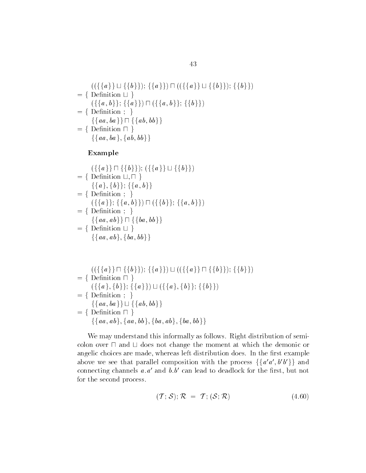$$
\begin{aligned}\n &\quad \left(\left(\{\{a\}\}\sqcup \{\{b\}\}\right);\{\{a\}\}\right) \sqcap \left(\left(\{\{a\}\}\sqcup \{\{b\}\}\right);\{\{b\}\}\right) \\
 &= \{\text{ Definition } \sqcup \} \\
 &\quad \left(\{\{a,b\}\}; \{\{a\}\}\right) \sqcap \left(\{\{a,b\}\}; \{\{b\}\}\right) \\
 &= \{\text{ Definition } ; \} \\
 &\quad \left\{\{aa, ba\}\right\} \sqcap \{\{ab, bb\}\} \\
 &= \{\text{ Definition } \sqcap \} \\
 &\quad \left\{\{aa, ba\}, \{ab, bb\}\right\}\n \end{aligned}
$$

# Example

Example

\n
$$
\begin{aligned}\n &\text{(}\{\{a\}\}\sqcap \{\{b\}\}); (\{\{a\}\}\sqcup \{\{b\}\}) \\
 &= \{\text{ Definition } \sqcup, \sqcap \} \\
 &\{\{a\}, \{b\}\}; \{\{a, b\}\} \\
 &= \{\text{ Definition } ; \} \\
 &\left(\{\{a\}\}; \{\{a, b\}\}\right)\sqcap (\{\{b\}\}; \{\{a, b\}\}) \\
 &= \{\text{ Definition } ; \} \\
 &\{\{aa, ab\}\}\sqcap \{\{ba, bb\}\} \\
 &= \{\text{ Definition } \sqcup \} \\
 &\{\{aa, ab\}, \{ba, bb\}\}\n\end{aligned}
$$

$$
= \{ (({\{a\}} \sqcap {\{b\}})); {\{a\}} ) \sqcup (({\{a\}} \sqcap {\{b\}})); {\{b\}} )
$$
  
\n
$$
= {\text{ Definition } \sqcap } \}
$$
  
\n
$$
({\{a\}}, {\{b\}}; {\{a\}} ) \sqcup ({\{a\}}, {\{b\}}; {\{b\}} )
$$
  
\n
$$
= {\text{ Definition } ; } \}
$$
  
\n
$$
{\{aa, ba\}} \sqcup {\{ab, bb\}}
$$
  
\n
$$
= {\text{ Definition } \sqcap } \}
$$
  
\n
$$
{\{aa, ab\}, {\{aa, bb\}}, {\{ba, ab\}}, {\{ba, bb\}} }
$$

We may understand this informally as follows. Right distribution of semicolon over  $\sqcap$  and  $\sqcup$  does not change the moment at which the demonic or angelic choices are made, whereas left distribution does. In the first example above we see that parallel composition with the process  $\{\{a'a', b'b'\}\}\$ and connecting channels  $u, u$  and  $v, v$  can lead to deadlock for the first, but not for the second process

$$
(\mathcal{T}; \mathcal{S}); \mathcal{R} = \mathcal{T}; (\mathcal{S}; \mathcal{R}) \tag{4.60}
$$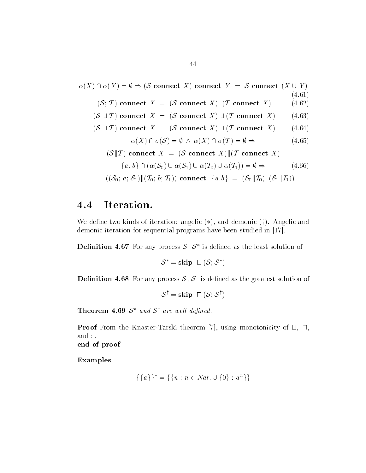$$
\alpha(X) \cap \alpha(Y) = \emptyset \Rightarrow (\mathcal{S} \text{ connect } X) \text{ connect } Y = \mathcal{S} \text{ connect } (X \cup Y)
$$
\n(4.61)  
\n
$$
(\mathcal{S}; \mathcal{T}) \text{ connect } X = (\mathcal{S} \text{ connect } X); (\mathcal{T} \text{ connect } X) \qquad (4.62)
$$
\n(6) 
$$
(\mathcal{S} \cup \mathcal{T}) \text{ connect } X = (\mathcal{S} \text{ connect } X) \cup (\mathcal{T} \text{ connect } X) \qquad (4.63)
$$
\n(6) 
$$
(\mathcal{S} \cap \mathcal{T}) \text{ connect } X = (\mathcal{S} \text{ connect } X) \cap (\mathcal{T} \text{ connect } X) \qquad (4.64)
$$
\n
$$
\alpha(X) \cap \sigma(\mathcal{S}) = \emptyset \land \alpha(X) \cap \sigma(\mathcal{T}) = \emptyset \Rightarrow \qquad (4.65)
$$
\n(8) 
$$
(\mathcal{S} \cap \mathcal{T}) \text{ connect } X = (\mathcal{S} \text{ connect } X) || (\mathcal{T} \text{ connect } X) \qquad (4.66)
$$
\n
$$
\{a, b\} \cap (\alpha(\mathcal{S}_0) \cup \alpha(\mathcal{S}_1) \cup \alpha(\mathcal{T}_0) \cup \alpha(\mathcal{T}_1)) = \emptyset \Rightarrow \qquad (4.66)
$$
\n
$$
((\mathcal{S}_0; a; \mathcal{S}_1) || (\mathcal{T}_0; b; \mathcal{T}_1)) \text{ connect } \{a, b\} = (\mathcal{S}_0 || \mathcal{T}_0); (\mathcal{S}_1 || \mathcal{T}_1))
$$

#### 4.4 Iteration.

We define two kinds of iteration: angelic  $(*)$ , and demonic  $(\dagger)$ . Angelic and demonic iteration for sequential programs have been studied in -

**Definition 4.67** For any process S,  $S^*$  is defined as the least solution of

 $\mathcal{S}^* =$ skip  $\Box (\mathcal{S}; \mathcal{S}^*)$ 

**Definition 4.68** For any process  $S$ ,  $S^{\dagger}$  is defined as the greatest solution of

 $S^{\dagger}$  = skip  $\Box$  (S: S<sup>†</sup>)

Theorem 4.69  $S^*$  and  $S^{\dagger}$  are well defined.

**Proof** From the Knaster-Tarski theorem [7], using monotonicity of  $\sqcup$ ,  $\sqcap$ , and  $\,$ ; . end of proof

Examples

$$
\{\{a\}\}^* = \{\{n : n \in Nat. \cup \{0\} : a^n\}\}\
$$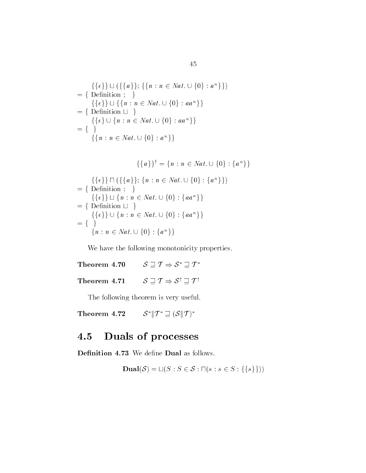$$
\{\{\epsilon\}\} \sqcup (\{\{a\}\}; \{\{n : n \in Nat. \cup \{0\} : a^n\}\})
$$
\n
$$
= \{\text{Definition } ; \}
$$
\n
$$
\{\{\epsilon\}\} \sqcup \{\{n : n \in Nat. \cup \{0\} : aa^n\}\}
$$
\n
$$
= \{\text{Definition } \sqcup \}
$$
\n
$$
\{\{\epsilon\} \cup \{n : n \in Nat. \cup \{0\} : aa^n\}\}
$$
\n
$$
= \{\}
$$
\n
$$
\{\{n : n \in Nat. \cup \{0\} : a^n\}\}
$$
\n
$$
\{\{a\}\}^{\dagger} = \{n : n \in Nat. \cup \{0\} : \{a^n\}\}
$$

$$
\{\{a\}\}^{\dagger} = \{n : n \in Nat. \cup \{0\} : \{a^n\}\}\
$$

$$
= \{\{\{\epsilon\}\} \sqcap (\{\{a\}\}; \{n : n \in Nat. \cup \{0\} : \{a^n\}\})
$$

$$
= \{\text{Definition}; \}
$$

$$
\{\{\epsilon\}\} \sqcup \{n : n \in Nat. \cup \{0\} : \{aa^n\}\}\
$$

$$
= \{\text{Definition} \sqcup \}
$$

$$
\{\{\epsilon\}\} \cup \{n : n \in Nat. \cup \{0\} : \{aa^n\}\}\
$$

$$
= \{\}
$$

$$
\{n : n \in Nat. \cup \{0\} : \{a^n\}\}\
$$

we have the following monotonicity properties. We have the following monotonicity propert<br>
Theorem 4.70  $S \sqsupseteq T \Rightarrow S^* \sqsupseteq T^*$ 

Theorem 4.70  $S \sqsupseteq T \Rightarrow S^* \sqsupseteq T^*$ <br>Theorem 4.71  $S \sqsupseteq T \Rightarrow S^{\dagger} \sqsupseteq T^{\dagger}$ 

The following theorem is very useful

Theorem  $4.72\,$  $S^*$   $T^* \sqsupset (S \mid T)^*$ 

#### 4.5 Duals of processes

73 We define **Dual** as follows.  
\n**Dual**
$$
(S) = \sqcup (S : S \in S : \sqcap (s : s \in S : \{\{s\}\}))
$$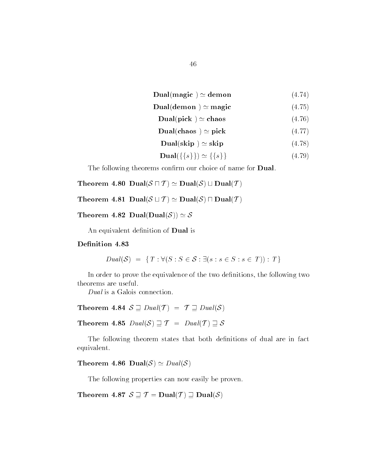$$
Dual(magic) \simeq demon \qquad (4.74)
$$

$$
Dual(demon) \simeq magic \qquad (4.75)
$$

$$
Dual(pick) \simeq chaos \qquad (4.76)
$$

$$
Dual(chaos \ ) \simeq pick \qquad (4.77)
$$

$$
\mathbf{Dual}(\text{skip}) \simeq \text{skip} \tag{4.78}
$$
\n
$$
\mathbf{Dual}(\{\{s\}\}) \simeq \{\{s\}\} \tag{4.79}
$$

$$
\mathbf{Dual}(\{\{s\}\}) \simeq \{\{s\}\}\tag{4.79}
$$

The following theorems confirm our choice of name for **Dual**.

Theorem 4.80  $\mathop{\rm Dual}\nolimits({\mathcal S} \sqcap {\mathcal T}) \simeq \mathop{\rm Dual}\nolimits({\mathcal S}) \sqcup \mathop{\rm Dual}\nolimits({\mathcal T})$ 

Theorem 4.81  $\pmb{\mathrm{Dual}}(\mathcal{S}\sqcup \mathcal{T})\simeq \pmb{\mathrm{Dual}}(\mathcal{S})\sqcap \pmb{\mathrm{Dual}}(\mathcal{T})$ <br>Theorem 4.82  $\pmb{\mathrm{Dual}}(\pmb{\mathrm{Dual}}(\mathcal{S}))\simeq \mathcal{S}$ 

An equivalent definition of Dual is

on 4.83  

$$
Dual(\mathcal{S}) = \{T : \forall (S : S \in \mathcal{S} : \exists (s : s \in S : s \in T)) : T\}
$$

In order to prove the equivalence of the two definitions, the following two theorems are useful

Dual is a Galois connection

*Dual* is a Galois connection.<br> **Theorem 4.84**  $S \supseteq Dual(\mathcal{T}) = \mathcal{T} \supseteq Dual(\mathcal{S})$ 4  $S \supseteq Dual(\mathcal{T}) = \mathcal{T} \supseteq Dual(\mathcal{S})$ <br>5  $Dual(\mathcal{S}) \supseteq \mathcal{T} = Dual(\mathcal{T}) \supseteq \mathcal{S}$ 

**Theorem 4.85**  $Dual(S) \sqsupseteq T = Dual(T) \sqsupseteq S$ 

The following theorem states that both definitions of dual are in fact equivalent

Theorem 4.86  $\pmb{\mathrm{Dual}}(\mathcal{S})\simeq \textit{Dual}(\mathcal{S})$ 

The following properties can now easily be proven

Theorem 4.87  $S \sqsupset T = \text{Dual}(\mathcal{T}) \sqsupset \text{Dual}(\mathcal{S})$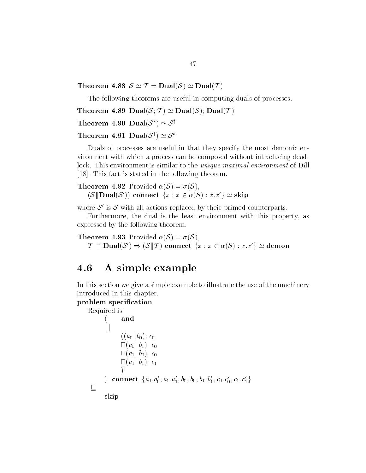Theorem 4.88  $\mathcal{S}\simeq \mathcal{T}=\mathbf{Dual}(\mathcal{S})\simeq \mathbf{Dual}(\mathcal{T})$ 

The following theorems are useful in computing duals of processes

Theorem 4.89  $\pmb{\mathrm{Dual}}(\mathcal{S};\,\mathcal{T})\simeq\pmb{\mathrm{Dual}}(\mathcal{S});\pmb{\mathrm{Dual}}(\mathcal{T})$ Theorem 4.89  $\bm{\mathrm{Dual}}(\mathcal{S};\,\mathcal{T})\simeq \bm{\mathrm{Dual}}(\mathcal{S})$ <br>Theorem 4.90  $\bm{\mathrm{Dual}}(\mathcal{S}^*)\simeq \mathcal{S}^\dagger$ 

Theorem 4.90 Dual( $S^*$ )  $\simeq S^{\dagger}$ <br>Theorem 4.91 Dual( $S^{\dagger}$ )  $\simeq S^*$ 

Duals of processes are useful in that they specify the most demonic en vironment with which a process can be composed without introducing dead lock. This environment is similar to the *unique maximal environment* of Dill , we prove the fact is stated in the following the following theorem.

**Theorem 4.92** Provided  $\alpha(\mathcal{S}) = \sigma(\mathcal{S})$ , This ract is stated in the following theorem.<br> **eorem 4.92** Provided  $\alpha(S) = \sigma(S)$ ,<br>  $(S||\text{Dual}(S'))$  connect  $\{x : x \in \alpha(S) : x.x'\} \simeq \text{skip}$ 

where  $S'$  is S with all actions replaced by their primed counterparts.

Furthermore, the dual is the least environment with this property, as expressed by the following theorem

**Theorem 4.93** Provided  $\alpha(S) = \sigma(S)$ . sed by the following theorem:<br>
rem 4.93 Provided  $\alpha(S) = \sigma(S)$ ,<br>  $\Box$  Dual $(S') \Rightarrow (S \| T)$  connect  $\{x : x \in \alpha(S) : x.x'\} \simeq$  demon

#### 4.6 A simple example

In this section we give a simple example to illustrate the use of the machinery introduced in this chapter

# problem specification

```
Required is
         and
         \parallel((a_0||b_0); c_0\Box(a_0||b_1); c_0\Box(a_1 \| b_0); c_0\Box(a_1 \| b_1); c_1
                \mathcal{A}^{\dagger}) connect \{a_0.a_0', a_1.a_1', b_0, b_0, b_1.b_1', c_0.c_0', c_1.c_1'\}\sqsubseteqskip
```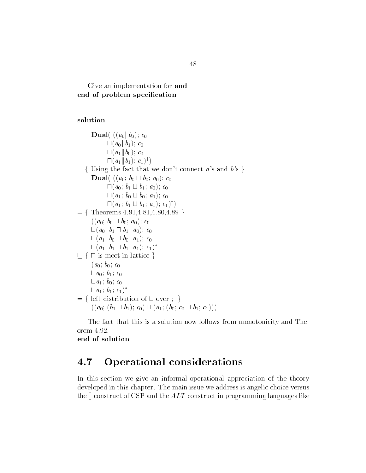Give an implementation for and end of problem specification

# solution

**Dual**( $((a_0||b_0); c_0)$  $\Box(a_0 \| b_1); c_0$  $\Box(a_1 \| b_0); c_0$  $\Box (a_1 || b_1); c_1)$ <sup>†</sup>)  $f = \{$  Using the fact that we don't connect a's and b's  $\}$ **Dual** ((*a*<sub>0</sub>; *b*<sub>0</sub>  $\sqcup$  *b*<sub>0</sub>; *a*<sub>0</sub>); *c*<sub>0</sub>  $\sqcap (a_0; b_1 \sqcup b_1; a_0); c_0$  $\sqcap (a_1; b_0 \sqcup b_0; a_1); c_0$  $\sqcap (a_1; b_1 \sqcup b_1; a_1); c_1)$ <sup>†</sup>)  $=$  {Theorems  $4.91, 4.81, 4.80, 4.89$ }  $((a_0; b_0 \sqcap b_0; a_0); c_0$  $\Box(a_0; b_1 \Box b_1; a_0); c_0$  $\Box(a_1; b_0 \Box b_0; a_1); c_0$  $\sqcup (a_1; b_1 \sqcap b_1; a_1); c_1)^*$  $\Box$  {  $\Box$  is meet in lattice }  $(a_0; b_0; c_0)$  $\Box a_0; b_1; c_0$  $\Box a_1; b_0; c_0$  $\sqcup a_1; b_1; c_1)^*$  $f = \{ \text{ left distribution of } \sqcup \text{ over } \}$  $((a_0; (b_0 \sqcup b_1); c_0) \sqcup (a_1; (b_0; c_0 \sqcup b_1; c_1)))$ 

The fact that this is a solution now follows from monotonicity and The orem 4.92.

end of solution

#### 4.7 Operational considerations

In this section we give an informal operational appreciation of the theory developed in this chapter. The main issue we address is angelic choice versus the  $\parallel$  construct of CSP and the  $ALT$  construct in programming languages like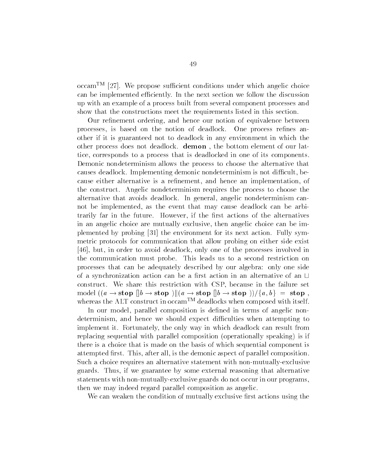$\operatorname{occam}^{\text{TM}}$  [27]. We propose sufficient conditions under which angelic choice can be implemented efficiently. In the next section we follow the discussion up with an example of a process built from several component processes and show that the constructions meet the requirements listed in this section

Our refinement ordering, and hence our notion of equivalence between processes, is based on the notion of deadlock. One process refines another if it is guaranteed not to deadlock in any environment in which the other process does not deadlock. **demon**, the bottom element of our lattice, corresponds to a process that is deadlocked in one of its components Demonic nondeterminism allows the process to choose the alternative that causes deadlock. Implementing demonic nondeterminism is not difficult, because either alternative is a refinement, and hence an implementation, of the construct Angelic nondeterminism requires the process to choose the alternative that avoids deadlock. In general, angelic nondeterminism cannot be implemented, as the event that may cause deadlock can be arbitrarily far in the future. However, if the first actions of the alternatives in an angelic choice are mutually exclusive then angelic choice can be im plemented by probing - the environment for its next action Fully sym metric protocols for communication that allow probing on either side exist [46], but, in order to avoid deadlock, only one of the processes involved in the communication must probe This leads us to a second restriction on processes that can be adequately described by our algebra: only one side of a synchronization action can be a first action in an alternative of an  $\sqcup$ construct. We share this restriction with CSP, because in the failure set model  $((a \rightarrow \text{stop} \parallel b \rightarrow \text{stop} \parallel)(a \rightarrow \text{stop} \parallel b \rightarrow \text{stop} \)) / \{a, b\} =$  stop, whereas the ALT construct in  $occam<sup>TM</sup>$  deadlocks when composed with itself.

In our model, parallel composition is defined in terms of angelic nondeterminism, and hence we should expect difficulties when attempting to implement it. Fortunately, the only way in which deadlock can result from replacing sequential with parallel composition (operationally speaking) is if there is a choice that is made on the basis of which sequential component is attempted first. This, after all, is the demonic aspect of parallel composition. Such a choice requires an alternative statement with non-mutually-exclusive guards. Thus, if we guarantee by some external reasoning that alternative statements with non-mutually-exclusive guards do not occur in our programs, then we may indeed regard parallel composition as angelic

We can weaken the condition of mutually exclusive first actions using the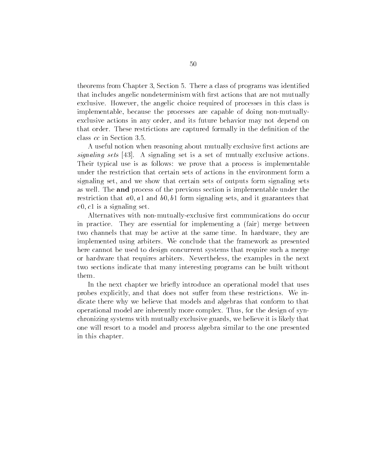theorems from Chapter 3, Section 5. There a class of programs was identified that includes angelic nondeterminism with first actions that are not mutually exclusive. However, the angelic choice required of processes in this class is implementable, because the processes are capable of doing non-mutuallyexclusive actions in any order, and its future behavior may not depend on that order. These restrictions are captured formally in the definition of the class cc in Section

A useful notion when reasoning about mutually exclusive first actions are signaling sets  $[43]$ . A signaling set is a set of mutually exclusive actions. Their typical use is as follows: we prove that a process is implementable under the restriction that certain sets of actions in the environment form a signaling set, and we show that certain sets of outputs form signaling sets as well. The **and** process of the previous section is implementable under the restriction that a-b-contract a-contract that a-contract  $\alpha$ -contract and it guarantees that it is a co is a signalized set of  $\sim$ 

Alternatives with non-mutually-exclusive first communications do occur in practice. They are essential for implementing a (fair) merge between two channels that may be active at the same time. In hardware, they are implemented using arbiters We conclude that the framework as presented here cannot be used to design concurrent systems that require such a merge or hardware that requires arbiters Nevertheless the examples in the next two sections indicate that many interesting programs can be built without them

In the next chapter we brie y introduce an operational model that uses probes explicitly, and that does not suffer from these restrictions. We indicate there why we believe that models and algebras that conform to that operational model are inherently more complex Thus for the design of syn chronizing systems with mutually exclusive guards we believe it is likely that one will resort to a model and process algebra similar to the one presented in this chapter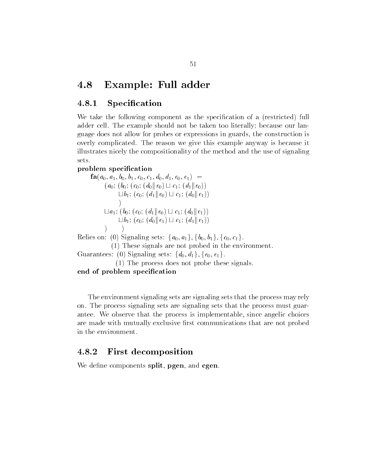# 4.8 Example: Full adder

#### -----Specification

We take the following component as the specification of a (restricted) full adder cell. The example should not be taken too literally; because our language does not allow for probes or expressions in guards, the construction is overly complicated The reason we give this example anyway is because it illustrates nicely the compositionality of the method and the use of signaling sets

# problem specification

ו ש- וער וב- וער וב- וער וב- וער וב- וער וער  $(a_0; (b_0; (c_0; (d_0 \Vert e_0) \sqcup c_1; (d_1 \Vert e_0))$  $\Box b_1$ ;  $(c_0; (d_1 \parallel e_0) \sqcup c_1; (d_0 \parallel e_1))$  $\left( \right)$  $\Box a_1$ ;  $(b_0; (c_0; (d_1 \Vert e_0) \Box c_1; (d_0 \Vert e_1))$  $\Box b_1$ ;  $(c_0; (d_0 || e_1) \Box c_1; (d_1 || e_1))$  $\mathcal{L}$  $\rightarrow$  Relies on: (0) Signaling sets:  $\{a_0, a_1\}, \{b_0, b_1\}, \{c_0, c_1\}$ .

 $\mathbf{r}$  is a signal signal signals are not probed in the environment of  $\mathbf{r}$ 

Guarantees: (0) Signaling sets:  $\{d_0, d_1\}, \{e_0, e_1\}.$ 

 $\mathcal{F}$  the probe the probe these signals of probe these signals in the probe these signals in the probe these signals in the probe the probe the probe the signals of the probe the signals of the signals of the signals o

end of problem specification

The environment signaling sets are signaling sets that the process may rely on The process signaling sets are signaling sets that the process must guar antee. We observe that the process is implementable, since angelic choices are made with mutually exclusive first communications that are not probed in the environment

#### -----First decomposition

We define components split, pgen, and cgen.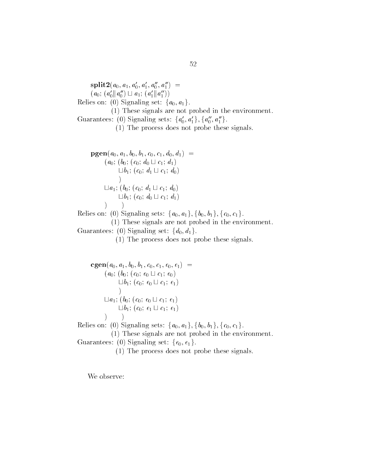$\text{span}\{a_0, a_1, a_0, a_1, a_0, a_1\} =$  $(a_0; (a'_0 || a''_0) \sqcup a_1; (a'_1 || a''_1))$ Relies on: (0) Signaling set:  $\{a_0, a_1\}$ .  $\mathbf{r}$  is a signal signal signals are not probed in the environment of  $\mathbf{r}$ Guarantees: (0) Signaling sets:  $\{a'_0, a'_1\}$ ,  $\{a''_0, a''_1\}$ .  $\mathcal{F}$  the probe the probe these signals of probe these signals in the probe these signals in the probe these signals in the probe the probe the probe the signals of the probe the signals of the signals of the signals o ו ב- ניטי יונד ניטי יונד ביטוי יונד מ- מ- דומר מ- ה  $(a_0; (b_0; (c_0; d_0 \sqcup c_1; d_1))$  $\Box b_1$ ;  $(c_0; d_1 \Box c_1; d_0)$  $\mathbf{r}$  and  $\mathbf{r}$  $\Box a_1$ ;  $(b_0; (c_0; d_1 \Box c_1; d_0))$  $\Box b_1$ ;  $(c_0; d_0 \Box c_1; d_1)$  $)$  ) Relies on: (0) Signaling sets:  $\{a_0, a_1\}, \{b_0, b_1\}, \{c_0, c_1\}$ .  $\mathbf{I}$  are not probed in the environment in the environment in the environment in the environment in the environment in the environment in the environment in the environment in the environment in the environment in the Guarantees: (0) Signaling set:  $\{d_0, d_1\}$ .  $\mathcal{F}$  the probe the probe these signals of probe these signals in the probe these signals in the probe these signals in the probe the probe the probe the signals of the probe the signals of the signals of the signals o

 $\mathbf{r}$  -  $\mathbf{r}$  -  $\mathbf{r}$  -  $\mathbf{r}$  -  $\mathbf{r}$  -  $\mathbf{r}$  -  $\mathbf{r}$  -  $\mathbf{r}$  -  $\mathbf{r}$  -  $\mathbf{r}$  -  $\mathbf{r}$  -  $\mathbf{r}$  -  $\mathbf{r}$  -  $\mathbf{r}$  -  $\mathbf{r}$  -  $\mathbf{r}$  -  $\mathbf{r}$  -  $\mathbf{r}$  -  $\mathbf{r}$  -  $\mathbf{r}$  -  $(a_0; (b_0; (c_0; e_0 \sqcup c_1; e_0))$  $\Box b_1$ ;  $(c_0; e_0 \Box c_1; e_1)$  $\mathcal{L}$   $\Box a_1$ ;  $(b_0; (c_0; e_0 \Box c_1; e_1))$  $\Box b_1$ ;  $(c_0; e_1 \Box c_1; e_1)$  Relies on: (0) Signaling sets:  $\{a_0, a_1\}, \{b_0, b_1\}, \{c_0, c_1\}$ .  $\mathbf{1}$  . These signals are not probed in the environment in the environment in the environment in the environment in the environment in the environment in the environment in the environment in the environment in the env Guarantees: (0) Signaling set:  $\{e_0, e_1\}$ .

 $\mathcal{F}$  the probe the probe these signals of probe these signals in the probe these signals in the probe these signals in the probe the probe the probe the signals of the probe the signals of the signals of the signals o

We observe: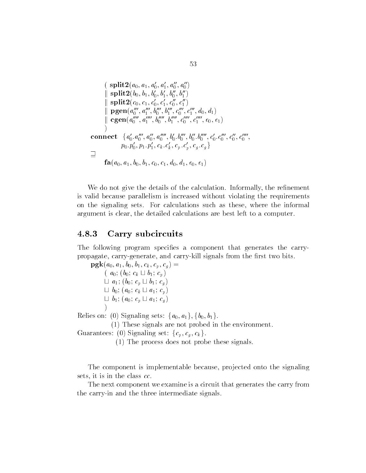splita a a a a a k splitb b b b b b k splitc c c c c c k pgena a b b c c d d k cgena a b b c c e e connect faa a a b b b b c c c c pp pp ck c k cp c p cg cg <sup>g</sup>

faa- a- b- b- c- c- d- d- e- e

We do not give the details of the calculation. Informally, the refinement is valid because parallelism is increased without violating the requirements on the signaling sets. For calculations such as these, where the informal argument is clear, the detailed calculations are best left to a computer.

#### ----Carry subcircuits

The following program specifies a component that generates the carrypropagate, carry-generate, and carry-kill signals from the first two bits.

 $\mathbf{r}$   $\mathbf{c}$ - $\mathbf{c}$  -  $\mathbf{c}$  -  $\mathbf{c}$  -  $\mathbf{c}$  -  $\mathbf{c}$  -  $\mathbf{c}$  -  $\mathbf{c}$  -  $\mathbf{c}$  -  $\mathbf{c}$  -  $\mathbf{c}$  -  $\mathbf{c}$  -  $\mathbf{c}$  -  $\mathbf{c}$  -  $\mathbf{c}$  -  $\mathbf{c}$  -  $\mathbf{c}$  -  $\mathbf{c}$  -  $\mathbf{c}$  -  $\mathbf{$  $(a_0; (b_0; c_k \sqcup b_1; c_p))$  $\Box a_1$ ;  $(b_0; c_p \Box b_1; c_q)$  $\Box b_0$ ;  $(a_0; c_k \Box a_1; c_p)$  $\Box$  b<sub>1</sub>;  $(a_0; c_p \Box a_1; c_q)$  $\mathcal{L}$ 

 

Relies on: (0) Signaling sets:  $\{a_0, a_1\}, \{b_0, b_1\}$ .

- These signals are not probed in the environment

Guarantees: (0) Signaling set:  $\{c_p, c_q, c_k\}$ .

 $\mathcal{F}$  the probe the probe these signals of probe these signals in the probe these signals in the probe these signals in the probe the probe the probe the signals of the probe the signals of the signals of the signals o

The component is implementable because, projected onto the signaling sets, it is in the class  $cc$ .

The next component we examine is a circuit that generates the carry from the carry in and the three intermediate signals.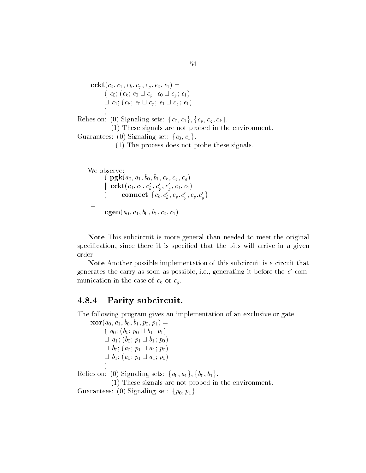ccktc- c- ck - cp - cg - e- e  $(c_0; (c_k; e_0 \sqcup c_p; e_0 \sqcup c_g; e_1))$  $\sqcup c_1; (c_k; e_0 \sqcup c_p; e_1 \sqcup c_q; e_1)$  $\mathbf{r}$  and  $\mathbf{r}$ Relies on: (0) Signaling sets:  $\{c_0, c_1\}, \{c_p, c_q, c_k\}.$ 

 $\mathbf{1}$  . These signals are not probed in the environment in the environment in the environment in the environment in the environment in the environment in the environment in the environment in the environment in the env Guarantees: (0) Signaling set:  $\{e_0, e_1\}$ .

- The process does not probe these signals

We observe: pgka- a- b- b- ck - cp - cg  ka ka  $\begin{array}{lll} \| {\bf cckt}(\emph{c}_0, \emph{c}_1, \emph{c}_k, \emph{c}_p, \emph{c}_g, \emph{e}_0, \emph{e}_1) \ \end{array}$  $\Box$ cgena- a- b- b- c- c

Note This subcircuit is more general than needed to meet the original specification, since there it is specified that the bits will arrive in a given order

Note Another possible implementation of this subcircuit is a circuit that generates the carry as soon as possible, i.e., generating it before the  $c$  communication in the case of  $c_k$  or  $c_g$ .

#### ----Parity subcircuit.

The following program gives an implementation of an exclusive or gate

xora- a- b- b- p- p  $(a_0; (b_0; p_0 \sqcup b_1; p_1))$  $\sqcup a_1$ ;  $(b_0; p_1 \sqcup b_1; p_0)$  $\Box$  b<sub>0</sub>;  $(a_0; p_1 \Box a_1; p_0)$  $\Box$  b<sub>1</sub>;  $(a_0; p_1 \Box a_1; p_0)$ 

 

Relies on: (0) Signaling sets:  $\{a_0, a_1\}, \{b_0, b_1\}$ .

- These signals are not probed in the environment

Guarantees: (0) Signaling set:  $\{p_0, p_1\}$ .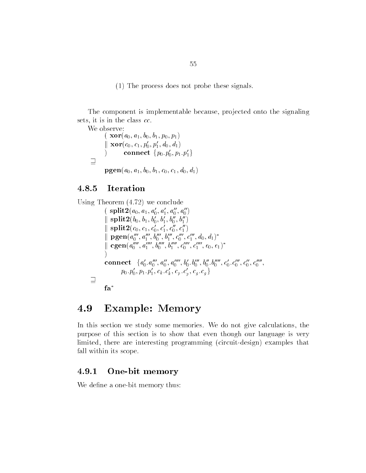- The process does not probe these signals

The component is implementable because, projected onto the signaling sets, it is in the class  $cc$ .

```
We observe:
                                                   x - 1 - 1 - 0 products to the property of the property of the property x - 1 - 0ka ka
                                                   \{ \begin{array}{l} \parallel \ \mathbf{Xor}(\,c_0,\,c_1,\,p_0,\,p_1,\,a_0,\,a_1) \ \mathrm{\quad \quad } \ \mathrm{\quad \quad } \ \mathrm{\quad \quad } \ \mathrm{\quad \quad } \ \mathrm{\quad \quad } \ \mathrm{\quad \quad } \ \mathrm{\quad \quad } \ \mathrm{\quad \quad } \ \mathrm{\quad \quad } \ \mathrm{\quad \quad } \ \mathrm{\quad \quad } \ \mathrm{\quad \quad } \ \mathrm{\quad \quad } \ \mathrm{\quad \quad } \ \mathrm{\quad \quad } \ \mathrm{\quad \quad } \ \mathrm{\quad \quad } \ \mathrm{\quad \quad } \ \mathrm{\quad \quad } \ \mathrm{\quad \quad } \ \mathrm{\quad \quad } \ \\equiv
```
ו ניס יום - ניס - נני ניס - נני ניס - ניס - ניס - מ

#### -----Iteration

```
Using Theorem (4.72) we conclude
                               \binom{1}{0} split-\binom{a}{0}, a_1, a_0, a_1, a_0, a_0ka ka
                                      {\rm splus} \mathcal{L}(v_0, v_1, v_0, v_1, v_0, v_1)\mathbf{u} \in \mathbb{R} , we have \mathbf{v} \in \mathbb{R} , we have \mathbf{u} \in \mathbb{R} , we have \mathbf{u} \in \mathbb{R}\parallel \frac{\textrm{spit}}{1} \parallel \frac{\textrm{spit}}{2}ka ka
                                      cgen(a_0^-, a_1^-, b_0^-, b_1^-, c_0^-, c_1^-, e_0, e_1)\textbf{connect}\quad \{a_0^\prime,a_0^{\prime\prime\prime},a_0^{\prime\prime\prime},a_0^{\prime\prime\prime\prime},b_0^\prime.b_0^{\prime\prime\prime},b_0^{\prime\prime},b_0^{\prime\prime\prime\prime},c_0^\prime,c_0^{\prime\prime\prime},c_0^{\prime\prime},c_0^{\prime\prime\prime\prime},c_0^{\prime\prime\prime\prime},c_0^{\prime\prime\prime\prime},c_0^{\prime\prime\prime\prime},c_0^{\prime\prime\prime\prime},c_0^{\prime\prime\prime\prime},c_0^{\prime\prime\prime\prime},c_0^{\prime\prime\prime\prime},c_0^p_0. \, p_0', \, p_1. \, p_1', \, c_k. \, c_k', \, c_p. \, c_g', \, c_g. \, c_g \, \}\existsfa
```
#### 4.9 **Example: Memory**

In this section we study some memories. We do not give calculations, the purpose of this section is to show that even though our language is very limited, there are interesting programming (circuit-design) examples that fall within its scope

#### -----One die memory

We define a one-bit memory thus: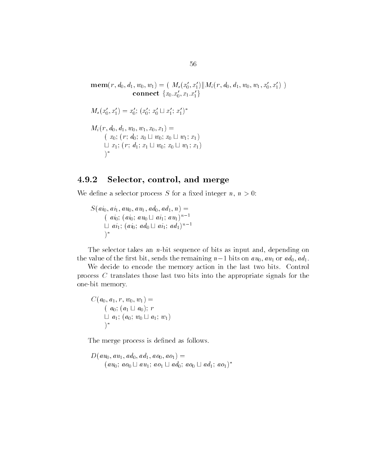$\mathbf{mem}(r, d_0, d_1, w_0, w_1) = ( \; M_\mathbf{s}(x'_0, x'_1) \| M_\mathbf{i}(r, d_0, d_1, w_0, w_1, x'_0, x'_1) \; )$ connect  $\{x_0 . x'_0 , x_1 . x'_1\}$  $M_s(x'_0, x'_1) = x'_0$ ;  $(x'_0, x'_0 \sqcup x'_1; x'_1)^*$  $\cdots$   $\cdots$   $\cdots$   $\cdots$   $\cdots$   $\cdots$   $\cdots$   $\cdots$   $\cdots$   $\cdots$   $\cdots$   $\cdots$  $(x_0; (r; d_0; x_0 \sqcup w_0; x_0 \sqcup w_1; x_1))$  $\sqcup x_1; (r; d_1; x_1 \sqcup w_0; x_0 \sqcup w_1; x_1)$  $\mathbf{I}$  and  $\mathbf{I}$ 

# Selector, control, and merge

We define a selector process S for a fixed integer n,  $n > 0$ :

S are all the second that the second the second second and second the second second second second second second  $(a_{i_0}; (ai_0; au_0 \sqcup ai_1; au_1)^{n-1})$  $\Box$  ai<sub>1</sub>;  $(ai_0; ad_0 \Box a i_1; ad_1)^{n-1}$   $)$ \*

The selector takes an  $n$ -bit sequence of bits as input and, depending on the value of the first bit, sends the remaining  $n-1$  bits on  $au_0$ ,  $au_1$  or  $ad_0$ ,  $ad_1$ .

We decide to encode the memory action in the last two bits. Control process C translates those last two bits into the appropriate signals for the one bit memory.

$$
C(a_0, a_1, r, w_0, w_1) =
$$
  
( $a_0$ ; ( $a_1 \sqcup a_0$ );  $r$   
 $\sqcup a_1$ ; ( $a_0$ ;  $w_0 \sqcup a_1$ ;  $w_1$ )  
)\*

The merge process is defined as follows.

Dau- au- ad- ad- ao- ao  $(au_0; a o_0 \sqcup au_1; a o_1 \sqcup ad_0; a o_0 \sqcup ad_1; a o_1)^*$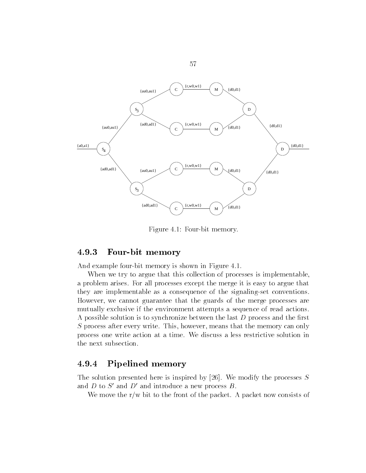

Figure - Four bit memory - Four bit memory - Four bit memory - Four bit memory - Four bit memory - Four bit me<br>The contract of the contract of the contract of the contract of the contract of the contract of the contract o

#### -----Four bit memory

And example four bit memory is shown in Figure -

When we try to argue that this collection of processes is implementable, a problem arises For all processes except the merge it is easy to argue that they are implementable as a consequence of the signaling-set conventions. However, we cannot guarantee that the guards of the merge processes are mutually exclusive if the environment attempts a sequence of read actions A possible solution is to synchronize between the last  $D$  process and the first S process after every write. This, however, means that the memory can only process one write action at a time We discuss a less restrictive solution in the next subsection

#### -----Pipelined memory

The solution presented here is inspired by  $[26]$ . We modify the processes S and  $D$  to  $S'$  and  $D'$  and introduce a new process  $B$ .

We move the  $r/w$  bit to the front of the packet. A packet now consists of

57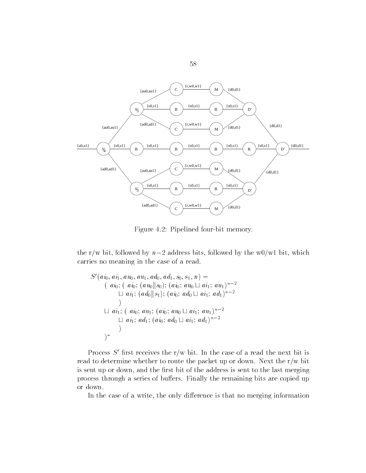

Figure 4.2: Pipelined four-bit memory.

the r/w bit, followed by  $n-2$  address bits, followed by the w0/w1 bit, which carries no meaning in the case of a read

$$
S'(ai_0, ai_1, au_0, au_1, ad_0, ad_1, s_0, s_1, n) =
$$
  
\n
$$
(ai_0; (ai_0; (au_0 || s_0); (ai_0; au_0 \sqcup ai_1; au_1)^{n-2}
$$
  
\n
$$
\sqcup ai_1; (ad_0 || s_1); (ai_0; ad_0 \sqcup ai_1; ad_1)^{n-2}
$$
  
\n
$$
\sqcup ai_1; (ai_0; au_1; (ai_0; au_0 \sqcup ai_1; au_1)^{n-2}
$$
  
\n
$$
\sqcup ai_1; ad_1; (ai_0; ad_0 \sqcup ai_1; ad_1)^{n-2}
$$
  
\n
$$
)
$$
  
\n
$$
(*)
$$

Process  $S'$  first receives the r/w bit. In the case of a read the next bit is read to determine whether to route the packet up or down. Next the  $r/w$  bit is sent up or down, and the first bit of the address is sent to the last merging process through a series of buffers. Finally the remaining bits are copied up or down

In the case of a write, the only difference is that no merging information

58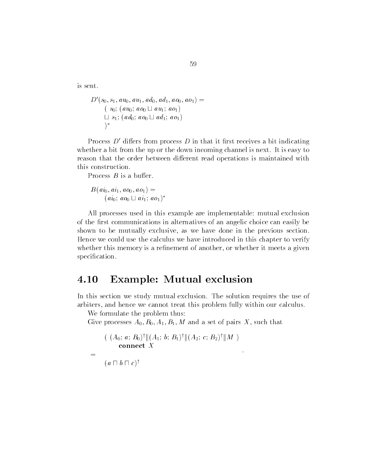is sent

$$
D'(s_0, s_1, au_0, au_1, ad_0, ad_1, ao_0, ao_1) =(s_0; (au_0; ao_0 \sqcup au_1; ao_1)\sqcup s_1; (ad_0; ao_0 \sqcup ad_1; ao_1))*
$$

Process  $D'$  differs from process  $D$  in that it first receives a bit indicating whether a bit from the up or the down incoming channel is next. It is easy to reason that the order between different read operations is maintained with this construction

Process  $B$  is a buffer.

$$
B(a i_0, a i_1, a o_0, a o_1) =
$$
  
(a i<sub>0</sub>; a o<sub>0</sub>  $\sqcup$  a i<sub>1</sub>; a o<sub>1</sub>)<sup>\*</sup>

All processes used in this example are implementable: mutual exclusion of the first communications in alternatives of an angelic choice can easily be shown to be mutually exclusive, as we have done in the previous section. Hence we could use the calculus we have introduced in this chapter to verify whether this memory is a refinement of another, or whether it meets a given specification.

#### 4.10 Example: Mutual exclusion

In this section we study mutual exclusion The solution requires the use of arbiters, and hence we cannot treat this problem fully within our calculus.

We formulate the problem thus:

give processes a-give-give-give-set of pairs in the pairs X such that  $\sim$ 

$$
((A_0; a; B_0)^{\dagger} || (A_1; b; B_1)^{\dagger} || (A_2; c; B_2)^{\dagger} || M )
$$
  
= (a \sqcap b \sqcap c)^{\dagger}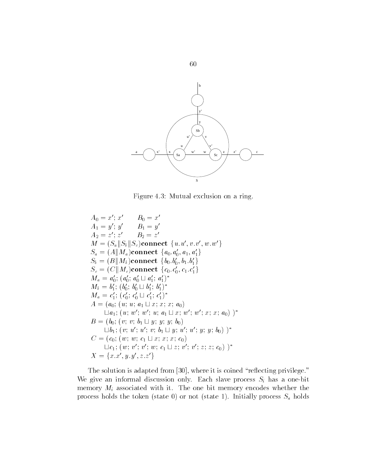

Figure 4.3: Mutual exclusion on a ring.

 $A_0 = x$ ;  $x$   $D_0 = x$  $A_1 = y$ ; y  $B_1 = y$  $A_2 = z \cdot z$   $D_2 = z$  $M = (S_a \| S_b \| S_c)$ connect  $\{u.u', v.v', w.w'\}$  $S_a = (A {\parallel} M_a)$ connect  $\{a_0.a_0', a_1, a_1'\}$  $S_b = (B \| M_b)$ connect  $\{b_0.b_0', b_1.b_1'\}$  $S_c = (\mathit{C} \| M_c)$ connect  $\{c_0. c'_0, c_1. c'_1\}$  $M_a = a'_0; (a'_0; a'_0 \sqcup a'_1; a'_1)^*$  $M_b = b'_1; (b'_0; b'_0 \sqcup b'_1; b'_1)^*$  $M_a = c_1'; (c_0'; c_0' \sqcup c_1'; c_1')^*$  $A = (a_0; (u; u; a_1 \sqcup x; x; x; a_0))$  $\Box a_1$ ;  $(u; w'; w'; u; a_1 \Box x; w'; w'; x; x; a_0)$  )\*  $B = (b_0; (v; v; b_1 \sqcup y; y; y; b_0))$  $\Box b_1$ ;  $(v; u'; v; b_1 \Box y; u'; u'; y; y; b_0)$  )\*  $C = (c_0; (w; w; c_1 \sqcup x; x; x; c_0))$  $\sqcup c_1$ ;  $(w; v'; v'; w; c_1 \sqcup z; v'; v'; z; z; c_0)$  )\*  $X = \{x.x', y.y', z.z'\}$ 

The solution is added from  $\mathbb{R}^n$  is coined representation in the solution is coined representation in the solution is considered from  $\mathbb{R}^n$ We give an informal discussion only. Each slave process  $S_i$  has a one-bit memory  $M_i$  associated with it. The one bit memory encodes whether the process morning that there is not state  $\lambda$  and  $\lambda$  in the state  $\lambda$  in the state  $\alpha$  is a state  $\alpha$ 

60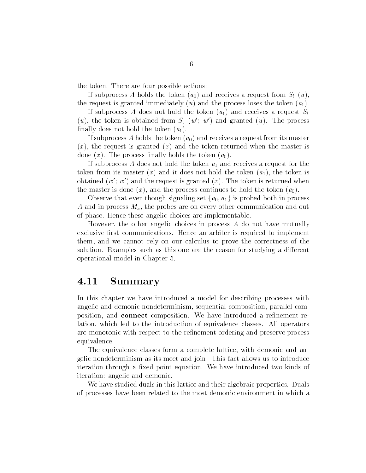the token. There are four possible actions:

If subprocess A holds the token  $(a_0)$  and receives a request from  $S_b(u)$ . the request is granted immediately  $(u)$  and the process loses the token  $(a_1)$ .

If subprocess A does not hold the token  $(a_1)$  and receives a request  $S_b$  $(u)$ , the token is obtained from  $S_c$   $(w'; w')$  and granted  $(u)$ . The process finally does not hold the token  $(a_1)$ .

If subprocess A holds the token  $(a_0)$  and receives a request from its master  $(x)$ , the request is granted  $(x)$  and the token returned when the master is done  $(x)$ . The process finally holds the token  $(a_0)$ .

If subprocess A does not hold the token  $a_1$  and receives a request for the token from its master  $(x)$  and it does not hold the token  $(a_1)$ , the token is obtained  $(w'; w')$  and the request is granted  $(x)$ . The token is returned when the master is done  $(x)$ , and the process continues to hold the token  $(a_0)$ .

Observe that even though signaling set  $\{a_0, a_1\}$  is probed both in process A and in process  $M_a$ , the probes are on every other communication and out of phase. Hence these angelic choices are implementable.

However, the other angelic choices in process  $A$  do not have mutually exclusive first communications. Hence an arbiter is required to implement them, and we cannot rely on our calculus to prove the correctness of the solution. Examples such as this one are the reason for studying a different operational model in Chapter

#### 4.11 Summary

In this chapter we have introduced a model for describing processes with angelic and demonic nondeterminism, sequential composition, parallel composition, and **connect** composition. We have introduced a refinement relation, which led to the introduction of equivalence classes. All operators are monotonic with respect to the refinement ordering and preserve process equivalence

The equivalence classes form a complete lattice, with demonic and angelic nondeterminism as its meet and join This fact allows us to introduce iteration through a fixed point equation. We have introduced two kinds of iteration: angelic and demonic.

We have studied duals in this lattice and their algebraic properties. Duals of processes have been related to the most demonic environment in which a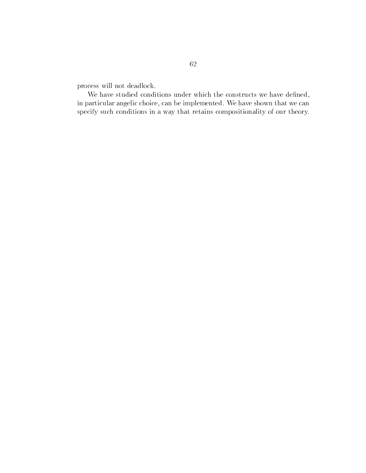process will not deadlock

We have studied conditions under which the constructs we have defined, in particular angelic choice, can be implemented. We have shown that we can specify such conditions in a way that retains compositionality of our theory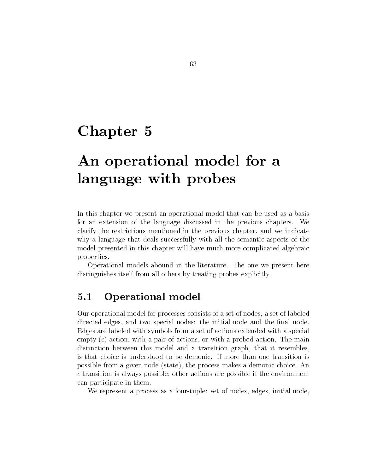## Chapter 5

# An operational model for a language with probes

In this chapter we present an operational model that can be used as a basis for an extension of the language discussed in the previous chapters. We clarify the restrictions mentioned in the previous chapter, and we indicate why a language that deals successfully with all the semantic aspects of the model presented in this chapter will have much more complicated algebraic properties

Operational models abound in the literature The one we present here distinguishes itself from all others by treating probes explicitly

#### $5.1$ Operational model

Our operational model for processes consists of a set of nodes, a set of labeled directed edges, and two special nodes: the initial node and the final node. Edges are labeled with symbols from a set of actions extended with a special empty  $(\epsilon)$  action, with a pair of actions, or with a probed action. The main distinction between this model and a transition graph, that it resembles, is that choice is understood to be demonic If more than one transition is possible from a given node (state), the process makes a demonic choice. An  $\epsilon$  transition is always possible; other actions are possible if the environment can participate in them

We represent a process as a four-tuple: set of nodes, edges, initial node,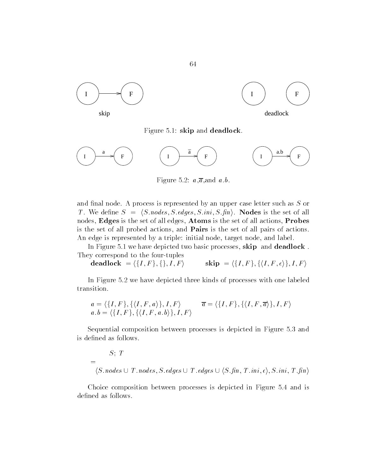



Figure - skip and deadlock



Figure 5.2:  $a,\overline{a}$ , and  $a.b$ .

and final node. A process is represented by an upper case letter such as  $S$  or T. We define  $S = \langle S \text{ nodes}, S \text{ edges}, S \text{ in } S \text{, fin} \rangle$ . **Nodes** is the set of all nodes, Edges is the set of all edges, Atoms is the set of all actions, Probes is the set of all probed actions, and **Pairs** is the set of all pairs of actions. An edge is represented by a triple: initial node, target node, and label.

In Figure - we have depicted two basic processes skip and deadlock They correspond to the four-tuples

 $\mathbf{deadlock} = \langle \{I, F\}, \{\}, I, F\}$  $F \rangle$  skip =  $\langle \{I, F\}, \{\langle I, F, \epsilon \rangle\}, I, F \rangle$ 

In Figure 5.2 we have depicted three kinds of processes with one labeled transition

$$
a = \langle \{I, F\}, \{\langle I, F, a \rangle\}, I, F \rangle \qquad \overline{a} = \langle \{I, F\}, \{\langle I, F, \overline{a} \rangle\}, I, F \rangle
$$
  

$$
a.b = \langle \{I, F\}, \{\langle I, F, a.b \rangle\}, I, F \rangle
$$

Sequential composition between processes is depicted in Figure 5.3 and is defined as follows.

$$
S; T
$$
  
=  $\langle S.nodes \cup T.nodes, S. edges \cup T. edges \cup \langle S.fnn, T.ini, \epsilon \rangle, S.ini, T.fin \rangle$ 

Choice composition between processes is depicted in Figure 5.4 and is defined as follows.

64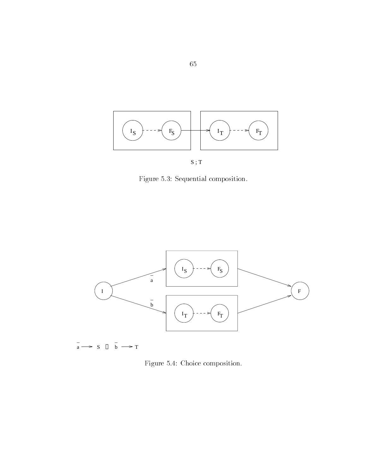

 $\hat{\phi}$ 

S ; T

Figure 5.3: Sequential composition.



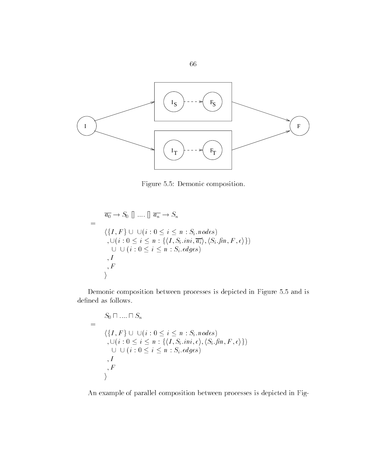

Figure 5.5: Demonic composition.

$$
= \frac{\overline{a_0} \to S_0 \parallel \dots \parallel \overline{a_n} \to S_n}{\langle \{I, F\} \cup \cup (i : 0 \le i \le n : S_i \text{ nodes}) \rangle}, \cup (i : 0 \le i \le n : \{\langle I, S_i \text{ in } i, \overline{a_i} \rangle, \langle S_i \text{ .} fin, F, \epsilon \rangle\})
$$
  
\n
$$
\cup \cup (i : 0 \le i \le n : S_i \text{ .} edges)
$$
  
\n
$$
, I, F \rangle
$$

Demonic composition between processes is depicted in Figure 5.5 and is defined as follows.

$$
= \begin{cases} S_0 \sqcap \ldots \sqcap S_n \\ \langle \{I, F\} \cup \cup (i : 0 \le i \le n : S_i \text{ nodes}) \\ , \cup (i : 0 \le i \le n : \{ \langle I, S_i \text{ .} ini, \epsilon \rangle, \langle S_i \text{ .} fin, F, \epsilon \rangle \}) \\ \cup \cup (i : 0 \le i \le n : S_i \text{ .} edges) \\ , I \\ , F \\ \rangle \end{cases}
$$

An example of parallel composition between processes is depicted in Fig 

66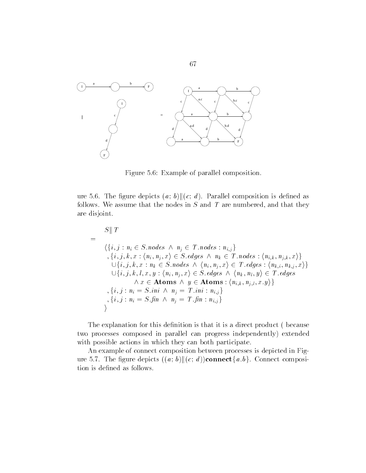

Figure 5.6: Example of parallel composition.

ure 5.6. The figure depicts  $(a, b)$   $\|(c, d)$ . Parallel composition is defined as follows. We assume that the nodes in  $S$  and  $T$  are numbered, and that they are disjoint

$$
S \parallel T
$$
\n
$$
= \langle \{i, j : n_i \in S \text{.nodes } \land n_j \in T \text{.nodes} : n_{i,j} \} \rangle
$$
\n
$$
= \langle \{i, j, k, x : \langle n_i, n_j, x \rangle \in S \text{.edges } \land n_k \in T \text{.nodes} : \langle n_{i,k}, n_{j,k}, x \rangle \} \cup \{i, j, k, x : n_k \in S \text{.nodes } \land \langle n_i, n_j, x \rangle \in T \text{.edges} : \langle n_{k,i}, n_{k,j}, x \rangle \} \cup \{i, j, k, l, x, y : \langle n_i, n_j, x \rangle \in S \text{.edges } \land \langle n_k, n_l, y \rangle \in T \text{.edges} \land x \in \text{Atoms} \land y \in \text{Atoms} : \langle n_{i,k}, n_{j,l}, x, y \rangle \}
$$
\n
$$
= \langle i, j : n_i = S \text{.ini } \land n_j = T \text{.ini} : n_{i,j} \}
$$
\n
$$
\rangle
$$

The explanation for this definition is that it is a direct product (because two processes composed in parallel can progress independently extended with possible actions in which they can both participate.

An example of connect composition between processes is depicted in Fig ure 5.7. The figure depicts  $((a, b) \| (c, d))$ connect $\{a, b\}$ . Connect composition is defined as follows.

67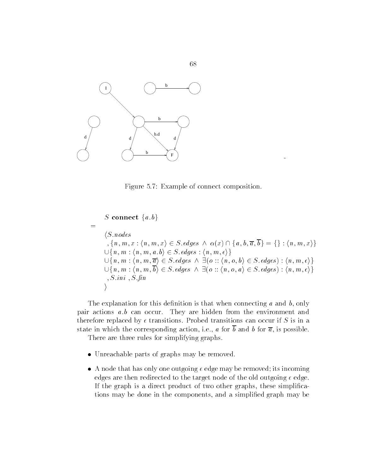

Figure 5.7: Example of connect composition.

S connect  $\{a,b\}$  $\equiv$  $\langle S$  nodes  $S.nodes$ <br>  $\{n, m, x : (n, m, x) \in S. edges \land \alpha(x) \cap \{a, b, \overline{a}, \overline{b}\} = \{\}\colon (n, m, x)\}\$  $\cup \{n, m : \langle n, m, a, b \rangle \in S$ . edges:  $\langle n, m, \epsilon \rangle \}$  $\langle m, x \rangle \in S$ .edges  $\wedge a$ <br> $\langle a, b \rangle \in S$ .edges :  $\langle n, a \rangle$  $\{n, m, x : \langle n, m, x \rangle \in S \cdot edges \land \alpha(x) \cap \{a, b, \overline{a}, b\} = \{\} : \langle n, m, x \rangle\} \cup \{n, m : \langle n, m, a \cdot b \rangle \in S \cdot edges : \langle n, m, \epsilon \rangle\} \cup \{n, m : \langle n, m, \overline{a} \rangle \in S \cdot edges \land \exists (o :: \langle n, o, b \rangle \in S \cdot edges) : \langle n, m, \epsilon \rangle\}$  $\{m, x\} \in S$ .edges  $\wedge \alpha(x) \cap$ <br>  $a.b \rangle \in S$ .edges :  $\langle n, m, \epsilon \rangle$ <br>  $\overline{\alpha} \rangle \in S$ .edges  $\wedge \exists (o :: \langle n, \cdot \rangle)$  $\cup \{n,m:\langle n,m,a.b\rangle \in S.\textit{edges} : \langle n,m,\epsilon\rangle\} \ \cup \{n,m:\langle n,m,\overline{a}\rangle \in S.\textit{edges} \ \wedge \ \exists (o::\langle n,o,b\rangle \in S.\textit{edges}):\langle n,m,\epsilon\rangle\} \ \cup \{n,m:\langle n,m,\overline{b}\rangle \in S.\textit{edges} \ \wedge \ \exists (o::\langle n,o,a\rangle \in S.\textit{edges}):\langle n,m,\epsilon\rangle\}$  $\left\{ \begin{array}{l} a.b \in S.\{edges\,:\, \langle n,m,\epsilon \rangle \} \ \hline \overline{a} \rangle \in S.\{edges\, \wedge \, \exists (o::\langle n,\delta \rangle) \in S.\{edges\, \wedge \, \exists (o::\langle n,\delta \rangle) \in S.\{does\, \wedge \, \exists (o::\langle n,\delta \rangle) \in S.\{des\, \wedge \, \exists (o::\langle n,\delta \rangle) \in S.\{des\, \wedge \, \exists (o::\langle n,\delta \rangle) \in S.\{des\, \wedge \, \exists (o::\langle n,\delta \rangle) \in S.\{des\, \wedge \, \exists (o::\$ - S ini - S -n  $\setminus$ 

The explanation for this definition is that when connecting  $a$  and  $b$ , only pair actions  $a.b$  can occur. They are hidden from the environment and therefore replaced by  $\epsilon$  transitions. Probed transitions can occur if S is in a state in which the corresponding action, i.e., a for  $\overline{b}$  and b for  $\overline{a}$ , is possible.

There are three rules for simplifying graphs.

- Unreachable parts of graphs may be removed that
- A node that has only one outgoing edge may be removed its incoming edges are then redirected to the target node of the old outgoing  $\epsilon$  edge. If the graph is a direct product of two other graphs, these simplifications may be done in the components, and a simplified graph may be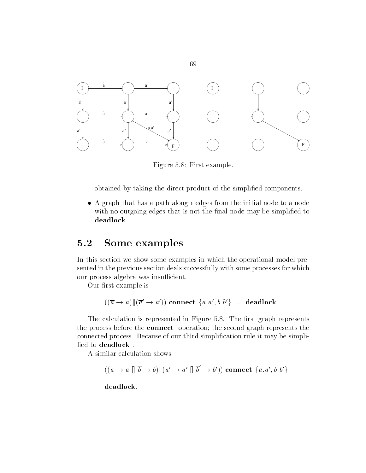

69

Figure 5.8: First example.

obtained by taking the direct product of the simplified components.

 A graph that has a path along edges from the initial node to a node with no outgoing edges that is not the final node may be simplified to deadlock

#### 5.2 Some examples

In this section we show some examples in which the operational model pre sented in the previous section deals successfully with some processes for which our process algebra was insufficient.

Our first example is

 $((\overline{a} \rightarrow a) \|(\overline{a}' \rightarrow a'))$  connect  $\{a.a', b.b'\}$  = deadlock.

The calculation is represented in Figure 5.8. The first graph represents the process before the **connect** operation; the second graph represents the connected process. Because of our third simplification rule it may be simplified to deadlock.

A similar calculation shows

$$
= \frac{((\overline{a} \to a \parallel \overline{b} \to b) \|(\overline{a}' \to a' \parallel \overline{b}' \to b')) \text{ connect } \{a.a', b.b'\}}{\text{deadlock.}}
$$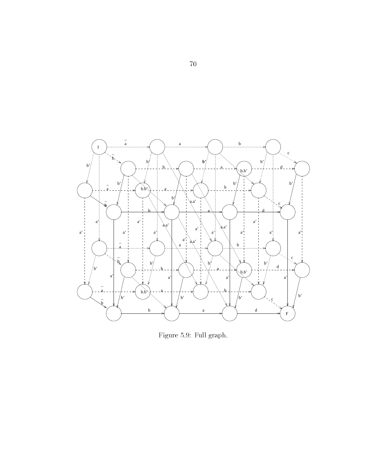

Figure 5.9: Full graph.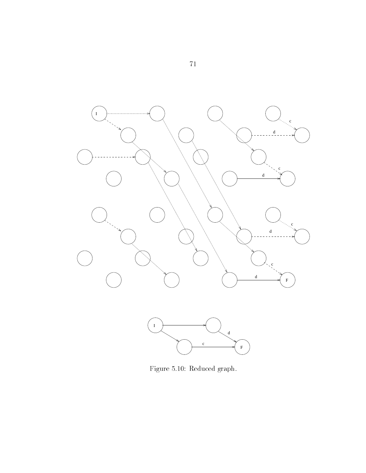

Figure - Reduced graph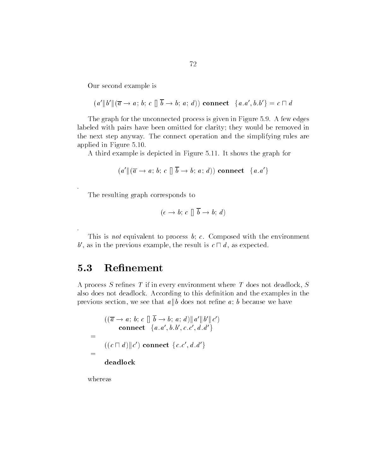Our second example is

$$
(a'\|b'\|(\overline{a}\rightarrow a; b; c\| \overline{b}\rightarrow b; a; d)) \text{ connect } \{a.a', b.b'\} = c \sqcap d
$$

The graph for the unconnected process is given in Figure 5.9. A few edges labeled with pairs have been omitted for clarity; they would be removed in the next step anyway The connect operation and the simplifying rules are applied in Figure - and in Figure - and in Figure - and in Figure - and in Figure - and in Figure - and in Fig

 $\mathcal{A}$  this depicted in Figure -  $\mathcal{A}$  the graph for  $\mathcal{A}$  the graph for  $\mathcal{A}$ 

$$
(a'\|(\overline{a} \rightarrow a; b; c\| \overline{b} \rightarrow b; a; d)) \text{ connect } \{a.a'\}
$$

The resulting graph corresponds to

$$
(\epsilon \to b; c \parallel \overline{b} \to b; d)
$$

This is not equivalent to process  $b$ ; c. Composed with the environment b', as in the previous example, the result is  $c \sqcap d$ , as expected.

#### 5.3 Refinement

A process S refines  $T$  if in every environment where  $T$  does not deadlock,  $S$ also does not deadlock. According to this definition and the examples in the previous section, we see that  $a \parallel b$  does not refine  $a$ ; b because we have

$$
((\overline{a} \rightarrow a; b; c \parallel \overline{b} \rightarrow b; a; d) \parallel a' \parallel b' \parallel c')
$$
  
connect {a.a', b.b', c.c', d.d'}  
= 
$$
((c \sqcap d) \parallel c') \text{ connect } \{c.c', d.d'\}
$$
  
= deadlock

whereas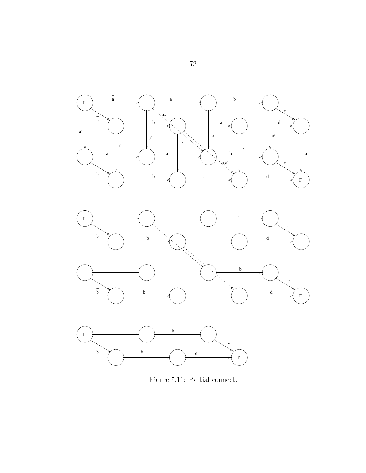

Figure -- Partial connect

 $\bar{7}3$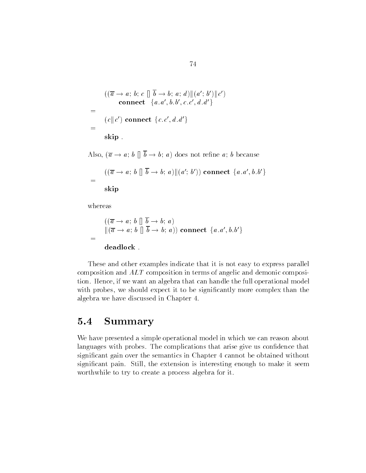$$
((\overline{a} \rightarrow a; b; c \parallel \overline{b} \rightarrow b; a; d) \parallel (a'; b') \parallel c')
$$
  
= (c \parallel c') connect {a.a', b.b', c.c', d.d'}  
= (c \parallel c') connect {c.c', d.d'}  
skip .

Also,  $(\overline{a} \rightarrow a; b \parallel \overline{b} \rightarrow b; a)$  does not refine a; b because

$$
= \frac{((\overline{a} \to a; b \parallel \overline{b} \to b; a) \|(a'; b')) \text{ connect } \{a.a', b.b'\}}{\text{skip}}
$$

whereas

ski skladateľ a staročia s prostavané procesor a staročia s procesor a staročia s procesor a staročia s proces

$$
((\overline{a} \rightarrow a; b \parallel \overline{b} \rightarrow b; a))
$$
  
= 
$$
((\overline{a} \rightarrow a; b \parallel \overline{b} \rightarrow b; a))
$$
connect {*a.a', b.b'*}  
deadlock.

These and other examples indicate that it is not easy to express parallel composition and ALT composition in terms of angelic and demonic composi tion Hence if we want an algebra that can handle the full operational model with probes, we should expect it to be significantly more complex than the algebra we have discussed in Chapter

#### 5.4 Summary

We have presented a simple operational model in which we can reason about languages with probes. The complications that arise give us confidence that significant gain over the semantics in Chapter 4 cannot be obtained without significant pain. Still, the extension is interesting enough to make it seem worthwhile to try to create a process algebra for it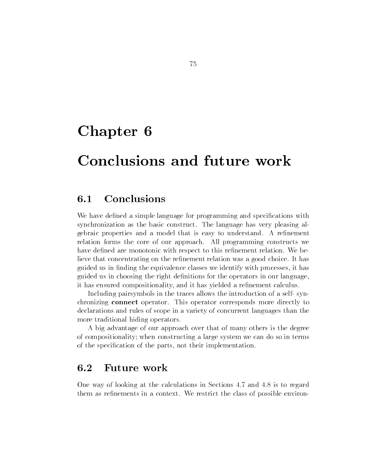# Chapter 6

# Conclusions and future work

We have defined a simple language for programming and specifications with synchronization as the basic construct. The language has very pleasing algebraic properties and a model that is easy to understand. A refinement relation forms the core of our approach All programming constructs we have defined are monotonic with respect to this refinement relation. We believe that concentrating on the refinement relation was a good choice. It has guided us in finding the equivalence classes we identify with processes, it has guided us in choosing the right definitions for the operators in our language, it has ensured compositionality, and it has yielded a refinement calculus.

Including pairsymbols in the traces allows the introduction of a self-synchronizing connect operator. This operator corresponds more directly to declarations and rules of scope in a variety of concurrent languages than the more traditional hiding operators

A big advantage of our approach over that of many others is the degree of compositionality; when constructing a large system we can do so in terms of the specification of the parts, not their implementation.

#### Future work 6.2

One way of looking at the calculations in Sections  $4.7$  and  $4.8$  is to regard them as refinements in a context. We restrict the class of possible environ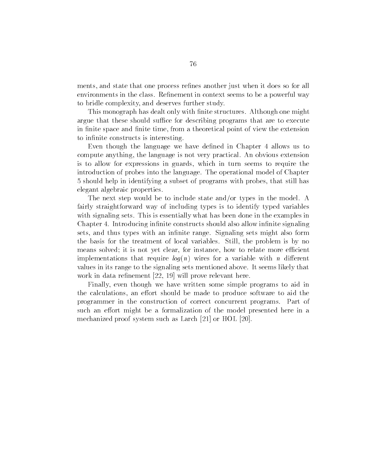ments, and state that one process refines another just when it does so for all environments in the class. Refinement in context seems to be a powerful way to bridle complexity, and deserves further study.

This monograph has dealt only with finite structures. Although one might argue that these should suffice for describing programs that are to execute in finite space and finite time, from a theoretical point of view the extension to infinite constructs is interesting.

Even though the language we have defined in Chapter 4 allows us to compute anything, the language is not very practical. An obvious extension is to allow for expressions in guards, which in turn seems to require the introduction of probes into the language The operational model of Chapter should help in identifying a subset of programs with probes that still has elegant algebraic properties

The next step would be to include state and/or types in the model. A fairly straightforward way of including types is to identify typed variables with signaling sets. This is essentially what has been done in the examples in Chapter 4. Introducing infinite constructs should also allow infinite signaling sets, and thus types with an infinite range. Signaling sets might also form the basis for the treatment of local variables. Still, the problem is by no means solved; it is not yet clear, for instance, how to relate more efficient implementations that require  $log(n)$  wires for a variable with n different values in its range to the signaling sets mentioned above It seems likely that will prove relevant the relevant of  $\mathbb{R}^n$  and  $\mathbb{R}^n$  in the relevant distribution of  $\mathbb{R}^n$ 

Finally, even though we have written some simple programs to aid in the calculations, an effort should be made to produce software to aid the programmer in the construction of correct concurrent programs. Part of such an effort might be a formalization of the model presented here in a mechanized proof system such as Larch - or HOL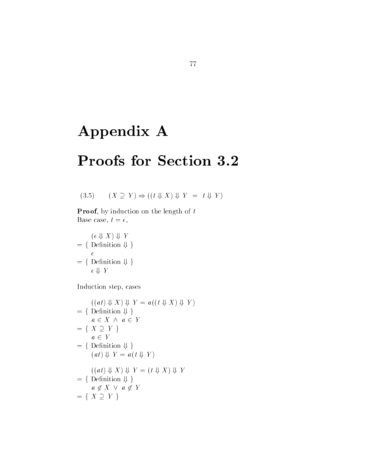# Appendix A

# Proofs for Section 3.2

$$
(3.5) \qquad (X \supseteq Y) \Rightarrow ((t \Downarrow X) \Downarrow Y = t \Downarrow Y)
$$

**Proof**, by induction on the length of  $t$ Base case,  $t = \epsilon$ ,

 $(\epsilon \Downarrow X) \Downarrow Y$  $(\epsilon \Downarrow X) \Downarrow Y$ <br>= { Definition  $\Downarrow$  }  $\epsilon$ = { Definition  $\Downarrow$  }<br>= { Definition  $\Downarrow$  }  $\epsilon \Downarrow Y$ 

Induction step, cases

$$
((at) \Downarrow X) \Downarrow Y = a((t \Downarrow X) \Downarrow Y)
$$
  
= { Definition  $\Downarrow$  }  
= { X \supseteq Y }  
= { X \supseteq Y }  
= { Definition  $\Downarrow$  }  
(at)  $\Downarrow$  Y = a(t  $\Downarrow$  Y )  
= { ( (at)  $\Downarrow$  X )  $\Downarrow$  Y = (t  $\Downarrow$  X )  $\Downarrow$  Y   
= { Definition  $\Downarrow$  }  
a \notin X \vee a \notin Y   
= { X \supseteq Y }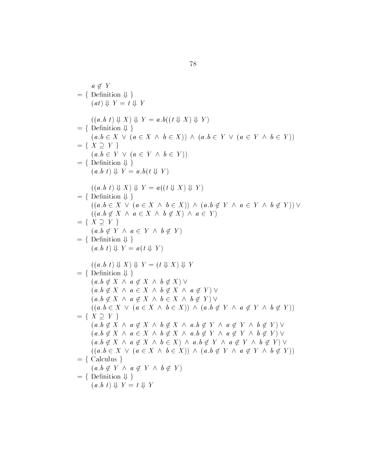$$
a \notin Y
$$
\n
$$
= \{ \text{ Definition } \{ \} \}
$$
\n
$$
(a, b) \downarrow Y = t \downarrow Y
$$
\n
$$
((a, b) \downarrow X) \downarrow Y = a \cdot b ((t \downarrow X) \downarrow Y)
$$
\n
$$
= \{ \text{ Definition } \{ \} \}
$$
\n
$$
(a, b \in X \lor (a \in X \land b \in X)) \land (a, b \in Y \lor (a \in Y \land b \in Y))
$$
\n
$$
= \{ \text{ Definition } \{ \} \}
$$
\n
$$
(a, b \in Y \lor (a \in Y \land b \in Y))
$$
\n
$$
= \{ \text{ Definition } \{ \} \}
$$
\n
$$
(a, b \mid \{ \} \mid Y = a \cdot b (t \mid Y) \}
$$
\n
$$
= \{ \text{ Definition } \{ \} \}
$$
\n
$$
((a, b \mid \{ \} \mid Y) = a \cdot b (t \mid Y) \land (a, b \notin Y \land a \in Y \land b \notin Y)) \lor (a, b \notin X \land a \in Y \land b \notin Y)) \lor (a, b \notin X \land a \in X \land b \notin X) \land a \in Y \}
$$
\n
$$
= \{ \text{ Definition } \{ \} \}
$$
\n
$$
= \{ \text{ Definition } \{ \} \}
$$
\n
$$
(a, b \notin Y \land a \in Y \land b \notin Y)
$$
\n
$$
= \{ \text{ Definition } \{ \} \}
$$
\n
$$
(a, b \mid \{ \} \mid Y = a(t \mid Y) \land (a, b \notin X \land a \notin X \land b \notin X) \lor (a, b \notin X \land a \notin Y) \lor (a, b \notin X \land a \notin X \land b \notin X) \lor (a, b \notin X \land a \notin X \land b \notin X) \lor (a, b \notin X \land a \notin X \land b \notin X) \lor (a, b \notin X \land a \notin X \land b \notin X) \lor (a, b \notin X \land a \notin X \land b \notin X) \lor (a, b \notin Y \land a \notin Y \land b \notin Y) \lor (a, b \notin X \land a \notin X \land b \notin X \land a \notin Y \land a \notin Y \land b \notin Y) \lor (a, b \notin X \land a \notin X
$$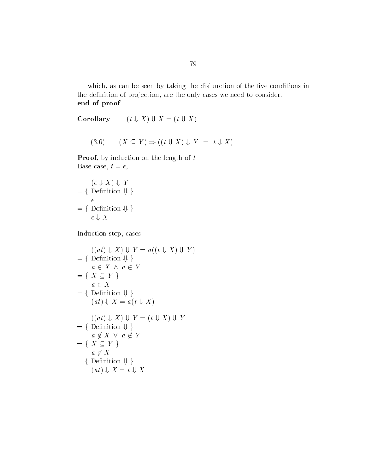which, as can be seen by taking the disjunction of the five conditions in the definition of projection, are the only cases we need to consider. end of proof

Corollary  $(t \Downarrow X) \Downarrow X = (t \Downarrow X)$ 

$$
(3.6) \qquad (X \subseteq Y) \Rightarrow ((t \Downarrow X) \Downarrow Y = t \Downarrow X)
$$

**Proof**, by induction on the length of  $t$ Base case,  $t = \epsilon$ ,

$$
(\epsilon \Downarrow X) \Downarrow Y
$$
\n
$$
= \{ \text{Definition } \Downarrow \}
$$
\n
$$
= \{ \text{Definition } \Downarrow \}
$$
\n
$$
\epsilon \Downarrow X
$$

Induction step, cases

$$
((at) \Downarrow X) \Downarrow Y = a((t \Downarrow X) \Downarrow Y)
$$
  
= { Definition  $\Downarrow$  }  
 $a \in X \land a \in Y$   
= {  $X \subseteq Y$  }  
 $a \in X$   
= { Definition  $\Downarrow$  }  
(at)  $\Downarrow X = a(t \Downarrow X)$   
 $((at) \Downarrow X) \Downarrow Y = (t \Downarrow X) \Downarrow Y$   
= { Definition  $\Downarrow$  }  
 $a \notin X \lor a \notin Y$   
= {  $X \subseteq Y$  }  
 $a \notin X$   
= { Definition  $\Downarrow$  }  
(at)  $\Downarrow X = t \Downarrow X$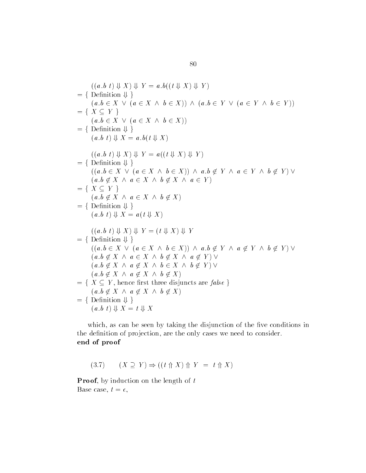$$
((a.b t) \Downarrow X) \Downarrow Y = a.b((t \Downarrow X) \Downarrow Y)
$$
\n
$$
= \{ \text{Definition } \Downarrow \}
$$
\n
$$
(a.b \in X \lor (a \in X \land b \in X)) \land (a.b \in Y \lor (a \in Y \land b \in Y))
$$
\n
$$
= \{ X \subseteq Y \}
$$
\n
$$
(a.b \in X \lor (a \in X \land b \in X))
$$
\n
$$
= \{ \text{Definition } \Downarrow \}
$$
\n
$$
(a.b t) \Downarrow X = a.b(t \Downarrow X)
$$
\n
$$
= \{ \text{Definition } \Downarrow \}
$$
\n
$$
((a.b t) \Downarrow X) \Downarrow Y = a((t \Downarrow X) \Downarrow Y)
$$
\n
$$
= \{ \text{Definition } \Downarrow \}
$$
\n
$$
(a.b \notin X \land a \in X \land b \notin X) \land a \in Y \land a \in Y \land b \notin Y) \lor
$$
\n
$$
(a.b \notin X \land a \in X \land b \notin X)
$$
\n
$$
= \{ \text{Definition } \Downarrow \}
$$
\n
$$
(a.b t) \Downarrow X = a(t \Downarrow X)
$$
\n
$$
= \{ \text{Definition } \Downarrow \}
$$
\n
$$
((a.b t) \Downarrow X) \Downarrow Y = (t \Downarrow X) \Downarrow Y
$$
\n
$$
= \{ \text{Definition } \Downarrow \}
$$
\n
$$
((a.b \in X \lor (a \in X \land b \in X)) \land a.b \notin Y \land a \notin Y \land b \notin Y) \lor
$$
\n
$$
(a.b \notin X \land a \in X \land b \notin X \land a \notin Y) \lor
$$
\n
$$
(a.b \notin X \land a \notin X \land b \notin X \land b \notin Y) \lor
$$
\n
$$
(a.b \notin X \land a \notin X \land b \notin X)
$$
\n
$$
= \{ \text{Definition } \Downarrow \}
$$
\n
$$
= \{ X \subseteq Y, \text{ hence first three disjuncts are false } \}
$$
\n
$$
(a.b \notin X \land a \notin X \land b \notin X)
$$
\n
$$
= \{ \text{Definition } \Downarrow \}
$$
\n
$$
(a.b \notin X \land a \notin X \land b \
$$

which, as can be seen by taking the disjunction of the five conditions in the definition of projection, are the only cases we need to consider. end of proof

$$
(3.7) \qquad (X \supseteq Y) \Rightarrow ((t \uparrow \uparrow X) \uparrow Y = t \uparrow X)
$$

**Proof**, by induction on the length of  $t$ Base case,  $t = \epsilon$ ,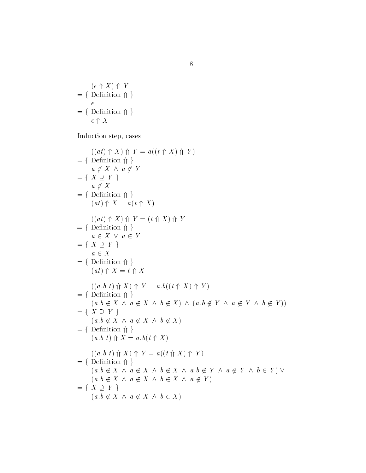$$
(\epsilon \Uparrow X) \Uparrow Y
$$
\n
$$
= \{ \begin{array}{l} \text{Definition } \Uparrow \\ \epsilon \\ \epsilon \Uparrow X \end{array} \}
$$

Induction step, cases  $% \left\vert \cdot \right\rangle$ 

$$
((at) \uparrow X) \uparrow Y = a((t \uparrow X) \uparrow Y)
$$
\n
$$
= \{ \text{Definition } \uparrow \}
$$
\n
$$
a \notin X \land a \notin Y
$$
\n
$$
= \{ X \supseteq Y \}
$$
\n
$$
a \notin X
$$
\n
$$
= \{ \text{Definition } \uparrow \}
$$
\n
$$
(at) \uparrow X = a(t \uparrow X)
$$
\n
$$
((at) \uparrow X) \uparrow Y = (t \uparrow X) \uparrow Y
$$
\n
$$
= \{ \text{Definition } \uparrow \}
$$
\n
$$
a \in X \lor a \in Y
$$
\n
$$
= \{ X \supseteq Y \}
$$
\n
$$
a \in X
$$
\n
$$
= \{ \text{Definition } \uparrow \}
$$
\n
$$
(at) \uparrow X = t \uparrow X
$$
\n
$$
((a.b \uparrow \uparrow X) \uparrow Y = a.b((t \uparrow X) \uparrow Y)
$$
\n
$$
= \{ \text{Definition } \uparrow \}
$$
\n
$$
(a.b \notin X \land a \notin X \land b \notin X) \land (a.b \notin Y \land a \notin Y \land b \notin Y))
$$
\n
$$
= \{ X \supseteq Y \}
$$
\n
$$
(a.b \notin X \land a \notin X \land b \notin X)
$$
\n
$$
= \{ \text{Definition } \uparrow \}
$$
\n
$$
(a.b \uparrow \uparrow X) \uparrow Y = a((t \uparrow X) \uparrow Y)
$$
\n
$$
= \{ \text{Definition } \uparrow \}
$$
\n
$$
(a.b \uparrow \uparrow X) \uparrow Y = a((t \uparrow X) \uparrow Y)
$$
\n
$$
= \{ \text{Definition } \uparrow \}
$$
\n
$$
(a.b \notin X \land a \notin X \land b \notin X \land a.b \notin Y \land a \notin Y \land b \in Y) \lor (a.b \notin X \land a \notin X \land b \in X \land a \notin Y)
$$
\n
$$
= \{ X \supseteq Y \}
$$
\n
$$
(a.b \notin X \land a \notin X \land b \in X \land a \notin Y)
$$
\n
$$
= \{ X \subseteq Y \}
$$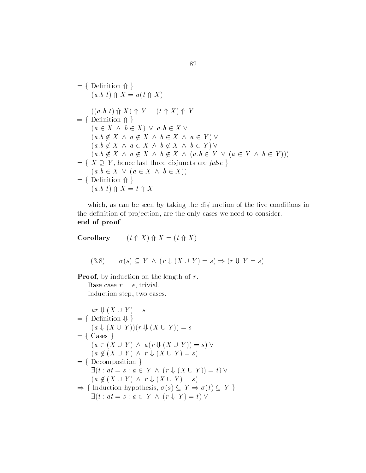fDenition g ab t  X at X  ab t  X  Y t X  Y fDenition g a X b X  ab X ab X a X b X a Y  ab X a X b X b Y  <sup>a</sup>b X a X b X ab Y a Y b Y  fX Y hence last three disjuncts are false <sup>g</sup> ab X a X b X  fDenition g ab t  X t X

which, as can be seen by taking the disjunction of the five conditions in the definition of projection, are the only cases we need to consider. end of proof

Corollary  $(t \text{ } \Uparrow X) \text{ } \Uparrow X = (t \text{ } \Uparrow X)$ 

$$
(3.8) \qquad \sigma(s) \subseteq Y \land (r \Downarrow (X \cup Y) = s) \Rightarrow (r \Downarrow Y = s)
$$

**Proof**, by induction on the length of  $r$ . Base case  $r = \epsilon$ , trivial.

Induction step, two cases.

$$
ar \Downarrow (X \cup Y) = s
$$
  
= { Definition  $\Downarrow$  }  
(a  $\Downarrow (X \cup Y))(r \Downarrow (X \cup Y)) = s$   
= { Cases }  
(a \in (X \cup Y) \land a(r \Downarrow (X \cup Y)) = s) \lor  
(a \notin (X \cup Y) \land r \Downarrow (X \cup Y) = s)  
= { Decomposition }  
 $\exists (t : at = s : a \in Y \land (r \Downarrow (X \cup Y)) = t) \lor(a \notin (X \cup Y) \land r \Downarrow (X \cup Y) = s) $\Rightarrow$  { Induction hypothesis,  $\sigma(s) \subseteq Y \Rightarrow \sigma(t) \subseteq Y$  }  
 $\exists (t : at = s : a \in Y \land (r \Downarrow Y) = t) \lor$$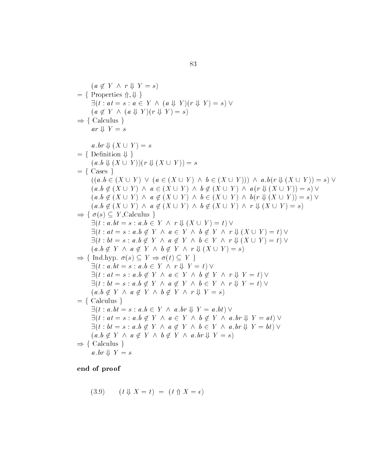$$
(a \notin Y \land r \Downarrow Y = s)
$$
\n
$$
= \{ \text{Properties } \Uparrow, \Downarrow \}
$$
\n
$$
\exists (t : at = s : a \in Y \land (a \Downarrow Y)(r \Downarrow Y) = s) \lor
$$
\n
$$
(a \notin Y \land (a \Downarrow Y)(r \Downarrow Y) = s)
$$
\n
$$
\Rightarrow \{ \text{ Calculus } \}
$$
\n
$$
ar \Downarrow Y = s
$$
\n
$$
a \cdot br \Downarrow (X \cup Y) = s
$$
\n
$$
= \{ \text{Density } \Downarrow \}
$$
\n
$$
(a \cdot b \Downarrow (X \cup Y)) (r \Downarrow (X \cup Y)) = s
$$
\n
$$
= \{ \text{Class } \}
$$
\n
$$
((a \cdot b \in (X \cup Y) \land (a \in (X \cup Y) \land b \in (X \cup Y))) \land a \cdot b (r \Downarrow (X \cup Y)) = s) \lor
$$
\n
$$
(a \cdot b \notin (X \cup Y) \land a \in (X \cup Y) \land b \notin (X \cup Y) \land a (r \Downarrow (X \cup Y)) = s) \lor
$$
\n
$$
(a \cdot b \notin (X \cup Y) \land a \notin (X \cup Y) \land b \notin (X \cup Y) \land b (r \Downarrow (X \cup Y)) = s) \lor
$$
\n
$$
(a \cdot b \notin (X \cup Y) \land a \notin (X \cup Y) \land b \notin (X \cup Y) \land b (r \Downarrow (X \cup Y)) = s) \lor
$$
\n
$$
= \{ \sigma(s) \subseteq Y, \text{Calculus } \}
$$
\n
$$
\exists (t : a \cdot b = s : a \cdot b \in Y \land r \Downarrow (X \cup Y) = t) \lor
$$
\n
$$
\exists (t : a \cdot b = s : a \cdot b \in Y \land r \Downarrow (X \cup Y) = t) \lor
$$
\n
$$
(a \cdot b \notin Y \land a \notin Y \land b \notin Y \land r \Downarrow (X \cup Y) = t) \lor
$$
\n
$$
(a \cdot b \notin Y \land a \notin Y \land b \notin Y \land r \Downarrow (X \cup Y) = t) \lor
$$
\n
$$
(a \cdot b \notin Y \land a \notin Y \land b \notin Y \land r \Downarrow (X \cup Y
$$

$$
(3.9) \qquad (t \Downarrow X = t) = (t \Uparrow X = \epsilon)
$$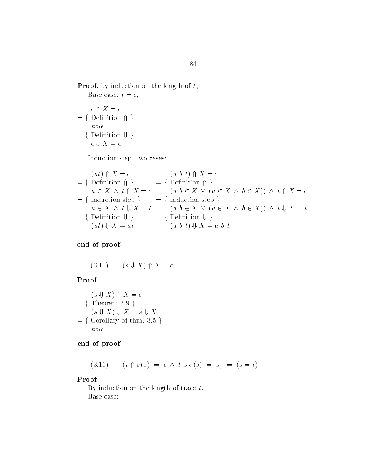**Proof**, by induction on the length of  $t$ , Base case,  $t = \epsilon$ ,

$$
\epsilon \Uparrow X = \epsilon
$$
\n
$$
= \{ \begin{array}{l} \epsilon \Uparrow X = \epsilon \\ \text{t} \vee \epsilon \\ \text{true} \end{array}
$$
\n
$$
= \{ \begin{array}{l} \text{Definition } \Downarrow \\ \epsilon \Downarrow X = \epsilon \end{array} \}
$$

Induction step, two cases:

$$
(at) \Uparrow X = \epsilon
$$
\n
$$
= \{ \text{Definition } \Uparrow \} \qquad = \{ \text{Definition } \Uparrow \} \qquad = \{ \text{Definition } \Uparrow \} \}
$$
\n
$$
a \in X \land t \Uparrow X = \epsilon
$$
\n
$$
= \{ \text{Induction step} \} \qquad = \{ \text{Induction step} \}
$$
\n
$$
a \in X \land t \Downarrow X = t
$$
\n
$$
= \{ \text{Induction step} \}
$$
\n
$$
a \in X \land t \Downarrow X = t
$$
\n
$$
(a.b \in X \lor (a \in X \land b \in X)) \land t \Downarrow X = t
$$
\n
$$
= \{ \text{Definition } \Downarrow \} \qquad = \{ \text{Definition } \Downarrow \} \}
$$
\n
$$
(at) \Downarrow X = at
$$
\n
$$
(a.b \tDownarrow X = a.b \t
$$

end of proof

$$
(3.10) \qquad (s \Downarrow X) \Uparrow X = \epsilon
$$

### Proof

$$
(s \Downarrow X) \Uparrow X = \epsilon
$$
  
= { Theorem 3.9 }  
(s \Downarrow X) \Downarrow X = s \Downarrow X  
= { Corollary of thm. 3.5 }  
true

### end of proof

--)  $(t \uparrow \sigma(s) = \epsilon \wedge t \Downarrow \sigma(s) = s) = (s = t)$ 

### Proof

By induction on the length of trace  $t$ . Base case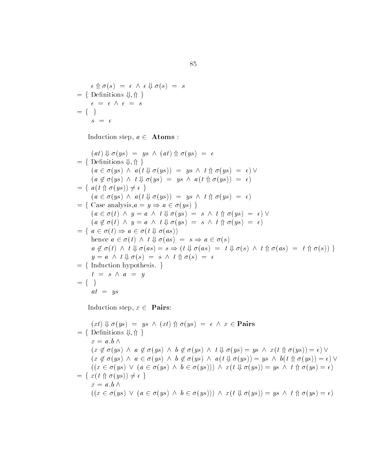$\epsilon \uparrow \sigma(s) = \epsilon \wedge \epsilon \Downarrow \sigma(s) = s$  $\epsilon \Uparrow \sigma(s) = \epsilon \wedge \epsilon \Downarrow \sigma(s)$ <br>= { Definitions  $\Downarrow$ ,  $\Uparrow$  }  $\epsilon = \epsilon \wedge \epsilon = s$ <br>= { }

Induction step,  $a \in$  **Atoms** :

$$
(at) \Downarrow \sigma(ys) = ys \land (at) \Uparrow \sigma(ys) = \epsilon
$$
\n
$$
= \{ \text{ Definitions } \Downarrow, \Uparrow \}
$$
\n
$$
(a \in \sigma(ys) \land a(t \Downarrow \sigma(ys)) = ys \land t \Uparrow \sigma(ys) = \epsilon) \lor
$$
\n
$$
(a \nsubseteq \sigma(ys) \land t \Downarrow \sigma(ys) = ys \land a(t \Uparrow \sigma(ys)) = \epsilon)
$$
\n
$$
= \{ a(t \Uparrow \sigma(ys)) \neq \epsilon \}
$$
\n
$$
(a \in \sigma(ys) \land a(t \Downarrow \sigma(ys)) = ys \land t \Uparrow \sigma(ys) = \epsilon)
$$
\n
$$
= \{ \text{Case analysis}, a = y \Rightarrow a \in \sigma(ys) \}
$$
\n
$$
(a \in \sigma(t) \land y = a \land t \Downarrow \sigma(ys) = s \land t \Uparrow \sigma(ys) = \epsilon) \lor
$$
\n
$$
(a \nsubseteq \sigma(t) \land y = a \land t \Downarrow \sigma(ys) = s \land t \Uparrow \sigma(ys) = \epsilon)
$$
\n
$$
= \{ a \in \sigma(t) \Rightarrow a \in \sigma(t \Downarrow \sigma(as))
$$
\nhence  $a \in \sigma(t) \land t \Downarrow \sigma(as) = s \Rightarrow a \in \sigma(s)$ \n
$$
a \nsubseteq \sigma(t) \land t \Downarrow \sigma(as) = s \Rightarrow (t \Downarrow \sigma(as) = t \Downarrow \sigma(s) \land t \Uparrow \sigma(as) = t \Uparrow \sigma(s)) \}
$$
\n
$$
y = a \land t \Downarrow \sigma(s) = s \land t \Uparrow \sigma(s) = \epsilon
$$
\n
$$
= \{ \text{Induction hypothesis. } \}
$$
\n
$$
t = s \land a = y
$$
\n
$$
= \{ \}
$$
\n
$$
at = ys
$$

Induction step,  $x \in$  **Pairs:** 

$$
(xt) \Downarrow \sigma (ys) = ys \wedge (xt) \Uparrow \sigma (ys) = \epsilon \wedge x \in Pairs
$$
  
\n
$$
x = a.b \wedge
$$
  
\n
$$
(x \nsubseteq \sigma (ys) \wedge a \nsubseteq \sigma (ys) \wedge b \nsubseteq \sigma (ys) \wedge t \Downarrow \sigma (ys) = ys \wedge x(t \Uparrow \sigma (ys)) = \epsilon) \vee
$$
  
\n
$$
(x \nsubseteq \sigma (ys) \wedge a \in \sigma (ys) \wedge b \nsubseteq \sigma (ys) \wedge a(t \Downarrow \sigma (ys)) = ys \wedge b(t \Uparrow \sigma (ys)) = \epsilon) \vee
$$
  
\n
$$
((x \in \sigma (ys) \vee (a \in \sigma (ys) \wedge b \in \sigma (ys))) \wedge x(t \Downarrow \sigma (ys)) = ys \wedge t \Uparrow \sigma (ys) = \epsilon)
$$
  
\n
$$
x = a.b \wedge
$$
  
\n
$$
(x \in \sigma (ys) \vee (a \in \sigma (ys) \wedge b \in \sigma (ys))) \wedge x(t \Downarrow \sigma (ys)) = ys \wedge t \Uparrow \sigma (ys) = \epsilon)
$$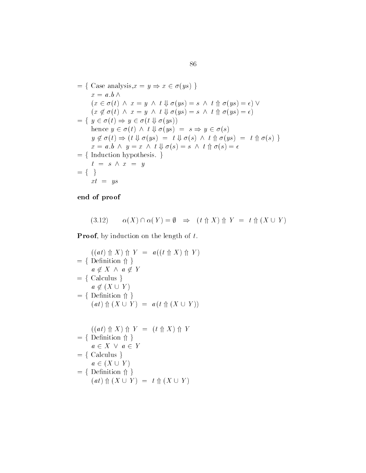$$
= \{ \text{ Case analysis}, x = y \Rightarrow x \in \sigma(ys) \}
$$
  
\n
$$
x = a.b \land
$$
  
\n
$$
(x \in \sigma(t) \land x = y \land t \Downarrow \sigma(ys) = s \land t \Uparrow \sigma(ys) = \epsilon) \lor
$$
  
\n
$$
(x \notin \sigma(t) \land x = y \land t \Downarrow \sigma(ys) = s \land t \Uparrow \sigma(ys) = \epsilon)
$$
  
\n
$$
= \{ y \in \sigma(t) \Rightarrow y \in \sigma(t \Downarrow \sigma(ys))
$$
  
\nhence  $y \in \sigma(t) \land t \Downarrow \sigma(ys) = s \Rightarrow y \in \sigma(s)$   
\n
$$
y \notin \sigma(t) \Rightarrow (t \Downarrow \sigma(ys) = t \Downarrow \sigma(s) \land t \Uparrow \sigma(ys) = t \Uparrow \sigma(s) \}
$$
  
\n
$$
x = a.b \land y = x \land t \Downarrow \sigma(s) = s \land t \Uparrow \sigma(s) = \epsilon
$$
  
\n
$$
= \{ \text{Induction hypothesis. } \}
$$
  
\n
$$
t = s \land x = y
$$
  
\n
$$
= \{ \}
$$
  
\n
$$
xt = ys
$$

$$
(3.12) \qquad \alpha(X) \cap \alpha(Y) = \emptyset \Rightarrow (t \uparrow \uparrow X) \uparrow Y = t \uparrow (X \cup Y)
$$

**Proof**, by induction on the length of  $t$ .

$$
((at) \n\Uparrow X) \n\Uparrow Y = a((t \n\Uparrow X) \n\Uparrow Y)
$$
\n
$$
= \{ \text{Definition } \Uparrow \}
$$
\n
$$
a \notin X \wedge a \notin Y
$$
\n
$$
= \{ \text{Calculus } \}
$$
\n
$$
a \notin (X \cup Y)
$$
\n
$$
= \{ \text{Definition } \Uparrow \}
$$
\n
$$
(at) \n\Uparrow (X \cup Y) = a(t \n\Uparrow (X \cup Y))
$$
\n
$$
= \{ \text{Definition } \Uparrow \}
$$

$$
= \{ \begin{array}{l} \text{Definition } \uparrow \} \\ a \in X \ \lor \ a \in Y \\ \end{array}
$$
\n
$$
= \{ \begin{array}{l} \text{Calculus } \\ a \in (X \cup Y) \\ \text{Definition } \uparrow \} \\ (at) \Uparrow (X \cup Y) = t \Uparrow (X \cup Y) \end{array}
$$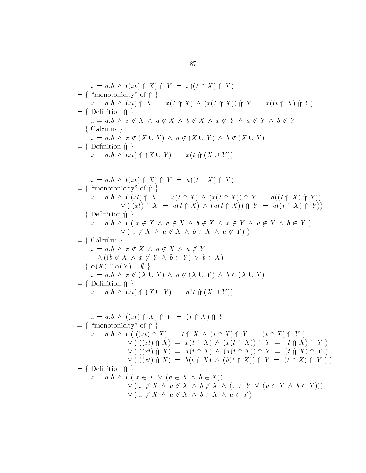$$
x = a.b \land ((xt) \uparrow X) \uparrow Y = x((t \uparrow X) \uparrow Y)
$$
\n
$$
= \{\text{ "monotonicity" of } \uparrow\} \ x = a.b \land (xt) \uparrow X = x(t \uparrow X) \land (x(t \uparrow X)) \uparrow Y = x((t \uparrow X) \uparrow Y)
$$
\n
$$
= \{\text{ Definition } \uparrow\} \ x = a.b \land x \notin X \land a \notin X \land b \notin X \land x \notin Y \land a \notin Y \land b \notin Y
$$
\n
$$
= \{\text{ Calculus }\}
$$
\n
$$
x = a.b \land x \notin (X \cup Y) \land a \notin (X \cup Y) \land b \notin (X \cup Y)
$$
\n
$$
= \{\text{ Definition } \uparrow\} \ x = a.b \land ((xt) \uparrow (X \cup Y) = x(t \uparrow (X \cup Y)))
$$
\n
$$
= \{\text{ "monotonicity" of } \uparrow\} \ x = a.b \land ((xt) \uparrow X) \land x = x(t \uparrow X) \land (x(t \uparrow X)) \uparrow Y = a((t \uparrow X) \uparrow Y))
$$
\n
$$
= \{\text{ Definition } \uparrow\} \ x = a.b \land ((x \downarrow \uparrow X) = x(t \uparrow X) \land (x(t \uparrow X)) \uparrow Y = a((t \uparrow X) \uparrow Y))
$$
\n
$$
= \{\text{ Definition } \uparrow\} \ x = a.b \land ((x \notin X \land a \notin X \land b \notin X \land x \notin Y \land a \notin Y \land b \in Y)
$$
\n
$$
= \{\text{ Calculus }\}
$$
\n
$$
x = a.b \land x \notin X \land a \notin X \land b \notin X \land x \notin Y \land a \notin Y \land b \in Y)
$$
\n
$$
= \{\text{ Calculus }\}
$$
\n
$$
x = a.b \land x \notin (X \cup a \notin X \land a \notin Y)
$$
\n
$$
= \{\text{ a,b \land (x \notin X \land a \notin X \land a \notin Y \land b \in X)\n
$$
= \{\text{ a,b \land (x \notin X \land a \notin X \land a \notin Y \land b \in X)\n
$$
= \{\text{ Definition } \uparrow\} \ x = a.b \land (x \notin (X \cup Y) \land a \
$$
$$
$$

$$
x = a.b \land ((x \in X \lor (a \in X \land b \in X))
$$
  
 
$$
\lor (x \notin X \land a \notin X \land b \notin X \land (x \in Y \lor (a \in Y \land b \in Y)))
$$
  
 
$$
\lor (x \notin X \land a \notin X \land b \in X \land a \in Y)
$$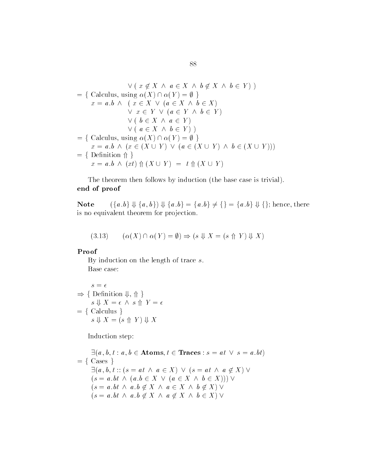$$
\forall (x \notin X \land a \in X \land b \notin X \land b \in Y))
$$
  
= { Calculus, using  $\alpha(X) \cap \alpha(Y) = \emptyset$ }  
 $x = a.b \land (x \in X \lor (a \in X \land b \in X))$   
 $\forall x \in Y \lor (a \in Y \land b \in Y)$   
 $\lor (b \in X \land a \in Y)$   
 $\lor (a \in X \land b \in Y))$   
= { Calculus, using  $\alpha(X) \cap \alpha(Y) = \emptyset$ }  
 $x = a.b \land (x \in (X \cup Y) \lor (a \in (X \cup Y) \land b \in (X \cup Y)))$   
= { Definition  $\Uparrow$ }  
 $x = a.b \land (xt) \Uparrow (X \cup Y) = t \Uparrow (X \cup Y)$ 

The theorem then follows by induction (the base case is trivial). end of proof end of proof<br>
Note  $(\{a,b\} \Downarrow \{a,b\}) \Downarrow \{a,b\} = \{a,b\} \neq \{\} = \{a,b\} \Downarrow \{\};$  hence, there

is no equivalent theorem for projection.

$$
(3.13) \qquad (\alpha(X) \cap \alpha(Y) = \emptyset) \Rightarrow (s \Downarrow X = (s \Uparrow Y) \Downarrow X)
$$

### Proof

By induction on the length of trace  $s$ .<br>Base case:

$$
s = \epsilon
$$
  
\n
$$
\Rightarrow \{ \text{Definition } \Downarrow, \Uparrow \}
$$
  
\n
$$
s \Downarrow X = \epsilon \wedge s \Uparrow Y = \epsilon
$$
  
\n
$$
= \{ \text{Calculus } \}
$$
  
\n
$$
s \Downarrow X = (s \Uparrow Y) \Downarrow X
$$

Induction step

$$
\exists (a, b, t : a, b \in \text{Atoms}, t \in \text{Traces} : s = at \lor s = a \cdot bt)
$$
\n
$$
= \{ \text{ Cases } \}
$$
\n
$$
\exists (a, b, t :: (s = at \land a \in X) \lor (s = at \land a \notin X) \lor (s = a \cdot bt \land (a \cdot b \in X \lor (a \in X \land b \in X))) \lor (s = a \cdot bt \land a \cdot b \notin X \land a \in X \land b \notin X) \lor (s = a \cdot bt \land a \cdot b \notin X \land a \notin X \land b \in X) \lor (s = a \cdot bt \land a \cdot b \notin X \land a \notin X \land b \in X) \lor (s = a \cdot bt \land a \cdot b \notin X \land a \notin X \land b \in X) \lor (s = a \cdot bt \land a \cdot b \notin X \land a \notin X \land b \in X) \lor (s = a \cdot bt \land a \cdot b \notin X \land a \notin X \land b \in X) \lor (s = a \cdot bt \land a \cdot b \notin X \land a \notin X \land b \in X) \lor (s = a \cdot bt \land a \cdot b \notin X \land a \notin X \land b \in X) \lor (s = a \cdot bt \land a \cdot b \notin X \land a \notin X \land b \in X) \lor (s = a \cdot bt \land a \cdot b \notin X \land a \notin X \land b \in X) \lor (s = a \cdot bt \land a \cdot b \notin X \land a \notin X \land b \in X) \lor (s = a \cdot bt \land a \notin X \land a \notin X \land b \in X) \lor (s = a \cdot bt \land a \notin X \land a \notin X \land b \in X) \lor (s = a \cdot bt \land a \notin X \land a \notin X \land b \in X) \lor (s = a \cdot bt \land a \notin X \land a \notin X \land b \in X) \lor (s = a \cdot bt \land a \notin X \land a \notin X \land b \in X) \lor (s = a \cdot bt \land a \notin X \land a \notin X \land b \in X) \lor (s = a \cdot bt \land a \notin X \land a \notin X \land b \in X) \lor (s = a \cdot bt \land a \notin X \land a \notin X \land b \in X) \lor (s = a \cdot bt \land a \notin X \land a \notin X \land b \in X) \lor (s = a \cdot bt \land a \notin X \land a \notin X \land b \in X) \lor (s =
$$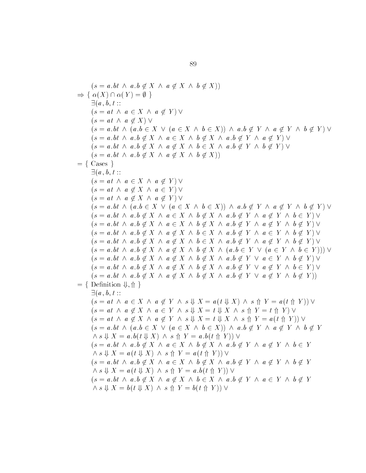$$
(s = a,bt \land a, b \notin X \land a \notin X \land b \notin X))
$$
\n
$$
\Rightarrow \{ \alpha(X) \cap \alpha(Y) = \emptyset \} \qquad \exists (a, b, t ::
$$
\n
$$
(s = at \land a \notin X \land a \notin Y) \lor
$$
\n
$$
(s = a, b \land (a, b \in X \lor (a \in X \land b \in X)) \land a, b \notin Y \land a \notin Y \land b \notin Y) \lor
$$
\n
$$
(s = a, b \land a, b \notin X \land a \in X \land b \notin X \land a, b \notin Y \land a \notin Y) \lor
$$
\n
$$
(s = a, b \land a, b \notin X \land a \in X \land b \notin X \land a, b \notin Y \land a \notin Y) \lor
$$
\n
$$
(s = a, b \land a, b \notin X \land a \notin X \land b \in X \land a, b \notin Y \land b \notin Y) \lor
$$
\n
$$
= \{ \text{Case } 1
$$
\n
$$
(a, b, t ::
$$
\n
$$
(s = at \land a \notin X \land a \notin Y) \lor
$$
\n
$$
(s = at \land a \notin X \land a \notin Y) \lor
$$
\n
$$
(s = at \land a \notin X \land a \notin Y) \lor
$$
\n
$$
(s = at \land a \notin X \land a \in Y) \lor
$$
\n
$$
(s = a, b \land (a, b \in X \lor (a \in X \land b \in X)) \land a, b \notin Y \land a \notin Y \land b \notin Y) \lor
$$
\n
$$
(s = a, b \land a, b \notin X \land a \notin Y \land b \notin X \land a, b \notin Y \land a \notin Y \land b \notin Y) \lor
$$
\n
$$
(s = a, b \land a, b \notin X \land a \notin X \land b \notin X \land a, b \notin Y \land a \notin Y \land b \notin Y) \lor
$$
\n
$$
(s = a, b \land a, b \notin X \land a \notin X \land b \notin X \land a, b \notin Y \land a \notin Y \land b \notin Y) \lor
$$
\n
$$
(s = a, b \land a, b \notin X \land a \notin X \land b \notin X \land a, b \notin Y \land a \notin Y \land b \notin Y) \lor
$$
\n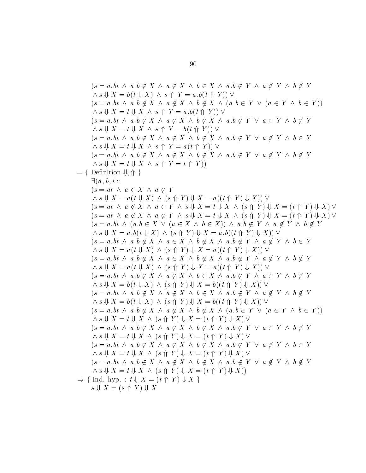$$
(s = a.bt \wedge a.b \notin X \wedge a \notin X \wedge b \in X \wedge a.b \notin Y \wedge a \notin Y \wedge b \notin Y
$$
\n
$$
(s \perp b(t \perp X) \wedge s \uparrow Y = a.b(t \uparrow Y)) \vee
$$
\n
$$
(s = a.bt \wedge a.b \notin X \wedge a \notin X \wedge b \notin X \wedge a.b \in Y \vee (a \in Y \wedge b \in Y))
$$
\n
$$
(s = a.bt \wedge a.b \notin X \wedge a \notin X \wedge b \notin X \wedge a.b \notin Y \vee a \in Y \wedge b \notin Y
$$
\n
$$
(s = a.bt \wedge a.b \notin X \wedge a \notin X \wedge b \notin X \wedge a.b \notin Y \vee a \notin Y \wedge b \notin Y
$$
\n
$$
(s = a.bt \wedge a.b \notin X \wedge a \notin X \wedge b \notin X \wedge a.b \notin Y \vee a \notin Y \wedge b \in Y
$$
\n
$$
(s = a.bt \wedge a.b \notin X \wedge a \notin X \wedge b \notin X \wedge a.b \notin Y \vee a \notin Y \wedge b \notin Y
$$
\n
$$
(s = a.bt \wedge a.b \notin X \wedge a \notin Y
$$
\n
$$
(s = a.bt \wedge a \in X \wedge a \notin Y
$$
\n
$$
(s = a t \wedge a \in X \wedge a \notin Y \wedge s \vee x = t \Downarrow X \wedge (s \uparrow Y) \Downarrow X = (t \uparrow Y) \Downarrow X) \vee
$$
\n
$$
(s = a t \wedge a \notin X \wedge a \notin Y \wedge s \Downarrow X = t \Downarrow X \wedge (s \uparrow Y) \Downarrow X = (t \uparrow Y) \Downarrow X) \vee
$$
\n
$$
(s = a t \wedge a \notin X \wedge a \notin Y \wedge s \Downarrow X = t \Downarrow X \wedge (s \uparrow Y) \Downarrow X = (t \uparrow Y) \Downarrow X) \vee
$$
\n
$$
(s = a.bt \wedge a.b \notin X \wedge a \in X \wedge b \in X) \wedge a.b \notin Y \wedge a \notin Y \wedge b \notin Y
$$
\n
$$
(s = a.bt \wedge a.b \notin X \wedge a \in X \wedge b \in X
$$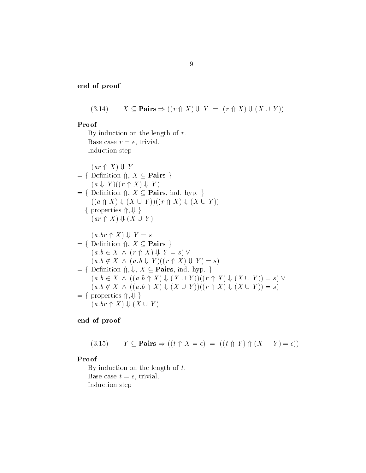$$
(3.14) \qquad X \subseteq \mathbf{Pairs} \Rightarrow ((r \uparrow X) \Downarrow Y = (r \uparrow X) \Downarrow (X \cup Y))
$$

#### Proof

By induction on the length of  $r$ . Base case  $r = \epsilon$ , trivial. Induction step  $(ar \uparrow X) \Downarrow Y$  $= \{$  Definition  $\Uparrow, X \subseteq \mathbf{Pairs} \}$  $(a \Downarrow Y)((r \Uparrow X) \Downarrow Y)$  $f = \{$  Definition  $\Uparrow$ ,  $X \subseteq$  Pairs, ind. hyp.  $\}$  $((a \land X) \Downarrow (X \cup Y))((r \land X) \Downarrow (X \cup Y))$  $= \{$  properties  $\Uparrow, \Downarrow \}$  $X\subseteq {\bf Pairs}, \ X\,\cup\,\, Y\,))((r\,\cdot \,$  $(ar \uparrow X) \Downarrow (X \cup Y)$  $(a.br \nightharpoonup X) \Downarrow Y = s$  $= \{$  Definition  $\Uparrow, X \subseteq \mathbf{Pairs} \}$  $(a, b \in X \land (r \land X) \Downarrow Y = s) \vee$  $(a, b \notin X \land (a, b \Downarrow Y)((r \land X) \Downarrow Y) = s)$  $= \{$  Definition  $\Uparrow, \Downarrow, X \subseteq \mathbf{Pairs}$ , ind. hyp.  $\}$  $(a.b \in X \land ((a.b \nrightarrow X) \Downarrow (X \cup Y))((r \nrightarrow X) \Downarrow (X \cup Y)) = s) \vee$  $(a.b \in X \land ((a.b \noplus X) \Downarrow (X \cup Y))((r \noplus X) \Downarrow (X \cup Y)) = s) \lor$ <br>  $(a.b \notin X \land ((a.b \noplus X) \Downarrow (X \cup Y))((r \noplus X) \Downarrow (X \cup Y)) = s)$ <br>  $= \{$  properties  $\Uparrow \cup \Downarrow \}$  $(a.br \nightharpoonup X) \Downarrow (X \cup Y)$ 

end of proof

$$
(3.15) \qquad Y \subseteq \mathbf{Pairs} \Rightarrow ((t \uparrow \uparrow X = \epsilon) = ((t \uparrow \uparrow Y) \uparrow (X - Y) = \epsilon))
$$

### Proof

By induction on the length of  $t$ . Base case  $t = \epsilon$ , trivial. Induction step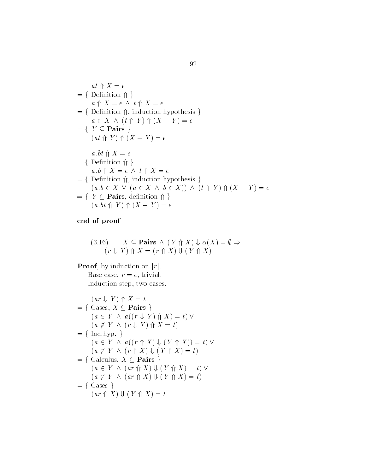$$
at \nwedge X = \epsilon
$$
\n
$$
= \{ \text{Definition } \Uparrow \}
$$
\n
$$
a \nwedge X = \epsilon \land t \nwedge X = \epsilon
$$
\n
$$
= \{ \text{Definition } \Uparrow, \text{ induction hypothesis } \}
$$
\n
$$
a \in X \land (t \nwedge Y) \nwedge (X - Y) = \epsilon
$$
\n
$$
= \{ \text{Y} \subseteq \text{Pairs } \}
$$
\n
$$
(at \nwedge Y) \nwedge (X - Y) = \epsilon
$$
\n
$$
a.bt \nwedge X = \epsilon
$$
\n
$$
= \{ \text{Definition } \Uparrow \}
$$
\n
$$
a.b \nwedge X = \epsilon \land t \nwedge X = \epsilon
$$
\n
$$
= \{ \text{Definition } \Uparrow, \text{ induction hypothesis } \}
$$
\n
$$
(a.b \in X \lor (a \in X \land b \in X)) \land (t \nwedge Y) \nwedge (X - Y) = \epsilon
$$
\n
$$
= \{ \text{Y} \subseteq \text{Pairs, definition } \Uparrow \}
$$
\n
$$
(a.bt \nwedge Y) \nwedge (X - Y) = \epsilon
$$

3.16)  $X \subseteq \textbf{Pairs} \wedge (Y \text{ } \Uparrow X) \Downarrow \alpha(X) = \emptyset \Rightarrow$  $(r \Downarrow Y) \Uparrow X = (r \Uparrow X) \Downarrow (Y \Uparrow X)$ 

**Proof**, by induction on  $|r|$ . Base case,  $r = \epsilon$ , trivial. Induction step, two cases.

$$
(ar \Downarrow Y) \Uparrow X = t
$$
\n
$$
= \{ \text{ Cases, } X \subseteq \text{Pairs} \}
$$
\n
$$
(a \in Y \land a((r \Downarrow Y) \Uparrow X) = t) \lor
$$
\n
$$
(a \notin Y \land (r \Downarrow Y) \Uparrow X = t)
$$
\n
$$
= \{ \text{Ind.hyp.} \}
$$
\n
$$
(a \in Y \land a((r \Uparrow X) \Downarrow (Y \Uparrow X)) = t) \lor
$$
\n
$$
(a \notin Y \land (r \Uparrow X) \Downarrow (Y \Uparrow X) = t)
$$
\n
$$
= \{ \text{Calculus, } X \subseteq \text{Pairs} \}
$$
\n
$$
(a \in Y \land (ar \Uparrow X) \Downarrow (Y \Uparrow X) = t) \lor
$$
\n
$$
(a \notin Y \land (ar \Uparrow X) \Downarrow (Y \Uparrow X) = t)
$$
\n
$$
= \{ \text{ Cases } \}
$$
\n
$$
(ar \Uparrow X) \Downarrow (Y \Uparrow X) = t
$$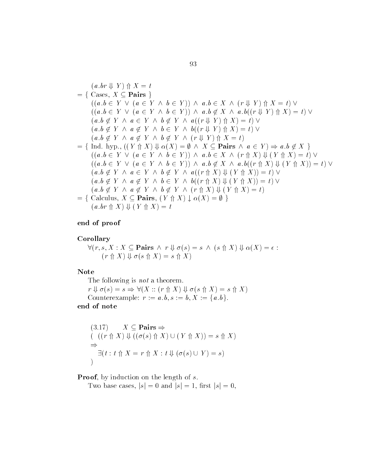$$
(a.br \Downarrow Y) \Uparrow X = t
$$
\n
$$
= \{ \text{ Cases}, X \subseteq \text{Pairs} \}
$$
\n
$$
((a.b \in Y \lor (a \in Y \land b \in Y)) \land a.b \in X \land (r \Downarrow Y) \Uparrow X = t) \lor
$$
\n
$$
((a.b \notin Y \lor (a \in Y \land b \in Y)) \land a.b \notin X \land a.b((r \Downarrow Y) \Uparrow X) = t) \lor
$$
\n
$$
(a.b \notin Y \land a \in Y \land b \notin Y \land a((r \Downarrow Y) \Uparrow X) = t) \lor
$$
\n
$$
(a.b \notin Y \land a \notin Y \land b \in Y \land b((r \Downarrow Y) \Uparrow X) = t) \lor
$$
\n
$$
(a.b \notin Y \land a \notin Y \land b \notin Y \land (r \Downarrow Y) \Uparrow X = t)
$$
\n
$$
= \{ \text{Ind. hyp.}, ((Y \Uparrow X) \Downarrow \alpha(X) = \emptyset \land X \subseteq \text{Pairs} \land a \in Y) \Rightarrow a.b \notin X \}
$$
\n
$$
((a.b \in Y \lor (a \in Y \land b \in Y)) \land a.b \in X \land (r \Uparrow X) \Downarrow (Y \Uparrow X) = t) \lor
$$
\n
$$
(a.b \notin Y \land a \in Y \land b \notin Y \land a((r \Uparrow X) \Downarrow (Y \Uparrow X)) = t) \lor
$$
\n
$$
(a.b \notin Y \land a \notin Y \land b \in Y \land b((r \Uparrow X) \Downarrow (Y \Uparrow X)) = t) \lor
$$
\n
$$
(a.b \notin Y \land a \notin Y \land b \notin Y \land (r \Uparrow X) \Downarrow (Y \Uparrow X) = t) \lor
$$
\n
$$
(a.b \notin Y \land a \notin Y \land b \notin Y \land (r \Uparrow X) \Downarrow (Y \Uparrow X) = t) \lor
$$
\n
$$
= \{ \text{Calculus}, X \subseteq \text{Pairs}, (Y \Uparrow X) \downarrow \alpha(X) = \emptyset \}
$$

#### Corollary

 $\forall (r, s, X : X \subseteq \mathbf{Pairs} \land r \Downarrow \sigma(s) = s \land (s \uparrow X) \Downarrow \alpha(X) = \epsilon$ :  $(r \nightharpoonup X) \Downarrow \sigma(s \nightharpoonup X) = s \nightharpoonup X$ 

#### Note

The following is *not* a theorem.  $r \Downarrow \sigma(s) = s \Rightarrow \forall (X :: (r \uparrow \uparrow X) \Downarrow \sigma(s \uparrow \uparrow X) = s \uparrow \uparrow X)$ Counterexample:  $r := a, b, s := b, X := \{a, b\}.$ 

### end of note

$$
(3.17) \quad X \subseteq \text{Pairs} \Rightarrow
$$
  
\n
$$
((r \uparrow X) \Downarrow ((\sigma(s) \uparrow X) \cup (Y \uparrow X)) = s \uparrow X)
$$
  
\n
$$
\Rightarrow
$$
  
\n
$$
\exists (t : t \uparrow X = r \uparrow X : t \Downarrow (\sigma(s) \cup Y) = s)
$$

Two base cases,  $|s| = 0$  and  $|s| = 1$ , first  $|s| = 0$ .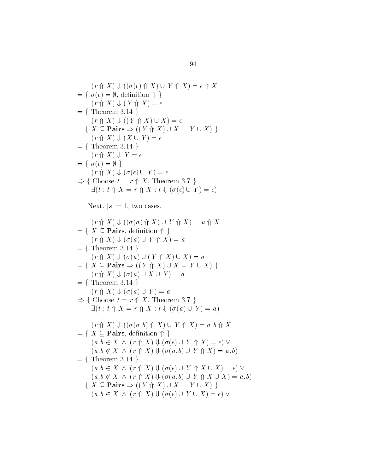$$
(r \n\uparrow X) \Downarrow ((\sigma(\epsilon) \Uparrow X) \cup Y \Uparrow X) = \epsilon \Uparrow X
$$
\n
$$
= \{ \sigma(\epsilon) = \emptyset, \text{ definition } \Uparrow \}
$$
\n
$$
(r \Uparrow X) \Downarrow (Y \Uparrow X) = \epsilon
$$
\n
$$
= \{ \text{Theorem 3.14 } \}
$$
\n
$$
(r \Uparrow X) \Downarrow ((Y \Uparrow X) \cup X) = \epsilon
$$
\n
$$
= \{ X \subseteq \text{Pairs} \Rightarrow ((Y \Uparrow X) \cup X = Y \cup X) \}
$$
\n
$$
(r \Uparrow X) \Downarrow (X \cup Y) = \epsilon
$$
\n
$$
= \{ \text{Theorem 3.14 } \}
$$
\n
$$
(r \Uparrow X) \Downarrow V = \epsilon
$$
\n
$$
= \{ \sigma(\epsilon) = \emptyset \}
$$
\n
$$
(r \Uparrow X) \Downarrow (\sigma(\epsilon) \cup Y) = \epsilon
$$
\n
$$
\Rightarrow \{ \text{Choose } t = r \Uparrow X, \text{ Theorem 3.7 } \}
$$
\n
$$
\exists (t : t \Uparrow X = r \Uparrow X : t \Downarrow (\sigma(\epsilon) \cup Y) = \epsilon)
$$

Next,  $|s| = 1$ , two cases.

$$
(r \n\uparrow X) \Downarrow ((\sigma(a) \n\uparrow X) \cup Y \n\uparrow X) = a \n\uparrow X
$$
\n
$$
= \{ X \subseteq \text{Pairs}, \text{definition } \Uparrow \} \}
$$
\n
$$
(r \n\uparrow X) \Downarrow (\sigma(a) \cup Y \n\uparrow X) = a
$$
\n
$$
= \{ \text{Theorem 3.14 } \}
$$
\n
$$
(r \n\uparrow X) \Downarrow (\sigma(a) \cup (Y \n\uparrow X) \cup X) = a
$$
\n
$$
= \{ X \subseteq \text{Pairs} \Rightarrow ((Y \n\uparrow X) \cup X = Y \cup X) \}
$$
\n
$$
(r \n\uparrow X) \Downarrow (\sigma(a) \cup X \cup Y) = a
$$
\n
$$
= \{ \text{Theorem 3.14 } \}
$$
\n
$$
(r \n\uparrow X) \Downarrow (\sigma(a) \cup Y) = a
$$
\n
$$
\Rightarrow \{ \text{Choose } t = r \n\uparrow X, \text{ Theorem 3.7 } \}
$$
\n
$$
\exists (t : t \n\uparrow X = r \n\uparrow X : t \Downarrow (\sigma(a) \cup Y) = a)
$$
\n
$$
(r \n\uparrow X) \Downarrow ((\sigma(a.b) \n\uparrow X) \cup Y \n\uparrow X) = a.b \n\uparrow X
$$
\n
$$
= \{ X \subseteq \text{Pairs}, \text{definition } \Uparrow \} \}
$$
\n
$$
(a.b \in X \wedge (r \n\uparrow X) \Downarrow (\sigma(e) \cup Y \n\uparrow X) = a.b)
$$
\n
$$
= \{ \text{Theorem 3.14 } \}
$$
\n
$$
(a.b \in X \wedge (r \n\uparrow X) \Downarrow (\sigma(e) \cup Y \n\uparrow X \cup X) = a.b)
$$
\n
$$
= \{ X \subseteq \text{Pairs} \Rightarrow ((Y \n\uparrow X) \Downarrow (\sigma(e) \cup Y \n\uparrow X \cup X) = a.b)
$$
\n
$$
= \{ X \subseteq \text{Pairs} \Rightarrow ((Y \n\uparrow X) \Downarrow (\sigma(e) \cup Y \n\uparrow X \cup X) = a.b)
$$
\n
$$
(a.b \in X \wedge (r \n\uparrow X) \Downarrow (\sigma(e) \cup Y \n\uparrow X \cup X) =
$$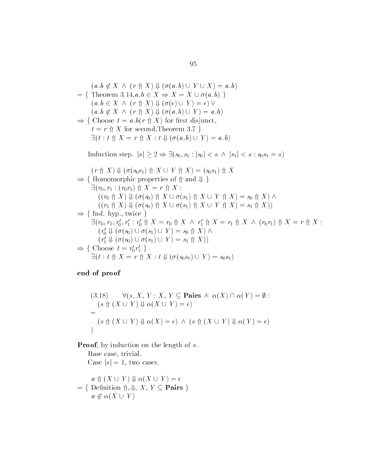$$
(a.b \notin X \land (r \nrightarrow X) \Downarrow (\sigma(a.b) \cup Y \cup X) = a.b)
$$
\n
$$
= \{ \text{ Theorem 3.14}, a.b \in X \Rightarrow X = X \cup \sigma(a.b) \}
$$
\n
$$
(a.b \in X \land (r \nrightarrow X) \Downarrow (\sigma(\epsilon) \cup Y) = \epsilon) \lor
$$
\n
$$
(a.b \notin X \land (r \nrightarrow X) \Downarrow (\sigma(a.b) \cup Y) = a.b)
$$
\n
$$
\Rightarrow \{ \text{Choose } t = a.b(r \nrightarrow X) \text{ for first disjunct,}
$$
\n
$$
t = r \nrightarrow X \text{ for second, Theorem 3.7 } \}
$$
\n
$$
\exists (t : t \nrightarrow X = r \nrightarrow X : t \Downarrow (\sigma(a.b) \cup Y) = a.b)
$$
\nInduction step.  $|s| \geq 2 \Rightarrow \exists (s_0, s_1 : |s_0| < s \land |s_1| < s : s_0 s_1 = s)$ \n
$$
(r \nrightarrow X) \Downarrow (\sigma(s_0 s_1) \nrightarrow X \cup Y \nrightarrow X) = (s_0 s_1) \nrightarrow X
$$
\n
$$
\Rightarrow \{ \text{Homomorphic properties of } \nrightarrow \text{ and } \nrightarrow \text{ } \}
$$
\n
$$
\exists (r_0, r_1 : (r_0 r_1) \nrightarrow X = r \nrightarrow X : ((r_0 \nrightarrow X) \nrightarrow (\sigma(s_0) \nrightarrow X \cup \sigma(s_1) \nrightarrow X \cup Y \nrightarrow X) = s_0 \nrightarrow X) \land ((r_1 \nrightarrow X) \nrightarrow (\sigma(s_0) \nrightarrow X \cup \sigma(s_1) \nrightarrow X \cup Y \nrightarrow X) = s_1 \nrightarrow X))
$$
\n
$$
\Rightarrow \{ \text{Ind. hyp.}, \text{ twice } \}
$$
\n
$$
\exists (r_0, r_1, r'_0, r'_1 : r'_0 \nrightarrow X = r_0 \nrightarrow X \land r'_1 \nrightarrow X = r_1 \nrightarrow X \land (r_0 r_1) \nrightarrow X = r \nrightarrow X : (r'_0 \nrightarrow (\sigma(s_0) \cup \sigma(s_1) \cup Y) = s_0 \nrightarrow X) \land (r'_1 \nrightarrow (\sigma(s_0) \cup \sigma(s_1) \cup Y) = s_1 \nrightarrow X))
$$
\n
$$
\Rightarrow \{ \text{Choose } t = r'_0
$$

(3.18) 
$$
\forall (s, X, Y : X, Y \subseteq \mathbf{Pairs} \land \alpha(X) \cap \alpha(Y) = \emptyset :
$$

$$
(s \Uparrow (X \cup Y) \Downarrow \alpha(X \cup Y) = \epsilon)
$$

$$
= (s \Uparrow (X \cup Y) \Downarrow \alpha(X) = \epsilon) \land (s \Uparrow (X \cup Y) \Downarrow \alpha(Y) = \epsilon)
$$

**Proof**, by induction on the length of  $s$ .<br>Base case, trivial.

Case  $|s| = 1$ , two cases.

$$
a \Uparrow (X \cup Y) \Downarrow \alpha(X \cup Y) = \epsilon
$$
  
= { Definition  $\Uparrow$ ,  $\Downarrow$ ,  $X, Y \subseteq$  **Pairs** }  
 $a \notin \alpha(X \cup Y)$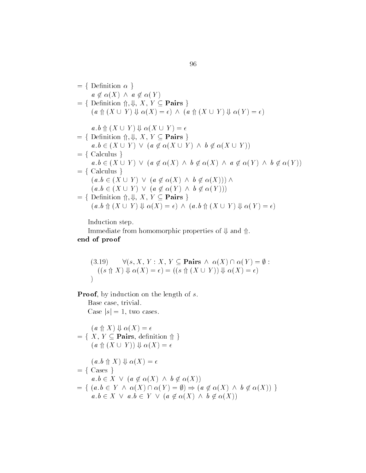$$
= \{ \text{ Definition } \alpha \}
$$
  
\n
$$
a \notin \alpha(X) \land a \notin \alpha(Y)
$$
  
\n
$$
= \{ \text{ Definition } \Uparrow, \Downarrow, X, Y \subseteq \text{Pairs } \}
$$
  
\n
$$
(a \Uparrow (X \cup Y) \Downarrow \alpha(X) = \epsilon) \land (a \Uparrow (X \cup Y) \Downarrow \alpha(Y) = \epsilon)
$$
  
\n
$$
a.b \Uparrow (X \cup Y) \Downarrow \alpha(X \cup Y) = \epsilon
$$
  
\n
$$
= \{ \text{ Definition } \Uparrow, \Downarrow, X, Y \subseteq \text{Pairs } \}
$$
  
\n
$$
a.b \in (X \cup Y) \lor (a \notin \alpha(X \cup Y) \land b \notin \alpha(X \cup Y))
$$
  
\n
$$
= \{ \text{ Calculus } \}
$$
  
\n
$$
a.b \in (X \cup Y) \lor (a \notin \alpha(X) \land b \notin \alpha(X) \land a \notin \alpha(Y) \land b \notin \alpha(Y))
$$
  
\n
$$
= \{ \text{ Calculus } \}
$$
  
\n
$$
(a.b \in (X \cup Y) \lor (a \notin \alpha(X) \land b \notin \alpha(X))) \land
$$
  
\n
$$
(a.b \in (X \cup Y) \lor (a \notin \alpha(Y) \land b \notin \alpha(Y)))
$$
  
\n
$$
= \{ \text{Definition } \Uparrow, \Downarrow, X, Y \subseteq \text{Pairs } \}
$$
  
\n
$$
(a.b \Uparrow (X \cup Y) \Downarrow \alpha(X) = \epsilon) \land (a.b \Uparrow (X \cup Y) \Downarrow \alpha(Y) = \epsilon)
$$

Induction step

Immediate from homomorphic properties of  $\Downarrow$  and  $\Uparrow$ .

end of proof

(3.19) 
$$
\forall (s, X, Y : X, Y \subseteq \mathbf{Pairs} \land \alpha(X) \cap \alpha(Y) = \emptyset :
$$

$$
((s \uparrow\uparrow X) \Downarrow \alpha(X) = \epsilon) = ((s \uparrow\uparrow (X \cup Y)) \Downarrow \alpha(X) = \epsilon)
$$

**Proof**, by induction on the length of  $s$ .<br>Base case, trivial.

Case  $|s| = 1$ , two cases.  $(a \nightharpoonup X) \Downarrow \alpha(X) = \epsilon$  $(a \nparallel X) \Downarrow \alpha(X) = \epsilon$ <br>= { X, Y  $\subset$  Pairs, definition  $\Uparrow$  }  $(a \text{ } \Uparrow (X \cup Y)) \Downarrow \alpha(X) = \epsilon$  $(a.b \nrightarrow X) \Downarrow \alpha(X) = \epsilon$  $= \{ \text{Case } \}$  $a, b \in X \lor (a \notin \alpha(X) \land b \notin \alpha(X))$  $= \{ (a.b \in Y \land \alpha(X) \cap \alpha(Y) = \emptyset) \Rightarrow (a \notin \alpha(X) \land b \notin \alpha(X)) \}$  $a, b \in X \lor a, b \in Y \lor (a \notin \alpha(X) \land b \notin \alpha(X))$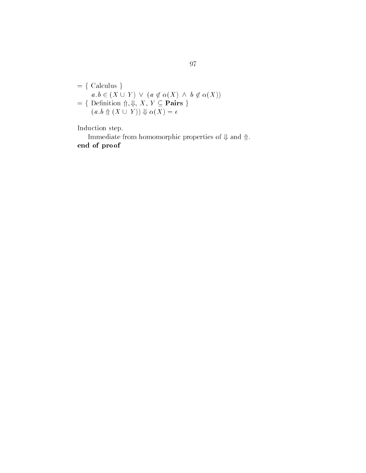$$
= \{ \text{ Calculus } \}
$$
  
\n
$$
a.b \in (X \cup Y) \lor (a \notin \alpha(X) \land b \notin \alpha(X))
$$
  
\n
$$
= \{ \text{Definition } \Uparrow, \Downarrow, X, Y \subseteq \text{Pairs } \}
$$
  
\n
$$
(a.b \Uparrow (X \cup Y)) \Downarrow \alpha(X) = \epsilon
$$

Induction step

Immediate from homomorphic properties of  $\Downarrow$  and  $\Uparrow.$ end of proof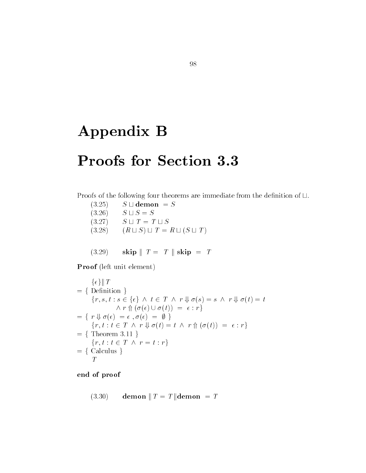# Appendix B

## Proofs for Section 3.3

Proofs of the following four theorems are immediate from the definition of  $\sqcup$ .

- $(3.25)$   $S \sqcup$  demon = S  $(3.26)$   $S \sqcup S = S$  $(3.27)$   $S \sqcup T = T \sqcup S$  $(3.28)$   $(R \sqcup S) \sqcup T = R \sqcup (S \sqcup T)$
- $(3.29)$  skip  $T = T \parallel$  skip  $T = T$

Proof (left unit element)

$$
\{\epsilon\} \| T
$$
\n
$$
= \{ \text{Definition } \}
$$
\n
$$
\{r, s, t : s \in \{\epsilon\} \land t \in T \land r \Downarrow \sigma(s) = s \land r \Downarrow \sigma(t) = t
$$
\n
$$
\land r \Uparrow (\sigma(\epsilon) \cup \sigma(t)) = \epsilon : r \}
$$
\n
$$
= \{ r \Downarrow \sigma(\epsilon) = \epsilon, \sigma(\epsilon) = \emptyset \}
$$
\n
$$
\{r, t : t \in T \land r \Downarrow \sigma(t) = t \land r \Uparrow (\sigma(t)) = \epsilon : r \}
$$
\n
$$
= \{ \text{Theorem 3.11 } \}
$$
\n
$$
\{r, t : t \in T \land r = t : r \}
$$
\n
$$
= \{ \text{Calculus } \}
$$

end of proof

$$
(3.30) \qquad \textbf{demon} \parallel T = T \parallel \textbf{demon} = T
$$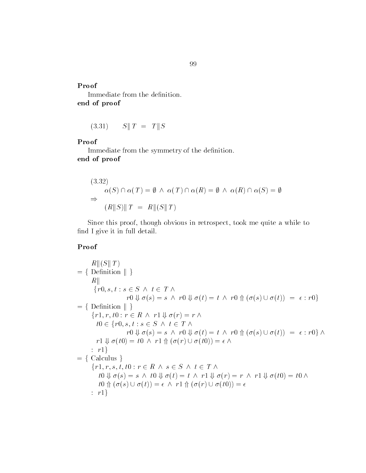# Proof **Proof**

Immediate from the definition. end of proof

 $(3.31)$   $S \parallel T = T \parallel S$ 

#### Proof

Immediate from the symmetry of the definition. end of proof

$$
(3.32)
$$
  
\n
$$
\alpha(S) \cap \alpha(T) = \emptyset \land \alpha(T) \cap \alpha(R) = \emptyset \land \alpha(R) \cap \alpha(S) = \emptyset
$$
  
\n
$$
\Rightarrow (R||S)||T = R||(S||T)
$$

Since this proof, though obvious in retrospect, took me quite a while to find I give it in full detail.

$$
R \parallel (S \parallel T)
$$
  
\n
$$
= \{ \text{ Definition } || \}
$$
  
\n
$$
R \parallel
$$
  
\n
$$
\{r0, s, t : s \in S \land t \in T \land
$$
  
\n
$$
r0 \Downarrow \sigma(s) = s \land r0 \Downarrow \sigma(t) = t \land r0 \Uparrow (\sigma(s) \cup \sigma(t)) = \epsilon : r0 \}
$$
  
\n
$$
= \{ \text{ Definition } || \}
$$
  
\n
$$
\{r1, r, t0 : r \in R \land r1 \Downarrow \sigma(r) = r \land
$$
  
\n
$$
t0 \in \{r0, s, t : s \in S \land t \in T \land
$$
  
\n
$$
r0 \Downarrow \sigma(s) = s \land r0 \Downarrow \sigma(t) = t \land r0 \Uparrow (\sigma(s) \cup \sigma(t)) = \epsilon : r0 \} \land
$$
  
\n
$$
r1 \Downarrow \sigma(t0) = t0 \land r1 \Uparrow (\sigma(r) \cup \sigma(t0)) = \epsilon \land
$$
  
\n
$$
: r1 \}
$$
  
\n
$$
= \{ \text{ Calculus } \}
$$
  
\n
$$
\{r1, r, s, t, t0 : r \in R \land s \in S \land t \in T \land
$$
  
\n
$$
t0 \Downarrow \sigma(s) = s \land t0 \Downarrow \sigma(t) = t \land r1 \Downarrow \sigma(r) = r \land r1 \Downarrow \sigma(t0) = t0 \land
$$
  
\n
$$
t0 \Uparrow (\sigma(s) \cup \sigma(t)) = \epsilon \land r1 \Uparrow (\sigma(r) \cup \sigma(t0)) = \epsilon
$$
  
\n
$$
: r1 \}
$$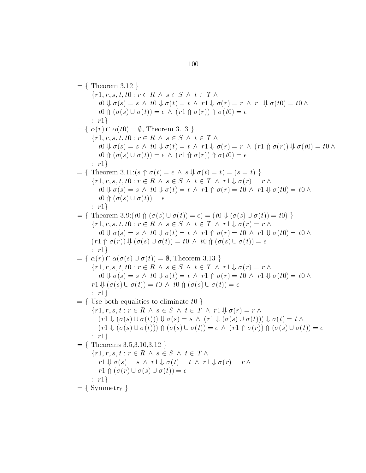$=$  { Theorem 3.12 }  $\{r1, r, s, t, t0 : r \in R \land s \in S \land t \in T \land$  $t \cdot t \cdot \mathbf{0} \Downarrow \sigma(s) = s \land t \cdot \mathbf{0} \Downarrow \sigma(t) = t \land r1 \Downarrow \sigma(r) = r \land r1 \Downarrow \sigma(t0) = t0 \land t \cdot \mathbf{0}$  $t \theta \uparrow (\sigma(s) \cup \sigma(t)) = \epsilon \wedge (r \theta \uparrow \sigma(r)) \uparrow \sigma(t) = \epsilon$  r g $= \{ \alpha(r) \cap \alpha(t0) = \emptyset, \text{ Theorem 3.13 } \}$  $\{r1, r, s, t, t0 : r \in R \land s \in S \land t \in T \land$  $t \cdot t \cdot \mathbf{0} \Downarrow \sigma(s) = s \land t \cdot \mathbf{0} \Downarrow \sigma(t) = t \land r1 \Downarrow \sigma(r) = r \land (r1 \land \sigma(r)) \Downarrow \sigma(t0) = t \cdot \mathbf{0} \land t$  $t \theta \uparrow (\sigma(s) \cup \sigma(t)) = \epsilon \wedge (r \theta \uparrow \sigma(r)) \uparrow \sigma(t) = \epsilon$  r graduate and controller  $= \{$  Theorem 3.11: $(s \uparrow \sigma(t)) = \epsilon \wedge s \Downarrow \sigma(t) = t) = (s = t) \}$  $\{r1, r, s, t, t0 : r \in R \land s \in S \land t \in T \land r1 \Downarrow \sigma(r) = r \land r1$  $t \cdot t \cdot \mathbf{0} \Downarrow \sigma(s) = s \land t \cdot \mathbf{0} \Downarrow \sigma(t) = t \land r \cdot \mathbf{1} \Uparrow \sigma(r) = t \cdot \mathbf{0} \land r \cdot \mathbf{1} \Downarrow \sigma(t \cdot \mathbf{0}) = t \cdot \mathbf{0} \land t \cdot \mathbf{0}$  $t\theta \uparrow (\sigma(s) \cup \sigma(t)) = \epsilon$ r - a baile and a baile and a baile and a baile and a baile and a baile and a baile and a baile and a baile and g $= \{$  Theorem 3.9: $(t0 \nrightarrow (\sigma(s) \cup \sigma(t)) = \epsilon) = (t0 \nrightarrow (\sigma(s) \cup \sigma(t)) = t0) \}$  $\{r1, r, s, t, t0 : r \in R \land s \in S \land t \in T \land r1 \Downarrow \sigma(r) = r \land r1$  $t \cdot t \cdot \mathbf{0} \Downarrow \sigma(s) = s \land t \cdot \mathbf{0} \Downarrow \sigma(t) = t \land r \cdot \mathbf{1} \Uparrow \sigma(r) = t \cdot \mathbf{0} \land r \cdot \mathbf{1} \Downarrow \sigma(t \cdot \mathbf{0}) = t \cdot \mathbf{0} \land t \cdot \mathbf{0}$  $(r1 \oplus \sigma(r)) \Downarrow (\sigma(s) \cup \sigma(t)) = t0 \land t0 \oplus (\sigma(s) \cup \sigma(t)) = \epsilon$  r g $= \{ \alpha(r) \cap \alpha(\sigma(s) \cup \sigma(t)) = \emptyset$ , Theorem 3.13 }  $\{r1, r, s, t, t0 : r \in R \land s \in S \land t \in T \land r1 \Downarrow \sigma(r) = r \land r1$  $t \cdot t \cdot \mathbf{0} \Downarrow \sigma(s) = s \land t \cdot \mathbf{0} \Downarrow \sigma(t) = t \land r \cdot \mathbf{1} \Uparrow \sigma(r) = t \cdot \mathbf{0} \land r \cdot \mathbf{1} \Downarrow \sigma(t \cdot \mathbf{0}) = t \cdot \mathbf{0} \land t \cdot \mathbf{0}$  $r1 \Downarrow (\sigma(s) \cup \sigma(t)) = t0 \land t0 \Uparrow (\sigma(s) \cup \sigma(t)) = \epsilon$  r graduate and controller  $f = \{$  Use both equalities to eliminate to  $\}$  $\{r1, r, s, t : r \in R \land s \in S \land t \in T \land r1 \Downarrow \sigma(r) = r \land$  $(r1 \Downarrow (\sigma(s) \cup \sigma(t))) \Downarrow \sigma(s) = s \wedge (r1 \Downarrow (\sigma(s) \cup \sigma(t))) \Downarrow \sigma(t) = t \wedge$  $(r1 \Downarrow (\sigma(s) \cup \sigma(t))) \Uparrow ( \sigma(s) \cup \sigma(t)) = \epsilon \wedge (r1 \Uparrow \sigma(r)) \Uparrow ( \sigma(s) \cup \sigma(t)) = \epsilon$ r - a baile and a baile and a baile and a baile and a baile and a baile and a baile and a baile and a baile and g $= \{$  Theorems  $3.5, 3.10, 3.12 \}$  $\{r1, r, s, t : r \in R \land s \in S \land t \in T \land$  $r1 \Downarrow \sigma(s) = s \land r1 \Downarrow \sigma(t) = t \land r1 \Downarrow \sigma(r) = r \land$  $r1 \Uparrow (\sigma(r) \cup \sigma(s) \cup \sigma(t)) = \epsilon$  r g $= \{ Symmetry \}$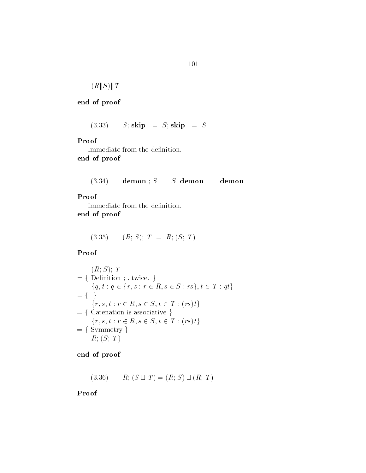$$
(R||S)||T
$$

 $(S.33) \qquad S; \, \mathrm{skip} \quad = \, S; \, \mathrm{skip} \quad = \, S$ 

#### Proof

Immediate from the definition. end of proof

#### $(3.34)$  demon;  $S = S$ ; demon = demon

#### Proof

Immediate from the definition. end of proof

$$
(3.35) \qquad (R; S); T = R; (S; T)
$$

Proof

$$
R; S; T = \{ \text{Definition } ;, \text{ twice. } \}
$$
\n
$$
= \{ q, t : q \in \{r, s : r \in R, s \in S : rs \}, t \in T : qt \}
$$
\n
$$
= \{ \}
$$
\n
$$
\{r, s, t : r \in R, s \in S, t \in T : (rs)t \}
$$
\n
$$
= \{ \text{Catenation is associative } \}
$$
\n
$$
\{r, s, t : r \in R, s \in S, t \in T : (rs)t \}
$$
\n
$$
= \{ \text{Symmetry } \}
$$
\n
$$
R; (S; T)
$$

end of proof

$$
(3.36) \qquad R; (S \sqcup T) = (R; S) \sqcup (R; T)
$$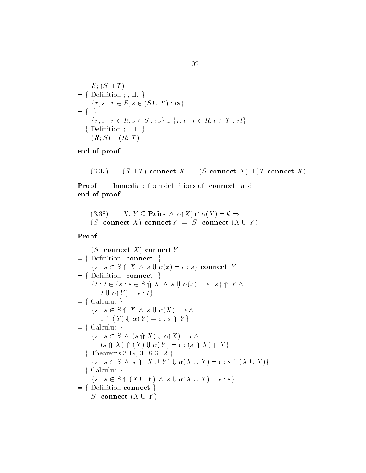$$
R; (S \sqcup T)
$$
  
= { Definition ; ,  $\sqcup$  . }  
{ r, s : r \in R, s \in (S \cup T) : rs }  
= { }  
{ r, s : r \in R, s \in S : rs } \cup { r, t : r \in R, t \in T : rt }  
= { Definition ; ,  $\sqcup$  . }  
( R; S) \sqcup ( R; T)

 $S(S \cup T)$  connect  $X = (S \text{ connect } X) \sqcup (T \text{ connect } X)$ 

**Proof** Immediate from definitions of connect and  $\sqcup$ . end of proof

```
of proof<br>
(3.38) X, Y \subseteq \textbf{Pairs} \land \alpha(X) \cap \alpha(Y) = \emptyset \Rightarrow(S \text{ connect } X) connect Y = S \text{ connect } (X \cup Y)
```
#### Proof

 $(S$  connect X connect Y  $=$  {Definition connect }  $\{s : s \in S \pitchfork X \land s \Downarrow \alpha(x) = \epsilon : s\}$  connect Y  $=$  {Definition connect }  $\{s : s \in S \text{ } \Uparrow X \text{ } \wedge \text{ } s \Downarrow \alpha(x) = \epsilon : s\}$  connect Y<br>Definition connect  $\}$ <br> $\{t : t \in \{s : s \in S \text{ } \Uparrow X \text{ } \wedge \text{ } s \Downarrow \alpha(x) = \epsilon : s\} \text{ } \Uparrow Y \text{ } \wedge$  $t \Downarrow \alpha(Y) = \epsilon : t$  $= \{$  Calculus  $\}$  $\{s : s \in S \uparrow\!\!\!\!\!\uparrow X \land s \Downarrow \alpha(X) = \epsilon \land$  $s \text{ } \Uparrow (Y) \Downarrow \alpha(Y) = \epsilon : s \text{ } \Uparrow Y$ <br>= { Calculus }  $\{s : s \in S \land (s \land X) \Downarrow \alpha(X) = \epsilon \land$  $(s \nrightarrow X) \nrightarrow (Y) \nDownarrow \n\alpha(Y) = \epsilon : (s \nrightarrow X) \nrightarrow Y$  $9, 3.18$   $3.12$  }  $\{s : s \in S \land s \Uparrow (X \cup Y) \Downarrow \alpha(X \cup Y) = \epsilon : s \Uparrow (X \cup Y)\}$  $= \{$  Calculus  $\}$  $\{s : s \in S \land (X \cup Y) \land s \Downarrow \alpha(X \cup Y) = \epsilon : s\}$  $= \{$  Definition connect  $\}$ S connect  $(X \cup Y)$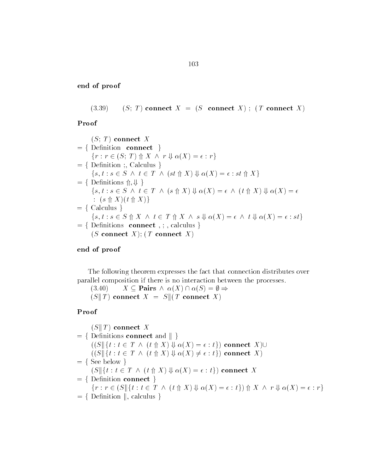$(3.39)$   $(S; T)$  connect  $X = (S \text{ connect } X);$  (T connect X)

Proof

$$
(S; T) \text{ connect } X
$$
\n
$$
= \{ \text{Definition connect } \}
$$
\n
$$
\{r : r \in (S; T) \uparrow X \land r \Downarrow \alpha(X) = \epsilon : r \}
$$
\n
$$
= \{ \text{Definition } ;, \text{ Calculus } \}
$$
\n
$$
\{s, t : s \in S \land t \in T \land (st \uparrow X) \Downarrow \alpha(X) = \epsilon : st \uparrow X \}
$$
\n
$$
= \{ \text{Definitions } \uparrow, \Downarrow \}
$$
\n
$$
\{s, t : s \in S \land t \in T \land (s \uparrow X) \Downarrow \alpha(X) = \epsilon \land (t \uparrow X) \Downarrow \alpha(X) = \epsilon
$$
\n
$$
: (s \uparrow X)(t \uparrow X) \}
$$
\n
$$
= \{ \text{ Calculus } \}
$$
\n
$$
\{s, t : s \in S \uparrow X \land t \in T \uparrow X \land s \Downarrow \alpha(X) = \epsilon \land t \Downarrow \alpha(X) = \epsilon : st \}
$$
\n
$$
= \{ \text{Definitions connect } ;, \text{ calculus } \}
$$
\n
$$
(S \text{ connect } X); (T \text{ connect } X)
$$

#### end of proof

The following theorem expresses the fact that connection distributes over parallel composition if there is no interaction between the processes resses the fact that connect<br>s no interaction between th<br> $\alpha(X) \cap \alpha(S) = \emptyset \Rightarrow$ 

 $(3.40)$   $X \subseteq$  Pairs  $\wedge \alpha(X) \cap \alpha(S) = \emptyset \Rightarrow$  $(S \| T)$  connect  $X = S \| (T \text{ connect } X)$ 

$$
(S \parallel T) \text{ connect } X
$$
\n
$$
= \{ \text{ Definitions connect and } \parallel \}
$$
\n
$$
((S \parallel \{ t : t \in T \land (t \Uparrow X) \Downarrow \alpha(X) = \epsilon : t \}) \text{ connect } X) \cup
$$
\n
$$
((S \parallel \{ t : t \in T \land (t \Uparrow X) \Downarrow \alpha(X) \neq \epsilon : t \}) \text{ connect } X)
$$
\n
$$
= \{ \text{See below } \}
$$
\n
$$
(S \parallel \{ t : t \in T \land (t \Uparrow X) \Downarrow \alpha(X) = \epsilon : t \}) \text{ connect } X
$$
\n
$$
= \{ \text{Definition connect } \}
$$
\n
$$
\{ r : r \in (S \parallel \{ t : t \in T \land (t \Uparrow X) \Downarrow \alpha(X) = \epsilon : t \}) \Uparrow X \land r \Downarrow \alpha(X) = \epsilon : r \}
$$
\n
$$
= \{ \text{Definition } \parallel, \text{ calculus } \}
$$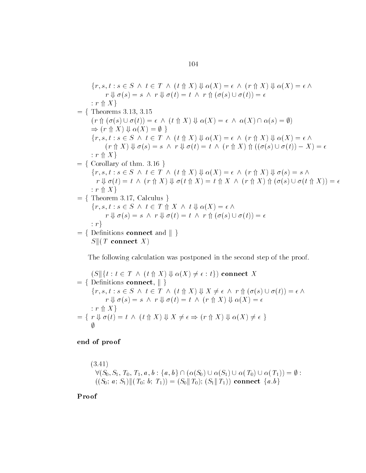$$
\{r, s, t : s \in S \land t \in T \land (t \uparrow X) \Downarrow \alpha(X) = \epsilon \land (r \uparrow X) \Downarrow \alpha(X) = \epsilon \land
$$
  
\r\n
$$
r \Downarrow \sigma(s) = s \land r \Downarrow \sigma(t) = t \land r \uparrow (\sigma(s) \cup \sigma(t)) = \epsilon
$$
  
\r\n
$$
\{r \uparrow X\}
$$
  
\r\n
$$
= \{ \text{ Theorems 3.13, 3.15}
$$
  
\r\n
$$
(r \uparrow (\sigma(s) \cup \sigma(t)) = \epsilon \land (t \uparrow X) \Downarrow \alpha(X) = \epsilon \land \alpha(X) \cap \alpha(s) = \emptyset)
$$
  
\r\n
$$
\Rightarrow (r \uparrow X) \Downarrow \alpha(X) = \emptyset \}
$$
  
\r\n
$$
\{r, s, t : s \in S \land t \in T \land (t \uparrow X) \Downarrow \alpha(X) = \epsilon \land (r \uparrow X) \Downarrow \alpha(X) = \epsilon \land
$$
  
\r\n
$$
\{r \uparrow X\}
$$
  
\r\n
$$
= \{ \text{ Corollary of thm. 3.16 } \}
$$
  
\r\n
$$
\{r, s, t : s \in S \land t \in T \land (t \uparrow X) \Downarrow \alpha(X) = \epsilon \land (r \uparrow X) \Downarrow \sigma(s) = s \land
$$
  
\r\n
$$
r \Downarrow \sigma(t) = t \land (r \uparrow X) \Downarrow \sigma(t \uparrow X) = t \uparrow X \land (r \uparrow X) \Downarrow \sigma(s) = s \land
$$
  
\r\n
$$
r \Downarrow \sigma(t) = t \land (r \uparrow X) \Downarrow \sigma(t \uparrow X) = t \uparrow X \land (r \uparrow X) \Uparrow (\sigma(s) \cup \sigma(t \uparrow X)) = \epsilon
$$
  
\r\n
$$
\{r, s, t : s \in S \land t \in T \uparrow X \land t \Downarrow \alpha(X) = \epsilon \land
$$
  
\r\n
$$
r \Downarrow \sigma(s) = s \land r \Downarrow \sigma(t) = t \land r \uparrow (\sigma(s) \cup \sigma(t)) = \epsilon
$$
  
\r\n
$$
\{r, s, t : s \in S \land t \in T \uparrow X \land t \Downarrow \alpha(X) = \epsilon \land
$$
  
\

The following calculation was postponed in the second step of the proof

$$
(S \mid \{t : t \in T \land (t \uparrow X) \Downarrow \alpha(X) \neq \epsilon : t\}) \text{ connect } X
$$
\n
$$
= \{ \text{ Definitions connect, } \mid \}
$$
\n
$$
\{r, s, t : s \in S \land t \in T \land (t \uparrow X) \Downarrow X \neq \epsilon \land r \uparrow (\sigma(s) \cup \sigma(t)) = \epsilon \land r \Downarrow \sigma(s) = s \land r \Downarrow \sigma(t) = t \land (r \uparrow X) \Downarrow \alpha(X) = \epsilon
$$
\n
$$
: r \uparrow X \}
$$
\n
$$
= \{ r \Downarrow \sigma(t) = t \land (t \uparrow X) \Downarrow X \neq \epsilon \Rightarrow (r \uparrow X) \Downarrow \alpha(X) \neq \epsilon \}
$$
\n
$$
\emptyset
$$

end of proof

$$
(3.41)
$$
  
\n
$$
\forall (S_0, S_1, T_0, T_1, a, b : \{a, b\} \cap (\alpha(S_0) \cup \alpha(S_1) \cup \alpha(T_0) \cup \alpha(T_1)) = \emptyset :
$$
  
\n
$$
((S_0; a; S_1) \| (T_0; b; T_1)) = (S_0 \| T_0); (S_1 \| T_1)) \text{ connect } \{a, b\}
$$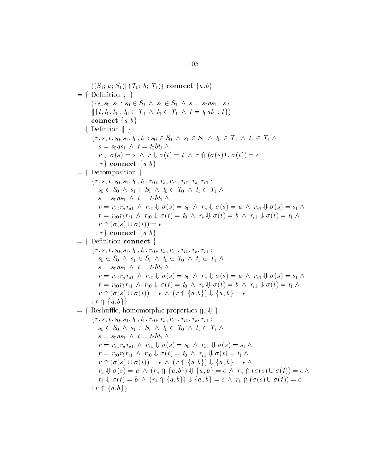$((S_0; a; S_1)$ ||( $T_0; b; T_1)$ ) connect  $\{a, b\}$  $= \{$  Definition  $; \}$  $\{\{s, s_0, s_1 : s_0 \in S_0 \land s_1 \in S_1 \land s = s_0 a s_1 : s\}$  $\begin{aligned} &\|\{t, t_0, t_1 : t_0 \in T_0 \; \wedge \; t_1 \in T_1 \; \wedge \; t = t_0 a t_1 : t\}) \\ &\text{connect} \; \{a, b\} \\ &= \{\; \text{Definition } \| \; \} \end{aligned}$ connect  $\{a,b\}$  $\{r, s, t, s_0, s_1, t_0, t_1 : s_0 \in S_0 \land s_1 \in S_1 \land t_0 \in T_0 \land t_1 \in T_1 \land$  $s = s_0 a s_1 \wedge t = t_0 b t_1 \wedge t_2$  $r \Downarrow \sigma(s) = s \land r \Downarrow \sigma(t) = t \land r \Uparrow (\sigma(s) \cup \sigma(t)) = \epsilon$  $\{r\}$  connect  $\{a,b\}$  $= \{$  Decomposition  $\}$  $\{r, s, t, s_0, s_1, t_0, t_1, r_{s0}, r_a, r_{s1}, r_{t0}, r_b, r_{t1}$  $s_0 \in S_0 \land s_1 \in S_1 \land t_0 \in T_0 \land t_1 \in T_1 \land$  $s = s_0 a s_1 \wedge t = t_0 b t_1 \wedge t_2$  $r = r_{s0}r_a r_{s1} \wedge r_{s0} \Downarrow \sigma(s) = s_0 \wedge r_a \Downarrow \sigma(s) = a \wedge r_{s1} \Downarrow \sigma(s) = s_1 \wedge \cdots$  $r = r_{t0} r_b r_{t1} \wedge r_{t0} \Downarrow \sigma(t) = t_0 \wedge r_b \Downarrow \sigma(t) = b \wedge r_{t1} \Downarrow \sigma(t) = t_1 \wedge r_b$  $r \uparrow (\sigma(s) \cup \sigma(t)) = \epsilon$  $\{r\}$  connect  $\{a,b\}$  $=$  {Definition connect }  $\{r, s, t, s_0, s_1, t_0, t_1, r_{s0}, r_a, r_{s1}, r_{t0}, r_b, r_{t1}$  $s_0 \in S_0 \land s_1 \in S_1 \land t_0 \in T_0 \land t_1 \in T_1 \land$  $s = s_0 a s_1 \wedge t = t_0 b t_1 \wedge t_2$  $r = r_{s0}r_a r_{s1} \wedge r_{s0} \Downarrow \sigma(s) = s_0 \wedge r_a \Downarrow \sigma(s) = a \wedge r_{s1} \Downarrow \sigma(s) = s_1 \wedge r = r_{t0}r_b r_{t1} \wedge r_{t0} \Downarrow \sigma(t) = t_0 \wedge r_b \Downarrow \sigma(t) = b \wedge r_{t1} \Downarrow \sigma(t) = t_1 \wedge r_f \Uparrow (\sigma(s) \cup \sigma(t)) = \epsilon \wedge (r_f \uparrow \{a, b\}) \Downarrow \{a, b\} = \epsilon$  $r = r_{t0}r_b r_{t1} \wedge r_{t0} \Downarrow \sigma(t) = t_0 \wedge r_b \Downarrow \sigma(t) = b \wedge r_{t1} \Downarrow \sigma(t) = t_1 \wedge r_b$  $r \uparrow (\sigma(s) \cup \sigma(t)) = \epsilon \wedge (r \uparrow (\{a, b\}) \Downarrow \{a, b\}) = \epsilon$  $r = r_{t0}r_b r_{t1}$  /<br>  $r \Uparrow (\sigma(s) \cup \sigma$ <br>  $: r \Uparrow \{a, b\}$  $r \Uparrow (\sigma(s) \cup \sigma(t)) = \epsilon \wedge (r \Uparrow \{a, b\}) \Downarrow \{a, b\} = \epsilon$ <br>:  $r \Uparrow \{a, b\}$ <br>= { Reshuffle, homomorphic properties  $\Uparrow$ ,  $\Downarrow$  }  $\{r, s, t, s_0, s_1, t_0, t_1, r_{s0}, r_a, r_{s1}, r_{t0}, r_b, r_{t1}$  $s_0 \in S_0 \land s_1 \in S_1 \land t_0 \in T_0 \land t_1 \in T_1 \land$  $s = s_0 a s_1 \wedge t = t_0 b t_1 \wedge t_2$  $r = r_{s0}r_a r_{s1} \wedge r_{s0} \Downarrow \sigma(s) = s_0 \wedge r_{s1} \Downarrow \sigma(s) = s_1 \wedge$  $r = r_{t0} r_b r_{t1} \wedge r_{t0} \Downarrow \sigma(t) = t_0 \wedge r_{t1} \Downarrow \sigma(t) = t_1 \wedge$  $r \uparrow (\sigma(s) \cup \sigma(t)) = \epsilon \wedge (r \uparrow (\{a, b\}) \Downarrow \{a, b\}) = \epsilon \wedge$  $f(x) = s_0 \wedge r_{s1} \Downarrow \sigma(s) = s_1$ <br>=  $t_0 \wedge r_{t1} \Downarrow \sigma(t) = t_1$ <br>(r  $\Uparrow \{a, b\} \Downarrow \{a, b\} = \epsilon$  $r_a \Downarrow \sigma(s) = a \land (r_a \uparrow \{a \cdot b\}) \Downarrow \{a, b\} = \epsilon \land r_a \uparrow (\sigma(s) \cup \sigma(t)) = \epsilon \land$  $\begin{array}{l} \Phi_0 \Downarrow \sigma(t) = t_0 \ \wedge \ r_{t1} \Downarrow \sigma(t) \ = \epsilon \ \wedge \ (r \Uparrow \{a.b\}) \Downarrow \{a, \ (r_a \Uparrow \{a.b\}) \Downarrow \{a,b\} = \epsilon \end{array}$  $r_b \Downarrow \sigma(t) = b \wedge (r_b \uparrow \{a, b\}) \Downarrow \{a, b\} = \epsilon \wedge r_b \uparrow (\sigma(s) \cup \sigma(t)) = \epsilon$  $\epsilon \in \wedge (r \Uparrow \{a.b\}) \Downarrow \{a \}(r_a \Uparrow \{a.b\}) \Downarrow \{a,b\} = (r_b \Uparrow \{a.b\}) \Downarrow \{a,b\} = \epsilon$  $r_a \Downarrow \sigma(s) = a$ <br>  $r_b \Downarrow \sigma(t) = b$ <br>
: r  $\Uparrow \{a, b\}$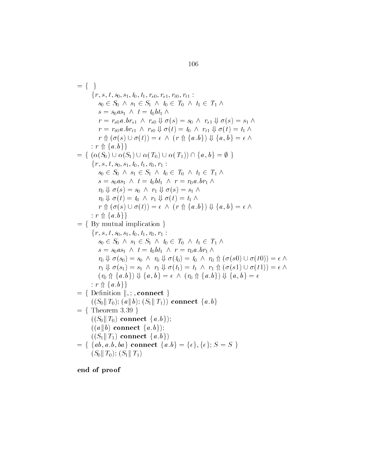$f = \{ \}$  $\{r, s, t, s_0, s_1, t_0, t_1, r_{s0}, r_{s1}, r_{t0}, r_{t1}$ :  $s_0 \in S_0 \land s_1 \in S_1 \land t_0 \in T_0 \land t_1 \in T_1 \land$  $s = s_0 a s_1 \wedge t = t_0 b t_1 \wedge t_2$  $r = r_{s0}a$ .  $br_{s1} \wedge r_{s0} \Downarrow \sigma(s) = s_0 \wedge r_{s1} \Downarrow \sigma(s) = s_1 \wedge$  $r = r_{t0} a b r_{t1} \wedge r_{t0} \Downarrow \sigma(t) = t_0 \wedge r_{t1} \Downarrow \sigma(t) = t_1 \wedge$  $r \uparrow (\sigma(s) \cup \sigma(t)) = \epsilon \wedge (r \uparrow (\{a, b\}) \Downarrow \{a, b\}) = \epsilon \wedge$  $\begin{array}{l} \Gamma(s)=s_0 \;\wedge\; r_{s1} \Downarrow \sigma(s)=s_1,\ \Gamma(t)=t_0 \;\wedge\; r_{t1} \Downarrow \sigma(t)=t_1,\ \Gamma(t\;\uparrow\; \{a\,,b\}) \Downarrow \{a\,,\,b\}=\epsilon_1, \end{array}$  $r = r_{t0}a.br_{t1}$ <br>  $r \Uparrow (\sigma(s) \cup \sigma$ <br>  $: r \Uparrow \{a,b\}\}$ :  $r \uparrow \{a.b\}$ <br>= {  $(\alpha(S_0) \cup \alpha(S_1) \cup \alpha(T_0) \cup \alpha(T_1)) \cap \{a, b\} = \emptyset$  }  $\Downarrow \{a, b\} = \epsilon \wedge$ <br> $b$ } =  $\emptyset$  }  $\{r, s, t, s_0, s_1, t_0, t_1, r_0, r_1:$  $s_0 \in S_0 \land s_1 \in S_1 \land t_0 \in T_0 \land t_1 \in T_1 \land$  $s = s_0 a s_1 \ \land \ t = t_0 b t_1 \ \land \ r = r_0 a \cdot b r_1 \ \land$  $r_0 \Downarrow \sigma(s) = s_0 \wedge r_1 \Downarrow \sigma(s) = s_1 \wedge r_2$  $r_0 \Downarrow \sigma(t) = t_0 \wedge r_1 \Downarrow \sigma(t) = t_1 \wedge$  $r_0 \Downarrow \sigma(s) = s_0 \ \land \ r_1 \Downarrow \sigma(s) = s_1 \ \land \ r_0 \Downarrow \sigma(t) = t_0 \ \land \ r_1 \Downarrow \sigma(t) = t_1 \ \land \ r \Uparrow (\sigma(s) \cup \sigma(t)) = \epsilon \ \land \ (r \Uparrow \{a, b\}) \Downarrow \{a, b\} = \epsilon \ \land \$  $r_0 \Downarrow \sigma(t) = t_0$ <br>  $r \Uparrow (\sigma(s) \cup \sigma$ <br>  $: r \Uparrow \{a, b\}\}$  $= \{ By mutual implication \}$  $\{r, s, t, s_0, s_1, t_0, t_1, r_0, r_1:$  $s_0 \in S_0 \land s_1 \in S_1 \land t_0 \in T_0 \land t_1 \in T_1 \land$  $s = s_0 a s_1 \wedge t = t_0 b t_1 \wedge r = r_0 a b r_1 \wedge$  $r_0 \Downarrow \sigma(s_0) = s_0 \wedge r_0 \Downarrow \sigma(t_0) = t_0 \wedge r_0 \Uparrow (\sigma(s_0) \cup \sigma(t_0)) = \epsilon \wedge$  $r_1 \Downarrow \sigma(s_1) = s_1 \wedge r_1 \Downarrow \sigma(t_1) = t_1 \wedge r_1 \Uparrow (\sigma(s_1) \cup \sigma(t_1)) = \epsilon \wedge$  $r_0 \Downarrow \sigma(s_0) = s_0 \ \land \ r_0 \Downarrow \sigma(t_0) = t_0 \ \land \ r_0 \Uparrow ( \sigma(s0) \cup \sigma(t_1)) \ \tau_1 \Downarrow \sigma(s_1) = s_1 \ \land \ r_1 \Downarrow \sigma(t_1) = t_1 \ \land \ r_1 \Uparrow (\sigma(s1) \cup \sigma(t_1)) \ \tau_0 \Uparrow \{a,b\} \Downarrow \{a,b\} = \epsilon \ \land \ (r_0 \Uparrow \{a,b\}) \Downarrow \{a,b\} = \epsilon$  $b = \epsilon \wedge (r_0 \wedge \{a, b\}) \Downarrow \{a, b\} = \epsilon$  $r_1 \Downarrow \sigma(s_1) = s$ <br>  $(r_0 \Uparrow \{a.b\}) \Downarrow$ <br>  $:r \Uparrow \{a.b\}$  $= \{$  Definition  $\|.\,$ ; connect  $\}$  $((S_0 \| T_0); (a \| b); (S_1 \| T_1))$  connect  $\{a.b\}$  $= \{$  Theorem 3.39  $\}$  $((S_0 \| T_0)$  connect  $\{a.b\};$  $((a||b)$  connect  $\{a,b\});$  $((S_1 \| T_1)$  connect  $\{a,b\})$  $((a||b) \text{ connect } \{a.b\})$ ;<br>  $((S_1||T_1) \text{ connect } \{a.b\})$ <br>  $= \{ \{ \{ab, a.b, ba\} \text{ connect } \{a.b\} = \{\epsilon\}, \{\epsilon\}; S = S \}$  $(S_0 \| T_0); (S_1 \| T_1)$ 

end of proof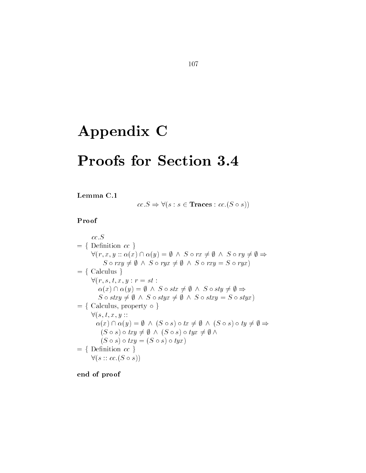# Appendix C

## Proofs for Section 3.4

#### Lemma C

 $cc.S \Rightarrow \forall (s:s \in \mathbf{Traces}: cc.(S \circ s))$ 

 $cc.S$  $= \{$  Definition  $cc \}$ cc.S<br>Definition cc }<br> $\forall (r, x, y :: \alpha(x) \cap \alpha(y) = \emptyset \land S \circ rx \neq \emptyset \land S \circ ry \neq \emptyset \Rightarrow$ nition cc }<br>  $x, y :: \alpha(x) \cap \alpha(y) = \emptyset \land S \circ rx \neq \emptyset$ <br>  $S \circ rxu \neq \emptyset \land S \circ rux \neq \emptyset \land S \circ rxu$  $S \circ rxy \neq \emptyset \land S \circ ryx \neq \emptyset \land S \circ rxy = S \circ ryx$  $= \{$  Calculus  $\}$  $\forall (r, s, t, x, y : r = st :$ lculus }<br>  $r, s, t, x, y : r = st :$ <br>  $\alpha(x) \cap \alpha(y) = \emptyset \land S \circ stx \neq \emptyset \land S \circ sty \neq \emptyset \Rightarrow$  $r, s, t, x, y : r = st :$ <br>  $\alpha(x) \cap \alpha(y) = \emptyset \land S \circ stx \neq \emptyset \land S \circ stx$ <br>  $S \circ stxy \neq \emptyset \land S \circ styx \neq \emptyset \land S \circ stx$  $S \circ stxy = S \circ styx$  $\alpha(x) \cap \alpha(y) = \emptyset \land S \circ stx \neq S \circ stxy \neq \emptyset \land S \circ styx \neq \emptyset$ <br>= { Calculus, property  $\circ$  }  $\forall (s, t, x, y)$ : alculus, property o }<br>  $(s, t, x, y::$ <br>  $\alpha(x) \cap \alpha(y) = \emptyset \ \land \ (S \circ s) \circ tx \neq \emptyset \ \land \ (S \circ s) \circ ty \neq \emptyset \Rightarrow$  $\begin{array}{l} (t, t, x, y: : \ (x) \cap \alpha(y) = \emptyset \ \land \ (S \circ s) \circ tx \neq \emptyset \ \land \ (S \circ s) \circ txu \neq \emptyset \ \land \ (S \circ s) \circ txu \neq \emptyset \ \land \ (S \circ s) \circ txu \neq \emptyset \ \land \ \end{array}$  $(S \circ s) \circ try = (S \circ s) \circ tyx)$  $= \{$  Definition  $cc \}$  $\forall (s :: cc.(S \circ s))$ 

end of proof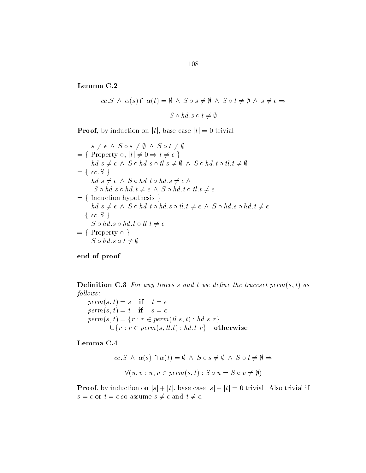Lemma C.2

$$
\begin{aligned}\n\mathbf{a} \ \mathbf{C.2} \\
cc.S \ \wedge \ \alpha(s) \cap \alpha(t) &= \emptyset \ \wedge \ S \circ s \neq \emptyset \ \wedge \ S \circ t \neq \emptyset \ \wedge \ s \neq \epsilon \Rightarrow \\
& S \circ hd.s \circ t \neq \emptyset\n\end{aligned}
$$

**Proof**, by induction on  $|t|$ , base case  $|t| = 0$  trivial<br>  $s \neq \epsilon \land S \circ s \neq \emptyset \land S \circ t \neq \emptyset$ 

$$
s \neq \epsilon \land S \circ s \neq \emptyset \land S \circ t \neq \emptyset
$$
  
= { Property  $\circ$ ,  $|t| \neq 0 \Rightarrow t \neq \epsilon$  }  
 $hd.s \neq \epsilon \land S \circ hd.s \circ tl.s \neq \emptyset \land S \circ hd.t \circ tl.t \neq \emptyset$   
= {  $cc.S$  }  
 $hd.s \neq \epsilon \land S \circ hd.t \circ hd.s \neq \epsilon \land$   
 $S \circ hd.s \circ hd.t \neq \epsilon \land S \circ hd.t \circ tl.t \neq \epsilon$   
= { Induction hypothesis }  
 $hd.s \neq \epsilon \land S \circ hd.t \circ hd.s \circ tl.t \neq \epsilon \land S \circ hd.s \circ hd.t \neq \epsilon$   
= {  $cc.S$  }  
 $S \circ hd.s \circ hd.t \circ tl.t \neq \epsilon$   
= {  $rc.S$  }  
 $S \circ hd.s \circ hd.t \circ tl.t \neq \epsilon$   
= { Property  $\circ$  }  
 $S \circ hd.s \circ t \neq \emptyset$ 

end of proof

— the the contract with the traces states in the traces of the traces of the traces of the traces of the traces  $follows:$ 

perms -t  s if t permanent permanent av en tropis av en med andere av den med andere av den med andere av den med andere av den  $perm(s, t) = \{r : r \in perm(t, s, t) : hd, s \ r\}$  $\cup \{r : r \in \text{perm}(s, tl.t) : hd.t \ r\}$  otherwise

#### Lemma C

4  
\n
$$
cc.S \wedge \alpha(s) \cap \alpha(t) = \emptyset \wedge S \circ s \neq \emptyset \wedge S \circ t \neq \emptyset \Rightarrow
$$
\n
$$
\forall (u, v : u, v \in \text{perm}(s, t) : S \circ u = S \circ v \neq \emptyset)
$$

**Proof**, by induction on  $|s| + |t|$ , base case  $|s| + |t| = 0$  trivial. Also trivial if  $s = \epsilon$  or  $t = \epsilon$  so assume  $s \neq \epsilon$  and  $t \neq \epsilon$ .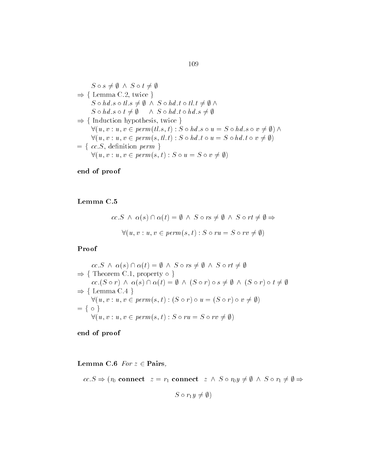$$
S \circ s \neq \emptyset \land S \circ t \neq \emptyset
$$
  
\n
$$
\Rightarrow \{ \text{ Lemma C.2, twice } \}
$$
  
\n
$$
S \circ hd.s \circ tl.s \neq \emptyset \land S \circ hd.t \circ tl.t \neq \emptyset \land
$$
  
\n
$$
S \circ hd.s \circ t \neq \emptyset \land S \circ hd.t \circ hd.s \neq \emptyset
$$
  
\n
$$
\Rightarrow \{ \text{Induction hypothesis, twice } \}
$$
  
\n
$$
\forall (u, v : u, v \in perm(t.l.s, t) : S \circ hd.s \circ u = S \circ hd.s \circ v \neq \emptyset) \land
$$
  
\n
$$
\forall (u, v : u, v \in perm(s, tl.t) : S \circ hd.t \circ u = S \circ hd.t \circ v \neq \emptyset)
$$
  
\n
$$
= \{ cc.S, definition perm \}
$$
  
\n
$$
\forall (u, v : u, v \in perm(s, t) : S \circ u = S \circ v \neq \emptyset)
$$

#### Lemma C

$$
c.c.S \ \wedge \ \alpha(s) \cap \alpha(t) = \emptyset \ \wedge \ S \circ rs \neq \emptyset \ \wedge \ S \circ rt \neq \emptyset \Rightarrow
$$

$$
\forall (u, v : u, v \in perm(s, t) : S \circ ru = S \circ rv \neq \emptyset)
$$

Proof

Proof  
\n
$$
cc.S \land \alpha(s) \cap \alpha(t) = \emptyset \land S \circ rs \neq \emptyset \land S \circ rt \neq \emptyset
$$
\n
$$
\Rightarrow \{ \text{ Theorem C.1, property } \circ \}
$$
\n
$$
cc.(S \circ r) \land \alpha(s) \cap \alpha(t) = \emptyset \land (S \circ r) \circ s \neq \emptyset \land (S \circ r) \circ t \neq \emptyset
$$
\n
$$
\Rightarrow \{ \text{ Lemma C.4 } \}
$$
\n
$$
\forall (u, v : u, v \in perm(s, t) : (S \circ r) \circ u = (S \circ r) \circ v \neq \emptyset)
$$
\n
$$
= \{ \circ \}
$$
\n
$$
\forall (u, v : u, v \in perm(s, t) : S \circ ru = S \circ rv \neq \emptyset)
$$

end of proof

Lemma C.6 For  $z \in$  Pairs,

$$
\begin{aligned}\n&\text{erman } \mathbf{C.6} \text{ } For \text{ } z \in \mathbf{Pairs}, \\
&\text{cc.} S \Rightarrow (r_0 \text{ connect } z = r_1 \text{ connect } z \land S \circ r_0 y \neq \emptyset \land S \circ r_1 \neq \emptyset \Rightarrow\n\end{aligned}
$$

$$
S \circ r_1 y \neq \emptyset)
$$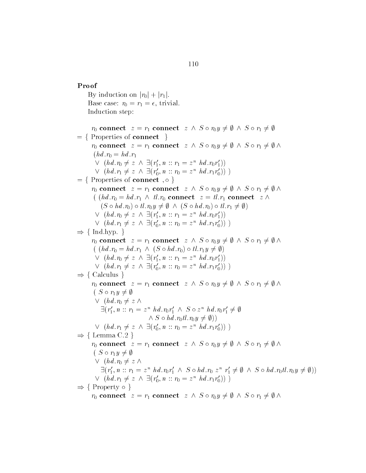Proof By induction on  $|r_0| + |r_1|$ . Base case:  $r_0 = r_1 = \epsilon$ , trivial. Induction step nduction step:<br>  $r_0$  connect  $z = r_1$  connect  $z \wedge S \circ r_0 y \neq \emptyset \wedge S \circ r_1 \neq \emptyset$  $= \{$  Properties of connect  $\}$  $r_0$  connect  $z = r_1$  connect  $z \wedge S \circ r_0 y \neq \emptyset \wedge S \circ r_1 \neq \emptyset$ <br>Properties of connect  $\}$ <br> $r_0$  connect  $z = r_1$  connect  $z \wedge S \circ r_0 y \neq \emptyset \wedge S \circ r_1 \neq \emptyset \wedge$  $(hd.r_0 = hd.r_1)$  $\vee$   $(hd.r_0 \neq z \wedge \exists (r'_1, n :: r_1 = z^n h d.r_0 r'_1))$  $r_1$  connec<br> $\exists (r'_1, n::n$  $\vee$   $(hd.r_1 \neq z \wedge \exists (r'_0, n :: r_0 = z^n h d.r_1 r'_0))$  $\exists (r'_1, n :: n$ <br> $\exists (r'_0, n :: n))$  $f = \{$  Properties of connect, o  $\}$  $g: : r_1 = z^n$  1<br> $g: : r_0 = z^n$  1<br>0 }  $\lor$   $(hd.r_1 \neq z \land \exists (r'_0, n :: r_0 = z^n hd.r_1r'_0))$ <br>Properties of connect , o }<br> $r_0$  connect  $z = r_1$  connect  $z \land S \circ r_0y \neq \emptyset \land S \circ r_1 \neq \emptyset \land$  $h (h d.r_0 = h d.r_1 \wedge tl.r_0 \text{ connect } z = tl.r_1 \text{ connect } z \wedge t$ connect  $z = r_1$  connect  $z \wedge S \circ r_0 y \neq \emptyset \wedge S \circ$ <br>  $hd.r_0 = hd.r_1 \wedge tl.r_0$  connect  $z = tl.r_1$  connect<br>  $(S \circ hd.r_0) \circ tl.r_0 y \neq \emptyset \wedge (S \circ hd.r_0) \circ tl.r_1 \neq \emptyset)$  $\vee$   $(hd.r_0 \neq z \wedge \exists (r'_1, n :: r_1 = z^n h d.r_0 r'_1))$  $\begin{array}{l} \wedge \;\; tl.r_0 \;\mathbf{co} \; , \ r_0y \neq \emptyset \;\; \wedge \ \exists ( \, r_1' , \, n \, \, \ldots \, ) \end{array}$  $\vee$   $(hd.r_1 \neq z \wedge \exists (r'_0, n :: r_0 = z^n h d.r_1 r'_0))$  $(S \circ hd.r_0) \circ tl.r_0y \neq \emptyset \ \land \ \lor \ (hd.r_0 \neq z \ \land \ \exists (r'_1, n :: r \ \lor \ (hd.r_1 \neq z \ \land \ \exists (r'_0, n :: r \$  $\Rightarrow$  { Ind hyp. }  $\lor$   $(hd.r_1 \neq z \land \exists (r'_0, n :: r_0 = z^n hd.r_1r'_0))$ <br>Ind.hyp. }<br> $r_0$  connect  $z = r_1$  connect  $z \land S \circ r_0y \neq \emptyset \land S \circ r_1 \neq \emptyset \land$  $((hd.r_0 = hd.r_1 \wedge (S \circ hd.r_0) \circ tl.r_1 y \neq \emptyset))$  $\vee$   $(hd.r_0 \neq z \wedge \exists (r'_1, n :: r_1 = z^n h d.r_0 r'_1))$  $r_1$  connec<br>  $\land$  (S  $\circ$  hd)<br>  $\exists (r'_1, n::n)$  $\begin{array}{l} \vee \; (hd.r_0 \neq z \; \wedge \; \exists (r'_1, n :: r_1 = z^n \; hd.r_0r'_1)) \\ \vee \; (hd.r_1 \neq z \; \wedge \; \exists (r'_0, n :: r_0 = z^n \; hd.r_1r'_0)) \; ) \end{array}$  $\wedge$  (S  $\circ$  hd)<br> $\exists (r'_1, n :: n$ <br> $\exists (r'_0, n :: n))$  $\Rightarrow$  { Calculus }  $\lor$   $(hd.r_1 \neq z \land \exists (r'_0, n :: r_0 = z^n hd.r_1r'_0))$ <br>Calculus }<br> $r_0$  connect  $z = r_1$  connect  $z \land S \circ r_0y \neq \emptyset \land S \circ r_1 \neq \emptyset \land$  $(S \circ r_1 y \neq \emptyset)$  $\vee$   $(hd.r_0 \neq z \wedge z)$  $\exists (r'_1, n :: r_1 = z^n \text{ } hd.r_0r'_1 \land S \circ z^n \text{ } hd.r_0r'_1 \neq \emptyset$ <br>  $\land S \circ hd.r_0tl.r_0y \neq \emptyset))$ <br>  $(hd.r_1 \neq z \land \exists (r'_0, n :: r_0 = z^n \text{ } hd.r_1r'_0))$  $\wedge S \circ hd.r_0tl.r_0y \neq \emptyset$ )  $\wedge S \circ hd.r_0tl.r_0y \neq \emptyset)$ <br> $\vee$   $(hd.r_1 \neq z \wedge \exists (r'_0, n :: r_0 = z^n hd.r_1r'_0)) )$  $\Rightarrow$  {Lemma C.2}  $\lor$   $(hd.r_1 \neq z \land \exists (r'_0, n :: r_0 = z^n hd.r_1r'_0))$ <br>
Lemma C.2 }<br>  $r_0$  connect  $z = r_1$  connect  $z \land S \circ r_0y \neq \emptyset \land S \circ r_1 \neq \emptyset \land$  $(S \circ r_1 y \neq \emptyset)$  $\vee$   $(hd.r_0 \neq z \wedge z)$  $S \circ r_1 y \neq \emptyset$ <br>  $(hd.r_0 \neq z \land$ <br>  $\exists (r'_1, n :: r_1 = z^n h d.r_0 r'_1 \land S \circ h d.r_0 z^n r'_1 \neq \emptyset \land S \circ h d.r_0 t l.r_0 y \neq \emptyset))$  $\exists (r'_1, n :: r_1 = z^n \; hd.r_0r'_1 \land S \circ hd.r_0 \; z^n \; r'_1 \neq \lor \; (hd.r_1 \neq z \land \exists (r'_0, n :: r_0 = z^n \; hd.r_1r'_0)))$ <br>  $\Rightarrow \{ \text{ Property } \circ \}$  $r^n$  hd.ror'<sub>1</sub><br> $\exists (r'_0, n :: n$  $\lor$   $(hd.r_1 \neq z \land \exists (r'_0, n :: r_0 = z^n hd.r_1r'_0))$ <br>
Property  $\circ$  }<br>  $r_0$  connect  $z = r_1$  connect  $z \land S \circ r_0y \neq \emptyset \land S \circ r_1 \neq \emptyset \land$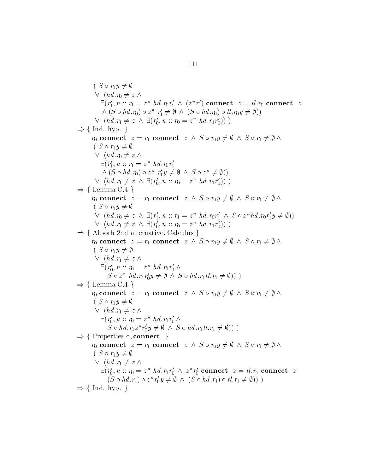$(S \circ r_1 y \neq \emptyset)$  $\vee$   $(hd.r_0 \neq z \wedge z)$  $\exists (r'_1, n :: r_1 = z^n \; hd.r_0r'_1 \,\wedge\,(z^nr') \textbf{ connect } \;\; z = tl.r_0 \textbf{ connect } \;\; z = t'.$  $\wedge (S \circ hd.r_0) \circ z^n r'_1 \neq \emptyset \wedge (S \circ hd.r_0) \circ tl.r_0y \neq \emptyset)$  $\begin{array}{l} \langle r_0 r_1' \wedge (z^n r') \in \Lambda' \neq \emptyset \wedge (S \circ hd) \end{array}$  $\wedge (S \circ hd.r_0) \circ z^n \r'_1 \neq \emptyset \wedge (S \circ hd.r_0) \circ tl.r_0 \ \vee \ (hd.r_1 \neq z \wedge \exists (r'_0, n :: r_0 = z^n hd.r_1r'_0)) )$  $\begin{array}{c} r^n \; hd.r_0r'_1 \ z^n \; r'_1 \neq \emptyset \ \exists (r'_0, n::n) \end{array}$  $\Rightarrow$  { Ind. hyp. }  $\forall$   $(hd.r_1 \neq z \land \exists (r'_0, n :: r_0 = z^n hd.r_1r'_0))$ <br>Ind. hyp. }<br> $r_0$  connect  $z = r_1$  connect  $z \land S \circ r_0y \neq \emptyset \land S \circ r_1 \neq \emptyset \land$  $(S \circ r_1 y \neq \emptyset)$  $\vee$   $(hd.r_0 \neq z \wedge z)$  $\exists (r'_1, n :: r_1 = z^n \; hd.r_0r'_1)$  $(hd.r_0 \neq z \land$ <br>  $\exists (r'_1, n :: r_1 = z^n h d.r_0 r'_1$ <br>  $\land (S \circ h d.r_0) \circ z^n r'_1 y \neq \emptyset \land S \circ z^n \neq \emptyset))$  $\wedge (S \circ hd.r_0) \circ z^n \r'_1y \neq \emptyset \wedge S \circ z^n \neq \emptyset)$ <br>  $\vee (hd.r_1 \neq z \wedge \exists (r'_0, n :: r_0 = z^n hd.r_1r'_0))$  $\begin{array}{c} r^n \; hd.r_0r'_1 \ z^n \; r'_1y \neq \ \exists (r'_0, n::r_1) \end{array}$  $\Rightarrow$  {Lemma C.4}  $\lor$   $(hd.r_1 \neq z \land \exists (r'_0, n :: r_0 = z^n hd.r_1r'_0))$ <br>
Lemma C.4 }<br>  $r_0$  connect  $z = r_1$  connect  $z \land S \circ r_0y \neq \emptyset \land S \circ r_1 \neq \emptyset \land$  $(S \circ r_1 y \neq \emptyset)$  $\vee$   $(hd.r_0 \neq z \wedge \exists (r'_1, n :: r_1 = z^n hd.r_0r'_1 \wedge S \circ z^n hd.r_0r'_1y \neq \emptyset))$  $r_1$  connec<br> $\exists (r'_1, n::n$  $\vee$   $(hd.r_1 \neq z \wedge \exists (r'_0, n :: r_0 = z^n h d.r_1 r'_0))$  $(S \circ r_1 y \neq \emptyset) \ \lor \; (hd.r_0 \neq z \ \land \ \exists (r'_1, n :: n \ \lor \; (hd.r_1 \neq z \ \land \ \exists (r'_0, n :: n \$  $\Rightarrow$  { Absorb 2nd alternative, Calculus }  $\lor$   $(hd.r_1 \neq z \land \exists (r'_0, n :: r_0 = z^n h d.r_1 r'_0))$ <br>
Absorb 2nd alternative, Calculus }<br>  $r_0$  connect  $z = r_1$  connect  $z \land S \circ r_0 y \neq \emptyset \land S \circ r_1 \neq \emptyset \land \emptyset$  $(S \circ r_1 y \neq \emptyset)$  $\vee$   $(hd.r_1 \neq z \wedge z)$  $\exists (r'_0, n :: r_0 = z^nhd.r_1r'_0 \land$ <br>  $S \circ z^n hd.r_1r'_0y \neq \emptyset \land S$  $hd.r_1 \neq z \wedge$ <br>  $r'_0, n :: r_0 = z^n hd.r_1r'_0 \wedge$ <br>  $S \circ z^n hd.r_1r'_0y \neq \emptyset \wedge S \circ hd.r_1tl.r_1 \neq \emptyset$ )))  $\Rightarrow$  {Lemma C.4}  $S \circ z^n$  hd.r<sub>1</sub>r'<sub>0</sub>y  $\neq \emptyset \land S \circ hd.r_1tl.r_1 \neq \emptyset$ )) <br>
Lemma C.4 }<br>  $r_0$  connect  $z = r_1$  connect  $z \land S \circ r_0y \neq \emptyset \land S \circ r_1 \neq \emptyset \land$  $(S \circ r_1 y \neq \emptyset)$  $\vee$   $(hd.r_1 \neq z \wedge z)$  $\exists (r'_0, n :: r_0 = z^nhd.r_1r'_0 \wedge$ <br>  $S \circ hd.r_1z^n r'_0y \neq \emptyset \wedge S$  $hd.r_1 \neq z \wedge$ <br>  $r'_0, n :: r_0 = z^n hd.r_1r'_0 \wedge$ <br>  $S \circ hd.r_1z^n r'_0y \neq \emptyset \wedge S \circ hd.r_1tl.r_1 \neq \emptyset))$  $\rm{Properties} \, \circ. \, \bf{connect} \, \, \}$  $S \circ hd.r_1 z^n r'_0 y \neq \emptyset \land S \circ hd.r_1 tl.r_1 \neq \emptyset))$ <br>
Properties  $\circ$ , connect  $\}$ <br>  $r_0$  connect  $z = r_1$  connect  $z \land S \circ r_0 y \neq \emptyset \land S \circ r_1 \neq \emptyset \land$  $(S \circ r_1 y \neq \emptyset)$  $\vee$   $(hd.r_1 \neq z \wedge z)$  $\exists (r'_0, n :: r_0 = z^n \; hd.r_1r'_0 \land z^n r'_0 \textbf{ connect } z = tl.r_1 \textbf{ connect } z \ (S \circ hd.r_1) \circ z^n r'_0 y \neq \emptyset \land (S \circ hd.r_1) \circ tl.r_1 \neq \emptyset))$  $hd.r_1 \neq z \wedge$ <br>  $r'_0, n :: r_0 = z^n hd.r_1r'_0 \wedge z^n r'_0 \textbf{ connect } z = tl.r_1 \textbf{ con}$ <br>  $(S \circ hd.r_1) \circ z^n r'_0 y \neq \emptyset \wedge (S \circ hd.r_1) \circ tl.r_1 \neq \emptyset))$  $\Rightarrow$  { Ind. hyp. }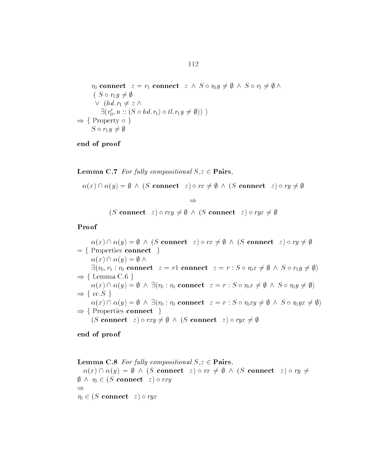$$
r_0 \text{ connect } z = r_1 \text{ connect } z \wedge S \circ r_0 y \neq \emptyset \wedge S \circ r_1 \neq \emptyset \wedge
$$
  
\n
$$
\begin{array}{l}\n(S \circ r_1 y \neq \emptyset) \\
\vee (hd.r_1 \neq z \wedge) \\
\exists (r'_0, n :: (S \circ hd.r_1) \circ tl.r_1 y \neq \emptyset))\n\end{array}
$$
  
\n
$$
\Rightarrow \{ \text{Property } \circ \}
$$
  
\n
$$
S \circ r_1 y \neq \emptyset
$$

**Lemma C.7** For fully compositional  $S, z \in \mathbf{Pairs}$ ,

emma C.7 For fully compositional  $S, z \in \mathbf{Pairs}$ ,<br>  $\alpha(x) \cap \alpha(y) = \emptyset \ \land \ (S \text{ connect } z) \circ rx \neq \emptyset \ \land \ (S \text{ connect } z) \circ ry \neq \emptyset$ 

 $\Rightarrow$ <br>(S connect z)  $\circ$  rxy  $\neq \emptyset \land (S \text{ connect } z) \circ rvx \neq \emptyset$ 

Proof

 $\begin{array}{l} \textbf{of}\ \ \alpha(x)\cap \alpha(y)=\emptyset\ \wedge\ (S\ \textbf{connect}\ \ z)\circ rx\neq \emptyset\ \wedge\ (S\ \textbf{connect}\ \ z)\circ ry\neq \emptyset\ \alpha(x)\cap \alpha(y)=\emptyset\ \wedge \end{array}$  $= \{$  Properties connect  $\}$ = { Properties connect }<br>  $\alpha(x) \cap \alpha(y) = \emptyset \land$ <br>  $\exists (r_0, r_1 : r_0 \text{ connect } z = r1 \text{ connect } z = r : S \circ r_0 x \neq \emptyset \land S \circ r_1 y \neq \emptyset)$  $\Rightarrow$  { Lemma C.6 }<br>  $\alpha(x) \cap \alpha(y) = \emptyset$  /  $\exists (r_0, r_1 : r_0 \textbf{ connect } z = r1 \textbf{ connect } z = r : S \circ r_0 x \neq \emptyset \land S \circ r_1 y \neq \emptyset)$ <br>
Lemma C.6 }<br>  $\alpha(x) \cap \alpha(y) = \emptyset \land \exists (r_0 : r_0 \textbf{ connect } z = r : S \circ r_0 x \neq \emptyset \land S \circ r_0 y \neq \emptyset)$ <br>  $cc.S$  }<br>  $\alpha(x) \cap \alpha(y) = \emptyset \land \exists (r_0 : r_0 \textbf{ connect } z = r : S \circ r_0 xy \neq \emptyset \land S \circ r_0 y x \neq \$  $\Rightarrow \{cc.S \}$ <br>  $\alpha(x) \cap \alpha(y)$  $\alpha(x) \cap \alpha(y) = \emptyset \; \wedge \; \exists (r_0 : r_0 \text{ connect } z = r : S \circ r_0xy \neq \emptyset \; \wedge \; S \circ r_0yx \neq \emptyset)$ <br>Properties connect  $\}$ <br>(S connect  $z) \circ rxu \neq \emptyset \; \wedge \; (S \text{ connect } z) \circ rux \neq \emptyset$  $\Rightarrow$  { Properties connect }  $(S \text{ connect } z) \circ rxy \neq \emptyset \land (S \text{ connect } z) \circ ryx \neq \emptyset$ 

end of proof

**Lemma C.8** For fully compositional  $S, z \in$  **Pairs**, Lemma C.8 For fully compositional  $S, z \in \mathbf{Pairs}$ ,<br>  $\alpha(x) \cap \alpha(y) = \emptyset \ \land \ (S \text{ connect } z) \circ rx \neq \emptyset \ \land \ (S \text{ connect } z) \circ ry \neq$  $\emptyset \wedge r_0 \in (S \text{ connect } z) \circ rxy$  $\Rightarrow$  $r_0 \in (S \text{ connect } z) \circ r y x$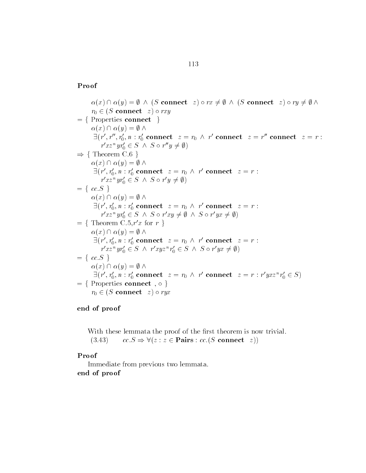#### Proof

of $\alpha(x)\cap \alpha(y)=\emptyset\ \land\ (S\ \textbf{connect}\ \ z)\circ rx\neq \emptyset\ \land\ (S\ \textbf{connect}\ \ z)\circ ry\neq \emptyset\ \land$  $r_0 \in (S \textbf{ connect } z) \circ rxy \ \text{Properties connect } \} \ \alpha(x) \cap \alpha(y) = \emptyset \land$  $=$  { Properties connect }  $\exists (r',r'',r'_0,n:r'_0 \textbf{ connect } z=r_0 \,\wedge\, r' \textbf{ connect } z=r'' \textbf{ connect } z=r:$  $r'xz^n yr'_0 \in S \land S \circ r''y \neq \emptyset$ <br>Theorem C.6 }<br> $\alpha(x) \cap \alpha(y) = \emptyset \land$  $\exists (r',r'',\ r''_{xz''})$  $\Rightarrow$  { Theorem C.6 }  $\exists (r', r'_0, n : r'_0 \text{ connect } z = r_0 \land r' \text{ connect } z = r:$  $r'xz^n yr'_0 \in S \land S \circ r' y \neq \emptyset$ <br>cc.S }<br> $\alpha(x) \cap \alpha(y) = \emptyset \land$  $= \{ cc.S \}$  $\exists (r', r'_0, n : r'_0 \textbf{ connect } z = r_0 \, \wedge \, r' \textbf{ connect } z = r:$  $r'xx^n yr'_0 \in S \land S \circ r'xy \neq \emptyset \land S \circ r'yx \neq \emptyset$ <br>= { Theorem C.5, r'x for r }  $z = r_0 \wedge r'$  cont<br>  $'xy \neq \emptyset \wedge S \circ r'$ 'x for  $r \}$  $r'xx^nyr'_0 \in S \land S \circ r'x_1$ <br>Theorem C.5,  $r'x$  for  $r \ \}$ <br> $\alpha(x) \cap \alpha(y) = \emptyset \land$  $\exists (r', r'_0, n : r'_0 \textbf{ connect } z = r_0 \, \wedge \, r' \textbf{ connect } z = r:$  $r'xz^n yr'_0 \in S \land r'xyz^n r'_0 \in S \land S \circ r'yx \neq \emptyset$ <br>  $cc.S \}$ <br>  $\alpha(x) \cap \alpha(y) = \emptyset \land$  $= \{ cc.S \}$  $\exists (r', r'_0, n : r'_0 \textbf{ connect } z = r_0 \ \land \ r' \textbf{ connect } z = r : r' y x z^n r'_0 \in$  $\alpha(x) \cap \alpha(y) = \emptyset \land$ <br>  $\exists (r', r'_0, n : r'_0 \text{ connect } z = r_0 \land r' \text{ connect } z = r : r' y x z^n r'_0 \in S)$ <br>  $= \{ \text{ Properties connect } , \circ \}$  $r_0 \in (S \text{ connect } z) \circ r y x$ 

#### end of proof

With these lemmata the proof of the rst theorem is now trivial With these lemmata the proof of the first theorem is now t<br>(3.43)  $cc.S \Rightarrow \forall (z:z \in \textbf{Pairs}: cc.(S \textbf{ connect } z))$ 

#### Proof

Immediate from previous two lemmata end of proof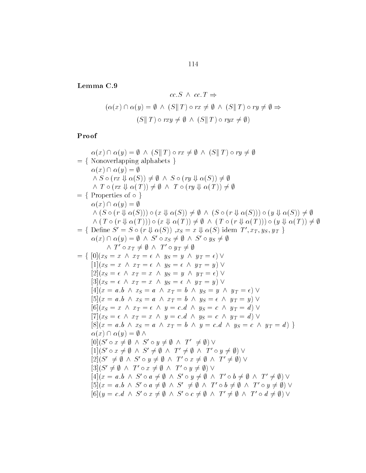Lemma C 

$$
cc.S \land cc.T \Rightarrow
$$
  

$$
(\alpha(x) \cap \alpha(y) = \emptyset \land (S||T) \circ rx \neq \emptyset \land (S||T) \circ ry \neq \emptyset \Rightarrow
$$
  

$$
(S||T) \circ rxy \neq \emptyset \land (S||T) \circ ryx \neq \emptyset)
$$

Proof  
\n
$$
\alpha(x) \cap \alpha(y) = \emptyset \land (S \parallel T) \circ rx \neq \emptyset \land (S \parallel T) \circ ry \neq \emptyset
$$
\n
$$
= \{ \text{ Nonoverlapping alphabets } \}
$$
\n
$$
\alpha(x) \cap \alpha(y) = \emptyset
$$
\n
$$
\land S \circ (rx \Downarrow \alpha(S)) \neq \emptyset \land S \circ (ry \Downarrow \alpha(S)) \neq \emptyset
$$
\n
$$
\land T \circ (rx \Downarrow \alpha(T)) \neq \emptyset \land T \circ (ry \Downarrow \alpha(T)) \neq \emptyset
$$
\n
$$
= \{ \text{ Properties of } \circ \}
$$
\n
$$
\alpha(x) \cap \alpha(y) = \emptyset
$$
\n
$$
\land (S \circ (r \Downarrow \alpha(T))) \circ (x \Downarrow \alpha(S)) \neq \emptyset \land (S \circ (r \Downarrow \alpha(S))) \circ (y \Downarrow \alpha(S)) \neq \emptyset
$$
\n
$$
\land (T \circ (r \Downarrow \alpha(T))) \circ (x \Downarrow \alpha(T)) \neq \emptyset \land (T \circ (r \Downarrow \alpha(T))) \circ (y \Downarrow \alpha(T)) \neq \emptyset
$$
\n
$$
= \{ \text{ Define } S' \subseteq S \circ r \Downarrow \alpha(S)) , x_S = x \Downarrow \alpha(S) \text{ idem } T', x_T, y_S, y_T \}
$$
\n
$$
\alpha(x) \cap \alpha(y) = \emptyset \land S' \circ x_S \neq \emptyset \land T' \circ y_T \neq \emptyset
$$
\n
$$
= \{ \begin{array}{ll} [0](x_S = x \land x_T = \epsilon \land y_S = y \land y_T = \epsilon) \lor \\ [1](x_S = x \land x_T = \epsilon \land y_S = y \land y_T = \epsilon) \lor \\ [3](x_S = \epsilon \land x_T = x \land y_S = \epsilon \land y_T = y) \lor \\ [4](x = a, b \land x_S = a \land x_T = b \land y_S = y \land y_T = \epsilon) \lor \\ [5](x = a, b \land x_S = a \land x_T = b \land y_S = \epsilon \land y_T = y) \lor \\ [6](x_S = x \land x_T = \epsilon \land y_S = \epsilon \land y_T = \emptyset) \lor \\ [7](x_S = \epsilon \land x_T = \epsilon \land y_S = \epsilon \land y_S = \epsilon \land y_T = \emptyset) \
$$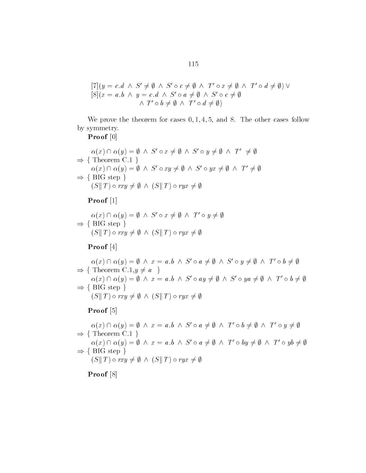$$
[7](y = c.d \land S' \neq \emptyset \land S' \circ c \neq \emptyset \land T' \circ x \neq \emptyset \land T' \circ d \neq \emptyset) \lor
$$
  

$$
[8](x = a.b \land y = c.d \land S' \circ a \neq \emptyset \land S' \circ c \neq \emptyset
$$
  

$$
\land T' \circ b \neq \emptyset \land T' \circ d \neq \emptyset)
$$

we prove the theorem for cases and the other cases and cases for the other cases for the other cases  $\sim$ by symmetry

#### Proof [0]

Proof [0]  
\n
$$
\alpha(x) \cap \alpha(y) = \emptyset \land S' \circ x \neq \emptyset \land S' \circ y \neq \emptyset \land T' \neq \emptyset
$$
\n
$$
\Rightarrow \{ \text{ Theorem C.1 } \}
$$
\n
$$
\alpha(x) \cap \alpha(y) = \emptyset \land S' \circ xy \neq \emptyset \land S' \circ yx \neq \emptyset \land T' \neq \emptyset
$$
\n
$$
\Rightarrow \{ \text{ BIG step } \}
$$
\n
$$
(S||T) \circ rxy \neq \emptyset \land (S||T) \circ ryx \neq \emptyset
$$

Proof -

Proof [1]  
\n
$$
\alpha(x) \cap \alpha(y) = \emptyset \land S' \circ x \neq \emptyset \land T' \circ y \neq \emptyset
$$
\n
$$
\Rightarrow \{ \text{BIG step } \}
$$
\n
$$
(S||T) \circ rxy \neq \emptyset \land (S||T) \circ ryx \neq \emptyset
$$

Proof [4]

**Proof** [4]<br>  $\alpha(x) \cap \alpha(y) = \emptyset \ \land \ x = a.b \ \land \ S' \circ a \neq \emptyset \ \land \ S' \circ y \neq \emptyset \ \land \ T' \circ b \neq \emptyset$  $\Rightarrow$  { Theorem C.1,  $y \neq a$ }<br>  $\alpha(x) \cap \alpha(y) = \emptyset \land x = a$ .  $\alpha(x) \cap \alpha(y) = \emptyset \land x = a.b \land S' \circ a \neq \emptyset \land S' \circ y \neq \emptyset \land T' \circ b \neq \emptyset$ <br>
Theorem C.1,  $y \neq a$  }<br>  $\alpha(x) \cap \alpha(y) = \emptyset \land x = a.b \land S' \circ ay \neq \emptyset \land S' \circ ya \neq \emptyset \land T' \circ b \neq \emptyset$  $\Rightarrow$  { BIG step }  $\alpha(x) \cap \alpha(y) = \emptyset \land x = a.b \land S' \circ ay \neq$ <br>BIG step }<br>(S\|| T )  $\circ rxu \neq \emptyset \land (S\|T) \circ rux \neq \emptyset$ 

#### Proof [5]

**Proof** [5]<br>  $\alpha(x) \cap \alpha(y) = \emptyset \land x = a.b \land S' \circ a \neq \emptyset \land T' \circ b \neq \emptyset \land T' \circ y \neq \emptyset$  $\Rightarrow$  { Theorem C.1 }<br>  $\alpha(x) \cap \alpha(y) = \emptyset \land$  $\alpha(x) \cap \alpha(y) = \emptyset \land x = a.b \land S' \circ a \neq \emptyset \land T' \circ b \neq \emptyset \land T' \circ y \neq \emptyset$ <br>
Theorem C.1 }<br>  $\alpha(x) \cap \alpha(y) = \emptyset \land x = a.b \land S' \circ a \neq \emptyset \land T' \circ by \neq \emptyset \land T' \circ yb \neq \emptyset$ <br>
BIG step }<br>  $(S \parallel T) \circ rxy \neq \emptyset \land (S \parallel T) \circ ryx \neq \emptyset$  $\Rightarrow$  { BIG step }  $(S||T) \circ rxy \neq \emptyset \land (S||T) \circ ryx \neq \emptyset$ 

#### Proof<sup>[8]</sup>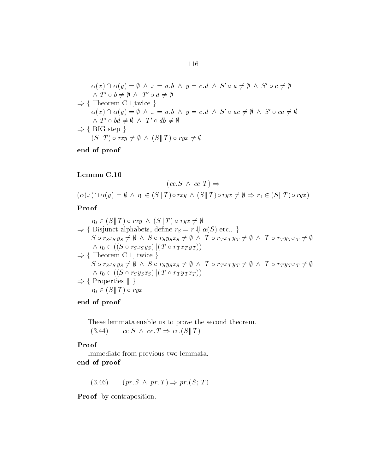$$
\alpha(x) \cap \alpha(y) = \emptyset \quad \lambda \quad x = a.b \quad \lambda \quad y = c.d \quad \lambda \quad S' \circ a \neq \emptyset \quad \lambda \quad S' \circ c \neq \emptyset
$$
  
\n
$$
\land \quad T' \circ b \neq \emptyset \quad \lambda \quad T' \circ d \neq \emptyset
$$
  
\n
$$
\Rightarrow \{ \text{ Theorem C.1, twice } \}
$$
  
\n
$$
\alpha(x) \cap \alpha(y) = \emptyset \quad \lambda \quad x = a.b \quad \lambda \quad y = c.d \quad \lambda \quad S' \circ ac \neq \emptyset \quad \lambda \quad S' \circ ca \neq \emptyset
$$
  
\n
$$
\land \quad T' \circ bd \neq \emptyset \quad \lambda \quad T' \circ db \neq \emptyset
$$
  
\n
$$
\Rightarrow \{ \text{ BIG step } \}
$$
  
\n
$$
(S \parallel T) \circ rxy \neq \emptyset \quad \lambda \quad (S \parallel T) \circ ryx \neq \emptyset
$$

#### Lemma C

$$
(cc.S \land cc.T) \Rightarrow
$$

Lemma C.10<br>  $(cc.S \land cc.T) \Rightarrow$ <br>  $(\alpha(x) \cap \alpha(y) = \emptyset \land r_0 \in (S||T) \circ rxy \land (S||T) \circ ryx \neq \emptyset \Rightarrow r_0 \in (S||T) \circ ryx)$ 

#### Proof

$$
r_0 \in (S \parallel T) \circ rxy \land (S \parallel T) \circ ryx \neq \emptyset
$$
  
\n⇒ {Disjunct alphabets, define  $r_S = r \Downarrow \alpha(S)$  etc.. }  
\nS \circ r\_Sx\_Sy\_S \neq \emptyset \land S \circ r\_Sy\_Sx\_S \neq \emptyset \land T \circ r\_Tx\_Ty\_T \neq \emptyset \land T \circ r\_Ty\_Tx\_T \neq \emptyset  
\n $\land r_0 \in ((S \circ r_Sx_Sy_S) || (T \circ r_Tx_Ty_T))$   
\n⇒ { Theorem C.1, twice }  
\nS \circ r\_Sx\_Sy\_S \neq \emptyset \land S \circ r\_Sy\_Sx\_S \neq \emptyset \land T \circ r\_Tx\_Ty\_T \neq \emptyset \land T \circ r\_Ty\_Tx\_T \neq \emptyset  
\n $\land r_0 \in ((S \circ r_Sy_Sx_S) || (T \circ r_Ty_Tx_T))$   
\n⇒ { Properties || }  
\n $r_0 \in (S \parallel T) \circ ryx$ 

#### end of proof

These lemmata enable us to prove the second theorem  $(c.3.44)$  cc.  $S \wedge cc \cdot T \Rightarrow cc \cdot (S \parallel T)$ 

#### Proof

Immediate from previous two lemmata end of proof

 $(3.46)$   $(pr.S \wedge pr,T) \Rightarrow pr(S;T)$ 

Proof by contraposition.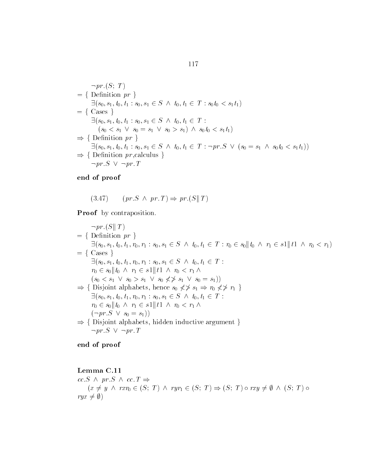$$
\neg pr.(S; T)
$$
\n=\n{ Definition pr }\n
$$
\exists (s_0, s_1, t_0, t_1 : s_0, s_1 \in S \land t_0, t_1 \in T : s_0 t_0 < s_1 t_1)
$$
\n=\n
$$
\{ \text{ Cases } \}
$$
\n
$$
\exists (s_0, s_1, t_0, t_1 : s_0, s_1 \in S \land t_0, t_1 \in T : (s_0 < s_1 t_1) \land s_0 t_0 < s_1 t_1)
$$
\n
$$
\Rightarrow \{ \text{Definition pr } \}
$$
\n
$$
\exists (s_0, s_1, t_0, t_1 : s_0, s_1 \in S \land t_0, t_1 \in T : \neg pr.S \lor (s_0 = s_1 \land s_0 t_0 < s_1 t_1))
$$
\n
$$
\Rightarrow \{ \text{Definition pr,} \text{calculus } \}
$$
\n
$$
\neg pr.S \lor \neg pr.T
$$

$$
(3.47) \qquad (pr.S \ \land \ pr.T) \Rightarrow pr.(S||T)
$$

Proof by contraposition.

 $\neg pr(S \mid T)$  $= \{$  Definition pr  $\}$  $\exists (s_0, s_1, t_0, t_1, r_0, r_1 : s_0, s_1 \in S \land t_0, t_1 \in T : r_0 \in s_0 || t_0 \land r_1 \in s_1 || t_1 \land r_0 < r_1)$  $= \{ \text{Case } \}$  $\exists (s_0, s_1, t_0, t_1, r_0, r_1 : s_0, s_1 \in S \land t_0, t_1 \in T$ :  $r_0 \in s_0 || t_0 \wedge r_1 \in s_1 || t_1 \wedge r_0 < r_1 \wedge$  $r_0 \in s_0 || t_0 \wedge r_1 \in s_1 || t_1 \wedge r_0 < r_1 \wedge$ <br>  $(s_0 < s_1 \vee s_0 > s_1 \vee s_0 \nless f \nless s_1 \vee s_0 = s_1))$  $\Rightarrow$  { Disjoint alphabets, hence  $s_0 \nless \nless s_1 \Rightarrow r_0 \nless \nless r_1$  }  $\exists (s_0, s_1, t_0, t_1, r_0, r_1 : s_0, s_1 \in S \land t_0, t_1 \in T$ :  $r_0 \in s_0 \parallel t_0 \;\wedge\; r_1 \in s_1 \parallel t_1 \;\wedge\; r_0 < r_1 \;\wedge\;$  $r_0 \in s_0 || t_0 \wedge r_1 \in s_1 || t_0$ <br>  $(\neg pr.S \vee s_0 = s_1))$  $Disjoint$  alphabets, hidden inductive argument }  $(\neg pr.S \lor s_0 = s_1))$ <br>Disjoint alphabets, h<br> $\neg pr.S \lor \neg pr.T$ 

end of proof

Lemma C  $cc \, S \land \textit{pr} \, S \land \textit{cc} \, T \Rightarrow$ nma C.11<br>  $S \land pr.S \land cc.T \Rightarrow$ <br>  $(x \neq y \land rxr_0 \in (S; T) \land ryr_1 \in (S; T) \Rightarrow (S; T) \circ rxy \neq \emptyset \land (S; T) \circ$  $ryx \neq \emptyset$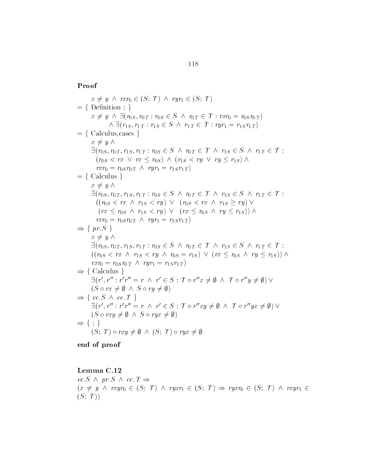#### Proof

 $x \neq y \land rxr_0 \in (S; T) \land ryr_1 \in (S; T)$  $= \{$  Definition  $; \}$  $x \neq y \land rxr_0 \in (S; T) \land ryr_1 \in (S; T)$ <br>Definition ; }<br> $x \neq y \land \exists (r_{0S}, r_{0T} : r_{0S} \in S \land r_{0T} \in T : rxr_0 = r_{0S}r_{0T})$  $\wedge \exists (r_{1S}, r_{1T} : r_{1S} \in S \ \wedge \ r_{1T} \in T : ryr_1 = r_{1S}r_{1T})$ on ; }<br> $\frac{\exists (r_{0S}, r_0)}{\exists (r_{1S}, r_{1T})}$  $= \{$  Calculus, cases  $\}$  $x \neq y \wedge$  $\exists (r_{0S}, r_{0T}, r_{1S}, r_{1T} : r_{0S} \in S \land r_{0T} \in T \land r_{1S} \in S \land r_{1T} \in T$ :  $(r_{0S} < rx \lor rx \leq r_{0S}) \land (r_{1S} < ry \lor ry \leq r_{1S}) \land$  $rrr_0 = r_{0S} r_{0T} \wedge ryr_1 = r_{1S} r_{1T}$  $= \{$  Calculus  $\}$  $x \neq y \wedge$  $\exists (r_{0S}, r_{0T}, r_{1S}, r_{1T} : r_{0S} \in S \land r_{0T} \in T \land r_{1S} \in S \land r_{1T} \in T$ :  $\left( (r_{0S} < rx \land r_{1S} < ry) \lor (r_{0S} < rx \land r_{1S} \geq ry) \lor \right)$  $(rx \leq r_{0S} \land r_{1S} < ry) \lor (rx \leq r_{0S} \land ry \leq r_{1S})) \land$  $(rx \leq r_{0S} \land r_{1S} < ry) \lor (rx \leq$ <br>  $rxr_0 = r_{0S}r_{0T} \land ryr_1 = r_{1S}r_{1T})$  $\Rightarrow$  { pr. S }  $x \neq y \wedge$  $\exists (r_{0S}, r_{0T}, r_{1S}, r_{1T} : r_{0S} \in S \land r_{0T} \in T \land r_{1S} \in S \land r_{1T} \in T$ :  $((r_{0S} < rx \land r_{1S} < ry \land r_{0S} = r_{1S}) \lor (rx \leq r_{0S} \land ry \leq r_{1S})) \land$ <br>  $rxr_0 = r_{0S}r_{0T} \land ryr_1 = r_{1S}r_{1T}$  $rrr_0 = r_{0S} r_{0T} \wedge ryr_1 = r_{1S} r_{1T}$  $\Rightarrow$  { Calculus }  $rxr_0 = r_0sr_0r \wedge ryr_1 = r_1sr_1r$ <br>
Calculus }<br>  $\exists (r', r'': r'r'' = r \wedge r' \in S : T \circ r''x \neq \emptyset \wedge T \circ r''y \neq \emptyset) \vee$ Calculus }<br> $\exists (r', r'': r'r'' = r \land r$ <br> $(S \circ rx \neq \emptyset \land S \circ ru =$  $\exists (r', r'': r'r'' = r \land r' \in S :$ <br>  $(S \circ rx \neq \emptyset \land S \circ ry \neq \emptyset)$  $cc.S \wedge cc.T$  $(S \circ rx \neq \emptyset \land S \circ ry \neq \emptyset)$ <br>  $cc.S \land cc.T$  }<br>  $\exists (r', r'': r'r'' = r \land r' \in S : T \circ r''xy \neq \emptyset \land T \circ r''yx \neq \emptyset) \lor$  $\begin{array}{l} cc.S \;\wedge\; cc.T \; \} \ \exists (r', r'': r'r'' = r \;\wedge\; r') \ (S \circ r x y \neq \emptyset \;\wedge\; S \circ r y x \end{array}$  $\exists (r', r'': r'r'' = r \land r' \in S : T$ <br>  $(S \circ rxy \neq \emptyset \land S \circ ryx \neq \emptyset)$  $\Rightarrow \{ ; \}$  $(S \circ rxy \neq \emptyset \land S \circ ryx \neq \emptyset)$ <br>
; }<br>  $(S: T) \circ rxy \neq \emptyset \land (S: T) \circ ryx \neq \emptyset$ 

end of proof

Lemma C.12  $cc \, S \land \textit{pr} \, S \land \textit{cc} \, T \Rightarrow$  $(x \neq y \land rxyr_0 \in (S; T) \land ryxr_1 \in (S; T) \Rightarrow ryxr_0 \in (S; T) \land rxyr_1 \in$  $(S; T)$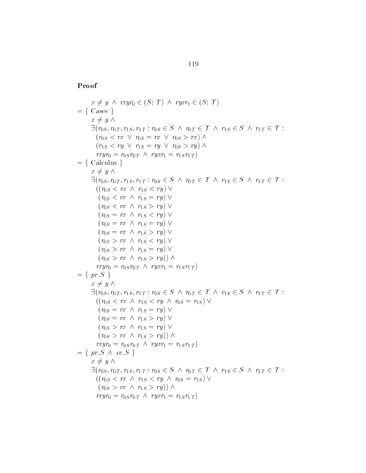$$
x \neq y \land \text{rxyr_0} \in (S; T) \land \text{ryxr_1} \in (S; T)
$$
\n
$$
= \{ \text{Case } s \}
$$
\n
$$
x \neq y \land \exists (r_{0S}, r_{0T}, r_{1S}, r_{1T} : r_{0S} \in S \land r_{0T} \in T \land r_{1S} \in S \land r_{1T} \in T : (r_{0S} < r x \lor r_{0S} = r x \lor r_{0S} > r x) \land (r_{1S} < r y \lor r_{1S} = r y \lor r_{0S} > r y) \land \text{rxyr_0} = r_{0S} r_{0T} \land r y x r_1 = r_1 s r_{1T} \land \text{r} \}
$$
\n
$$
= \{ \text{Calculus } s \neq y \land \exists (r_{0S}, r_{0T}, r_{1S}, r_{1T} : r_{0S} \in S \land r_{0T} \in T \land r_{1S} \in S \land r_{1T} \in T : ((r_{0S} < r x \land r_{1S} < r y) \lor \text{r} \lor s < r x \land r_{1S} < r y) \lor \text{r} \}
$$
\n
$$
= \{ r x \land r_{1S} = r y \lor \text{r} \lor s < r x \land r_{1S} = r y \lor \text{r} \lor s < r x \land r_{1S} = r y \lor \text{r} \lor s > r x \land r_{1S} = r y \lor \text{r} \lor s > r x \land r_{1S} = r y \lor \text{r} \lor s > r x \land r_{1S} = r y \lor \text{r} \lor s > r x \land r_{1S} = r y \lor \text{r} \lor s > r x \land r_{1S} = r y \lor \text{r} \lor s > r x \land r_{1S} < r y \land r y \lor r = r \land r_{1S} \in S \land r_{1T} \in T : ((r_{0S} < r x \land r_{1S} < r y \land r_{0S} = r_{1S}) \lor \text{r} \lor s > r x \land r_{1S} < r y \land r y \lor \text{r} \lor s > r y \lor \text{r} \lor s >
$$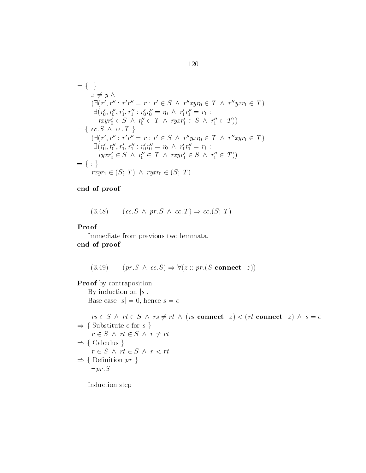$$
= \{\n\}\n\begin{aligned}\nx &\neq y \land \\
(\exists (r', r'': r'r'' = r : r' \in S \land r''xyr_0 \in T \land r''yxr_1 \in T) \\
\exists (r'_0, r''_0, r'_1, r''_1 : r'_0r''_0 = r_0 \land r'_1r''_1 = r_1 : \\
rxyr'_0 \in S \land r''_0 \in T \land ryxr'_1 \in S \land r''_1 \in T)\n\end{aligned}\n\begin{aligned}\n\exists (r'_0, r''_0, r'_1, r''_1 : r'_0r''_0 = r_0 \land r'_1r''_1 = r_1 : \\
(\exists (r', r''': r'r'' = r : r' \in S \land r''yxr_0 \in T \land r''xyr_1 \in T) \\
\exists (r'_0, r''_0, r'_1, r''_1 : r'_0r''_0 = r_0 \land r'_1r''_1 = r_1 : \\
ryxr'_0 \in S \land r''_0 \in T \land rxyr'_1 \in S \land r''_1 \in T)\n\end{aligned}\n\end{aligned}
$$
\n
$$
= \{\};\n\} \tag{9.13}
$$

$$
(3.48) \qquad (cc.S \ \land \ pr.S \ \land \ cc.T) \Rightarrow cc.(S; T)
$$

#### Proof

Immediate from previous two lemmata end of proof

(3.49) 
$$
(pr.S \land cc.S) \Rightarrow \forall (z:: pr.(S \text{ connect } z))
$$

Proof by contraposition.

By induction on  $|s|$ . Base case  $|s| = 0$ , hence  $s = \epsilon$ 

 $rs\in S \;\wedge\; rt\in S \;\wedge\; rs\neq rt \;\wedge\; (rs\;\textbf{connect}\ \ z) < (rt\;\textbf{connect}\ \ z) \;\wedge\; s=\epsilon$  $\Rightarrow$  { Substitute  $\epsilon$  for  $s$  }<br>  $r \in S \land rt \in S \land r \neq 0$  $r \in S \land rt \in S \land r \neq rt$  $\Rightarrow$  { Calculus }<br>  $r \in S \land rt \in S$  $r \in S \land rt \in S \land r < rt$  $\Rightarrow$  { Definition *pr* }  $\neg pr.S$ 

Induction step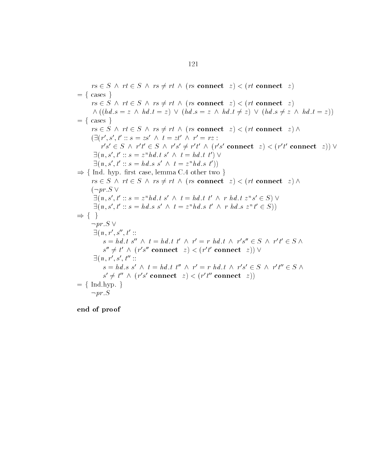$rs \in S \land rt \in S \land rs \neq rt \land (rs \text{ connect } z) < (rt \text{ connect } z)$  $= \{ \text{cases } \}$  $rs \in S \land rt \in S \land rs \neq rt \land (rs \text{ connect } z) < (rt \text{ connect } z)$  $\wedge ((hd.s = z \wedge hd.t = z) \vee (hd.s = z \wedge hd.t \neq z) \vee (hd.s \neq z \wedge hd.t = z))$  $= \{ \text{ cases } \}$  $rs \in S \land rt \in S \land rs \neq rt \land (rs \text{ connect } z) < (rt \text{ connect } z) \land$  $\left( \exists (r', s', t' :: s = zs' \land t = zt' \land r' = rz :$  $r's' \in S \land r't' \in S \land r's' \neq r't' \land (r's' \text{ connect } z) < (r't' \text{ connect } z) \lor$  $\exists (n, s', t' :: s = z^nhd \ t s' \land t = hd \ t t') \lor$  $\exists (n, s', t' :: s = z^n h d. t s' \land t = h d. t t') \lor \ \exists (n, s', t' :: s = h d. s s' \land t = z^n h d. s t'))$  $\Rightarrow$  { Ind. hyp. first case, lemma C.4 other two }  $rs \in S \land rt \in S \land rs \neq rt \land (rs \text{ connect } z) < (rt \text{ connect } z) \land$  $(\neg pr.S \vee$  $\exists (n, s', t' :: s = z^nhd.t s' \land t = hd.t t' \land r hd.t z^n s' \in S)$  $\exists (n, s', t' :: s = hd.s s' \land t = z^nhd.s t' \land rhd.s z^n t' \in S))$  $\exists (n, s', t' :: s$ <br>  $\exists (n, s', t' :: s$ <br>  $\Rightarrow \{ \}$ <br>  $\neg pr.S \vee$  $\exists (n, r', s'', t' ::$  $s = hd \t{.} t s'' \wedge t = hd \t{.} t t' \wedge r' = r hd \t{.} t \wedge r's'' \in S \wedge r't' \in S \wedge r'$  $s'' \neq t' \wedge (r's'' \textbf{connect} \mid z) < (r't' \textbf{ connect} \mid z)) \vee$  $\exists (n, r', s', t'':$  $s = hd$ .  $s' \wedge t = hd$ .  $t'' \wedge r' = r hd$ .  $t \wedge r's' \in S \wedge r't'' \in S \wedge$  $s' \neq t'' \wedge (r's' \text{ connect } z) < (r't'' \text{ connect } z)$  $= \{Ind.hyp.\}$  $\neg pr.S$ 

end of proof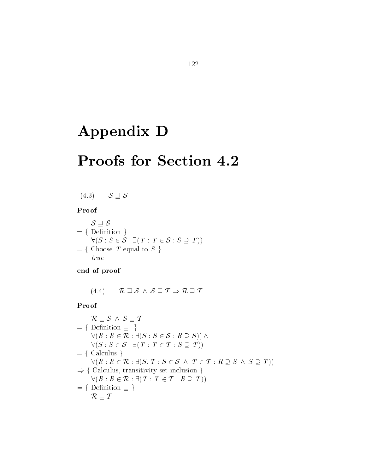# Appendix D

# Proofs for Section 4.2

$$
(4.3) \qquad \mathcal{S} \sqsupseteq \mathcal{S}
$$

#### Proof

 $S \sqsupseteq S$  $= \{$  Definition  $\}$  $\forall (S: S \in \mathcal{S} : \exists (T: T \in \mathcal{S} : S \supseteq T))$  $= \{ \text{Choose } T \text{ equal to } S \}$ true

end of proof

or proof<br>  $R \sqsupset S \wedge S \sqsupset T \Rightarrow R \sqsupset T$ 

Proof  $\mathbf{R}$ 

$$
\mathcal{R} \sqsupseteq \mathcal{S} \land \mathcal{S} \sqsupseteq \mathcal{T}
$$
\n
$$
= \{ \text{Definition } \sqsupseteq \} \}
$$
\n
$$
\forall (R: R \in \mathcal{R}: \exists (S: S \in \mathcal{S}: R \supseteq S)) \land
$$
\n
$$
\forall (S: S \in \mathcal{S}: \exists (T: T \in \mathcal{T}: S \supseteq T))
$$
\n
$$
= \{ \text{ Calculus } \}
$$
\n
$$
\forall (R: R \in \mathcal{R}: \exists (S, T: S \in \mathcal{S} \land T \in \mathcal{T}: R \supseteq S \land S \supseteq T))
$$
\n
$$
\Rightarrow \{ \text{ Calculus, transitivity set inclusion } \}
$$
\n
$$
\forall (R: R \in \mathcal{R}: \exists (T: T \in \mathcal{T}: R \supseteq T))
$$
\n
$$
= \{ \text{Definition } \sqsupseteq \} \}
$$
\n
$$
\mathcal{R} \sqsupseteq \mathcal{T}
$$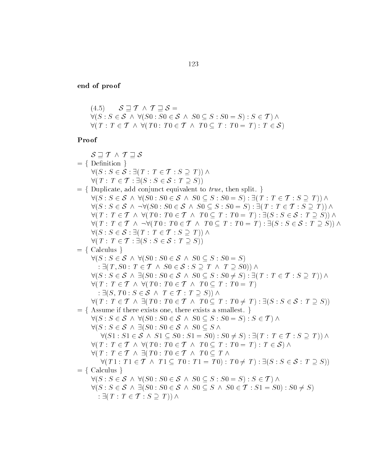$$
(4.5) \quad \mathcal{S} \sqsupseteq \mathcal{T} \land \mathcal{T} \sqsupseteq \mathcal{S} =
$$
  
\n
$$
\forall (S: S \in \mathcal{S} \land \forall (S0: S0 \in \mathcal{S} \land S0 \subseteq S: S0 = S) : S \in \mathcal{T}) \land
$$
  
\n
$$
\forall (T: T \in \mathcal{T} \land \forall (T0: T0 \in \mathcal{T} \land T0 \subseteq T: T0 = T) : T \in \mathcal{S})
$$

| $S \sqsupseteq T \wedge T \sqsupseteq S$                                                                                                                             |
|----------------------------------------------------------------------------------------------------------------------------------------------------------------------|
| $= \{$ Definition $\}$                                                                                                                                               |
| $\forall (S: S \in \mathcal{S} : \exists (T: T \in \mathcal{T} : S \supseteq T)) \land$                                                                              |
| $\forall (T : T \in \mathcal{T} : \exists (S : S \in \mathcal{S} : T \supseteq S))$                                                                                  |
| $=$ {Duplicate, add conjunct equivalent to <i>true</i> , then split. }                                                                                               |
| $\forall (S: S \in \mathcal{S} \land \forall (S0: S0 \in \mathcal{S} \land S0 \subseteq S: S0 = S): \exists (T: T \in \mathcal{T} : S \supseteq T)) \land$           |
| $\forall (S: S \in \mathcal{S} \land \neg \forall (S0: S0 \in \mathcal{S} \land S0 \subseteq S: S0 = S): \exists (T: T \in \mathcal{T}: S \supseteq T)) \land$       |
| $\forall (T : T \in \mathcal{T} \land \forall (T0 : T0 \in \mathcal{T} \land T0 \subseteq T : T0 = T) : \exists (S : S \in \mathcal{S} : T \supseteq S)) \land$      |
| $\forall (T : T \in \mathcal{T} \land \neg \forall (T0 : T0 \in \mathcal{T} \land T0 \subseteq T : T0 = T) : \exists (S : S \in \mathcal{S} : T \supseteq S)) \land$ |
| $\forall (S: S \in \mathcal{S} : \exists (T: T \in \mathcal{T} : S \supseteq T)) \land$                                                                              |
| $\forall (T : T \in \mathcal{T} : \exists (S : S \in \mathcal{S} : T \supseteq S))$                                                                                  |
| $= \{$ Calculus $\}$                                                                                                                                                 |
| $\forall (S: S \in \mathcal{S} \land \forall (S0: S0 \in \mathcal{S} \land S0 \subseteq S: S0 = S)$                                                                  |
| : $\exists (T, S0 : T \in T \land S0 \in S : S \supseteq T \land T \supseteq S0))$ $\land$                                                                           |
| $\forall (S: S \in \mathcal{S} \land \exists (S0: S0 \in \mathcal{S} \land S0 \subseteq S: S0 \neq S): \exists (T: T \in \mathcal{T}: S \supseteq T)) \land$         |
| $\forall (T : T \in \mathcal{T} \land \forall (T0 : T0 \in \mathcal{T} \land T0 \subseteq T : T0 = T))$                                                              |
| : $\exists (S, T0: S \in \mathcal{S} \land T \in \mathcal{T} : T \supseteq S)) \land$                                                                                |
| $\forall (T : T \in \mathcal{T} \land \exists (T0 : T0 \in \mathcal{T} \land T0 \subseteq T : T0 \neq T) : \exists (S : S \in \mathcal{S} : T \supseteq S))$         |
| $=$ { Assume if there exists one, there exists a smallest. }                                                                                                         |
| $\forall (S: S \in \mathcal{S} \land \forall (S0: S0 \in \mathcal{S} \land S0 \subseteq S: S0 = S): S \in \mathcal{T}) \land$                                        |
| $\forall (S: S \in \mathcal{S} \land \exists (S0: S0 \in \mathcal{S} \land S0 \subseteq S \land S0 \in \mathcal{S})$                                                 |
| $\forall (S1: S1 \in S \land S1 \subseteq S0: S1 = S0): S0 \neq S): \exists (T: T \in T: S \supseteq T)) \land$                                                      |
| $\forall (T : T \in \mathcal{T} \land \forall (T0 : T0 \in \mathcal{T} \land T0 \subseteq T : T0 = T) : T \in \mathcal{S}) \land$                                    |
| $\forall (T : T \in \mathcal{T} \land \exists (T0 : T0 \in \mathcal{T} \land T0 \subseteq T \land T0 \subseteq T))$                                                  |
| $\forall (T1: T1 \in \mathcal{T} \land T1 \subseteq T0: T1 = T0): T0 \neq T): \exists (S: S \in \mathcal{S} : T \supseteq S))$                                       |
| $= \{$ Calculus $\}$                                                                                                                                                 |
| $\forall (S: S \in \mathcal{S} \land \forall (S0: S0 \in \mathcal{S} \land S0 \subseteq S: S0 = S): S \in \mathcal{T}) \land$                                        |
| $\forall (S: S \in \mathcal{S} \land \exists (S0: S0 \in \mathcal{S} \land S0 \subseteq S \land S0 \in \mathcal{T} : S1 = S0) : S0 \neq S)$                          |
| : $\exists (T : T \in \mathcal{T} : S \supseteq T)) \wedge$                                                                                                          |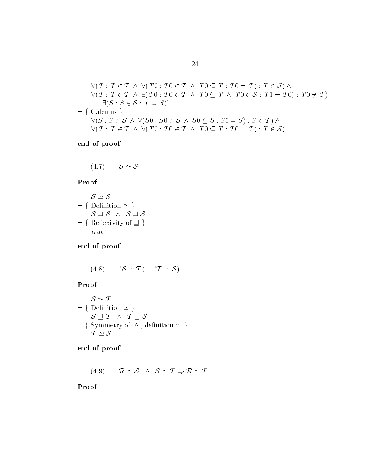$$
\forall (T : T \in \mathcal{T} \land \forall (T0 : T0 \in \mathcal{T} \land T0 \subseteq T : T0 = T) : T \in \mathcal{S}) \land \n\forall (T : T \in \mathcal{T} \land \exists (T0 : T0 \in \mathcal{T} \land T0 \subseteq T \land T0 \in \mathcal{S} : T1 = T0) : T0 \neq T) \n: \exists (S : S \in \mathcal{S} : T \supseteq S)) \n\forall (S : S \in \mathcal{S} \land \forall (S0 : S0 \in \mathcal{S} \land S0 \subseteq S : S0 = S) : S \in \mathcal{T}) \land \n\forall (T : T \in \mathcal{T} \land \forall (T0 : T0 \in \mathcal{T} \land T0 \subseteq T : T0 = T) : T \in \mathcal{S})
$$

$$
(4.7) \t S \simeq S
$$

#### Proof

$$
\mathcal{S} \simeq \mathcal{S}
$$
\n
$$
= \{ \text{Definition } \simeq \}
$$
\n
$$
\mathcal{S} \supseteq \mathcal{S} \quad \land \quad \mathcal{S} \supseteq \mathcal{S}
$$
\n
$$
= \{ \text{Reflexivity of } \supseteq \}
$$
\n
$$
true
$$

end of proof

(4.8) 
$$
(\mathcal{S} \simeq \mathcal{T}) = (\mathcal{T} \simeq \mathcal{S})
$$

### Proof

$$
\begin{aligned}\n\mathcal{S} &\cong \mathcal{T} \\
&= \{ \text{Definition } \simeq \} \\
\mathcal{S} &\cong \mathcal{T} \quad \land \quad \mathcal{T} \supseteq \mathcal{S} \\
&= \{ \text{Symmetry of } \land \text{, definition } \simeq \} \\
\mathcal{T} &\simeq \mathcal{S}\n\end{aligned}
$$

end of proof

(4.9) 
$$
\mathcal{R} \simeq \mathcal{S} \wedge \mathcal{S} \simeq \mathcal{T} \Rightarrow \mathcal{R} \simeq \mathcal{T}
$$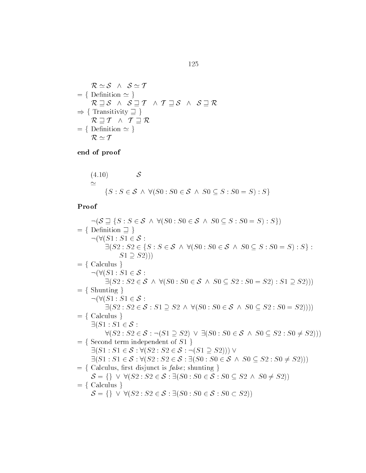$$
\mathcal{R} \simeq \mathcal{S} \wedge \mathcal{S} \simeq \mathcal{T}
$$
\n
$$
= \{ \text{Definition } \simeq \}
$$
\n
$$
\mathcal{R} \sqsupseteq \mathcal{S} \wedge \mathcal{S} \sqsupseteq \mathcal{T} \wedge \mathcal{T} \sqsupseteq \mathcal{S} \wedge \mathcal{S} \sqsupseteq \mathcal{R}
$$
\n
$$
\Rightarrow \{ \text{Transitivity } \sqsupseteq \}
$$
\n
$$
\mathcal{R} \sqsupseteq \mathcal{T} \wedge \mathcal{T} \sqsupseteq \mathcal{R}
$$
\n
$$
= \{ \text{Definition } \simeq \}
$$
\n
$$
\mathcal{R} \simeq \mathcal{T}
$$

$$
\begin{aligned} \n(4.10) \quad & S \\ \n& \simeq \\ \n\{S: S \in \mathcal{S} \land \forall (S0: S0 \in \mathcal{S} \land S0 \subseteq S: S0 = S) : S\} \n\end{aligned}
$$

Proof

 $\mathsf{of} \ \neg(\mathcal{S} \sqsupset \{S : S \in \mathcal{S} \ \land \ \forall (S0 : S0 \in \mathcal{S} \ \land \ S0 \subseteq S : S0 = S) : S\})$  $\lnot(\mathcal{S} \sqsupseteq \{S : S \in \mathcal{S} \land \forall$ <br>= { Definition  $\sqsupset$  }  $\neg(\forall (S1: S1 \in$  $S \in S \wedge \forall (S$ <br>}<br> $\in S$ : value  $\exists$   $S$  :<br>  $S1 : S1 \in S$  :<br>  $\exists (S2 : S2 \in \{S : S \in S \land \forall (S0 : S0 \in S \land S0 \subseteq S : S0 = S) : S \}$  :  $S1 \supseteq S2$ )))<br>  $S1 \in S$ :  $= \{$  Calculus  $\}$  $\neg(\forall (S1: S1 \in$ ulus }<br>  $S1: S1 \in S$ :<br>  $\exists (S2: S2 \in S \land \forall (S0: S0 \in S \land S0 \subseteq S2: S0 = S2): S1 \supseteq S2)))$ <br>  $S1: S1 \in S$ :  $= \{$  Shunting  $\}$  $\neg(\forall (S1: S1 \in$ ting }<br>  $S1: S1 \in S$ :<br>  $\exists (S2: S2 \in S : S1 \supseteq S2 \land \forall (S0: S0 \in S \land S0 \subseteq S2 : S0 = S2))))$ <br>
ulus }<br>  $\therefore S1 \in S$ :  $= \{$  Calculus  $\}$  $\exists (S1 : S1 \in$ ulus }<br>  $: S1 \in S :$ <br>  $\forall (S2 : S2 \in S : \neg(S1 \supseteq S2) \lor \exists (S0 : S0 \in S \land S0 \subseteq S2 : S0 \neq S2)))$ <br>
nd term independent of  $S1$  }<br>  $: S1 \in S : \forall (S2 : S2 \in S : \neg(S1 \supseteq S2))) \lor$  $= \{$  Second term independent of  $S1$  $\exists (S1: S1 \in \mathcal{S} : \forall (S2: S2 \in \mathcal{S} : \neg(S1 \supseteq S2))) \vee$ Second term independent of  $S1$  }<br> $\exists (S1 : S1 \in S : \forall (S2 : S2 \in S : \neg (S1 \supseteq S2))) \vee$ <br> $\exists (S1 : S1 \in S : \forall (S2 : S2 \in S : \exists (S0 : S0 \in S \land S0 \subseteq S2 : S0 \neq S2)))$  $= \{$  Calculus, first disjunct is *false*; shunting  $\}$  $S1: S1 \in \mathcal{S}: \forall (S2: S2 \in \mathcal{S}: \exists (S0: S0 \in \mathcal{S} \land S0 \subseteq S2: S0 \neq S2$ <br>
ilculus, first disjunct is *false*; shunting }<br>  $= \{\} \lor \forall (S2: S2 \in \mathcal{S}: \exists (S0: S0 \in \mathcal{S}: S0 \subseteq S2 \land S0 \neq S2))$ <br>
ilculus }<br>  $= \{\} \lor \forall (S2: S2 \in \mathcal{S}: \exists (S0: S0 \in \mathcal{S}:$  $= \{$  Calculus  $\}$  $\mathcal{S} = \{\}\ \vee \ \forall (S2 : S2 \in \mathcal{S} : \exists (S0 : S0 \in \mathcal{S} : S0 \subset S2))$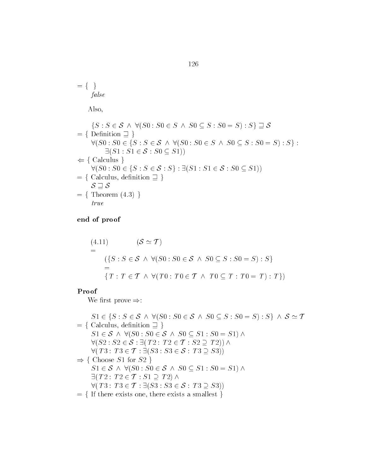$$
= \{ \}
$$
  

$$
false
$$

Also

Also,  
\n
$$
\{S : S \in \mathcal{S} \land \forall (S0 : S0 \in S \land S0 \subseteq S : S0 = S) : S\} \supseteq \mathcal{S}
$$
\n
$$
= \{ \text{Definition } \supseteq \} \quad \forall (S0 : S0 \in \{S : S \in \mathcal{S} \land \forall (S0 : S0 \in S \land S0 \subseteq S : S0 = S) : S\} : \exists (S1 : S1 \in \mathcal{S} : S0 \subseteq S1))
$$
\n
$$
\Leftarrow \{ \text{Calculus } \} \quad \forall (S0 : S0 \in \{S : S \in \mathcal{S} : S\} : \exists (S1 : S1 \in \mathcal{S} : S0 \subseteq S1))
$$
\n
$$
= \{ \text{Calculus, definition } \supseteq \} \quad \mathcal{S} \supseteq \mathcal{S}
$$
\n
$$
= \{ \text{Theorem (4.3)} \}
$$
\n
$$
true
$$

end of proof

$$
(4.11) \qquad (\mathcal{S} \simeq \mathcal{T})
$$
  
=\n
$$
(\{S : S \in \mathcal{S} \land \forall (S0 : S0 \in \mathcal{S} \land S0 \subseteq S : S0 = S) : S\}
$$
  
=\n
$$
\{T : T \in \mathcal{T} \land \forall (T0 : T0 \in \mathcal{T} \land T0 \subseteq T : T0 = T) : T\})
$$

#### Proof

We first prove  $\Rightarrow$ :

Ve first prove  $\Rightarrow$ :<br>  $S1 \in \{S : S \in \mathcal{S} \land \forall (S0 : S0 \in \mathcal{S} \land S0 \subseteq S : S0 = S) : S\} \land \mathcal{S} \simeq \mathcal{T}$  $S1 \in \{S : S \in \mathcal{S} \land \forall (S0 : S0 \in \mathcal{S} \text{ Calculus, definition } \exists \}$  $S1 \in S \land \forall (S0 : S0 \in S \land S0 \subseteq S1 : S0 = S1) \land$  $\in \{S : S \in \mathcal{S} \;\wedge\; \forall (S0 : S0 \in \mathcal{S} \;\wedge \;\; \forall (S0 : S0 \in \mathcal{S} \;\wedge\; S0 \subseteq S \;\; \wedge\; S0 \subseteq S$ Calculus, definition  $\supseteq$  }<br>  $S1 \in S \land \forall (S0 : S0 \in S \land S0 \subseteq S1 : S0 = S$ <br>  $\forall (S2 : S2 \in S : \exists (T2 : T2 \in T : S2 \supseteq T2)) \land$  $\forall (S2 : S2 \in \mathcal{S} : \exists (T2 : T2 \in \mathcal{T} : S2 \supseteq T2)) \land$  $\forall (T3: T3 \in \mathcal{T} : \exists (S3: S3 \in \mathcal{S} : T3 \supseteq S3))$ Choose  $S1$  for  $S2$  }  $\forall (T3 : T3 \in \mathcal{T} : \exists (S3 : S3 \in \mathcal{S} : T3 \supseteq S3))$ <br>Choose S1 for S2 }<br> $S1 \in \mathcal{S} \land \forall (S0 : S0 \in \mathcal{S} \land S0 \subseteq S1 : S0 = S1) \land$  $T3:\,T3\in\mathcal{T}:\Xi\ \text{coose }S1\text{ for }S2\ \in\mathcal{S}\;\wedge\;\forall (S0:.)$ Choose  $S1$  for  $S2$  }<br>  $S1 \in S \land \forall (S0 : S0 \in \exists (T2 : T2 \in \mathcal{T} : S1 \supset$  $\exists (T2: T2 \in \mathcal{T} : S1 \supseteq T2) \land$  $S1 \in \mathcal{S} \land \forall (S0: S0 \in \mathcal{S} \land S0 \subseteq S1: S0 = S$ <br> $\exists (T2: T2 \in \mathcal{T}: S1 \supseteq T2) \land$ <br> $\forall (T3: T3 \in \mathcal{T}: \exists (S3: S3 \in \mathcal{S}: T3 \supseteq S3))$  $=$  { If there exists one, there exists a smallest }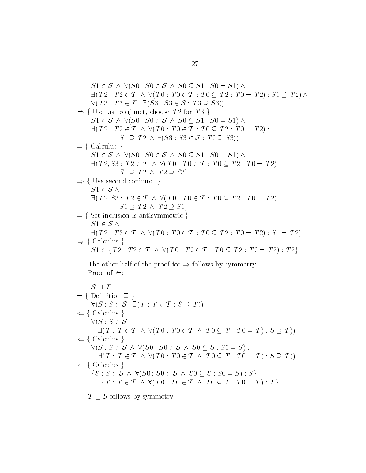S - <sup>S</sup> S S <sup>S</sup> S S - S S - T T T T T T T T T T  S - T  <sup>T</sup> T T S S S T S  f Use last conjunct choose T for T <sup>g</sup> S - <sup>S</sup> S S <sup>S</sup> S S - S S - T T T T T T T T T T  T S S S T S fCalculus <sup>g</sup> S - <sup>S</sup> S S <sup>S</sup> S S - S S - T - S T T T T T T T T T  T T S  f Use second conjunct <sup>g</sup> S - <sup>S</sup>T - S T T T T T T T T T  T T S - fSet inclusion is antisymmetric <sup>g</sup> S - <sup>S</sup>T T T T T T T T T T  S - T  f Calculus <sup>g</sup> S - fT T T T T T T <sup>T</sup> <sup>T</sup> <sup>T</sup> <sup>T</sup> <sup>g</sup> The other half of the proof for follows by symmetry Proof of SwT fDenition <sup>w</sup> g <sup>S</sup> S S T T T S T  f Calculus <sup>g</sup> <sup>S</sup> S S T T T T T T T T T T  S T  f Calculus <sup>g</sup> <sup>S</sup> S <sup>S</sup> S S <sup>S</sup> S S S S  T T T T T T T T T T  S T  f Calculus <sup>g</sup> fS S <sup>S</sup> S S <sup>S</sup> S S S S  S <sup>g</sup> fT T T T T T T T T T  T <sup>g</sup> T wS

follows by symmetry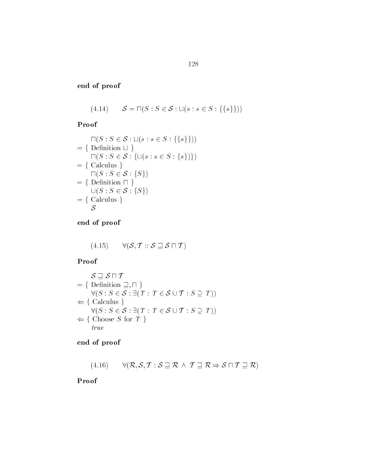(4.14) 
$$
\mathcal{S} = \sqcap (S : S \in \mathcal{S} : \sqcup (s : s \in S : \{\{s\}\}))
$$

Proof

Proof  
\n
$$
\begin{aligned}\n\Box(S: S \in \mathcal{S}: \Box(s: s \in S: \{\{s\}\})) \\
&= \{\text{ Definition } \Box \} \\
\Box(S: S \in \mathcal{S}: \{\cup(s: s \in S: \{s\})\}) \\
&= \{\text{ Calculus } \} \\
\Box(S: S \in \mathcal{S}: \{S\}) \\
&= \{\text{ Definition } \Box \} \\
\Box(S: S \in \mathcal{S}: \{S\}) \\
&= \{\text{ Calculus } \} \\
\mathcal{S}\n\end{aligned}
$$

end of proof

$$
(4.15) \qquad \forall (\mathcal{S}, \mathcal{T} :: \mathcal{S} \sqsupseteq \mathcal{S} \sqcap \mathcal{T})
$$

Proof

$$
\mathcal{S} \supseteq \mathcal{S} \cap \mathcal{T}
$$
\n
$$
= \{ \text{Definition } \supseteq, \cap \}
$$
\n
$$
\forall (S : S \in \mathcal{S} : \exists (T : T \in \mathcal{S} \cup \mathcal{T} : S \supseteq T))
$$
\n
$$
\Leftarrow \{ \text{Calculus } \}
$$
\n
$$
\forall (S : S \in \mathcal{S} : \exists (T : T \in \mathcal{S} \cup \mathcal{T} : S \supseteq T))
$$
\n
$$
\Leftarrow \{ \text{Choose } S \text{ for } T \}
$$
\n
$$
true
$$

end of proof

(4.16) 
$$
\forall (\mathcal{R}, \mathcal{S}, \mathcal{T} : \mathcal{S} \sqsupseteq \mathcal{R} \land \mathcal{T} \sqsupseteq \mathcal{R} \Rightarrow \mathcal{S} \sqcap \mathcal{T} \sqsupseteq \mathcal{R})
$$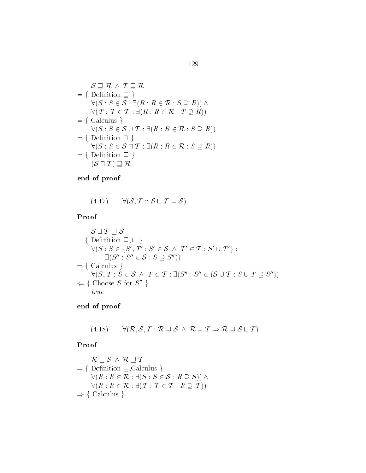$$
\mathcal{S} \sqsupseteq \mathcal{R} \land \mathcal{T} \sqsupseteq \mathcal{R}
$$
\n
$$
= \{ \text{Definition } \sqsupseteq \}
$$
\n
$$
\forall (S : S \in \mathcal{S} : \exists (R : R \in \mathcal{R} : S \supseteq R)) \land
$$
\n
$$
\forall (T : T \in \mathcal{T} : \exists (R : R \in \mathcal{R} : T \supseteq R))
$$
\n
$$
= \{ \text{ Calculus } \}
$$
\n
$$
\forall (S : S \in \mathcal{S} \cup \mathcal{T} : \exists (R : R \in \mathcal{R} : S \supseteq R))
$$
\n
$$
= \{ \text{Definition } \sqcap \}
$$
\n
$$
\forall (S : S \in \mathcal{S} \sqcap \mathcal{T} : \exists (R : R \in \mathcal{R} : S \supseteq R))
$$
\n
$$
= \{ \text{Definition } \sqsupseteq \} \}
$$
\n
$$
(\mathcal{S} \sqcap \mathcal{T}) \sqsupseteq \mathcal{R}
$$

(4.17) 
$$
\forall (\mathcal{S}, \mathcal{T} :: \mathcal{S} \sqcup \mathcal{T} \sqsupseteq \mathcal{S})
$$

Proof  $\int$  of which we set

$$
\mathcal{S} \sqcup \mathcal{T} \sqsupseteq \mathcal{S}
$$
\n
$$
= \{ \text{Definition } \sqsupseteq, \sqcap \}
$$
\n
$$
\forall (S : S \in \{S', T' : S' \in \mathcal{S} \land T' \in \mathcal{T} : S' \cup T' \} : \exists (S'' : S'' \in \mathcal{S} : S \supseteq S''))
$$
\n
$$
= \{ \text{Calculus } \}
$$
\n
$$
\forall (S, T : S \in \mathcal{S} \land T \in \mathcal{T} : \exists (S'' : S'' \in (\mathcal{S} \cup \mathcal{T} : S \cup T \supseteq S''))
$$
\n
$$
\Leftarrow \{ \text{Choose } S \text{ for } S'' \}
$$
\n
$$
true
$$

end of proof

(4.18) 
$$
\forall (\mathcal{R}, \mathcal{S}, \mathcal{T} : \mathcal{R} \sqsupseteq \mathcal{S} \land \mathcal{R} \sqsupseteq \mathcal{T} \Rightarrow \mathcal{R} \sqsupseteq \mathcal{S} \sqcup \mathcal{T})
$$

Proof  $\int$ 

$$
\mathcal{R} \sqsupseteq \mathcal{S} \land \mathcal{R} \sqsupseteq \mathcal{T}
$$
\n
$$
= \{ \text{Definition } \sqsupseteq, \text{Calculus } \}
$$
\n
$$
\forall (R: R \in \mathcal{R}: \exists (S: S \in \mathcal{S}: R \supseteq S)) \land
$$
\n
$$
\forall (R: R \in \mathcal{R}: \exists (T: T \in \mathcal{T}: R \supseteq T))
$$
\n
$$
\Rightarrow \{ \text{Calculus } \}
$$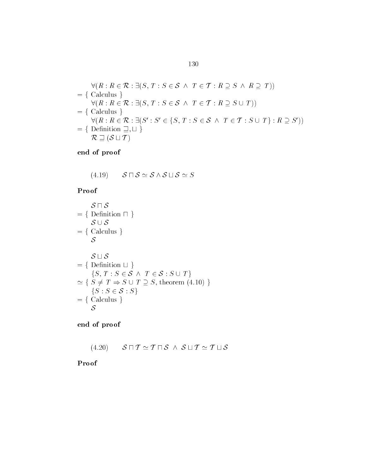$$
\forall (R: R \in \mathcal{R}: \exists (S, T: S \in \mathcal{S} \land T \in \mathcal{T}: R \supseteq S \land R \supseteq T))
$$
\n
$$
= \{ \text{ Calculus } \}
$$
\n
$$
\forall (R: R \in \mathcal{R}: \exists (S, T: S \in \mathcal{S} \land T \in \mathcal{T}: R \supseteq S \cup T))
$$
\n
$$
= \{ \text{ Calculus } \}
$$
\n
$$
\forall (R: R \in \mathcal{R}: \exists (S': S' \in \{S, T: S \in \mathcal{S} \land T \in \mathcal{T}: S \cup T\}: R \supseteq S'))
$$
\n
$$
= \{ \text{Definition } \sqsupseteq, \sqcup \}
$$
\n
$$
\mathcal{R} \supseteq (\mathcal{S} \sqcup \mathcal{T})
$$

(4.19) 
$$
\mathcal{S} \sqcap \mathcal{S} \simeq \mathcal{S} \wedge \mathcal{S} \sqcup \mathcal{S} \simeq S
$$

## Proof

$$
S \cap S
$$
  
= { Definition  $\cap$  }  
 $S \cup S$   
= { Calculus }  
 $S$   
= { Definition  $\sqcup$  }  
{ $S, T : S \in S \land T \in S : S \cup T$ }  
 $\simeq { S \neq T \Rightarrow S \cup T \supseteq S, \text{ theorem (4.10) } }{ $S : S \in S : S$ }  
= { Calculus }  
 $S$$ 

end of proof

$$
(4.20) \qquad \mathcal{S} \sqcap \mathcal{T} \simeq \mathcal{T} \sqcap \mathcal{S} \ \wedge \ \mathcal{S} \sqcup \mathcal{T} \simeq \mathcal{T} \sqcup \mathcal{S}
$$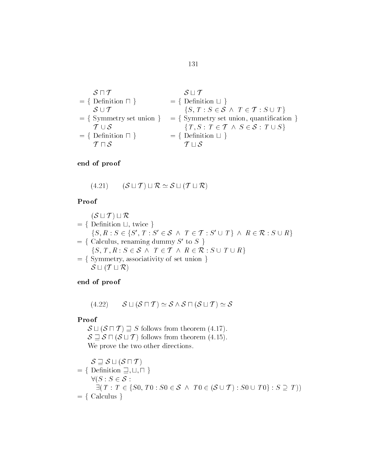$$
\begin{aligned}\n\mathcal{S} \sqcap \mathcal{T} &= \{ \text{ Definition } \sqcap \} \\
\mathcal{S} \cup \mathcal{T} &= \{ \text{ Definition } \sqcup \} \\
\mathcal{S} \cup \mathcal{T} &= \{ \text{ Symmetry set union} \} \\
&= \{ \text{ Symmetry set union} \} \\
\mathcal{T} \cup \mathcal{S} &= \{ \text{ Definition } \sqcap \} \\
\mathcal{T} \sqcap \mathcal{S} &= \{ \text{ Definition } \sqcup \} \\
\mathcal{T} \sqcup \mathcal{S} &= \{ \text{ Definition } \sqcup \} \\
\mathcal{T} \sqcup \mathcal{S} &= \{ \text{ Definition } \sqcup \} \\
\end{aligned}
$$

(4.21) 
$$
(\mathcal{S} \sqcup \mathcal{T}) \sqcup \mathcal{R} \simeq \mathcal{S} \sqcup (\mathcal{T} \sqcup \mathcal{R})
$$

#### Proof

$$
(\mathcal{S} \sqcup \mathcal{T}) \sqcup \mathcal{R}
$$
\n
$$
= \{ \text{Definition } \sqcup, \text{ twice } \}
$$
\n
$$
\{S, R : S \in \{S', T : S' \in \mathcal{S} \land T \in \mathcal{T} : S' \cup T\} \land R \in \mathcal{R} : S \cup R \}
$$
\n
$$
= \{ \text{Calculus, renaming dummy } S' \text{ to } S \}
$$
\n
$$
\{S, T, R : S \in \mathcal{S} \land T \in \mathcal{T} \land R \in \mathcal{R} : S \cup T \cup R \}
$$
\n
$$
= \{ \text{Symmetry, associativity of set union } \}
$$
\n
$$
\mathcal{S} \sqcup (\mathcal{T} \sqcup \mathcal{R})
$$

end of proof

(4.22) 
$$
\mathcal{S} \sqcup (\mathcal{S} \sqcap \mathcal{T}) \simeq \mathcal{S} \wedge \mathcal{S} \sqcap (\mathcal{S} \sqcup \mathcal{T}) \simeq \mathcal{S}
$$

# Proof

 $(S \sqcap T) \sqsupseteq S$  follows from theorem  $(4.17)$ .  $S \rightharpoonup S \sqcap (S \sqcup T)$  follows from theorem (4.15). We prove the two other directions.

$$
\begin{aligned}\n\mathcal{S} &\supseteq \mathcal{S} \sqcup (\mathcal{S} \sqcap \mathcal{T}) \\
&= \{ \begin{array}{l} \text{Definition } \sqsupseteq, \sqcup, \sqcap \\ \forall (S : S \in \mathcal{S} : \\ \exists (T : T \in \{S0, T0 : S0 \in \mathcal{S} \land T0 \in (\mathcal{S} \cup \mathcal{T}) : S0 \cup T0 \} : S \supseteq T)) \end{array} \\
&= \{ \text{ Calculus } \}\n\end{aligned}
$$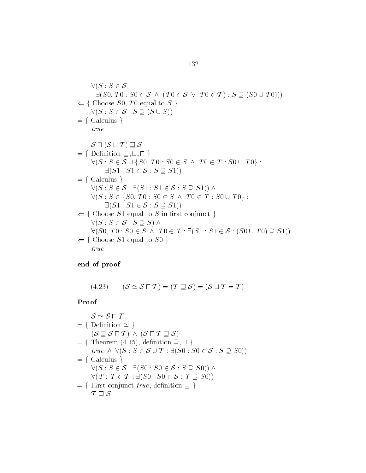$$
\forall (S: S \in \mathcal{S} : \exists (S0, T0: S0 \in \mathcal{S} \land (T0 \in \mathcal{S} \lor T0 \in \mathcal{T}) : S \supseteq (S0 \cup T0)))
$$
\n
$$
\Leftarrow \{ \text{Choose } S0, T0 \text{ equal to } S \}
$$
\n
$$
\forall (S: S \in \mathcal{S} : S \supseteq (S \cup S))
$$
\n
$$
= \{ \text{Calculus } \}
$$
\n
$$
true
$$
\n
$$
\mathcal{S} \sqcap (\mathcal{S} \sqcup \mathcal{T}) \supseteq \mathcal{S}
$$
\n
$$
= \{ \text{Definition } \sqsupseteq, \sqcup, \sqcap \}
$$
\n
$$
\forall (S: S \in \mathcal{S} \cup \{S0, T0 : S0 \in \mathcal{S} \land T0 \in \mathcal{T} : S0 \cup T0 \} : \exists (S1: S1 \in \mathcal{S} : S \supseteq S1))
$$
\n
$$
= \{ \text{Calculus } \}
$$
\n
$$
\forall (S: S \in \mathcal{S} : \exists (S1: S1 \in \mathcal{S} : S \supseteq S1)) \land \forall (S: S \in \{S0, T0 : S0 \in \mathcal{S} \land T0 \in \mathcal{T} : S0 \cup T0 \} : \exists (S1: S1 \in \mathcal{S} : S \supseteq S1))
$$
\n
$$
\Leftarrow \{ \text{Choose } S1 \text{ equal to } S \text{ in first conjunct } \}
$$
\n
$$
\forall (S: S \in \mathcal{S} : S \supseteq S) \land \forall (S0, T0: S0 \in \mathcal{S} \land T0 \in \mathcal{T} : \exists (S1: S1 \in \mathcal{S} : (S0 \cup T0) \supseteq S1))
$$
\n
$$
\Leftarrow \{ \text{Choose } S1 \text{ equal to } S0 \}
$$
\n
$$
true
$$

(4.23) 
$$
(\mathcal{S} \simeq \mathcal{S} \sqcap \mathcal{T}) = (\mathcal{T} \sqsupseteq \mathcal{S}) = (\mathcal{S} \sqcup \mathcal{T} = \mathcal{T})
$$

$$
S \simeq S \sqcap T
$$
\n
$$
= \{ \text{Definition } \simeq \}
$$
\n
$$
(S \sqsupseteq S \sqcap T) \land (S \sqcap T \sqsupseteq S)
$$
\n
$$
= \{ \text{Theorem (4.15), definition } \sqsupseteq, \sqcap \}
$$
\n
$$
true \land \forall (S : S \in S \cup T : \exists (S0 : S0 \in S : S \supseteq S0))
$$
\n
$$
= \{ \text{Calculus } \}
$$
\n
$$
\forall (S : S \in S : \exists (S0 : S0 \in S : S \supseteq S0)) \land
$$
\n
$$
\forall (T : T \in T : \exists (S0 : S0 \in S : T \supseteq S0))
$$
\n
$$
= \{ \text{First conjunct true, definition } \sqsupseteq \}
$$
\n
$$
T \sqsupseteq S
$$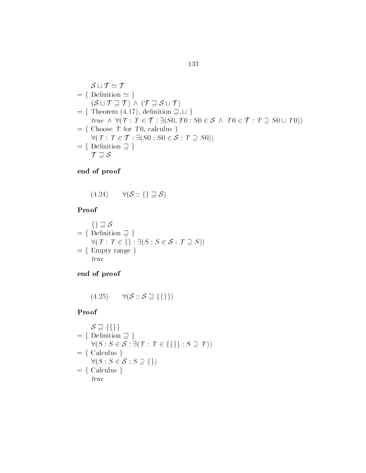$$
\mathcal{S} \sqcup \mathcal{T} \simeq \mathcal{T}
$$
\n
$$
= \{ \text{Definition } \simeq \}
$$
\n
$$
(\mathcal{S} \sqcup \mathcal{T} \sqsupseteq \mathcal{T}) \land (\mathcal{T} \sqsupseteq \mathcal{S} \sqcup \mathcal{T})
$$
\n
$$
= \{ \text{Theorem (4.17), definition } \sqsupseteq, \sqcup \}
$$
\n
$$
\text{true } \land \forall (\mathcal{T} : \mathcal{T} \in \mathcal{T} : \exists (\mathcal{S}0, \mathcal{T}0 : \mathcal{S}0 \in \mathcal{S} \land \mathcal{T}0 \in \mathcal{T} : \mathcal{T} \supseteq \mathcal{S}0 \cup \mathcal{T}0))
$$
\n
$$
= \{ \text{Choose } \mathcal{T} \text{ for } \mathcal{T}0, \text{ calculus } \}
$$
\n
$$
\forall (\mathcal{T} : \mathcal{T} \in \mathcal{T} : \exists (\mathcal{S}0 : \mathcal{S}0 \in \mathcal{S} : \mathcal{T} \supseteq \mathcal{S}0))
$$
\n
$$
= \{ \text{Definition } \sqsupseteq \}
$$
\n
$$
\mathcal{T} \supseteq \mathcal{S}
$$

(4.24) 
$$
\forall (\mathcal{S} :: \{\} \sqsupseteq \mathcal{S})
$$

#### Proof  $\int$

$$
\{\} \sqsupseteq S
$$
\n
$$
= \{ \text{Definition } \sqsupseteq \} \}
$$
\n
$$
\forall (T : T \in \{\} : \exists (S : S \in S : T \supseteq S))
$$
\n
$$
= \{ \text{Empty range } \}
$$
\n
$$
true
$$

end of proof

$$
(4.25) \qquad \forall (\mathcal{S} :: \mathcal{S} \sqsupseteq \{\{\}\})
$$

Proof  
\n
$$
S \supseteq \{\{\}\}\n= \{ \text{Definition } \supseteq \}\n\forall (S : S \in S : \exists (T : T \in \{\{\}\} : S \supseteq T))\n= \{ \text{Calculus } \}\n\forall (S : S \in S : S \supseteq \{\})\n= \{ \text{Calculus } \}\ntrue
$$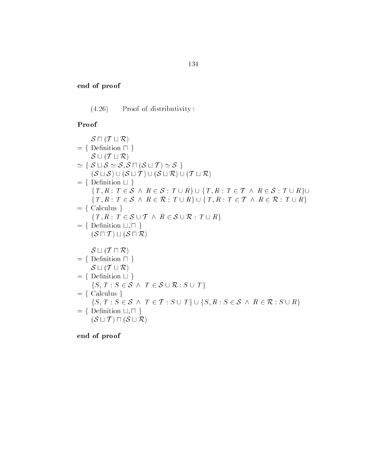(4.26) Proof of distributivity:

# $\int$  up to  $\int$  up to  $\int$  up to  $\int$  up to  $\int$  up to  $\int$  up to  $\int$  up to  $\int$  up to  $\int$  up to  $\int$  up to  $\int$  up to  $\int$  up to  $\int$  up to  $\int$  up to  $\int$  up to  $\int$  up to  $\int$  up to  $\int$  up to  $\int$  up to  $\int$  up to

| Proof                                                                                                                                   |
|-----------------------------------------------------------------------------------------------------------------------------------------|
| $S \sqcap (T \sqcup R)$                                                                                                                 |
| $= \{$ Definition $\sqcap \}$                                                                                                           |
| $S \cup (T \sqcup R)$                                                                                                                   |
| $\simeq \{ S \sqcup S \simeq S, S \sqcap (S \sqcup T) \simeq S \}$                                                                      |
| $(S \sqcup S) \cup (S \sqcup T) \cup (S \sqcup R) \cup (T \sqcup R)$                                                                    |
| $= \{$ Definition $\sqcup \}$                                                                                                           |
| $\{T, R: T \in \mathcal{S} \land R \in \mathcal{S}: T \cup R\} \cup \{T, R: T \in \mathcal{T} \land R \in \mathcal{S}: T \cup R\} \cup$ |
| $\{T, R: T \in \mathcal{S} \land R \in \mathcal{R}: T \cup R\} \cup \{T, R: T \in \mathcal{T} \land R \in \mathcal{R}: T \cup R\}$      |
| $= \{$ Calculus $\}$                                                                                                                    |
| $\{T, R: T \in \mathcal{S} \cup \mathcal{T} \wedge R \in \mathcal{S} \cup \mathcal{R}: T \cup R\}$                                      |
| $= \{$ Definition $\sqcup, \sqcap \}$                                                                                                   |
| $(S \sqcap T) \sqcup (S \sqcap R)$                                                                                                      |
| $S \sqcup (T \sqcap R)$                                                                                                                 |
| $= \{$ Definition $\sqcap \}$                                                                                                           |
| $S \sqcup (T \cup R)$                                                                                                                   |
| $= \{$ Definition $\sqcup \}$                                                                                                           |
| $\{S, T : S \in \mathcal{S} \wedge T \in \mathcal{S} \cup \mathcal{R} : S \cup T\}$                                                     |
| $= \{$ Calculus $\}$                                                                                                                    |
| $\{S, T: S \in \mathcal{S} \land T \in \mathcal{T}: S \cup T\} \cup \{S, R: S \in \mathcal{S} \land R \in \mathcal{R}: S \cup R\}$      |
|                                                                                                                                         |
| $= \{$ Definition $\sqcup, \sqcap \}$<br>$(S \sqcup T) \sqcap (S \sqcup R)$                                                             |
|                                                                                                                                         |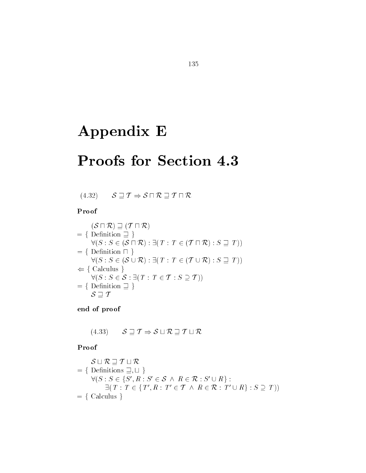# Appendix E

# Proofs for Section 4.3

 $(4.32)$   $S \sqsupseteq T \Rightarrow S \sqcap \mathcal{R} \sqsupseteq T \sqcap \mathcal{R}$ 

### Proof

Proof  
\n
$$
(\mathcal{S} \sqcap \mathcal{R}) \sqsupseteq (\mathcal{T} \sqcap \mathcal{R})
$$
\n
$$
= \{ \text{ Definition } \sqsupseteq \}
$$
\n
$$
\forall (S : S \in (\mathcal{S} \sqcap \mathcal{R}) : \exists (T : T \in (\mathcal{T} \sqcap \mathcal{R}) : S \sqsupseteq T))
$$
\n
$$
= \{ \text{ Definition } \sqcap \}
$$
\n
$$
\forall (S : S \in (\mathcal{S} \cup \mathcal{R}) : \exists (T : T \in (\mathcal{T} \cup \mathcal{R}) : S \sqsupseteq T))
$$
\n
$$
\Leftarrow \{ \text{ Calculus } \}
$$
\n
$$
\forall (S : S \in \mathcal{S} : \exists (T : T \in \mathcal{T} : S \supseteq \mathcal{T}))
$$
\n
$$
= \{ \text{ Definition } \sqsupseteq \}
$$
\n
$$
\mathcal{S} \sqsupseteq \mathcal{T}
$$

end of proof

(4.33) 
$$
S \sqsupseteq T \Rightarrow S \sqcup \mathcal{R} \sqsupseteq T \sqcup \mathcal{R}
$$

### Proof  $\int \mathrm{d}x \, dx$

$$
\mathcal{S} \sqcup \mathcal{R} \sqsupseteq \mathcal{T} \sqcup \mathcal{R}
$$
\n
$$
= \{ \text{Definitions } \sqsupseteq, \sqcup \}
$$
\n
$$
\forall (S : S \in \{S', R : S' \in \mathcal{S} \land R \in \mathcal{R} : S' \cup R \} : \sqcup \{T : T \in \{T', R : T' \in \mathcal{T} \land R \in \mathcal{R} : T' \cup R\} : S \supseteq T) \}
$$
\n
$$
= \{ \text{ Calculus } \}
$$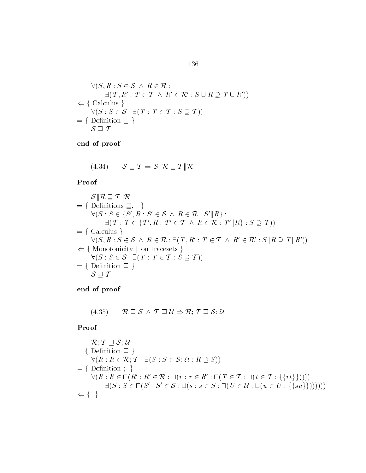$$
\forall (S, R: S \in S \land R \in \mathcal{R} : \exists (T, R': T \in \mathcal{T} \land R' \in \mathcal{R}': S \cup R \supseteq T \cup R'))
$$
  
\n
$$
\Leftarrow \{\text{Calculus } \}\n\quad \forall (S: S \in S: \exists (T: T \in \mathcal{T}: S \supseteq \mathcal{T}))\n= \{\text{Definition } \exists \}
$$
  
\n
$$
\mathcal{S} \supseteq \mathcal{T}
$$

(4.34) 
$$
\mathcal{S} \sqsupseteq \mathcal{T} \Rightarrow \mathcal{S} \parallel \mathcal{R} \sqsupseteq \mathcal{T} \parallel \mathcal{R}
$$

Proof

Proof  
\n
$$
\mathcal{S} \| \mathcal{R} \supseteq \mathcal{T} \| \mathcal{R}
$$
\n
$$
= \{ \text{Definitions } \supseteq, \| \}
$$
\n
$$
\forall (S : S \in \{S', R : S' \in \mathcal{S} \land R \in \mathcal{R} : S' \| R \} : \exists (T : T \in \{T', R : T' \in \mathcal{T} \land R \in \mathcal{R} : T' \| R \} : S \supseteq T))
$$
\n
$$
= \{ \text{ Calculus } \}
$$
\n
$$
\forall (S, R : S \in \mathcal{S} \land R \in \mathcal{R} : \exists (T, R' : T \in \mathcal{T} \land R' \in \mathcal{R}' : S \| R \supseteq T \| R'))
$$
\n
$$
\Leftarrow \{ \text{Monotonicity } \| \text{ on tracesets } \}
$$
\n
$$
\forall (S : S \in \mathcal{S} : \exists (T : T \in \mathcal{T} : S \supseteq T))
$$
\n
$$
= \{ \text{Definition } \supseteq \}
$$
\n
$$
\mathcal{S} \supseteq \mathcal{T}
$$

end of proof

(4.35) 
$$
\mathcal{R} \sqsupseteq \mathcal{S} \wedge \mathcal{T} \sqsupseteq \mathcal{U} \Rightarrow \mathcal{R}; \mathcal{T} \sqsupseteq \mathcal{S}; \mathcal{U}
$$

Proof  
\n
$$
\mathcal{R}; \mathcal{T} \supseteq \mathcal{S}; \mathcal{U}
$$
\n
$$
= \{ \text{Definition } \supseteq \}
$$
\n
$$
\forall (R: R \in \mathcal{R}; \mathcal{T}: \exists (S: S \in \mathcal{S}; \mathcal{U}: R \supseteq S))
$$
\n
$$
= \{ \text{Definition } ; \}
$$
\n
$$
\forall (R: R \in \Pi(R': R' \in \mathcal{R}: \sqcup (r: r \in R': \Pi(T \in \mathcal{T}: \sqcup (t \in T: \{\{rt\}\})))) : \}
$$
\n
$$
\exists (S: S \in \Pi(S': S' \in \mathcal{S}: \sqcup (s: s \in S: \Pi(U \in \mathcal{U}: \sqcup (u \in U: \{\{su\}\}))))))
$$
\n
$$
\Leftarrow \{\}
$$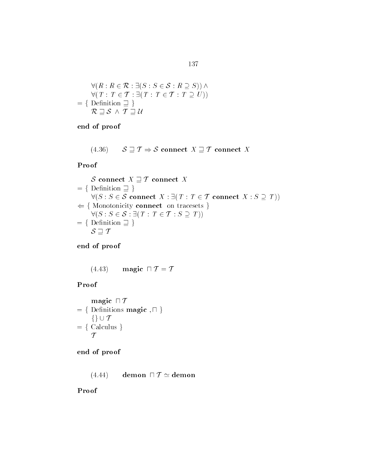$$
\forall (R: R \in \mathcal{R}: \exists (S: S \in \mathcal{S}: R \supseteq S)) \land \forall (T: T \in \mathcal{T}: \exists (T: T \in \mathcal{T}: T \supseteq U)) = \{ \text{ Definition } \sqsupseteq \} \mathcal{R} \sqsupseteq \mathcal{S} \land \mathcal{T} \sqsupseteq \mathcal{U}
$$

$$
\begin{array}{l} \mathcal{L} \\ (4.36) \qquad \mathcal{S} \sqsupseteq \mathcal{T} \Rightarrow \mathcal{S} \text{ connect } X \sqsupseteq \mathcal{T} \text{ connect } X \end{array}
$$

### Proof

Proof  
\n
$$
\mathcal{S} \text{ connect } X \sqsupseteq \mathcal{T} \text{ connect } X
$$
\n
$$
= \{ \text{Definition } \sqsupseteq \}
$$
\n
$$
\forall (S : S \in \mathcal{S} \text{ connect } X : \exists (T : T \in \mathcal{T} \text{ connect } X : S \supseteq T))
$$
\n
$$
\Leftarrow \{ \text{Monotonicity \text{ connect on tracesets }} \}
$$
\n
$$
\forall (S : S \in \mathcal{S} : \exists (T : T \in \mathcal{T} : S \supseteq T))
$$
\n
$$
= \{ \text{Definition } \sqsupseteq \} \}
$$
\n
$$
\mathcal{S} \sqsupseteq \mathcal{T}
$$

end of proof

(4.43) **magic** 
$$
\Box
$$
  $\mathcal{T} = \mathcal{T}$ 

### Proof

Proof  
\n
$$
magic \cap T
$$
\n
$$
= \{ \text{Definitions magic, } \cap \}
$$
\n
$$
\{ \} \cup T
$$
\n
$$
= \{ \text{Calculus} \}
$$
\n
$$
T
$$

end of proof

$$
(4.44) \qquad \text{demon} \ \sqcap \mathcal{T} \simeq \text{demon}
$$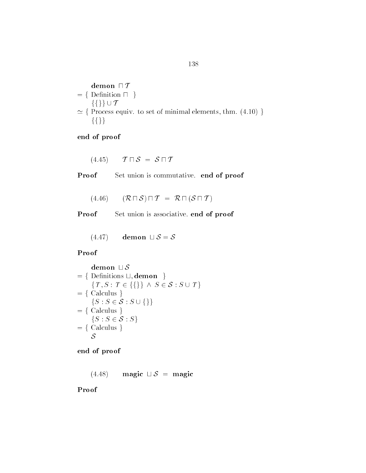$$
155
$$
\n
$$
= \{ \text{ Demon } \sqcap \mathcal{T} \}
$$
\n
$$
= \{ \text{Definition } \sqcap \}
$$
\n
$$
\{ \} \} \cup \mathcal{T}
$$
\n
$$
\simeq \{ \text{Process equiv. to set of minimal elements, thm. (4.10) } \}
$$

 $(4.45)$   $\mathcal{T} \sqcap \mathcal{S} = \mathcal{S} \sqcap \mathcal{T}$ 

Proof Set union is commutative. end of proof

 $(4.46)$   $(\mathcal{R} \sqcap \mathcal{S}) \sqcap \mathcal{T} = \mathcal{R} \sqcap (\mathcal{S} \sqcap \mathcal{T})$ 

Proof Set union is associative. end of proof

 $(4.47)$  demon  $\sqcup$   $\mathcal{S} = \mathcal{S}$ 

Proof

Proof  
\n
$$
\begin{aligned}\n&= \{ \text{ Definitions } \sqcup, \text{demon } \} \\
&= \{ \text{ Definitions } \sqcup, \text{demon } \} \\
&= \{ G_{\text{alculus}} \} \\
&= \{ \text{Calculus } \} \\
&= \{ G_{\text{alculus}} \} \\
&= \{ G_{\text{alculus}} \} \\
&= \{ S : S \in \mathcal{S} : S \} \\
&= \{ \text{Calculus } \} \\
&= \{ \text{Calculus } \} \\
&= \{ \text{Calculus } \} \\
&= \{ \text{Calculus } \} \\
&= \{ \text{Calculus } \} \\
&= \{ \text{Calculus } \} \\
&= \{ \text{Calculus } \} \\
&= \{ \text{Calculus } \} \\
&= \{ \text{Calculus } \} \\
&= \{ \text{Calculus } \} \\
&= \{ \text{Calculus } \} \\
&= \{ \text{Calculus } \} \\
&= \{ \text{Calculus } \} \\
&= \{ \text{Calculus } \} \\
&= \{ \text{Calculus } \} \\
&= \{ \text{Calculus } \} \\
&= \{ \text{Calculus } \} \\
&= \{ \text{Calculus } \} \\
&= \{ \text{Calculus } \} \\
&= \{ \text{Calculus } \} \\
&= \{ \text{Calculus } \} \\
&= \{ \text{Calculus } \} \\
&= \{ \text{Calculus } \} \\
&= \{ \text{Calculus } \} \\
&= \{ \text{Calculus } \} \\
&= \{ \text{Calculus } \} \\
&= \{ \text{Calculus } \} \\
&= \{ \text{Calculus } \} \\
&= \{ \text{Calculus } \} \\
&= \{ \text{Calculus } \} \\
&= \{ \text{Calculus } \} \\
&= \{ \text{Calculus } \} \\
&= \{ \text{Calculus } \} \\
&= \{ \text{Calculus } \} \\
&= \{ \text{Calculus } \} \\
&= \{ \text{Calculus } \} \\
&= \{ \text{Calculus } \} \\
&= \{ \text{Calculus } \} \\
&= \{ \text{Calculus } \} \\
&= \{ \text{Calculus } \} \\
&= \{ \text{Calculus } \} \\
&= \{ \text{Calculus } \} \\
&= \{ \text{Calculus } \} \\
&= \{ \text{Calculus } \} \\
&= \{ \text{Calculus } \} \\
&= \{ \text{Calculus } \} \\
&= \{ \text{Calculus } \} \\
&= \{ \text{Calculus } \} \\
&= \{
$$

end of proof

 $(4.48)$  magic  $\Box S$  = magic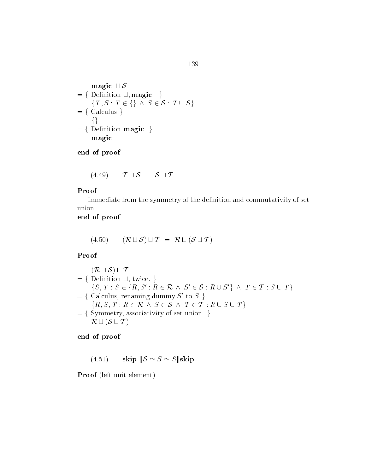$$
\text{magic } \sqcup \mathcal{S} = \{ \text{Definition } \sqcup, \text{magic } \} \\
 \{T, S : T \in \{ \} \land S \in \mathcal{S} : T \cup S \} \\
 = \{ \text{Calculus } \} \\
 \{ \} \\
 = \{ \text{Definition magic } \} \\
 \text{magic}
$$

$$
(4.49) \qquad \mathcal{T} \sqcup \mathcal{S} \ = \ \mathcal{S} \sqcup \mathcal{T}
$$

#### Proof

Immediate from the symmetry of the denition and commutativity of set union

### end of proof

$$
(4.50) \qquad (\mathcal{R} \sqcup \mathcal{S}) \sqcup \mathcal{T} \ = \ \mathcal{R} \sqcup (\mathcal{S} \sqcup \mathcal{T})
$$

### Proof

Proof  
\n
$$
(\mathcal{R} \sqcup \mathcal{S}) \sqcup \mathcal{T}
$$
\n
$$
= \{ \text{Definition } \sqcup, \text{ twice.} \}
$$
\n
$$
\{S, T : S \in \{R, S' : R \in \mathcal{R} \land S' \in \mathcal{S} : R \cup S' \} \land T \in \mathcal{T} : S \cup T \}
$$
\n
$$
= \{ \text{Calculus, renaming dummy } S' \text{ to } S \}
$$
\n
$$
\{R, S, T : R \in \mathcal{R} \land S \in \mathcal{S} \land T \in \mathcal{T} : R \cup S \cup T \}
$$
\n
$$
= \{ \text{Symmetry, associativity of set union.} \}
$$

end of proof

4.51)  $\textbf{skip} \|\mathcal{S} \simeq S \simeq S\|\textbf{skip}$ 

Proof (left unit element)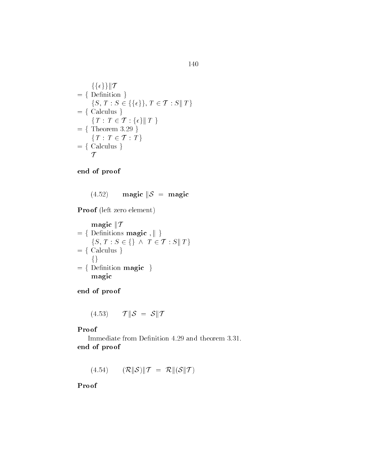$$
\{\{\epsilon\}\} \| T
$$
\n
$$
= \{ \text{Definition } \}
$$
\n
$$
\{S, T : S \in \{\{\epsilon\}\}, T \in T : S \| T \}
$$
\n
$$
= \{ \text{Calculus } \}
$$
\n
$$
\{T : T \in T : \{\epsilon\} \| T \}
$$
\n
$$
= \{ \text{Theorem 3.29 } \}
$$
\n
$$
\{T : T \in T : T \}
$$
\n
$$
= \{ \text{Calculus } \}
$$
\n
$$
T
$$

$$
(4.52) \qquad \text{magic} \|\mathcal{S} = \text{magic}
$$

Proof (left zero element)

$$
\begin{aligned}\n\text{magic} & \| \mathcal{T} \\
&= \{ \text{ Definitions magic, } \| \} \\
& \{ S, T : S \in \{ \} \land T \in \mathcal{T} : S \| T \} \\
&= \{ \text{Calculus } \} \\
& = \{ \text{Definition magic } \} \\
\text{magic}\n\end{aligned}
$$

end of proof

$$
(4.53) \qquad \mathcal{T} \|\mathcal{S} = \mathcal{S} \|\mathcal{T}
$$

### Proof

end of proof

(4.54)  $(\mathcal{R} \|\mathcal{S}) \|\mathcal{T} = \mathcal{R} \|(\mathcal{S} \|\mathcal{T})$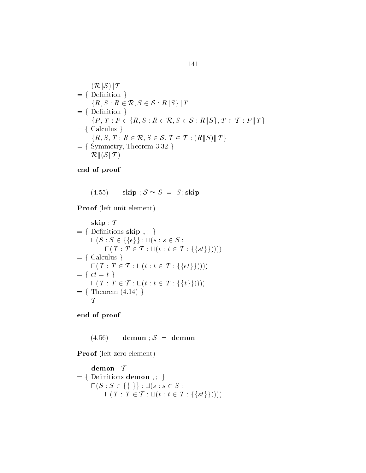$$
(\mathcal{R}||\mathcal{S})||\mathcal{T}
$$
\n
$$
= \{ \text{Definition } \}
$$
\n
$$
\{R, S : R \in \mathcal{R}, S \in \mathcal{S} : R||S\}||\mathcal{T}
$$
\n
$$
= \{ \text{Definition } \}
$$
\n
$$
\{P, T : P \in \{R, S : R \in \mathcal{R}, S \in \mathcal{S} : R||S\}, T \in \mathcal{T} : P||\mathcal{T}\}
$$
\n
$$
= \{ \text{Calculus } \}
$$
\n
$$
\{R, S, T : R \in \mathcal{R}, S \in \mathcal{S}, T \in \mathcal{T} : (R||S)||\mathcal{T}\}
$$
\n
$$
= \{ \text{Symmetry, Theorem 3.32 } \}
$$

(4.55) skip  $S \simeq S = S$ ; skip

Proof (left unit element)

$$
\begin{aligned}\n&\textbf{skip }; \mathcal{T} \\
&= \{ \text{ Definitions } \textbf{skip },; \} \\
&\text{ } \Pi(S : S \in \{\{ \epsilon \} \} : \sqcup (s : s \in S : \\
&\text{ } \Pi(T : T \in \mathcal{T} : \sqcup (t : t \in T : \{\{ st \} \})))) \\
&= \{ \text{ Calculus } \} \\
&\text{ } \Pi(T : T \in \mathcal{T} : \sqcup (t : t \in T : \{\{ \epsilon t \} \})))) \\
&= \{ \epsilon t = t \} \\
&\text{ } \Pi(T : T \in \mathcal{T} : \sqcup (t : t \in T : \{\{ t \} \})))) \\
&= \{ \text{ Theorem (4.14)} \} \\
&\text{ } \mathcal{T}\n\end{aligned}
$$

end of proof

 $(4.56)$  demon ;  $S =$  demon

Proof (left zero element)

$$
\begin{aligned}\n\mathbf{demon} & \mathcal{T} \\
&= \{ \text{ Definitions } \mathbf{demon} \text{ } , ; \text{ } \} \\
\Box(S: S \in \{ \{ \} \} : \Box(s: s \in S : \\
\Box(T: T \in \mathcal{T} : \Box(t: t \in T : \{\{ st \} \}))))\n\end{aligned}
$$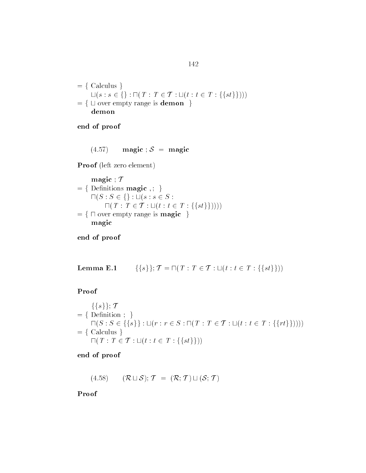$= \{$  Calculus  $\}$ Calculus }<br> $\bigcup(s : s \in \{\}: \sqcap(T : T \in \mathcal{T} : \sqcup(t : t \in T : \{\{st\}\}))\big)$ = { Calculus }<br> $\sqcup (s : s \in \{\} : \sqcap (T : T \in \mathcal{T} : \sqcup (t : t \in \mathcal{F})\cup \text{over empty range is } d\textbf{emon} \ \}$ demon

### end of proof

 $(4.57)$  magic;  $S =$  magic

Proof (left zero element)

$$
\begin{aligned}\n& \text{magic } ; \mathcal{T} \\
&= \{ \text{ Definitions magic } ; \} \\
& \Pi(S : S \in \{\} : \sqcup(s : s \in S : \Pi(T : T \in \mathcal{T} : \sqcup(t : t \in T : \{\{st\}\}))) \\
&= \{\Pi \text{ over empty range is magic } \} \\
& \text{magic}\n\end{aligned}
$$

end of proof

**Lemma E.1**  $\{\{s\}\}; \mathcal{T} = \Pi(T : T \in \mathcal{T} : \Box(t : t \in T : \{\{st\}\}))$ 

### Proof

$$
\{ \{s\} \}; \mathcal{T}
$$
\n
$$
= \{ \text{Definition } ; \}
$$
\n
$$
\Pi(S : S \in \{ \{s\} \} : \sqcup (r : r \in S : \Pi(T : T \in \mathcal{T} : \sqcup (t : t \in T : \{\{rt\}\}))))
$$
\n
$$
= \{ \text{ Calculus } \}
$$
\n
$$
\Pi(T : T \in \mathcal{T} : \sqcup (t : t \in T : \{\{st\}\})))
$$

#### end of proof

 $(4.58)$   $(\mathcal{R} \sqcup \mathcal{S}); \mathcal{T} = (\mathcal{R}; \mathcal{T}) \sqcup (\mathcal{S}; \mathcal{T})$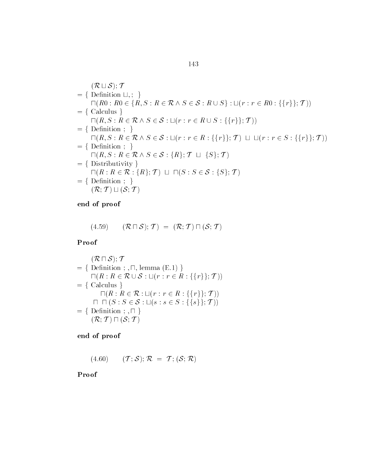$$
(\mathcal{R} \sqcup \mathcal{S}); \mathcal{T}
$$
\n
$$
= \{ \text{Definition } \sqcup, ; \} \qquad \qquad \sqcap (R0 : R0 \in \{R, S : R \in \mathcal{R} \land S \in \mathcal{S} : R \cup S \} : \sqcup (r : r \in R0 : \{\{r\}; \mathcal{T}) \})
$$
\n
$$
= \{ \text{ Calculus } \} \qquad \qquad \sqcap (R, S : R \in \mathcal{R} \land S \in \mathcal{S} : \sqcup (r : r \in R \cup S : \{\{r\}; \mathcal{T}) \})
$$
\n
$$
= \{ \text{Definition } ; \} \qquad \qquad \sqcap (R, S : R \in \mathcal{R} \land S \in \mathcal{S} : \sqcup (r : r \in R : \{\{r\}; \mathcal{T}) \sqcup \sqcup (r : r \in S : \{\{r\}; \mathcal{T}) \})
$$
\n
$$
= \{ \text{Definition } ; \} \qquad \qquad \sqcap (R, S : R \in \mathcal{R} \land S \in \mathcal{S} : \{R\}; \mathcal{T} \sqcup \{S\}; \mathcal{T})
$$
\n
$$
= \{ \text{Distributivity } \} \qquad \sqcap (R : R \in \mathcal{R} : \{R\}; \mathcal{T}) \sqcup \sqcap (S : S \in \mathcal{S} : \{S\}; \mathcal{T})
$$
\n
$$
= \{ \text{Definition } ; \} \qquad \qquad (\mathcal{R}; \mathcal{T}) \sqcup (\mathcal{S}; \mathcal{T})
$$

$$
(4.59) \qquad (\mathcal{R} \sqcap \mathcal{S}); \mathcal{T}) = (\mathcal{R}; \mathcal{T}) \sqcap (\mathcal{S}; \mathcal{T})
$$

Proof

$$
(\mathcal{R} \sqcap \mathcal{S}); \mathcal{T}
$$
\n
$$
= \{ \text{ Definition } ; , \sqcap, \text{ lemma } (E.1) \}
$$
\n
$$
\sqcap (R : R \in \mathcal{R} \cup \mathcal{S} : \sqcup (r : r \in R : \{\{r\}\}; \mathcal{T}))
$$
\n
$$
= \{ \text{ Calculus } \}
$$
\n
$$
\sqcap (R : R \in \mathcal{R} : \sqcup (r : r \in R : \{\{r\}\}; \mathcal{T}))
$$
\n
$$
\sqcap \sqcap (S : S \in \mathcal{S} : \sqcup (s : s \in S : \{\{s\}\}; \mathcal{T}))
$$
\n
$$
= \{ \text{ Definition } ; , \sqcap \}
$$
\n
$$
(\mathcal{R}; \mathcal{T}) \sqcap (\mathcal{S}; \mathcal{T})
$$

end of proof

 $(4.60)$   $(\mathcal{T}; \mathcal{S}); \mathcal{R} = \mathcal{T}; (\mathcal{S}; \mathcal{R})$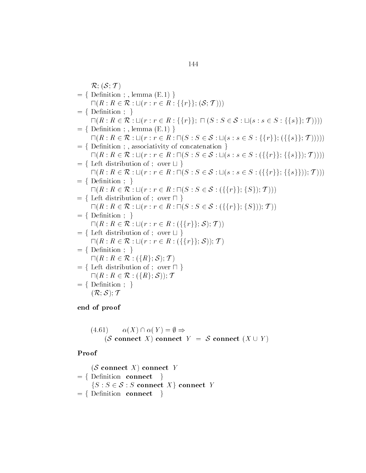$$
\mathcal{R}; (\mathcal{S}; \mathcal{T})
$$
\n= { Definition ; , lemma (E.1)}\n
$$
\Pi(R : R \in \mathcal{R} : \mathcal{U}(r : r \in R : \{\{r\}; (\mathcal{S}; \mathcal{T}))\})
$$
\n= { Definition ; }\n
$$
\Pi(R : R \in \mathcal{R} : \mathcal{U}(r : r \in R : \{\{r\}; \mathcal{T}; (\mathcal{S}; \mathcal{S}; \mathcal{L}; \mathcal{S}; \mathcal{S}; \{\{s\}\}; \mathcal{T}))\})
$$
\n= { Definition ; , lemma (E.1)}\n
$$
\Pi(R : R \in \mathcal{R} : \mathcal{U}(r : r \in R : \Pi(\mathcal{S} : \mathcal{S} \in \mathcal{S} : \mathcal{U}(\mathcal{S} : \mathcal{S}; \mathcal{S}; \{\{r\}\}; (\{\{s\}\}; \mathcal{T}))))
$$
\n= { Definition ; , associativity of concatenation }\n
$$
\Pi(R : R \in \mathcal{R} : \mathcal{U}(r : r \in R : \Pi(\mathcal{S} : \mathcal{S} \in \mathcal{S} : \mathcal{U}(\mathcal{S} : \mathcal{S} \in \mathcal{S} : (\{\{r\}\}; \{\{s\}\})); \mathcal{T}))))
$$
\n= { Let distribution of ; over  $\sqcup$ }\n
$$
\Pi(R : R \in \mathcal{R} : \mathcal{U}(r : r \in R : \Pi(\mathcal{S} : \mathcal{S} \in \mathcal{S} : \mathcal{U}(\mathcal{S} : \mathcal{S} \in \mathcal{S} : (\{\{r\}\}; \{\{s\}\})); \mathcal{T})))
$$
\n= { Let distribution of ; over  $\sqcup$ }\n
$$
\Pi(R : R \in \mathcal{R} : \mathcal{U}(r : r \in R : \Pi(\mathcal{S} : \mathcal{S} \in \mathcal{S} : (\{\{r\}\}; \{\mathcal{S}\})); \mathcal{T}))
$$
\n= { Let distribution of ; over  $\sqcap$ }\n
$$
\Pi(R : R \in \mathcal{R} : \mathcal{U}(r : r \in R : \Pi(\mathcal{S} : \mathcal{S} \in \mathcal{S} : (\{\{r\}\}; \{\mathcal{S}\})); \mathcal{T}) )
$$
\n=

(4.61) 
$$
\alpha(X) \cap \alpha(Y) = \emptyset \Rightarrow
$$
  
(*S* connect *X*) connect *Y* = *S* connect (*X*  $\cup$  *Y*)

$$
(\mathcal{S} \text{ connect } X) \text{ connect } Y
$$
\n
$$
= \{ \text{Definition connect } \}
$$
\n
$$
\{S : S \in \mathcal{S} : S \text{ connect } X \} \text{ connect } Y
$$
\n
$$
= \{ \text{Definition connect } \}
$$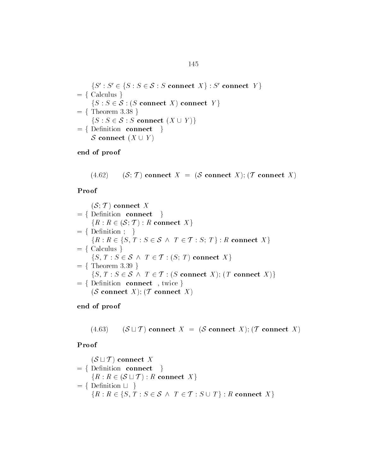$\{S' : S' \in \{S : S \in \mathcal{S} : S \text{ connect } X\} : S' \text{ connect } Y\}$ <br>= { Calculus }  $\{S': S' \in \{S: S \in \mathcal{S} : S \text{ connect } X\} : S' \text{ con} \}$ <br>  $= \{ \text{ Calculus } \}$ <br>  $\{S: S \in \mathcal{S} : (S \text{ connect } X) \text{ connect } Y \}$ <br>  $= \{ \text{ Theorem 3.38 } \}$  $\{S : S \in \mathcal{S} : (S \text{ connect } X) \text{ connect} \$ <br>Theorem 3.38 }<br> $\{S : S \in \mathcal{S} : S \text{ connect } (X \cup Y) \}$  $=$  {Definition connect }  $\mathcal S$  connect  $(X \cup Y)$ 

end of proof

 $(4.62)$   $(S;T)$  connect  $X = (S \text{ connect } X); (T \text{ connect } X)$ 

Proof

 $(S; \mathcal{T})$  connect X  $=$  {Definition connect }  $\{R: R \in (\mathcal{S}; \mathcal{T}): R \text{ connect } X\} = \{ \text{Definition }; \quad \}$ <br> $\{R: R \in \{S, T: S \in \mathcal{S} \land T \in \mathcal{T}: S \in \mathcal{T} \}$ : ct  $X$ } $T \in \mathcal{T} : S{:}~ T} : R \text{ connect } X$  }  $= \{$  Calculus  $\}$  $\{S, T\}$ :  $R \in \{S, T : S \in \mathcal{S} \mid \mathcal{S} \text{ values }\}$ <br>T:  $S \in \mathcal{S} \land T \in \mathcal{T}$  $\{R: R \in \{S, T: S \in \mathcal{S} \land T \in \mathcal{T}: S; T\} : R \text{ con}$ <br>= { Calculus }<br> $\{S, T: S \in \mathcal{S} \land T \in \mathcal{T}: (S; T) \text{ connect } X\}$ <br>= { Theorem 3.39 }  $\{S, T : S \in \mathcal{S} \land T \in \mathcal{T} : (S; T) \text{ connect } X\}$ <br>Theorem 3.39 }<br> $\{S, T : S \in \mathcal{S} \land T \in \mathcal{T} : (S \text{ connect } X); (T \text{ connect } X)\}$  $T : S \in \mathcal{S} \land T \in \mathcal{T}$ <br>orem 3.39 }<br> $T : S \in \mathcal{S} \land T \in \mathcal{T}$  $f = \{Definition \text{ connect } , twice }\}$ (S connect X); (T connect X)

end of proof

 $(4.63)$   $(S \sqcup T)$  connect  $X = (S \text{ connect } X); (T \text{ connect } X)$ 

$$
(\mathcal{S} \sqcup \mathcal{T}) \text{ connect } X
$$
\n
$$
= \{ \text{Definition connect } \}
$$
\n
$$
\{R : R \in (\mathcal{S} \sqcup \mathcal{T}) : R \text{ connect } X \}
$$
\n
$$
= \{ \text{Definition } \sqcup \}
$$
\n
$$
\{R : R \in \{S, T : S \in \mathcal{S} \land T \in \mathcal{T} : S \cup T \} : R \text{ connect } X \}
$$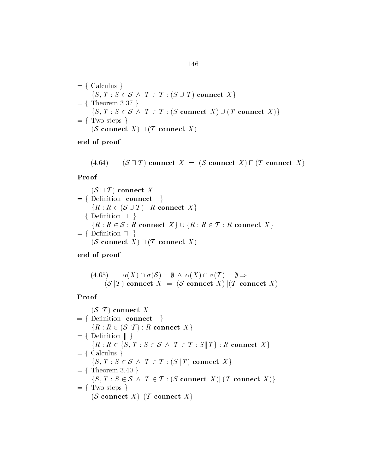$$
= \{ \text{ Calculus } \}
$$
  
\n
$$
\{S, T : S \in S \land T \in T : (S \cup T) \text{ connect } X \}
$$
  
\n
$$
= \{ \text{ Theorem 3.37 } \}
$$
  
\n
$$
\{S, T : S \in S \land T \in T : (S \text{ connect } X) \cup (T \text{ connect } X) \}
$$
  
\n
$$
= \{ \text{ Two steps } \}
$$
  
\n
$$
(S \text{ connect } X) \sqcup (T \text{ connect } X)
$$

 $(4.64)$   $(S \sqcap \mathcal{T})$  connect  $X = (S \text{ connect } X) \sqcap (\mathcal{T} \text{ connect } X)$ 

Proof

$$
(\mathcal{S} \sqcap \mathcal{T}) \text{ connect } X
$$
\n
$$
= \{ \text{Definition connect } \}
$$
\n
$$
\{R : R \in (\mathcal{S} \cup \mathcal{T}) : R \text{ connect } X \}
$$
\n
$$
= \{ \text{Definition } \sqcap \}
$$
\n
$$
\{R : R \in \mathcal{S} : R \text{ connect } X \} \cup \{R : R \in \mathcal{T} : R \text{ connect } X \}
$$
\n
$$
= \{ \text{Definition } \sqcap \}
$$
\n
$$
(\mathcal{S} \text{ connect } X) \sqcap (\mathcal{T} \text{ connect } X)
$$

end of proof

(4.65) 
$$
\alpha(X) \cap \sigma(S) = \emptyset \land \alpha(X) \cap \sigma(T) = \emptyset \Rightarrow
$$
  
 $(S||T) \text{ connect } X = (S \text{ connect } X) || (T \text{ connect } X)$ 

Proof

 $(S||T)$  connect X  $=$  {Definition connect }  $=\{ \text{ Definition } \textbf{connect } \} \$ <br>  $\{R: R \in (\mathcal{S} \Vert \mathcal{T}): R \textbf{ connect } X \}$ <br>  $=\{ \text{ Definition } \Vert \}$  ${R : R \in (S||T) : R \textbf{ connect } X}$ <br>Definition  $|| \n}$ <br> ${R : R \in {S, T : S \in S \land T \in T}}$  $\{R: R \in (\mathcal{S} \| \mathcal{T}): R \text{ connect } X\}$ <br>= { Definition || }<br> $\{R: R \in \{S, T: S \in \mathcal{S} \land T \in \mathcal{T}: S \| T\} : R \text{ connect } X\}$ <br>= { Calculus } { $S, T : S \in S \land T \in T$ <br>Theorem 3.40 }<br>{ $S, T : S \in S \land T \in T$  $\{S, T: S \in \mathcal{S} \;\wedge\; T \in \mathcal{T}: S \| \:T\}: R \textbf{ con}\colon \ \{S \text{ un}\}\ \{T: S \in \mathcal{S} \;\wedge\; T \in \mathcal{T}: (S \| \:T) \textbf{ connect } X\}\ \{T: S \in \mathcal{S} \;\wedge\; T \in \mathcal{T}: (S \| \:T) \textbf{ connect } X\}\$  $=$  {Theorem 3.40}  $\{S, T : S \in \mathcal{S} \land T \in \mathcal{T} : (S \Vert T) \text{ connect } X \}$ <br>Theorem 3.40 }<br> $\{S, T : S \in \mathcal{S} \land T \in \mathcal{T} : (S \text{ connect } X) || (T \text{ connect } X) \}$  $= \{$  Two steps  $\}$  $(S \text{ connect } X) || (T \text{ connect } X)$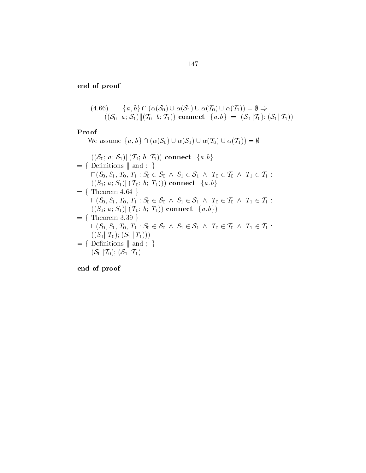(4.66) 
$$
\{a, b\} \cap (\alpha(\mathcal{S}_0) \cup \alpha(\mathcal{S}_1) \cup \alpha(\mathcal{T}_0) \cup \alpha(\mathcal{T}_1)) = \emptyset \Rightarrow
$$

$$
((\mathcal{S}_0; a; \mathcal{S}_1) || (\mathcal{T}_0; b; \mathcal{T}_1)) \text{ connect } \{a, b\} = (\mathcal{S}_0 || \mathcal{T}_0); (\mathcal{S}_1 || \mathcal{T}_1))
$$

### Proof

 $\textbf{pos} \ \mathbf{pos} \ \mathbf{blue} \ \{a,b\} \cap (\alpha(\mathcal{S}_0) \cup \alpha(\mathcal{S}_1) \cup \alpha(\mathcal{T}_0) \cup \alpha(\mathcal{T}_1)) = \emptyset$ 

$$
((\mathcal{S}_0; a; \mathcal{S}_1) \| (T_0; b; T_1)) \text{ connect } \{a.b\}
$$
\n
$$
= \{ \text{ Definitions } \| \text{ and } ; \}
$$
\n
$$
\Pi(\mathcal{S}_0, \mathcal{S}_1, T_0, T_1 : \mathcal{S}_0 \in \mathcal{S}_0 \land \mathcal{S}_1 \in \mathcal{S}_1 \land T_0 \in T_0 \land T_1 \in T_1 : ((\mathcal{S}_0; a; \mathcal{S}_1) \| (T_0; b; T_1))) \text{ connect } \{a.b\}
$$
\n
$$
= \{ \text{ Theorem 4.64 } \}
$$
\n
$$
\Pi(\mathcal{S}_0, \mathcal{S}_1, T_0, T_1 : \mathcal{S}_0 \in \mathcal{S}_0 \land \mathcal{S}_1 \in \mathcal{S}_1 \land T_0 \in T_0 \land T_1 \in T_1 : ((\mathcal{S}_0; a; \mathcal{S}_1) \| (T_0; b; T_1)) \text{ connect } \{a.b\})
$$
\n
$$
= \{ \text{ Theorem 3.39 } \}
$$
\n
$$
\Pi(\mathcal{S}_0, \mathcal{S}_1, T_0, T_1 : \mathcal{S}_0 \in \mathcal{S}_0 \land \mathcal{S}_1 \in \mathcal{S}_1 \land T_0 \in T_0 \land T_1 \in T_1 : ((\mathcal{S}_0 \| T_0); (\mathcal{S}_1 \| T_1)))
$$
\n
$$
= \{ \text{ Definitions } \| \text{ and } ; \}
$$
\n
$$
(\mathcal{S}_0 \| T_0); (\mathcal{S}_1 \| T_1)
$$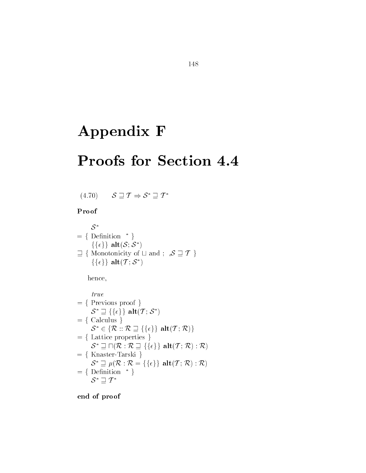# Appendix F

## Proofs for Section 4.4

 $(4.70)$   $S \sqsupseteq T \Rightarrow S^* \sqsupseteq T^*$ 

### Proof

 $\mathcal{S}^*$  $= \{$  Definition  $*$  }  $=\Set{\text{Definition }^*\} \{\{\epsilon\}\}\ \textbf{alt}(\mathcal{S};\mathcal{S}^*)$  $\sqsupseteq \{$  Monotonicity of  $\sqcup$  and ;  $\mathcal{S} \sqsupseteq \mathcal{T}$  }  $\{\{\epsilon\}\}\,\,{\rm alt}({\cal T};\,{\cal S}^*)$ 

hence

$$
true
$$
\n
$$
= \{ \text{ Previous proof } \}
$$
\n
$$
S^* \sqsupseteq \{ \{ \epsilon \} \} \text{alt}(T; S^*)
$$
\n
$$
= \{ \text{Calculus } \}
$$
\n
$$
S^* \in \{ \mathcal{R} :: \mathcal{R} \sqsupseteq \{ \{ \epsilon \} \} \text{alt}(T; \mathcal{R}) \}
$$
\n
$$
= \{ \text{Lattice properties } \}
$$
\n
$$
S^* \sqsupseteq \Pi(\mathcal{R} :: \mathcal{R} \sqsupseteq \{ \{ \epsilon \} \} \text{alt}(T; \mathcal{R}) : \mathcal{R})
$$
\n
$$
= \{ \text{Knaster-Tarski } \}
$$
\n
$$
S^* \sqsupseteq \mu(\mathcal{R} :: \mathcal{R} = \{ \{ \epsilon \} \} \text{alt}(T; \mathcal{R}) : \mathcal{R})
$$
\n
$$
= \{ \text{Definition } ^* \}
$$
\n
$$
S^* \sqsupseteq T^*
$$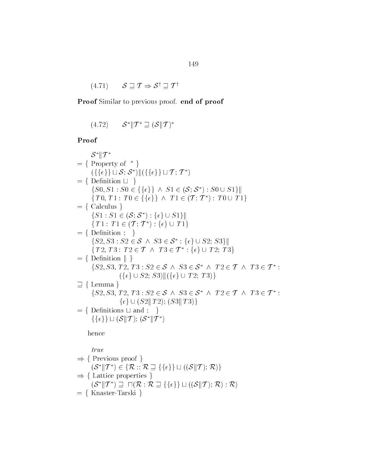$(4.71)$  $\mathcal{S} \sqsupset \mathcal{T} \Rightarrow \mathcal{S}^\dagger \sqsupset \mathcal{T}^\dagger$ 

Proof Similar to previous proof. end of proof

$$
(4.72) \qquad \mathcal{S}^* \| T^* \sqsupseteq (\mathcal{S} \| T)^*
$$

Proof

 $\mathcal{S}^* \| T^*$  $= \{$  Property of  $*$  }  $\mathcal{S}^* \| T^*$ <br>Property of \* }<br>({{ $\epsilon$ }}  $\sqcup$   $\mathcal{S}$ :  $\mathcal{S}^*$ )||({{ $\{\epsilon\}$ }  $\sqcup$   $\mathcal{T}$ :  $\mathcal{T}^*$ )  $= \{$  Definition  $\sqcup \}$  $\{S_0, S_1 : S_0 \in \{\{\epsilon\}\}\ \land\ S_1 \in (\mathcal{S}; \mathcal{S}^*) : S_0 \cup S_1\}\|$  $\begin{split} &\|\mathcal{S};\mathcal{S}^*)\|(\{\{\epsilon\}\}\sqcup\mathcal{T};\mathcal{T}^*)\ &\|\sqcup\ \} \ &\;\;\colon S0\in\{\{\epsilon\}\}\ \land\ S1\in\mathcal{S}. \end{split}$  $\{T0, T1 : T0 \in \{\{\epsilon\}\} \wedge T1 \in (T; T^*) : T0 \cup T1\}$ <br>Calculus }<br> $\{S1 : S1 \in (\mathcal{S}; \mathcal{S}^*) : \{\epsilon\} \cup S1\}$ ||  $S0 \in \{\{\epsilon\}\} \wedge S1 \in (\mathcal{S}_3)$ <br>  $: T0 \in \{\{\epsilon\}\} \wedge T1 \in (\mathcal{S}_3)$  $= \{$  Calculus  $\}$  $\{S1 : S1 \in$ general control in the control of the control in the control of the control in the control in the control in the control in the control in the control in the control in the control in the control in the control in the cont  $\{T1: T1 \in ($ :<br> $\in (\mathcal{S};\,\mathcal{S}^*) : \{\epsilon\} \cup S1\}\| \ \in (\mathcal{T};\,\mathcal{T}^*) : \{\epsilon\} \cup \,T1\}$ :  $T1 \in (T; T^*) : {\epsilon} \cup T1$ <br>ition ; <br> $S3 : S2 \in S \wedge S3 \in S^* : {\epsilon}$  $= \{$  Definition  $; \}$  $\{T1: T1 \in (T; T^*): \{\epsilon\} \cup T1\}$ <br>Definition ; }<br> $\{S2, S3: S2 \in \mathcal{S} \land S3 \in \mathcal{S}^* : \{\epsilon\} \cup S2; S3\}$ || Definition ; }<br>{ $S2, S3: S2 \in S \wedge S3 \in S^* : \{\epsilon\} \cup S2; S3\}$ ||<br>{ $T2, T3: T2 \in T \wedge T3 \in T^* : \{\epsilon\} \cup T2; T3\}$ ition ; }<br>  $S3: S2 \in \mathcal{S} \wedge S3 \in \mathcal{S}^* : \{\epsilon\} \cup S$ <br>  $T3: T2 \in \mathcal{T} \wedge T3 \in \mathcal{T}^* : \{\epsilon\} \cup S$ { $S2, S3 : S2 \in S \wedge S$ :<br>{ $T2, T3 : T2 \in T \wedge$ <br>= {Definition || }  $\{T2, T3 : T2 \in \mathcal{T} \land T3 \in \mathcal{T}^* : \{\epsilon\} \cup T2; T3\}$ <br>Definition  $\parallel \}$ <br> $\{S2, S3, T2, T3 : S2 \in \mathcal{S} \land S3 \in \mathcal{S}^* \land T2 \in \mathcal{T} \land T3 \in \mathcal{T}^* :$ = { Definition || }<br>
{S2, S3, T2, T3 :  $S2 \in S \wedge S3 \in S^* \wedge T2$  (<br>
{ $\{\epsilon\} \cup S2$ ; S3)||( $\{\epsilon\} \cup T2$ ; T3)}  $\supseteq \{$  Lemma  $\}$  $\{\{\epsilon\} \cup S2; S3\} \| (\{\epsilon\} \cup T2; T3) \}$ <br>Lemma }<br> $\{S2, S3, T2, T3: S2 \in \mathcal{S} \land S3 \in \mathcal{S}^* \land T2 \in \mathcal{T} \land T3 \in \mathcal{T}^* :$  $T2, T3: S2 \in S \land S3 \in S^* \land \{ \epsilon \} \cup (S2 \| T2); (S3 \| T3) \}$  $= \{$  Definitions  $\sqcup$  and  $\}$  $\{\epsilon\} \cup (S2 \| T2); (S3 \| T3)\}$ <br>Definitions  $\sqcup$  and ; }<br> $\{\{\epsilon\}\}\sqcup(S \| T); (S^* \| T^*)$ hence  $true$  $\Rightarrow$  { Previous proof }<br>  $(S^* \| T^*) \in \{ \mathcal{R} : : \mathcal{R} \equiv$  $(\mathcal{S}^*\Vert \mathcal{T}^*) \in \{\mathcal{R} \ :: \mathcal{R} \sqsupseteq \{\{\epsilon\}\}\sqcup ((\mathcal{S}\Vert \mathcal{T});\mathcal{R})\}$  $\Rightarrow$  { Lattice properties }  $(\mathcal{S}^*\Vert \mathcal{T}^*) \sqsupseteq \sqcap (\mathcal{R}:\mathcal{R}\sqsupseteq {\{\epsilon\}} \sqcup ((\mathcal{S}\Vert \mathcal{T});\mathcal{R}):\mathcal{R})$  $= \{$  Knaster-Tarski  $\}$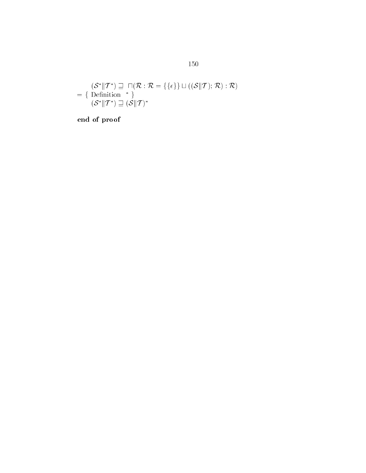$$
(\mathcal{S}^* \| T^*) \sqsupseteq \sqcap(\mathcal{R} : \mathcal{R} = \{\{\epsilon\}\} \sqcup ((\mathcal{S} \| T) : \mathcal{R}) : \mathcal{R})
$$

$$
= \{\text{Definition }^* \}
$$

$$
(\mathcal{S}^* \| T^*) \sqsupseteq (\mathcal{S} \| T)^*
$$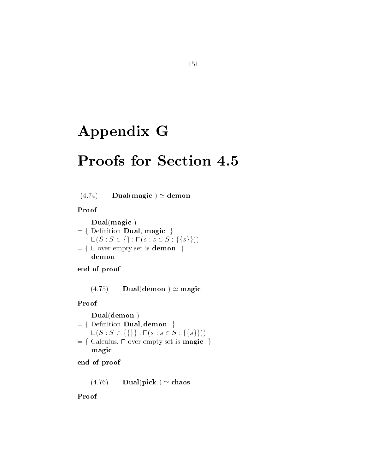# Appendix G

## Proofs for Section 4.5

 $(4.74)$  Dual(magic)  $\simeq$  demon

Proof

 $Dual(magic)$  $=$  { Definition Dual, magic }  $\textbf{Dual}(\textbf{magic })\ \text{Definition }\textbf{Dual},\, \textbf{magic }\;\} \ \sqcup (S: S \in \{\}: \sqcap (s: s \in S: \{\{s\}\}))$  $f = \{ \text{ Definition } \mathbf{Dual}, \text{ magic } \}$ <br>  $\sqcup (S : S \in \{\} : \sqcap (s : s \in S : \{\{s\}\})$ <br>  $\sqsubseteq \{ \sqcup \text{ over empty set is } \mathbf{demon } \}$ demon

end of proof

 $(4.75)$  Dual(demon)  $\simeq$  magic

Proof

 $= \{$  Definition **Dual** demon  $\}$ **Dual(demon** )<br>Definition **Dual, demon** }<br> $\sqcup(S : S \in \{\{\}\} : \sqcap(s : s \in S : \{\{s\}\}))$  $f\in\{$  Calculus,  $\sqcap$  over empty set is **magic** magic

end of proof

 $(4.76)$  Dual(pick)  $\simeq$  chaos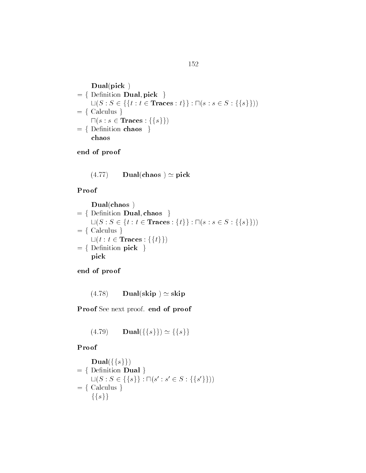$Dual(pick)$  $=$  { Definition **Dual** pick }  $\sqcup (S : S \in \{\{t : t \in \textbf{Traces} : t\}\} : \sqcap (s : s \in S : \{\{s\}\}))$  $= \{$  Calculus  $\}$  $\square (s : s \in {\bf Traces} : \{\{s\}\})$  $= \{$  Definition chaos  $\}$ chaos

end of proof

$$
(4.77) \qquad \mathbf{Dual}(\mathbf{chaos}) \simeq \mathbf{pick}
$$

Proof

$$
\begin{aligned}\n\textbf{Dual}(\textbf{chaos}) \\
&= \{ \text{ Definition Dual}, \textbf{chaos } \} \\
& \sqcup (S : S \in \{t : t \in \text{Traces} : \{t\} \} : \sqcap (s : s \in S : \{\{s\}\})) \\
&= \{ \text{ Calculus } \} \\
& \sqcup (t : t \in \text{Traces} : \{\{t\}\}) \\
&= \{ \text{ Definition pick } \} \\
& \text{pick}\n\end{aligned}
$$

end of proof

 $(4.78)$  Dual(skip)  $\simeq$  skip

Proof See next proof. end of proof

$$
(4.79) \quad \mathbf{Dual}(\{\{s\}\}) \simeq \{\{s\}\}\
$$

$$
\begin{aligned}\n&\textbf{Dual}(\{\{s\}\}) \\
&= \{\text{ Definition }\mathbf{Dual} \} \\
&\text{L}(S: S \in \{\{s\}\} : \sqcap (s': s' \in S : \{\{s'\}\})) \\
&= \{\text{ Calculus } \} \\
&\{\{s\}\}\n\end{aligned}
$$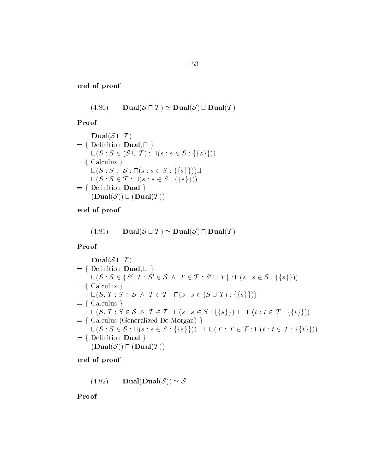$$
(4.80) \qquad \mathbf{Dual}(\mathcal{S} \sqcap \mathcal{T}) \simeq \mathbf{Dual}(\mathcal{S}) \sqcup \mathbf{Dual}(\mathcal{T})
$$

Proof

$$
\begin{aligned}\n\textbf{Dual}(\mathcal{S} \sqcap \mathcal{T}) \\
&= \{ \text{ Definition } \mathbf{Dual}, \sqcap \} \\
\sqcup (S : S \in (\mathcal{S} \cup \mathcal{T}) : \sqcap (s : s \in S : \{\{s\}\})) \\
&= \{ \text{ Calculus } \} \\
\sqcup (S : S \in \mathcal{S} : \sqcap (s : s \in S : \{\{s\}\})) \sqcup \\
\sqcup (S : S \in \mathcal{T} : \sqcap (s : s \in S : \{\{s\}\})) \\
&= \{ \text{ Definition } \mathbf{Dual} \} \\
(\mathbf{Dual}(\mathcal{S})) \sqcup (\mathbf{Dual}(\mathcal{T}))\n\end{aligned}
$$

end of proof

 $(4.81)$  $\text{Dual}(\mathcal{S} \sqcup \mathcal{T}) \simeq \text{Dual}(\mathcal{S}) \sqcap \text{Dual}(\mathcal{T})$ 

Proof

| $Dual(S \sqcup T)$ | = { Definition Dual, ∪ }<br>∟( <i>S</i> : <i>S</i> ∈ { <i>S'</i> , <i>T</i> : <i>S'</i> ∈ <i>S</i> ∧ <i>T</i> ∈ <i>T</i> : <i>S'</i> ∪ <i>T</i> } : ∩( <i>s</i> : <i>s</i> ∈ <i>S</i> : { <i>s</i> }]))<br>= { Calculus }\n      ∪( <i>S</i> , <i>T</i> : <i>S</i> ∈ <i>S</i> ∧ <i>T</i> ∈ <i>T</i> : ∎( <i>s</i> : <i>s</i> ∈ ( <i>S</i> ∪ <i>T</i> ) : { <i>s</i> }]))<br>= { Calculus }\n      ∪( <i>S</i> , <i>T</i> : <i>S</i> ∈ <i>S</i> ∧ <i>T</i> ∈ <i>T</i> : ∎( <i>s</i> : <i>s</i> ∈ <i>S</i> : { <i>s</i> }) ∩ ∩ ( <i>t</i> : <i>t</i> ∈ <i>T</i> : { <i>t</i> }]))<br>= { Calculus (Generalized De Morgan)}<br>∪( <i>S</i> : <i>S</i> ∈ <i>S</i> : ∩( <i>s</i> : <i>s</i> ∈ <i>S</i> : { <i>s</i> }])) ∩ ∪( <i>T</i> : <i>T</i> ∈ <i>T</i> : ∩( <i>t</i> : <i>t</i> ∈ <i>T</i> : { <i>t</i> }]))<br>= { Definition Dual }\n      ( <b>Dual</b> ( <i>S</i> )) ∩ ( <b>Dual</b> ( <i>T</i> ))) |
|--------------------|----------------------------------------------------------------------------------------------------------------------------------------------------------------------------------------------------------------------------------------------------------------------------------------------------------------------------------------------------------------------------------------------------------------------------------------------------------------------------------------------------------------------------------------------------------------------------------------------------------------------------------------------------------------------------------------------------------------------------------------------------------------------------------------------------------------------------------------------------------------------------------------------------------|
|--------------------|----------------------------------------------------------------------------------------------------------------------------------------------------------------------------------------------------------------------------------------------------------------------------------------------------------------------------------------------------------------------------------------------------------------------------------------------------------------------------------------------------------------------------------------------------------------------------------------------------------------------------------------------------------------------------------------------------------------------------------------------------------------------------------------------------------------------------------------------------------------------------------------------------------|

end of proof

 $(4.82)$  Dual(Dual(S))  $\simeq$  S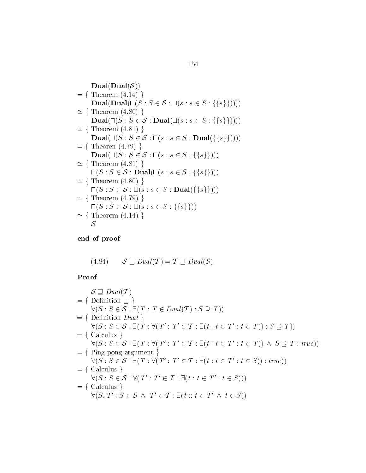$$
= \{ \text{ Theorem } (4.14) \}
$$
\n
$$
= \{ \text{ Theorem } (4.14) \}
$$
\n
$$
Dual(Dual(\Box(S : S \in S : \Box(s : s \in S : \{\{s\}\}))))
$$
\n
$$
\simeq \{ \text{ Theorem } (4.80) \}
$$
\n
$$
Dual(\Box(S : S \in S : Dual(\Box(s : s \in S : \{\{s\}\}))))
$$
\n
$$
\simeq \{ \text{ Theorem } (4.81) \}
$$
\n
$$
Dual(\Box(S : S \in S : \Box(s : s \in S : Dual(\{\{s\}\}))))
$$
\n
$$
= \{ \text{ Theorem } (4.79) \}
$$
\n
$$
Dual(\Box(S : S \in S : \Box(s : s \in S : \{\{s\}\})))
$$
\n
$$
\simeq \{ \text{ Theorem } (4.81) \}
$$
\n
$$
\Box(S : S \in S : Dual(\Box(s : s \in S : \{\{s\}\})))
$$
\n
$$
\simeq \{ \text{ Theorem } (4.80) \}
$$
\n
$$
\Box(S : S \in S : \Box(s : s \in S : Dual(\{\{s\}\})))
$$
\n
$$
\simeq \{ \text{ Theorem } (4.79) \}
$$
\n
$$
\Box(S : S \in S : \Box(s : s \in S : \{\{s\}\})))
$$
\n
$$
\simeq \{ \text{ Theorem } (4.14) \}
$$
\n
$$
S
$$

(4.84) 
$$
\mathcal{S} \supseteq Dual(\mathcal{T}) = \mathcal{T} \supseteq Dual(\mathcal{S})
$$

# $\int$  where  $\int$  we have  $\int$  we have  $\int$  we have  $\int$  we have  $\int$  we have  $\int$  we have  $\int$  we have  $\int$  we have  $\int$  we have  $\int$  we have  $\int$  we have  $\int$  we have  $\int$  we have  $\int$  we have  $\int$  we have  $\int$  we have  $\$

$$
\mathcal{S} \supseteq \text{Dual}(\mathcal{T})
$$
\n
$$
= \{ \text{Definition } \supseteq \} \quad \forall (S : S \in \mathcal{S} : \exists (T : T \in \text{Dual}(T) : S \supseteq T))
$$
\n
$$
= \{ \text{Definition } \text{Dual} \} \quad \forall (S : S \in \mathcal{S} : \exists (T : \forall (T' : T' \in \mathcal{T} : \exists (t : t \in T' : t \in T)) : S \supseteq T))
$$
\n
$$
= \{ \text{Calculus } \} \quad \forall (S : S \in \mathcal{S} : \exists (T : \forall (T' : T' \in \mathcal{T} : \exists (t : t \in T' : t \in T)) \land S \supseteq T : true))
$$
\n
$$
= \{ \text{Ping pang argument } \} \quad \forall (S : S \in \mathcal{S} : \exists (T : \forall (T' : T' \in \mathcal{T} : \exists (t : t \in T' : t \in S)) : true))
$$
\n
$$
= \{ \text{Calculus } \} \quad \forall (S : S \in \mathcal{S} : \forall (T' : T' \in \mathcal{T} : \exists (t : t \in T' : t \in S)))
$$
\n
$$
= \{ \text{Calculus } \} \quad \forall (S, T' : S \in \mathcal{S} \land T' \in \mathcal{T} : \exists (t : t \in T' \land t \in S))
$$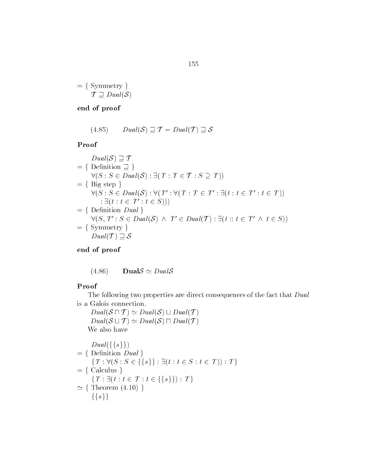$= \{ Symmetry \}$  $\mathcal{T} \supseteq Dual(\mathcal{S})$ 

### end of proof

(4.85) 
$$
Dual(\mathcal{S}) \supseteq \mathcal{T} = Dual(\mathcal{T}) \supseteq \mathcal{S}
$$

#### Proof

Proof  
\n
$$
Dual(S) \sqsupseteq T
$$
\n
$$
= \{ Definition \sqsupseteq \}
$$
\n
$$
\forall (S : S \in Dual(S) : \exists (T : T \in T : S \supseteq T))
$$
\n
$$
= \{ Big \text{ step } \}
$$
\n
$$
\forall (S : S \in Dual(S) : \forall (T' : \forall (T : T \in T' : \exists (t : t \in T' : t \in T))
$$
\n
$$
: \exists (t : t \in T' : t \in S)))
$$
\n
$$
= \{ Definition \text{ Dual} \}
$$
\n
$$
\forall (S, T' : S \in Dual(S) \land T' \in Dual(T) : \exists (t :: t \in T' \land t \in S))
$$
\n
$$
= \{ Symmetry \}
$$
\n
$$
Dual(T) \sqsupseteq S
$$

### end of proof

 $(4.86)$  Dual $S \simeq DualS$ 

#### Proof

The following two properties are direct consequences of the fact that Dual is a Galois connection

 $Dual(S \sqcap T) \simeq Dual(S) \sqcup Dual(T)$  $Dual(S \sqcup T) \simeq Dual(S) \sqcap Dual(T)$ We also have

$$
Dual({s})
$$
  
= { Definition Dual }  
{ T :  $\forall$  (S : S  $\in$  {s}} :  $\exists$  (t : t  $\in$  S : t  $\in$  T)) : T }  
= { Calculus }  
{ T :  $\exists$  (t : t  $\in$  T : t  $\in$  {s}}): T }  
\simeq { Theorem (4.10)}  
{s}}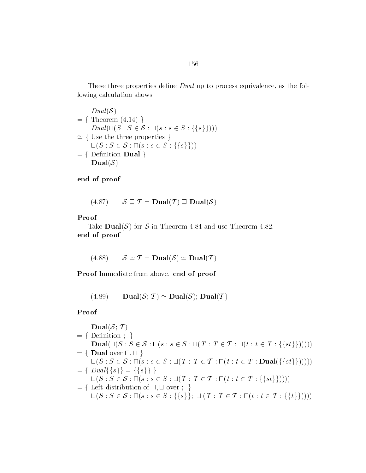These three properties define  $Dual$  up to process equivalence, as the following calculation shows

 $Dual(S)$  $= \{$  Theorem  $(4.14)$ }  $Dual(S)$ <br>= { Theorem (4.14) }<br> $Dual(\bigcap (S : S \in S : \sqcup (s : s \in S : \{\{s\}\}))$ Use the three properties  $\}$  $Dual(\sqcap (S : S \in \mathcal{S} : \sqcup (s : s \in S : \{\{s\})\$ <br>Use the three properties  $\}$ <br> $\sqcup (S : S \in \mathcal{S} : \sqcap (s : s \in S : \{\{s\}\}))$  $=$  { Definition Dual } Dual $(\mathcal{S})$ 

end of proof

$$
(4.87) \qquad \mathcal{S} \sqsupseteq \mathcal{T} = \mathbf{Dual}(\mathcal{T}) \sqsupseteq \mathbf{Dual}(\mathcal{S})
$$

#### Proof

Take **Dual**(S) for S in Theorem 4.84 and use Theorem 4.82. end of proof

$$
(4.88) \qquad \mathcal{S} \simeq \mathcal{T} = \mathbf{Dual}(\mathcal{S}) \simeq \mathbf{Dual}(\mathcal{T})
$$

Proof Immediate from above. end of proof

(4.89) Dual $(S; \mathcal{T}) \simeq$  Dual $(S)$ ; Dual $(\mathcal{T})$ 

$$
\begin{aligned}\n\mathbf{Dual}(\mathcal{S}; \mathcal{T}) \\
&= \{ \text{ Definition } ; \} \\
\mathbf{Dual}(\Box(S : S \in \mathcal{S} : \Box(s : s \in S : \Box(T : T \in \mathcal{T} : \Box(t : t \in T : \{\{st\}\})))))) \\
&= \{ \text{ Dual over } \Box, \Box \} \\
\Box(S : S \in \mathcal{S} : \Box(s : s \in S : \Box(T : T \in \mathcal{T} : \Box(t : t \in T : \mathbf{Dual}(\{\{st\}\})))))) \\
&= \{ \text{ Dual}\{\{s\}\} = \{\{s\}\} \} \\
\Box(S : S \in \mathcal{S} : \Box(s : s \in S : \Box(T : T \in \mathcal{T} : \Box(t : t \in T : \{\{st\}\})))) \\
&= \{ \text{ Left distribution of } \Box, \Box \text{ over } ; \} \\
\Box(S : S \in \mathcal{S} : \Box(s : s \in S : \{\{s\}\}; \Box(T : T \in \mathcal{T} : \Box(t : t \in T : \{\{t\}\}))))\n\end{aligned}
$$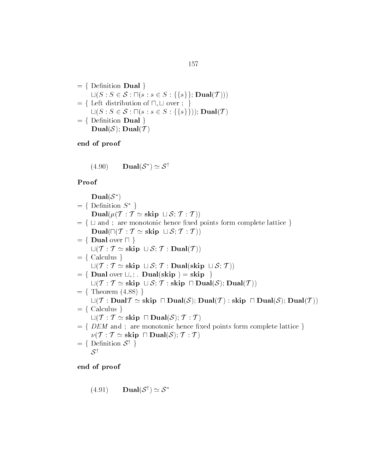$$
= \{ \text{ Definition } \mathbf{Dual} \}
$$
  
\n
$$
\sqcup (S : S \in \mathcal{S} : \sqcap (s : s \in S : \{\{s\}\}; \mathbf{Dual}(T)))
$$
  
\n
$$
= \{ \text{ Left distribution of } \sqcap, \sqcup \text{ over } ; \}
$$
  
\n
$$
\sqcup (S : S \in \mathcal{S} : \sqcap (s : s \in S : \{\{s\}\})); \mathbf{Dual}(T)
$$
  
\n
$$
= \{ \text{ Definition } \mathbf{Dual} \}
$$
  
\n
$$
\mathbf{Dual}(\mathcal{S}); \mathbf{Dual}(T)
$$

(4.90) 
$$
\mathbf{Dual}(\mathcal{S}^*) \simeq \mathcal{S}^{\dagger}
$$

#### Proof

Dual $(\mathcal{S}^*)$  $= \{$  Definition  $S^*$ } Dual $(\mu(\mathcal{T} : \mathcal{T} \simeq \text{skip} \sqcup \mathcal{S}; \mathcal{T} : \mathcal{T}))$ = { Definition  $S^*$  }<br>
Dual( $\mu(T : T \simeq \text{skip } \sqcup S; T : T)$ )<br>
= {  $\sqcup$  and ; are monotonic hence fixed points form complete lattice }  $\begin{aligned} \mathbf{Dual}(\mu(\mathcal{T}:\mathcal{T}\simeq\mathbf{skip}\,\sqcup\,\mathcal{S};\,\mathcal{T}:\mathcal{T}))\ \sqcup\ \mathbf{and}\ \mathbf{;}\ \ \mathbf{are}\ \mathbf{monotonic}\ \mathbf{hence}\ \mathbf{fixed}\ \mathbf{pois}\ \mathbf{Dual}(\sqcap(\mathcal{T}:\mathcal{T}\simeq\mathbf{skip}\,\sqcup\,\mathcal{S};\,\mathcal{T}:\mathcal{T}))\ \end{aligned}$  $f=\{\ \sqcup \text{ and };\ \text{are monotonic}\ \mathbf{Dual}(\sqcap(\mathcal{T}:\mathcal{T}\simeq \textbf{skip})\ =\ \{\ \mathbf{Dual over}\ \sqcap\ \}$  $\text{Dual}(\Pi(\mathcal{T} : \mathcal{T} \simeq \text{skip} \sqcup \mathcal{S}; \mathcal{T} : \mathcal{T}))$ <br>= { Dual over  $\Pi$  }<br> $\sqcup(\mathcal{T} : \mathcal{T} \simeq \text{skip} \sqcup \mathcal{S}; \mathcal{T} : \text{Dual}(\mathcal{T}))$  $= \{$  Calculus  $\}$  $L(T : T \simeq$  skip  $L(S; T : Dual(skip L S; T))$  $f = \{$  Dual over  $\sqcup$ , : . Dual(skip) = skip  $\}$  $L(T : T \simeq$  skip  $L(S; T : skip \cap Dual(S); Dual(T))$  $= \{$  Theorem  $(4.88)$ }  $\begin{array}{l} \sqcup (\mathcal{T}: \mathcal{T} \simeq \mathbf{skip} \ \sqcup \mathcal{S}; \, \mathcal{T}: \mathbf{skip} \ \sqcap \mathbf{Dual}(\mathcal{S}); \, \mathbf{Dual}(\mathcal{T}))\ \ \text{Theorem (4.88) }\} \ \sqcup (\mathcal{T}: \mathbf{Dual}(\mathcal{T} \simeq \mathbf{skip} \ \sqcap \mathbf{Dual}(\mathcal{S}); \, \mathbf{Dual}(\mathcal{T}): \mathbf{skip} \ \sqcap \mathbf{Dual}(\mathcal{S}); \, \mathbf{Dual}(\mathcal{T}))\ \end{array}$  $= \{$  Calculus  $\}$  $\begin{align} \sqcup(\mathcal{T}: \mathbf{Dual}\mathcal{T} &\simeq \mathbf{skip} \;\sqcap \mathbf{Dual}(\mathcal{S}); \mathbf{Du}\mathbf{a} \ \sqcup(\mathcal{T}: \mathcal{T} &\simeq \mathbf{skip} \;\sqcap \mathbf{Dual}(\mathcal{S}); \mathcal{T}: \mathcal{T} \end{align}$  $f = \{ DEM \text{ and } \}$  are monotonic hence fixed points form complete lattice  $\}$  $\Box(\mathcal{T}:\mathcal{T}\simeq{\rm skip}\;\;\Box\,{\rm Dual}(\mathcal{S});\,\mathcal{T}:\mathcal{T})\ \textit{DEM}\;\;{\rm and}\;;\;\;{\rm are\; monotonic\;hence\;fixed}\ \nu(\mathcal{T}:\mathcal{T}\simeq{\rm skip}\;\;\Box\,{\rm Dual}(\mathcal{S});\,\mathcal{T}:\mathcal{T})$  $= \{$  Definition  $S^{\dagger}$  }  $S^{\dagger}$ 

(4.91) 
$$
\mathbf{Dual}(\mathcal{S}^{\dagger}) \simeq \mathcal{S}^*
$$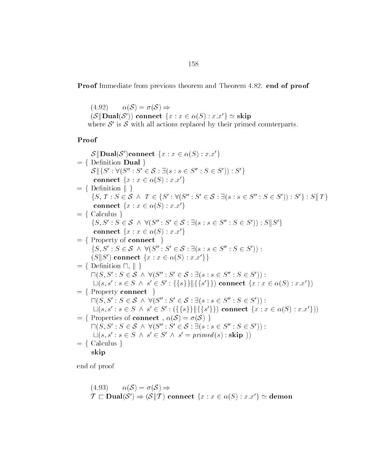**Proof** Immediate from previous theorem and Theorem 4.82, end of proof

 $(4.92)$   $\alpha(\mathcal{S}) = \sigma(\mathcal{S}) \Rightarrow$  $(4.92) \qquad \alpha(\mathcal{S}) = \sigma(\mathcal{S}) \Rightarrow \ (\mathcal{S} \| \textbf{Dual}(\mathcal{S}')) \textbf{ connect } \{x: x \in \alpha(\mathcal{S}): x.x'\} \simeq \textbf{skip}$ where  $S'$  is S with all actions replaced by their primed counterparts.

Proof

 $\mathcal{S}\Vert\mathbf{Dual}(\mathcal{S}')$ connect  $\{x:x\in \alpha(S):x.x'\}$  $= \{$  Definition **Dual**  $\}$  $S \leq S' \leq S' : \forall (S'' : S' \in \mathcal{S} : \exists (s : s \in S'': S \in S')) : S'$ connect  $\{x : x \in \alpha(S) : x.x'\}$  $\mathcal{S} \parallel \{S': \forall (S'': S' \in \mathcal{S} : \text{connect } \{x : x \in \alpha(S)\}\}$ <br>= { Definition  $\parallel$  } connect  $\{x : x \in \alpha(S) : x.x'\}$ <br>Definition  $\|\}$ <br> $\{S, T : S \in \mathcal{S} \land T \in \{S' : \forall (S'': S' \in \mathcal{S} : \exists (s : s \in S'': S \in S')) : S'\} : S\|T\}$  $\begin{array}{l} \texttt{nrect} \ \{x: x \in \alpha(S)\} \ \text{mition} \parallel \ \} \ T : S \in \mathcal{S} \ \land \ T \in \{S\} \end{array}$ connect  $\{x : x \in \alpha(S) : x.x'\}$ <br>Calculus }<br> $[S, S' : S \in \mathcal{S} \wedge \forall (S'': S' \in \mathcal{S} : S \in \mathcal{S} \wedge \forall (S'': S' \in \mathcal{S} : S \in \mathcal{S} \wedge \forall (S'': S' \in \mathcal{S} \wedge \forall (S'': S' \in \mathcal{S} \wedge \forall (S'': S' \in \mathcal{S} \wedge \forall (S'': S' \in \mathcal{S} \wedge \forall (S'': S' \in \mathcal{S} \wedge \forall (S'': S' \in \math$  $= \{Calculus \}$ connect  $\{x : x \in \alpha(S) : x.x'\}$ <br>Calculus }<br> $\{S, S' : S \in \mathcal{S} \land \forall (S'': S' \in \mathcal{S} : \exists (s : s \in S'': S \in S')) : S||S'\}$ connect  $\{x : x \in \alpha(S) : x.x'\}$ <br>Property of connect  $\}$ <br> $[S, S' : S \in \mathcal{S} \wedge \forall (S'': S' \in \mathcal{S} : S \in \mathcal{S} \wedge \forall S'']$  $= \{$  Property of connect  $\}$ connect  $\{x : x \in \alpha(S) : x.x'\}$ <br>Property of connect  $\}$ <br> $\{S, S' : S \in \mathcal{S} \land \forall (S'': S' \in \mathcal{S} : \exists (s : s \in S'': S \in S'))$ :  $(S \parallel S')$  connect  $\{x : x \in \alpha(S) : x.x'\}\}$  fDenition u <sup>k</sup> g  $(S \| S')$  connect  $\{x : x \in \alpha(S) : x.x'\}\$ <br>Definition  $\sqcap$ ,  $\|\}$ <br> $\Pi(S, S' : S \in S \ \land \ \forall (S'' : S' \in S : \exists (s : s \in S'': S \in S'))$ :  $\Box(s, s' : s \in S \land s' \in S' : \{\{s\}\}\]\{\{s'\}\}\)$  connect  $\{x : x \in \alpha(S) : x.x'\}$  $= \{$  Property connect  $\}$  $\Box(s, s' : s \in S \land s' \in S' : \{\{s\}\} \| \{\{s'\}\}\)$  connect  $\{x : x \in$ <br>Property connect  $\}$ <br> $\Box(S, S' : S \in S \land \forall (S'' : S' \in S : \exists (s : s \in S'': S \in S'))$ :  $\Box(s, s': s \in S \ \land \ s' \in S': (\{\{s\}\} \| \{\{s'\}\})$  connect  $\{x : x \in \alpha(S) : x.x'\})$ )<br>Properties of connect ,  $\alpha(S) = \sigma(S)$  }<br> $\Box(S, S': S \in S \ \land \ \forall (S'': S' \in S : \exists (s : s \in S'': S \in S'))$  :  $= \{$  Properties of connect,  $\alpha(S) = \sigma(S)$ }  $\Box(S, S': S \in \mathcal{S} \land \forall (S'': S' \in \mathcal{S} : \exists (s : s \in S'': S \in S'))$  $\Box(s, s' : s \in S \land s' \in S' \land s' = primed(s) : \textbf{skip} )$  $= \{$  Calculus  $\}$ skip

(4.93) 
$$
\alpha(S) = \sigma(S) \Rightarrow
$$
  
\n $\mathcal{T} \sqsubset \text{Dual}(\mathcal{S}') \Rightarrow (\mathcal{S} \parallel \mathcal{T}) \text{ connect } \{x : x \in \alpha(S) : x.x'\} \simeq \text{demon}$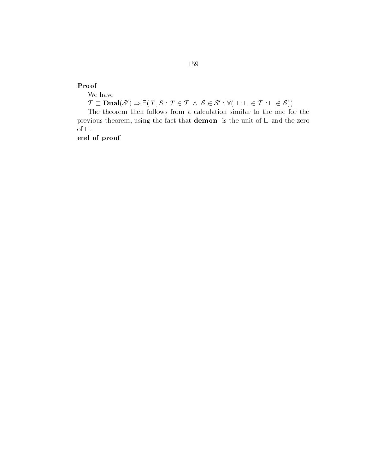#### Proof

We have

f<br>e have<br>⊏ **Dual**(S') ⇒ ∃( T, S : T ∈ T ∧ S ∈ S' : ∀(⊔ : ⊔ ∈ T : ⊔ ∉ S))

The theorem then follows from a calculation similar to the one for the previous theorem, using the fact that **demon** is the unit of  $\sqcup$  and the zero of  $\sqcap.$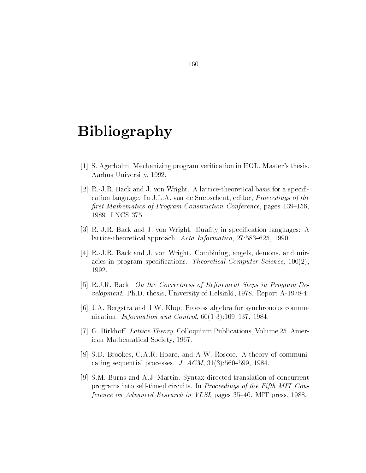## Bibliography

- $\mathcal{S}$  , we are set to an order of the set of  $\mathcal{S}$  , and the set of the set of  $\mathcal{S}$  and  $\mathcal{S}$  are set of  $\mathcal{S}$ Aarhus University -
- [2] R.-J.R. Back and J. von Wright. A lattice-theoretical basis for a specification language. In J.L.A. van de Snepscheut, editor, *Proceedings of the* -rst Mathematics of Program Construction Conference pages -"-
- [3] R.-J.R. Back and J. von Wright. Duality in specification languages: A lattice theoretical approach Acta Informatica " -
- $[4]$  R.-J.R. Back and J. von Wright. Combining, angels, demons, and miraccess in programs specifications Theoretical Computer Science - Science - Science - Science - Science - Scien 1992.
- RJR Back On the Correctness of Re-nement Steps in Program De velopment Photos Internet and these parameters are the theory of  $\mathbb{R}^n$
- [6] J.A. Bergstra and J.W. Klop. Process algebra for synchronous commuanistration and control in the control of the control and control and control and control and control and control and control and control and control and control and control and control and control and control and control
- [7] G. Birkhoff. Lattice Theory. Colloquium Publications, Volume  $25$ . American Mathematical Society - Mathematical Society - Mathematical Society - Mathematical Society - Mathematical S
- [8] S.D. Brookes, C.A.R. Hoare, and A.W. Roscoe. A theory of communicating sequential processes J ACM -" -
- [9] S.M. Burns and A.J. Martin. Syntax-directed translation of concurrent programs into self-timed circuits. In Proceedings of the Fifth MIT Conference on Advanced Research in VLSI pages " MIT press -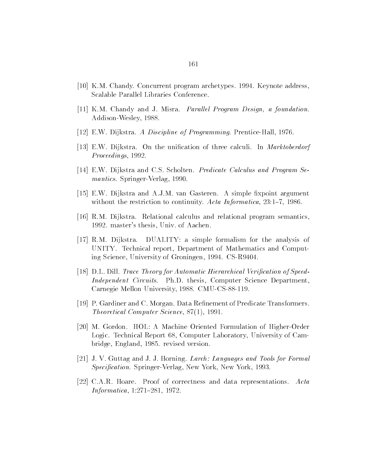- , al concurrent program archetypes de la conceptuale de la conceptuale de la conceptuale de la concept Scalable Parallel Libraries Conference
- -- KM Chandy and J Misra Parallel Program Design a foundation Addison to the contract of the contract of the contract of the contract of the contract of the contract of the
- EW Dijkstra A Discipline of Programming Prentice Hall -
- EW Dijkstra On the unication of three calculi In Marktoberdorf Proceedings -
- EW Dijkstra and CS Scholten Predicate Calculus and Program Se mantics Springer and Springer and Springer and Springer and Springer and Springer and Springer and Springer and
- , and the extra and all the simple simple simple simple simple simple simple simple simple simple  $\mathcal{A}$  simple and with the restriction to continuity  $\mathbf{A}$  acta Informatica -  $\mathbf{A}$  acta Informatica -  $\mathbf{A}$
- RM Dijkstra Relational calculus and relational program semantics - masters thesis Univ of Aachen
- $[17]$  R.M. Dijkstra. DUALITY: a simple formalism for the analysis of UNITY. Technical report, Department of Mathematics and Computing striking the Science University of Gronometers, and the Groningen -  $\sim$
- DL Dill Trace Theory for Automatic Hierarchical Veri-cation of Speed Independent Circuits. Ph.D. thesis, Computer Science Department, Contract the contract of the contract of the contract of the contract of the contract of the contract of the contract of the contract of the contract of the contract of the contract of the contract of the contract of the c
- P Gardiner and C Morgan Data Renement of Predicate Transformers where the computer of the computer of the state of the second state of the second state of the second state of
- [20] M. Gordon. HOL: A Machine Oriented Formulation of Higher-Order Logic. Technical Report 68, Computer Laboratory, University of Cambridge England - revised version
- $\mathcal{I}$  J  $\mathcal{I}$  J  $\mathcal{I}$  and  $\mathcal{I}$  and  $\mathcal{I}$  and  $\mathcal{I}$  and  $\mathcal{I}$  and  $\mathcal{I}$  and  $\mathcal{I}$  and  $\mathcal{I}$  and  $\mathcal{I}$  and  $\mathcal{I}$  and  $\mathcal{I}$  and  $\mathcal{I}$  and  $\mathcal{I}$  and  $\mathcal{I}$  and  $\mathcal{I}$  and  $\mathcal$ Speci-cation Springer Verlag New York New York -
- [22] C.A.R. Hoare. Proof of correctness and data representations. Acta Information of the contract of the contract of the contract of the contract of the contract of the contract of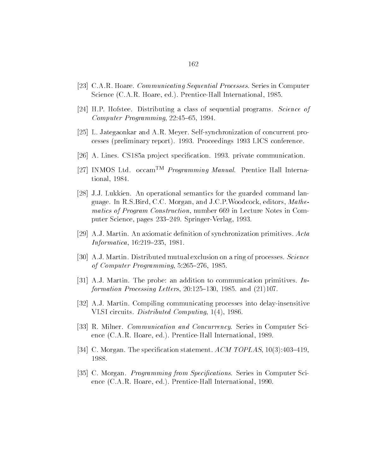- [23] C.A.R. Hoare. *Communicating Sequential Processes*. Series in Computer science (science prentice) interpreticement and the present interest of  $\sim$
- [24] H.P. Hofstee. Distributing a class of sequential programs. Science of Computer Programming " -
- [25] L. Jategaonkar and A.R. Meyer. Self-synchronization of concurrent processes preliminary report - Proceedings - LICS conference
- , a communication property of the communication provision communication -
- [27] INMOS Ltd. occam<sup>TM</sup> Programming Manual. Prentice Hall International and the control of the control of the control of the control of the control of the control of the control of the control of the control of the control of the control of the control of the control of the control of t
- [28] J.J. Lukkien. An operational semantics for the guarded command language. In R.S.Bird, C.C. Morgan, and J.C.P. Woodcock, editors, Mathematics of Program Construction, number 669 in Lecture Notes in Computer Science pages Seit Springer (Springer Science)
- [29] A.J. Martin. An axiomatic definition of synchronization primitives.  $Acta$ Informatica --" --
- [30] A.J. Martin. Distributed mutual exclusion on a ring of processes. Science of Computer Programming " -
- , and the problems are problems in the problems in the problems in the problems in the set of the problems in the set of the problems in the problems of the problems of the problems of the problems of the problems of the p formation Processing Letters -"- - and --
- $|32|$  A.J. Martin. Compiling communicating processes into delay-insensitive was the computer of the computation of the computation of the computation of the computation of the computation
- [33] R. Milner. *Communication and Concurrency*. Series in Computer Science  $\mathcal{L}$  is a set  $\mathcal{L}$  international -  $\mathcal{L}$  is a set of  $\mathcal{L}$  international -  $\mathcal{L}$
- C Morgan The specication statement ACM TOPLAS -"-
- cations in Computer Series in Computer Series in Computer Series in Computer Science Science Science Science S ence careful and the careful international contracts and the present  $\mathbb{R}^n$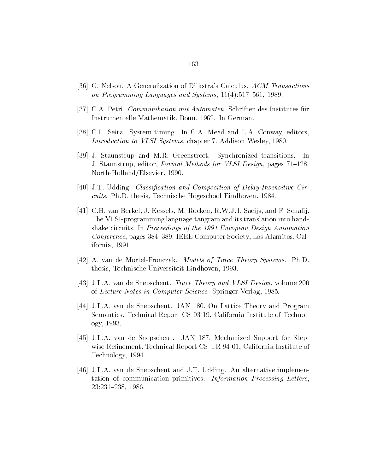- [36] G. Nelson. A Generalization of Dijkstra's Calculus. ACM Transactions on en gramming early stages and systems are experienced as a series of the second
- [37] C.A. Petri. *Communikation mit Automaten*. Schriften des Institutes für Instrumentelle Mathematik Bonn - In German - In German - In German - In German - In German - In German - In Ge
- [38] C.L. Seitz. System timing. In C.A. Mead and L.A. Conway, editors, Introduction to VLSI Systems chapter Addison Wesley -
- [39] J. Staunstrup and M.R. Greenstreet. Synchronized transitions. -In J Staunstrup editor Formal Methods for VLSI Design pages -"- Northern Hollander - Andrea Hollander - Andrea Hollander - Andrea Hollander - Andrea Hollander - Andrea Holland
- JT Udding Classi-cation and Composition of DelayInsensitive Cir cuits PhD thesis Technische Hogeschool Eindhoven -
- , ee jie berkel Jaar Berkel J Kessels M Rocken Rwyd Saeij aan de Federaal In Steaten Rocken Rocken (h The VLSI-programming language tangram and its translation into handshake circuits. In Proceedings of the 1991 European Design Automation Conference, pages 384–389. IEEE Computer Society, Los Alamitos, California --
- [42] A. van de Mortel-Fronczak. *Models of Trace Theory Systems*. Ph.D. thesis Technische Universiteit Einstellung is Technische Universiteit Einstellung is Technische Universiteit E
- [43] J.L.A. van de Snepscheut. *Trace Theory and VLSI Design*, volume 200 of  $\mathcal{L}$  letters in  $\mathcal{L}$  and  $\mathcal{L}$  and  $\mathcal{L}$  -  $\mathcal{L}$  -  $\mathcal{L}$  -  $\mathcal{L}$  -  $\mathcal{L}$  -  $\mathcal{L}$  -  $\mathcal{L}$  -  $\mathcal{L}$  -  $\mathcal{L}$  -  $\mathcal{L}$  -  $\mathcal{L}$  -  $\mathcal{L}$  -  $\mathcal{L}$  -  $\mathcal{L}$  -  $\mathcal{L}$  -  $\mathcal{L}$
- , a constant de Snepscheut Jan Santa Barrier Bander Barrier, mand Bander Bander semantics Technical Report CS is the Technology of Technology and Technology and Technology of Technology ogy and a set of the set of the set of the set of the set of the set of the set of the set of the set of the s
- je je ste ste state de Stephense de Stephense Support for Stephense Support for Stephense Support for Stephense wise received and the report comparison and  $\mathcal{L}_\mathcal{S}$  are  $\mathcal{L}_\mathcal{S}$  . The properties in the comparison of Technology - Technology - Technology - Technology - Technology - Technology - Technology - Technology - Technology
- [46] J.L.A. van de Snepscheut and J.T. Udding. An alternative implementation of communication primitives Information Processing Letters -" -